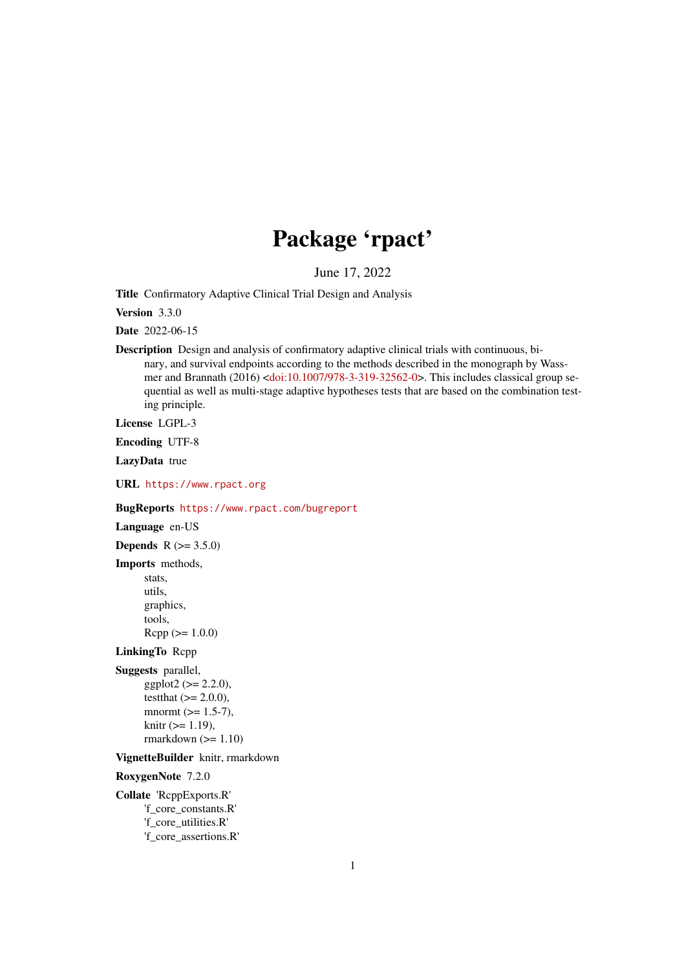# Package 'rpact'

June 17, 2022

<span id="page-0-0"></span>Title Confirmatory Adaptive Clinical Trial Design and Analysis

Version 3.3.0

Date 2022-06-15

Description Design and analysis of confirmatory adaptive clinical trials with continuous, binary, and survival endpoints according to the methods described in the monograph by Wassmer and Brannath (2016) [<doi:10.1007/978-3-319-32562-0>](https://doi.org/10.1007/978-3-319-32562-0). This includes classical group sequential as well as multi-stage adaptive hypotheses tests that are based on the combination testing principle.

License LGPL-3

Encoding UTF-8

LazyData true

URL <https://www.rpact.org>

BugReports <https://www.rpact.com/bugreport>

Language en-US

**Depends**  $R (= 3.5.0)$ 

Imports methods, stats, utils, graphics, tools,  $Rcpp (> = 1.0.0)$ 

### LinkingTo Rcpp

Suggests parallel,  $ggplot2 (> = 2.2.0),$ testthat  $(>= 2.0.0)$ , mnormt  $(>= 1.5-7)$ ,  $k$ nitr ( $>= 1.19$ ), rmarkdown  $(>= 1.10)$ 

VignetteBuilder knitr, rmarkdown

RoxygenNote 7.2.0

Collate 'RcppExports.R' 'f\_core\_constants.R' 'f\_core\_utilities.R' 'f\_core\_assertions.R'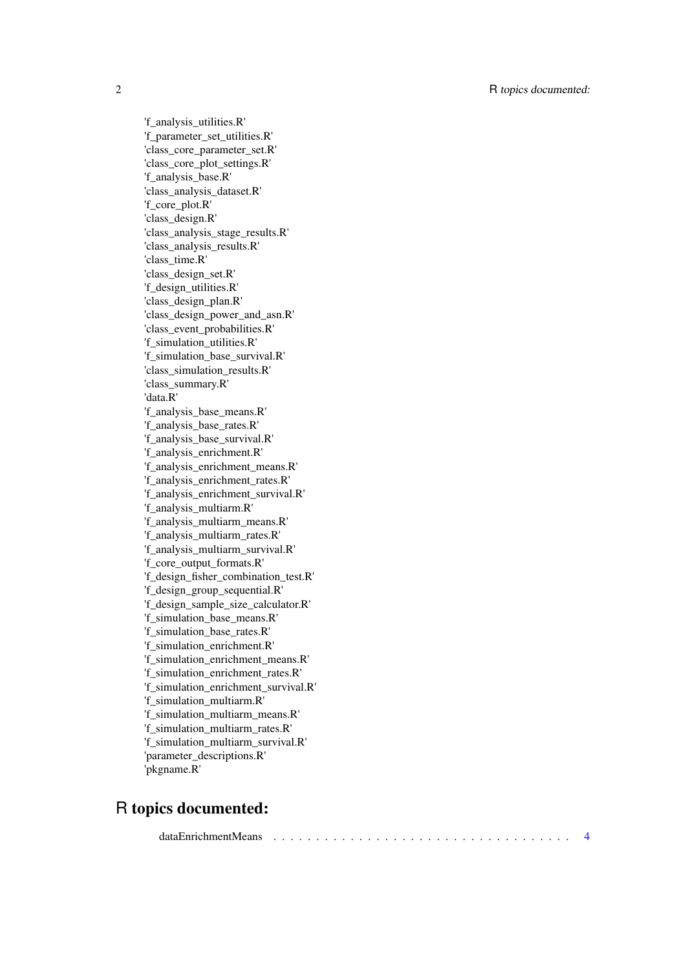2 R topics documented:

'f\_analysis\_utilities.R' 'f\_parameter\_set\_utilities.R' 'class\_core\_parameter\_set.R' 'class\_core\_plot\_settings.R' 'f\_analysis\_base.R' 'class\_analysis\_dataset.R' 'f\_core\_plot.R' 'class\_design.R' 'class\_analysis\_stage\_results.R' 'class\_analysis\_results.R' 'class\_time.R' 'class\_design\_set.R' 'f\_design\_utilities.R' 'class\_design\_plan.R' 'class\_design\_power\_and\_asn.R' 'class\_event\_probabilities.R' 'f\_simulation\_utilities.R' 'f\_simulation\_base\_survival.R' 'class\_simulation\_results.R' 'class\_summary.R' 'data.R' 'f\_analysis\_base\_means.R' 'f\_analysis\_base\_rates.R' 'f\_analysis\_base\_survival.R' 'f\_analysis\_enrichment.R' 'f\_analysis\_enrichment\_means.R' 'f\_analysis\_enrichment\_rates.R' 'f\_analysis\_enrichment\_survival.R' 'f\_analysis\_multiarm.R' 'f\_analysis\_multiarm\_means.R' 'f\_analysis\_multiarm\_rates.R' 'f\_analysis\_multiarm\_survival.R' 'f\_core\_output\_formats.R' 'f\_design\_fisher\_combination\_test.R' 'f\_design\_group\_sequential.R' 'f\_design\_sample\_size\_calculator.R' 'f\_simulation\_base\_means.R' 'f\_simulation\_base\_rates.R' 'f\_simulation\_enrichment.R' 'f\_simulation\_enrichment\_means.R' 'f\_simulation\_enrichment\_rates.R' 'f\_simulation\_enrichment\_survival.R' 'f\_simulation\_multiarm.R' 'f\_simulation\_multiarm\_means.R' 'f\_simulation\_multiarm\_rates.R' 'f\_simulation\_multiarm\_survival.R' 'parameter\_descriptions.R' 'pkgname.R'

## R topics documented:

|--|--|--|--|--|--|--|--|--|--|--|--|--|--|--|--|--|--|--|--|--|--|--|--|--|--|--|--|--|--|--|--|--|--|--|--|--|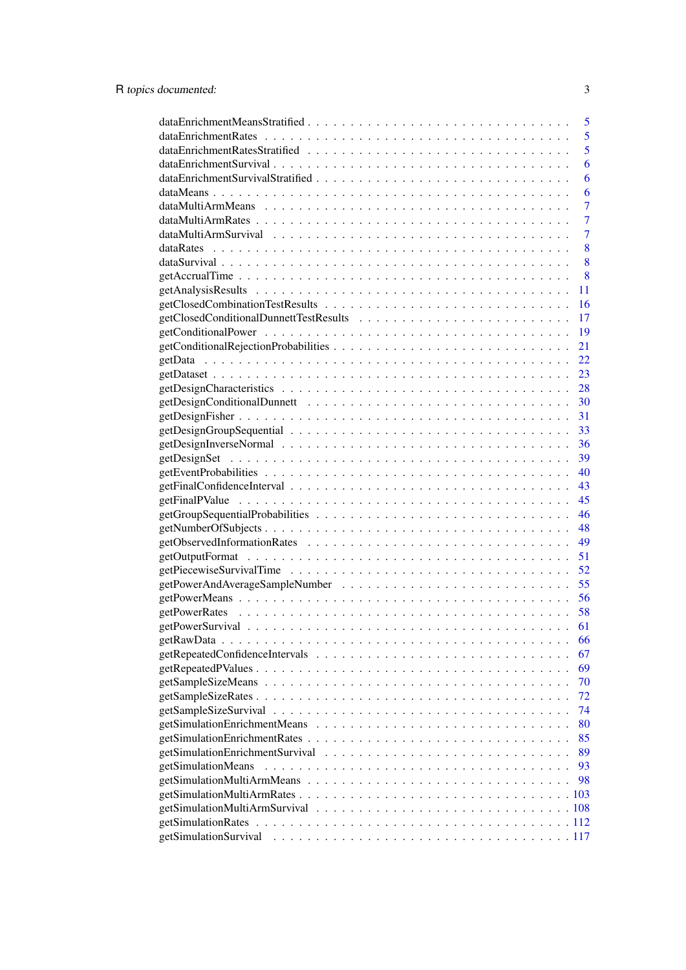| 5                        |
|--------------------------|
| 5                        |
| 5                        |
| 6                        |
| 6                        |
| 6                        |
| $\overline{7}$           |
| $\overline{7}$           |
| $\overline{7}$           |
| 8                        |
| 8                        |
| 8                        |
| 11                       |
| 16                       |
| 17                       |
| 19                       |
| 21                       |
| 22                       |
| 23                       |
| 28                       |
| 30                       |
| 31                       |
| 33                       |
| 36                       |
| 39                       |
| 40                       |
| 43                       |
| 45                       |
| 46                       |
| 48                       |
| 49                       |
| 51                       |
| 52                       |
| 55                       |
| 56                       |
| 58                       |
| 61                       |
| 66                       |
|                          |
| 67                       |
| 69                       |
| 70                       |
| 72                       |
| 74                       |
| 80                       |
| 85                       |
| 89                       |
| getSimulationMeans<br>93 |
| 98                       |
|                          |
|                          |
|                          |
|                          |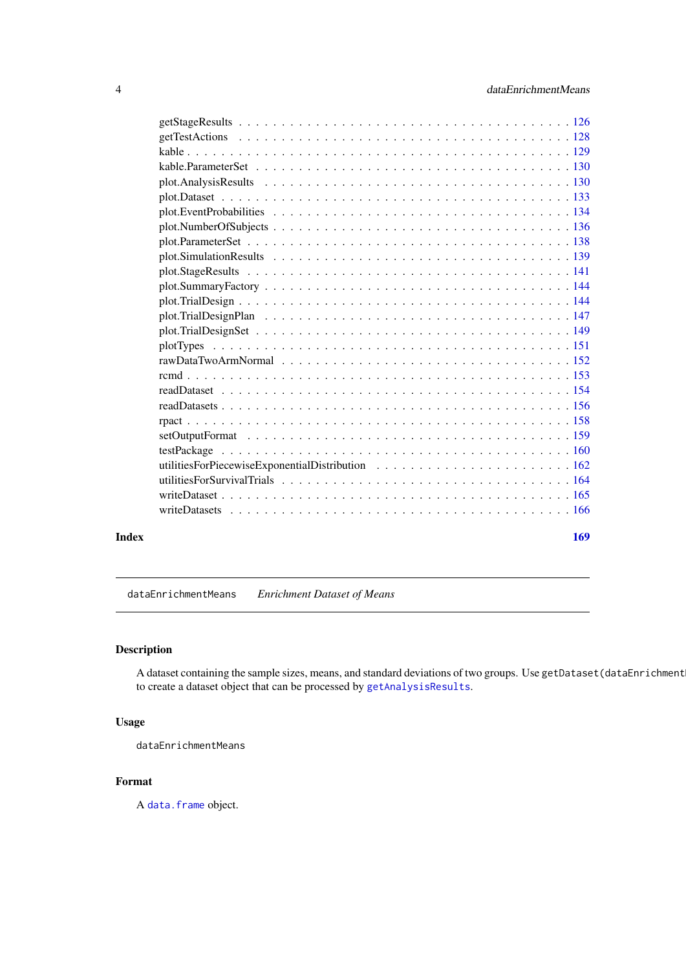<span id="page-3-0"></span>

#### **Index** the contract of the contract of the contract of the contract of the contract of the contract of the contract of the contract of the contract of the contract of the contract of the contract of the contract of the co

dataEnrichmentMeans *Enrichment Dataset of Means*

### Description

A dataset containing the sample sizes, means, and standard deviations of two groups. Use getDataset(dataEnrichment to create a dataset object that can be processed by [getAnalysisResults](#page-10-1).

### Usage

dataEnrichmentMeans

### Format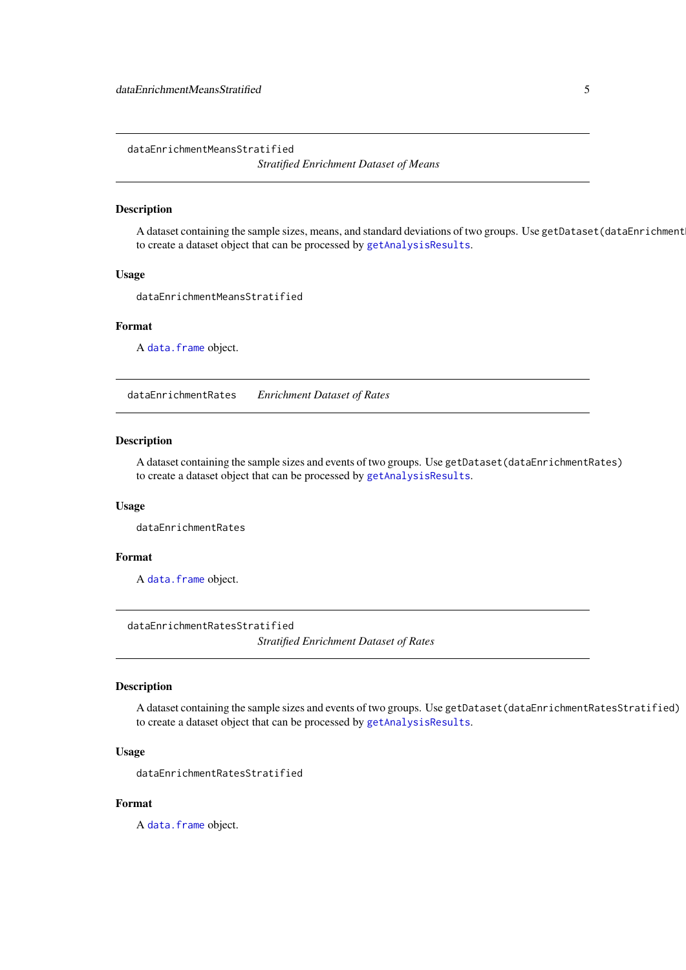<span id="page-4-0"></span>dataEnrichmentMeansStratified

*Stratified Enrichment Dataset of Means*

#### Description

A dataset containing the sample sizes, means, and standard deviations of two groups. Use getDataset(dataEnrichment to create a dataset object that can be processed by [getAnalysisResults](#page-10-1).

### Usage

dataEnrichmentMeansStratified

#### Format

A [data.frame](#page-0-0) object.

dataEnrichmentRates *Enrichment Dataset of Rates*

### Description

A dataset containing the sample sizes and events of two groups. Use getDataset(dataEnrichmentRates) to create a dataset object that can be processed by [getAnalysisResults](#page-10-1).

#### Usage

dataEnrichmentRates

### Format

A [data.frame](#page-0-0) object.

dataEnrichmentRatesStratified *Stratified Enrichment Dataset of Rates*

### Description

A dataset containing the sample sizes and events of two groups. Use getDataset(dataEnrichmentRatesStratified) to create a dataset object that can be processed by [getAnalysisResults](#page-10-1).

### Usage

dataEnrichmentRatesStratified

### Format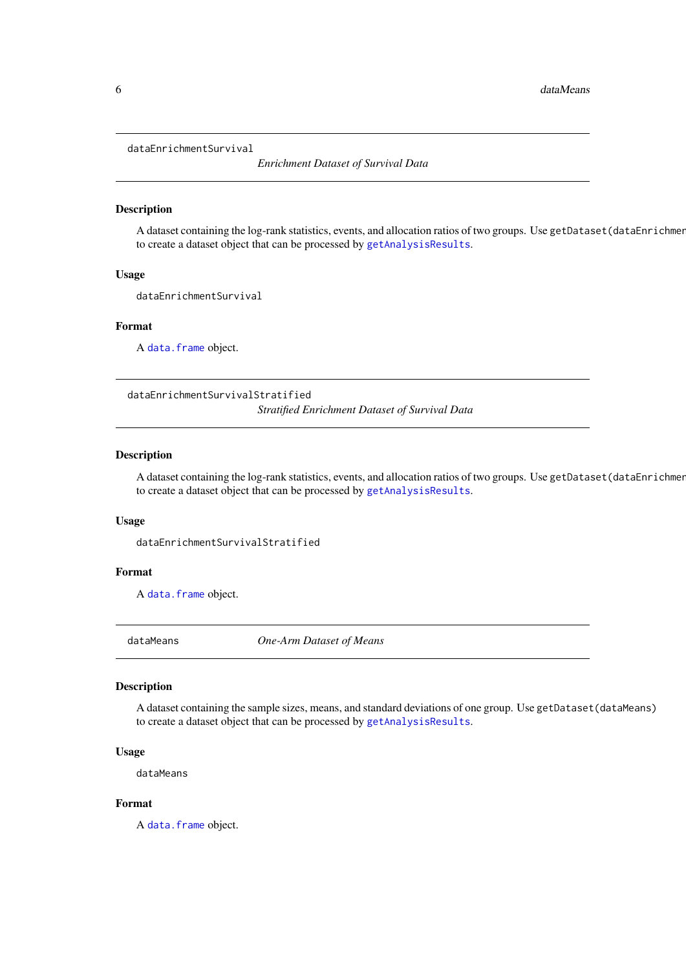<span id="page-5-0"></span>dataEnrichmentSurvival

*Enrichment Dataset of Survival Data*

#### Description

A dataset containing the log-rank statistics, events, and allocation ratios of two groups. Use getDataset(dataEnrichment to create a dataset object that can be processed by [getAnalysisResults](#page-10-1).

#### Usage

dataEnrichmentSurvival

#### Format

A [data.frame](#page-0-0) object.

dataEnrichmentSurvivalStratified *Stratified Enrichment Dataset of Survival Data*

#### Description

A dataset containing the log-rank statistics, events, and allocation ratios of two groups. Use getDataset(dataEnrichment to create a dataset object that can be processed by [getAnalysisResults](#page-10-1).

#### Usage

dataEnrichmentSurvivalStratified

### Format

A [data.frame](#page-0-0) object.

dataMeans *One-Arm Dataset of Means*

### Description

A dataset containing the sample sizes, means, and standard deviations of one group. Use getDataset(dataMeans) to create a dataset object that can be processed by [getAnalysisResults](#page-10-1).

### Usage

dataMeans

### Format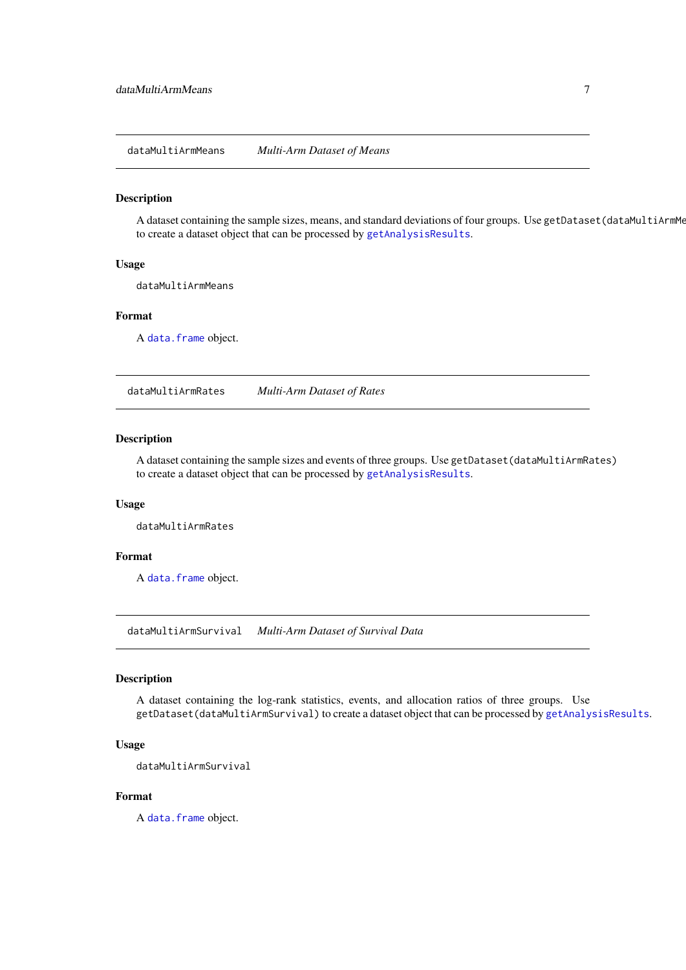<span id="page-6-0"></span>dataMultiArmMeans *Multi-Arm Dataset of Means*

### Description

A dataset containing the sample sizes, means, and standard deviations of four groups. Use getDataset(dataMultiArmMe to create a dataset object that can be processed by [getAnalysisResults](#page-10-1).

### Usage

dataMultiArmMeans

#### Format

A [data.frame](#page-0-0) object.

dataMultiArmRates *Multi-Arm Dataset of Rates*

#### Description

A dataset containing the sample sizes and events of three groups. Use getDataset(dataMultiArmRates) to create a dataset object that can be processed by [getAnalysisResults](#page-10-1).

#### Usage

dataMultiArmRates

### Format

A [data.frame](#page-0-0) object.

dataMultiArmSurvival *Multi-Arm Dataset of Survival Data*

### Description

A dataset containing the log-rank statistics, events, and allocation ratios of three groups. Use getDataset(dataMultiArmSurvival) to create a dataset object that can be processed by [getAnalysisResults](#page-10-1).

### Usage

dataMultiArmSurvival

#### Format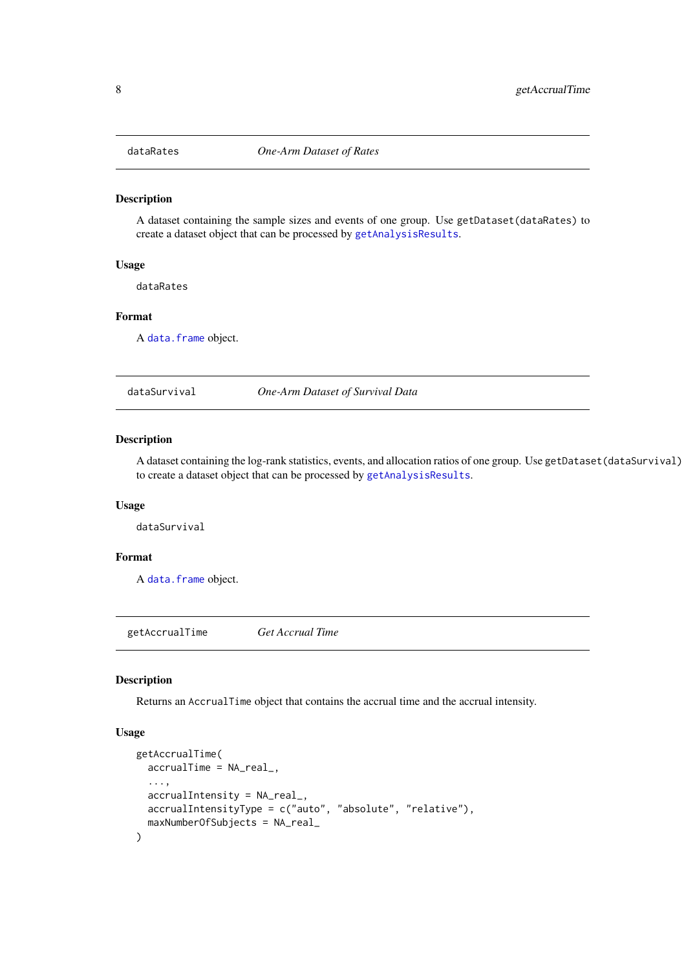<span id="page-7-0"></span>

### Description

A dataset containing the sample sizes and events of one group. Use getDataset(dataRates) to create a dataset object that can be processed by [getAnalysisResults](#page-10-1).

### Usage

dataRates

### Format

A [data.frame](#page-0-0) object.

dataSurvival *One-Arm Dataset of Survival Data*

#### Description

A dataset containing the log-rank statistics, events, and allocation ratios of one group. Use getDataset(dataSurvival) to create a dataset object that can be processed by [getAnalysisResults](#page-10-1).

### Usage

dataSurvival

### Format

A [data.frame](#page-0-0) object.

<span id="page-7-1"></span>getAccrualTime *Get Accrual Time*

### Description

Returns an AccrualTime object that contains the accrual time and the accrual intensity.

### Usage

```
getAccrualTime(
 accrualTime = NA_real_,
  ...,
 accrualIntensity = NA_real_,
 accrualIntensityType = c("auto", "absolute", "relative"),
 maxNumberOfSubjects = NA_real_
)
```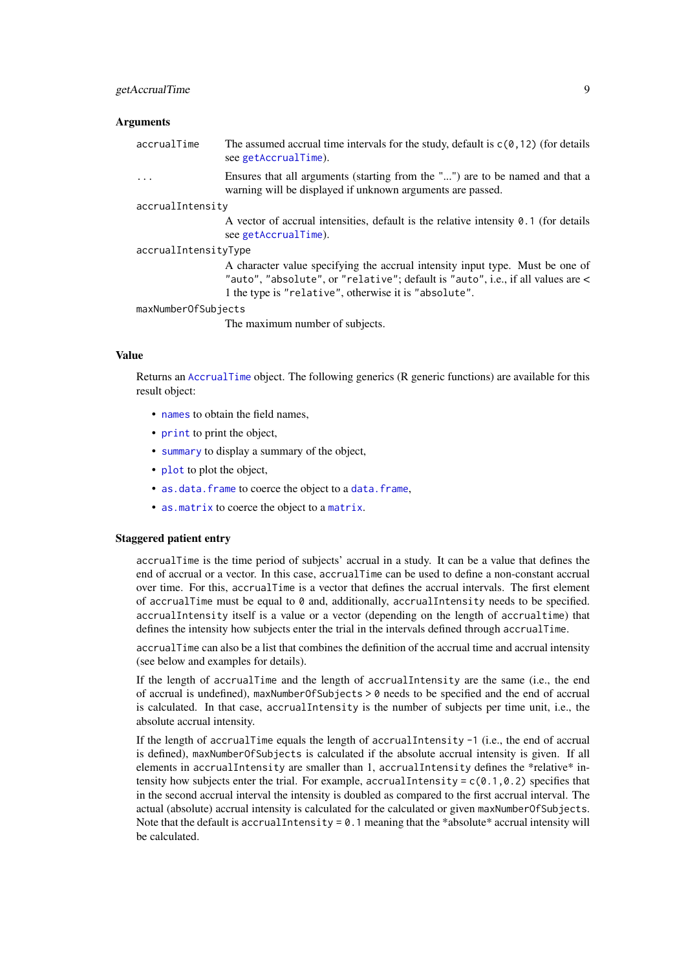#### getAccrualTime 9

### Arguments

accrualTime The assumed accrual time intervals for the study, default is  $c(0,12)$  (for details see [getAccrualTime](#page-7-1)).

> ... Ensures that all arguments (starting from the "...") are to be named and that a warning will be displayed if unknown arguments are passed.

#### accrualIntensity

A vector of accrual intensities, default is the relative intensity 0.1 (for details see [getAccrualTime](#page-7-1)).

accrualIntensityType

A character value specifying the accrual intensity input type. Must be one of "auto", "absolute", or "relative"; default is "auto", i.e., if all values are < 1 the type is "relative", otherwise it is "absolute".

#### maxNumberOfSubjects

The maximum number of subjects.

#### Value

Returns an [AccrualTime](#page-0-0) object. The following generics (R generic functions) are available for this result object:

- [names](#page-0-0) to obtain the field names.
- [print](#page-0-0) to print the object,
- [summary](#page-0-0) to display a summary of the object,
- [plot](#page-137-1) to plot the object,
- [as.data.frame](#page-0-0) to coerce the object to a [data.frame](#page-0-0),
- [as.matrix](#page-0-0) to coerce the object to a [matrix](#page-0-0).

### Staggered patient entry

accrualTime is the time period of subjects' accrual in a study. It can be a value that defines the end of accrual or a vector. In this case, accrualTime can be used to define a non-constant accrual over time. For this, accrualTime is a vector that defines the accrual intervals. The first element of accrualTime must be equal to  $\theta$  and, additionally, accrualIntensity needs to be specified. accrualIntensity itself is a value or a vector (depending on the length of accrualtime) that defines the intensity how subjects enter the trial in the intervals defined through accrualTime.

accrualTime can also be a list that combines the definition of the accrual time and accrual intensity (see below and examples for details).

If the length of accrualTime and the length of accrualIntensity are the same (i.e., the end of accrual is undefined), maxNumberOfSubjects > 0 needs to be specified and the end of accrual is calculated. In that case, accrualIntensity is the number of subjects per time unit, i.e., the absolute accrual intensity.

If the length of accrualTime equals the length of accrualIntensity  $-1$  (i.e., the end of accrual is defined), maxNumberOfSubjects is calculated if the absolute accrual intensity is given. If all elements in accrualIntensity are smaller than 1, accrualIntensity defines the \*relative\* intensity how subjects enter the trial. For example, accrualIntensity =  $c(0.1, 0.2)$  specifies that in the second accrual interval the intensity is doubled as compared to the first accrual interval. The actual (absolute) accrual intensity is calculated for the calculated or given maxNumberOfSubjects. Note that the default is accrual Intensity =  $0.1$  meaning that the \*absolute\* accrual intensity will be calculated.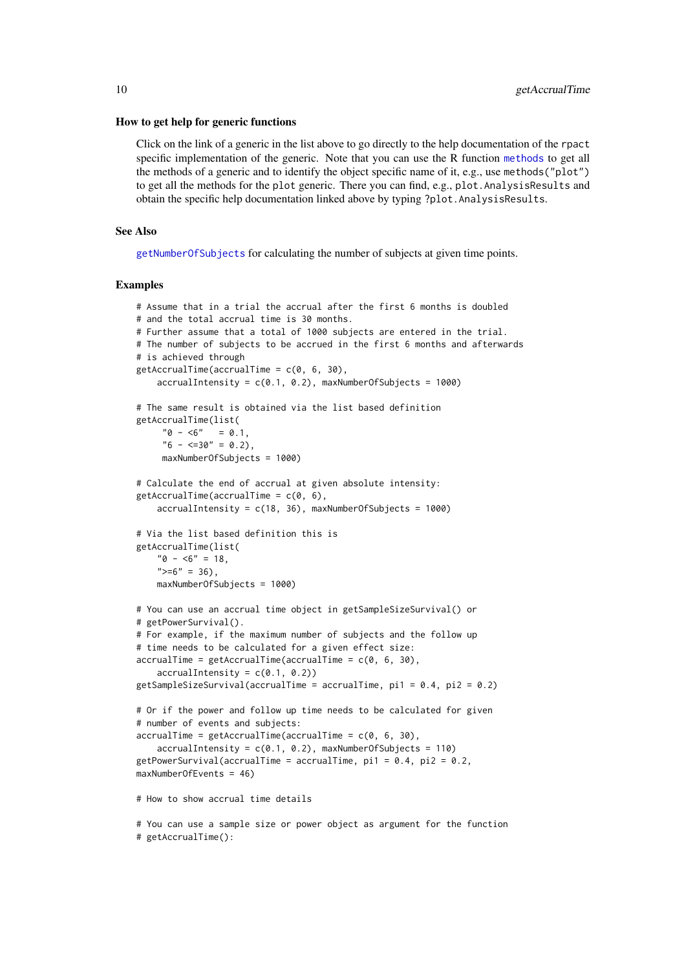#### How to get help for generic functions

Click on the link of a generic in the list above to go directly to the help documentation of the rpact specific implementation of the generic. Note that you can use the R function [methods](#page-0-0) to get all the methods of a generic and to identify the object specific name of it, e.g., use methods("plot") to get all the methods for the plot generic. There you can find, e.g., plot.AnalysisResults and obtain the specific help documentation linked above by typing ?plot.AnalysisResults.

#### See Also

[getNumberOfSubjects](#page-47-1) for calculating the number of subjects at given time points.

#### Examples

```
# Assume that in a trial the accrual after the first 6 months is doubled
# and the total accrual time is 30 months.
# Further assume that a total of 1000 subjects are entered in the trial.
# The number of subjects to be accrued in the first 6 months and afterwards
# is achieved through
getAccrualTime(accrualTime = c(0, 6, 30),accrualIntensity = c(0.1, 0.2), maxNumberOfSubjects = 1000)
# The same result is obtained via the list based definition
getAccrualTime(list(
     "0 - 5" = 0.1,"6 - \langle =30" = 0.2 \rangle,maxNumberOfSubjects = 1000)
# Calculate the end of accrual at given absolute intensity:
getAccrualTime(accrualTime = c(0, 6),accrualIntensity = c(18, 36), maxNumberOfSubjects = 1000)
# Via the list based definition this is
getAccrualTime(list(
    "0 - 5" = 18,">=6" = 36,
    maxNumberOfSubjects = 1000)
# You can use an accrual time object in getSampleSizeSurvival() or
# getPowerSurvival().
# For example, if the maximum number of subjects and the follow up
# time needs to be calculated for a given effect size:
accrualTime = getAccrualTime(accrualTime = c(0, 6, 30),accrualIntensity = c(0.1, 0.2)getSampleSizeSurvival(accrualTime = accrualTime, pi1 = 0.4, pi2 = 0.2)
# Or if the power and follow up time needs to be calculated for given
# number of events and subjects:
accrualTime = getAccrualTime(accrualTime = c(0, 6, 30),accrualIntensity = c(0.1, 0.2), maxNumberOfSubjects = 110)
getPowerSurvival(accrualTime = accrualTime, pi1 = 0.4, pi2 = 0.2,
maxNumberOfEvents = 46)
# How to show accrual time details
# You can use a sample size or power object as argument for the function
# getAccrualTime():
```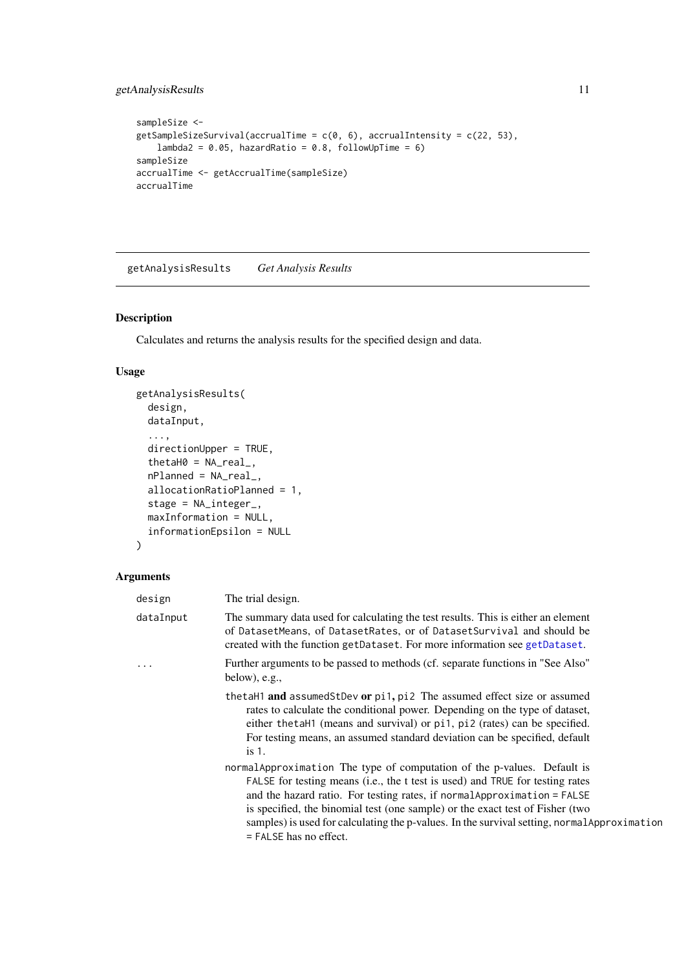### <span id="page-10-0"></span>getAnalysisResults 11

```
sampleSize <-
getSampleSizeSurvival(accrualTime = c(\theta, 6), accrualIntensity = c(22, 53),
    lambda2 = 0.05, hazardRatio = 0.8, followUpTime = 6)
sampleSize
accrualTime <- getAccrualTime(sampleSize)
accrualTime
```
<span id="page-10-1"></span>getAnalysisResults *Get Analysis Results*

### Description

Calculates and returns the analysis results for the specified design and data.

### Usage

```
getAnalysisResults(
  design,
  dataInput,
  ...,
  directionUpper = TRUE,
  thetaH0 = NA\_real_nPlanned = NA_real_,
  allocationRatioPlanned = 1,
  stage = NA_integer_,
  maxInformation = NULL,
  informationEpsilon = NULL
)
```
### Arguments

| design    | The trial design.                                                                                                                                                                                                                                                                                                                                                                                                                                |
|-----------|--------------------------------------------------------------------------------------------------------------------------------------------------------------------------------------------------------------------------------------------------------------------------------------------------------------------------------------------------------------------------------------------------------------------------------------------------|
| dataInput | The summary data used for calculating the test results. This is either an element<br>of DatasetMeans, of DatasetRates, or of DatasetSurvival and should be<br>created with the function getDataset. For more information see getDataset.                                                                                                                                                                                                         |
| .         | Further arguments to be passed to methods (cf. separate functions in "See Also"<br>below), e.g.,                                                                                                                                                                                                                                                                                                                                                 |
|           | thetaH1 and assumedStDev or pi1, pi2 The assumed effect size or assumed<br>rates to calculate the conditional power. Depending on the type of dataset,<br>either the tahl (means and survival) or pil, pil (rates) can be specified.<br>For testing means, an assumed standard deviation can be specified, default<br>is 1.                                                                                                                      |
|           | normal Approximation The type of computation of the p-values. Default is<br>FALSE for testing means (i.e., the t test is used) and TRUE for testing rates<br>and the hazard ratio. For testing rates, if normal Approximation = FALSE<br>is specified, the binomial test (one sample) or the exact test of Fisher (two<br>samples) is used for calculating the p-values. In the survival setting, normal Approximation<br>= FALSE has no effect. |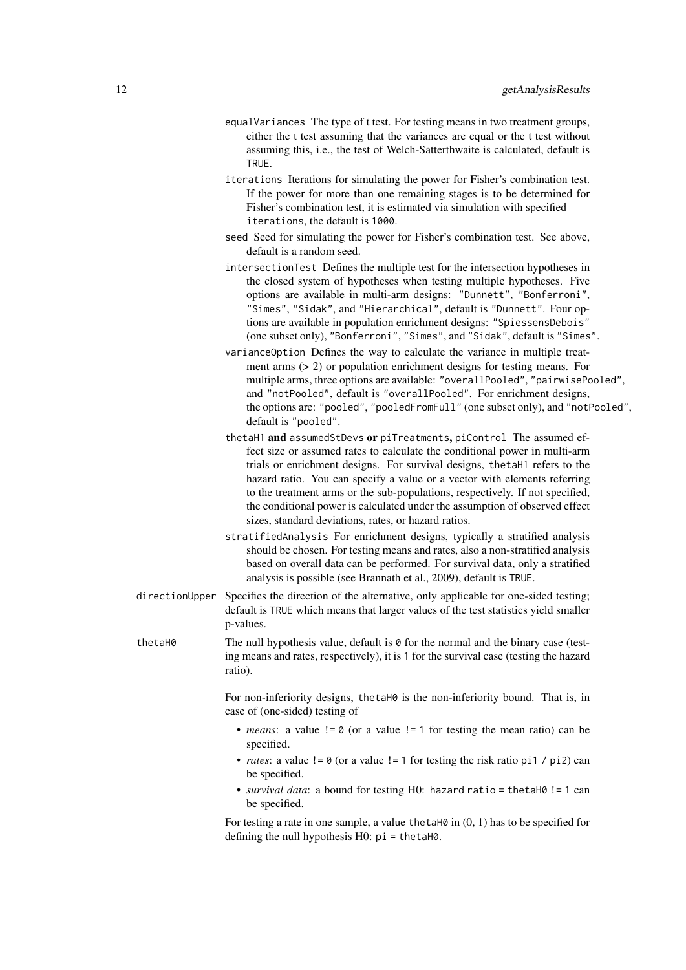- equalVariances The type of t test. For testing means in two treatment groups, either the t test assuming that the variances are equal or the t test without assuming this, i.e., the test of Welch-Satterthwaite is calculated, default is TRUE.
- iterations Iterations for simulating the power for Fisher's combination test. If the power for more than one remaining stages is to be determined for Fisher's combination test, it is estimated via simulation with specified iterations, the default is 1000.
- seed Seed for simulating the power for Fisher's combination test. See above, default is a random seed.
- intersectionTest Defines the multiple test for the intersection hypotheses in the closed system of hypotheses when testing multiple hypotheses. Five options are available in multi-arm designs: "Dunnett", "Bonferroni", "Simes", "Sidak", and "Hierarchical", default is "Dunnett". Four options are available in population enrichment designs: "SpiessensDebois" (one subset only), "Bonferroni", "Simes", and "Sidak", default is "Simes".
- varianceOption Defines the way to calculate the variance in multiple treatment arms (> 2) or population enrichment designs for testing means. For multiple arms, three options are available: "overallPooled", "pairwisePooled", and "notPooled", default is "overallPooled". For enrichment designs, the options are: "pooled", "pooledFromFull" (one subset only), and "notPooled", default is "pooled".
- thetaH1 and assumedStDevs or piTreatments, piControl The assumed effect size or assumed rates to calculate the conditional power in multi-arm trials or enrichment designs. For survival designs, thetaH1 refers to the hazard ratio. You can specify a value or a vector with elements referring to the treatment arms or the sub-populations, respectively. If not specified, the conditional power is calculated under the assumption of observed effect sizes, standard deviations, rates, or hazard ratios.
- stratifiedAnalysis For enrichment designs, typically a stratified analysis should be chosen. For testing means and rates, also a non-stratified analysis based on overall data can be performed. For survival data, only a stratified analysis is possible (see Brannath et al., 2009), default is TRUE.
- directionUpper Specifies the direction of the alternative, only applicable for one-sided testing; default is TRUE which means that larger values of the test statistics yield smaller p-values.

thetaH0 The null hypothesis value, default is 0 for the normal and the binary case (testing means and rates, respectively), it is 1 for the survival case (testing the hazard ratio).

> For non-inferiority designs, thetaH0 is the non-inferiority bound. That is, in case of (one-sided) testing of

- *means*: a value  $!= 0$  (or a value  $!= 1$  for testing the mean ratio) can be specified.
- *rates*: a value  $!= 0$  (or a value  $!= 1$  for testing the risk ratio pi1 / pi2) can be specified.
- *survival data*: a bound for testing H0: hazard ratio = thetaH0 != 1 can be specified.

For testing a rate in one sample, a value thetaH $\theta$  in  $(0, 1)$  has to be specified for defining the null hypothesis H0: pi = thetaH0.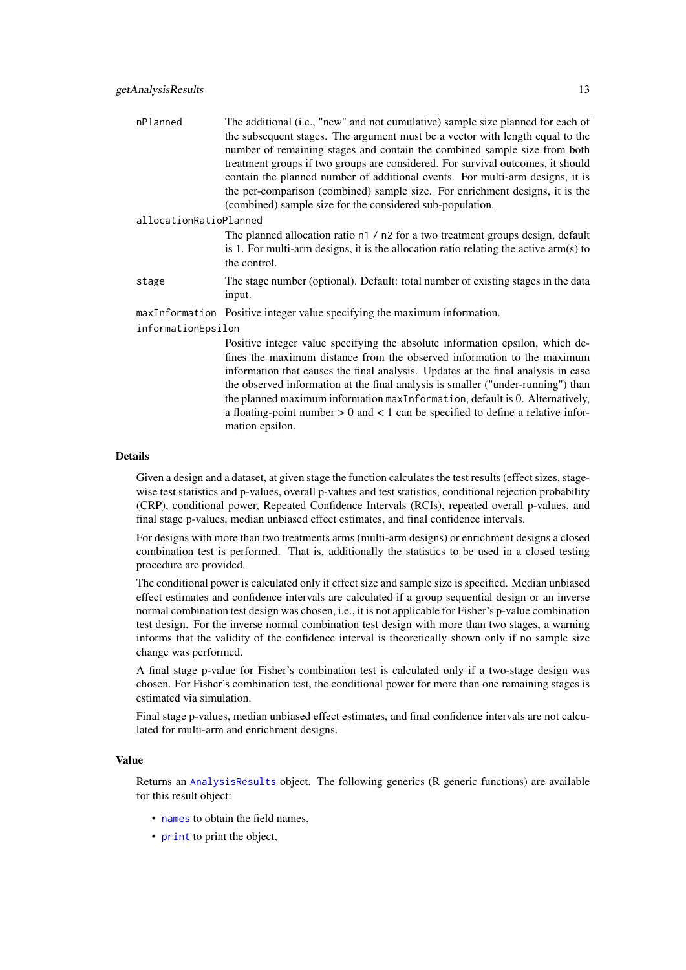| nPlanned               | The additional (i.e., "new" and not cumulative) sample size planned for each of |
|------------------------|---------------------------------------------------------------------------------|
|                        | the subsequent stages. The argument must be a vector with length equal to the   |
|                        | number of remaining stages and contain the combined sample size from both       |
|                        | treatment groups if two groups are considered. For survival outcomes, it should |
|                        | contain the planned number of additional events. For multi-arm designs, it is   |
|                        | the per-comparison (combined) sample size. For enrichment designs, it is the    |
|                        | (combined) sample size for the considered sub-population.                       |
| allocationRatioPlanned |                                                                                 |
|                        | The planned allocation ratio n1 / n2 for a two treatment groups design, default |

is 1. For multi-arm designs, it is the allocation ratio relating the active arm(s) to the control.

- stage The stage number (optional). Default: total number of existing stages in the data input.
- maxInformation Positive integer value specifying the maximum information.

informationEpsilon

Positive integer value specifying the absolute information epsilon, which defines the maximum distance from the observed information to the maximum information that causes the final analysis. Updates at the final analysis in case the observed information at the final analysis is smaller ("under-running") than the planned maximum information maxInformation, default is 0. Alternatively, a floating-point number  $> 0$  and  $< 1$  can be specified to define a relative information epsilon.

#### Details

Given a design and a dataset, at given stage the function calculates the test results (effect sizes, stagewise test statistics and p-values, overall p-values and test statistics, conditional rejection probability (CRP), conditional power, Repeated Confidence Intervals (RCIs), repeated overall p-values, and final stage p-values, median unbiased effect estimates, and final confidence intervals.

For designs with more than two treatments arms (multi-arm designs) or enrichment designs a closed combination test is performed. That is, additionally the statistics to be used in a closed testing procedure are provided.

The conditional power is calculated only if effect size and sample size is specified. Median unbiased effect estimates and confidence intervals are calculated if a group sequential design or an inverse normal combination test design was chosen, i.e., it is not applicable for Fisher's p-value combination test design. For the inverse normal combination test design with more than two stages, a warning informs that the validity of the confidence interval is theoretically shown only if no sample size change was performed.

A final stage p-value for Fisher's combination test is calculated only if a two-stage design was chosen. For Fisher's combination test, the conditional power for more than one remaining stages is estimated via simulation.

Final stage p-values, median unbiased effect estimates, and final confidence intervals are not calculated for multi-arm and enrichment designs.

#### Value

Returns an [AnalysisResults](#page-0-0) object. The following generics (R generic functions) are available for this result object:

- [names](#page-0-0) to obtain the field names,
- [print](#page-0-0) to print the object,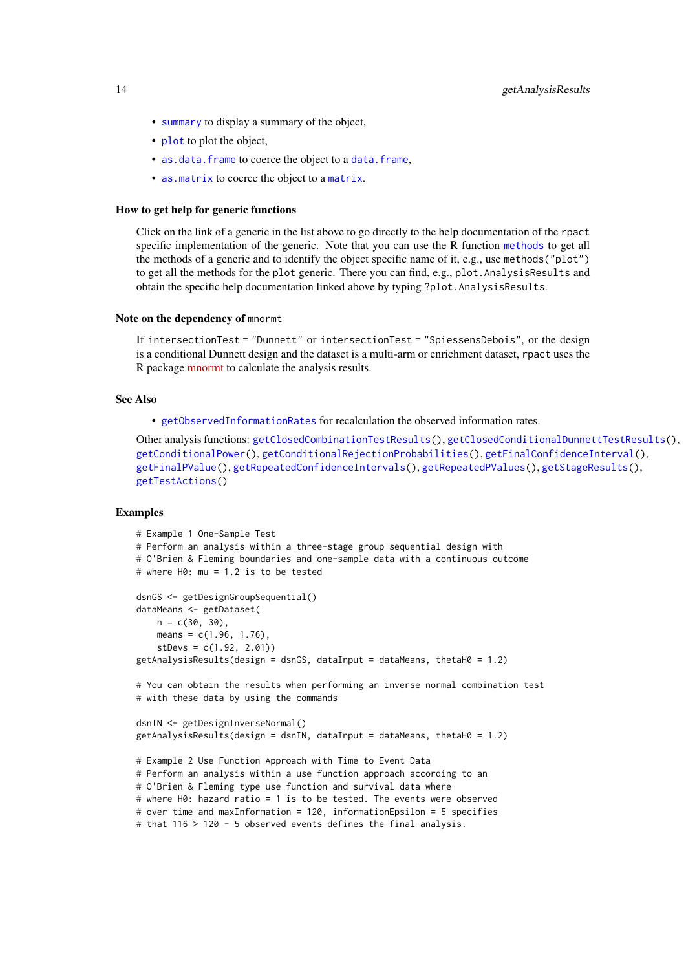- [summary](#page-0-0) to display a summary of the object,
- [plot](#page-129-1) to plot the object,
- [as.data.frame](#page-0-0) to coerce the object to a [data.frame](#page-0-0),
- [as.matrix](#page-0-0) to coerce the object to a [matrix](#page-0-0).

#### How to get help for generic functions

Click on the link of a generic in the list above to go directly to the help documentation of the rpact specific implementation of the generic. Note that you can use the R function [methods](#page-0-0) to get all the methods of a generic and to identify the object specific name of it, e.g., use methods("plot") to get all the methods for the plot generic. There you can find, e.g., plot.AnalysisResults and obtain the specific help documentation linked above by typing ?plot.AnalysisResults.

#### Note on the dependency of mnormt

If intersectionTest = "Dunnett" or intersectionTest = "SpiessensDebois", or the design is a conditional Dunnett design and the dataset is a multi-arm or enrichment dataset, rpact uses the R package [mnormt](https://cran.r-project.org/package=mnormt) to calculate the analysis results.

### See Also

• [getObservedInformationRates](#page-48-1) for recalculation the observed information rates.

Other analysis functions: [getClosedCombinationTestResults\(](#page-15-1)), [getClosedConditionalDunnettTestResults\(](#page-16-1)), [getConditionalPower\(](#page-18-1)), [getConditionalRejectionProbabilities\(](#page-20-1)), [getFinalConfidenceInterval\(](#page-42-1)), [getFinalPValue\(](#page-44-1)), [getRepeatedConfidenceIntervals\(](#page-66-1)), [getRepeatedPValues\(](#page-68-1)), [getStageResults\(](#page-125-1)), [getTestActions\(](#page-127-1))

### Examples

```
# Example 1 One-Sample Test
# Perform an analysis within a three-stage group sequential design with
# O'Brien & Fleming boundaries and one-sample data with a continuous outcome
# where H0: mu = 1.2 is to be tested
dsnGS <- getDesignGroupSequential()
dataMeans <- getDataset(
   n = c(30, 30),
    means = c(1.96, 1.76),
    stDevs = c(1.92, 2.01))
getAnalysisResults(design = dsnGS, dataInput = dataMeans, thetaH0 = 1.2)
# You can obtain the results when performing an inverse normal combination test
# with these data by using the commands
dsnIN <- getDesignInverseNormal()
getAnalysisResults(design = dsnIN, dataInput = dataMeans, thetaH0 = 1.2)
# Example 2 Use Function Approach with Time to Event Data
# Perform an analysis within a use function approach according to an
# O'Brien & Fleming type use function and survival data where
# where H0: hazard ratio = 1 is to be tested. The events were observed
# over time and maxInformation = 120, informationEpsilon = 5 specifies
# that 116 > 120 - 5 observed events defines the final analysis.
```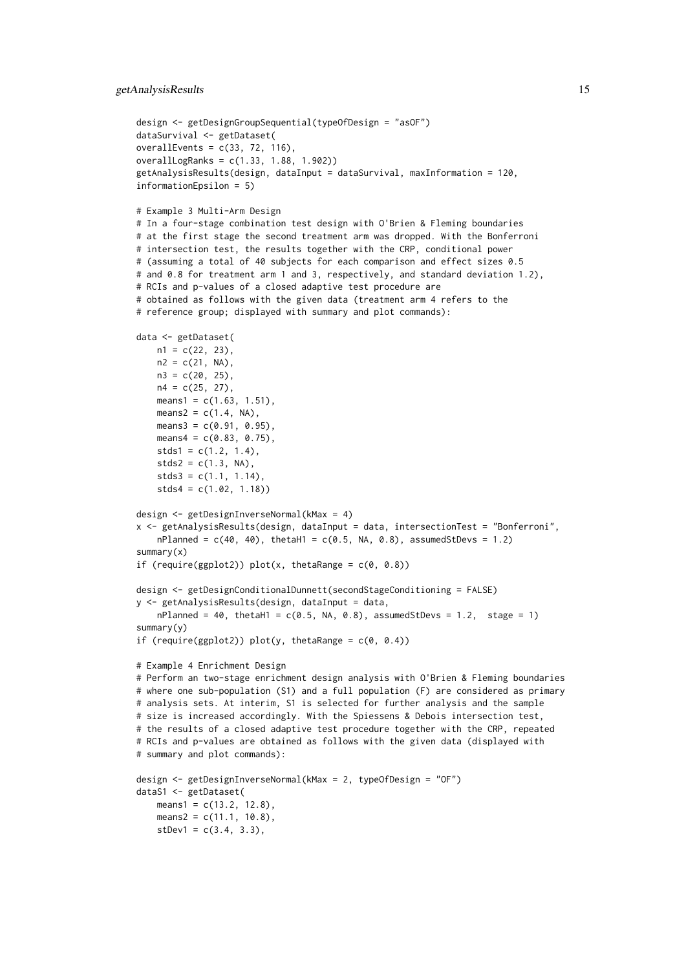#### getAnalysisResults 15

```
design <- getDesignGroupSequential(typeOfDesign = "asOF")
dataSurvival <- getDataset(
overallEvents = c(33, 72, 116),
overallLogRanks = c(1.33, 1.88, 1.902))
getAnalysisResults(design, dataInput = dataSurvival, maxInformation = 120,
informationEpsilon = 5)
# Example 3 Multi-Arm Design
# In a four-stage combination test design with O'Brien & Fleming boundaries
# at the first stage the second treatment arm was dropped. With the Bonferroni
# intersection test, the results together with the CRP, conditional power
# (assuming a total of 40 subjects for each comparison and effect sizes 0.5
# and 0.8 for treatment arm 1 and 3, respectively, and standard deviation 1.2),
# RCIs and p-values of a closed adaptive test procedure are
# obtained as follows with the given data (treatment arm 4 refers to the
# reference group; displayed with summary and plot commands):
data <- getDataset(
   n1 = c(22, 23),n2 = c(21, NA),n3 = c(20, 25),n4 = c(25, 27),
    means1 = c(1.63, 1.51),
    means2 = c(1.4, NA),means3 = c(0.91, 0.95),
    means4 = c(0.83, 0.75),
    stds1 = c(1.2, 1.4),stds2 = c(1.3, NA),stds3 = c(1.1, 1.14),stds4 = c(1.02, 1.18))
design <- getDesignInverseNormal(kMax = 4)
x <- getAnalysisResults(design, dataInput = data, intersectionTest = "Bonferroni",
    nPlanned = c(40, 40), thetaH1 = c(0.5, NA, 0.8), assumedStDevs = 1.2)
summary(x)
if (require(ggplot2)) plot(x, thetaRange = c(0, 0.8))design <- getDesignConditionalDunnett(secondStageConditioning = FALSE)
y <- getAnalysisResults(design, dataInput = data,
    nPlanned = 40, thetaH1 = c(0.5, NA, 0.8), assumedStDevs = 1.2, stage = 1)
summary(y)
if (require(ggplot2)) plot(y, thetaRange = c(0, 0.4))# Example 4 Enrichment Design
# Perform an two-stage enrichment design analysis with O'Brien & Fleming boundaries
# where one sub-population (S1) and a full population (F) are considered as primary
# analysis sets. At interim, S1 is selected for further analysis and the sample
# size is increased accordingly. With the Spiessens & Debois intersection test,
# the results of a closed adaptive test procedure together with the CRP, repeated
# RCIs and p-values are obtained as follows with the given data (displayed with
# summary and plot commands):
design <- getDesignInverseNormal(kMax = 2, typeOfDesign = "OF")
dataS1 <- getDataset(
    means1 = c(13.2, 12.8),
    means2 = c(11.1, 10.8),
    stDev1 = c(3.4, 3.3),
```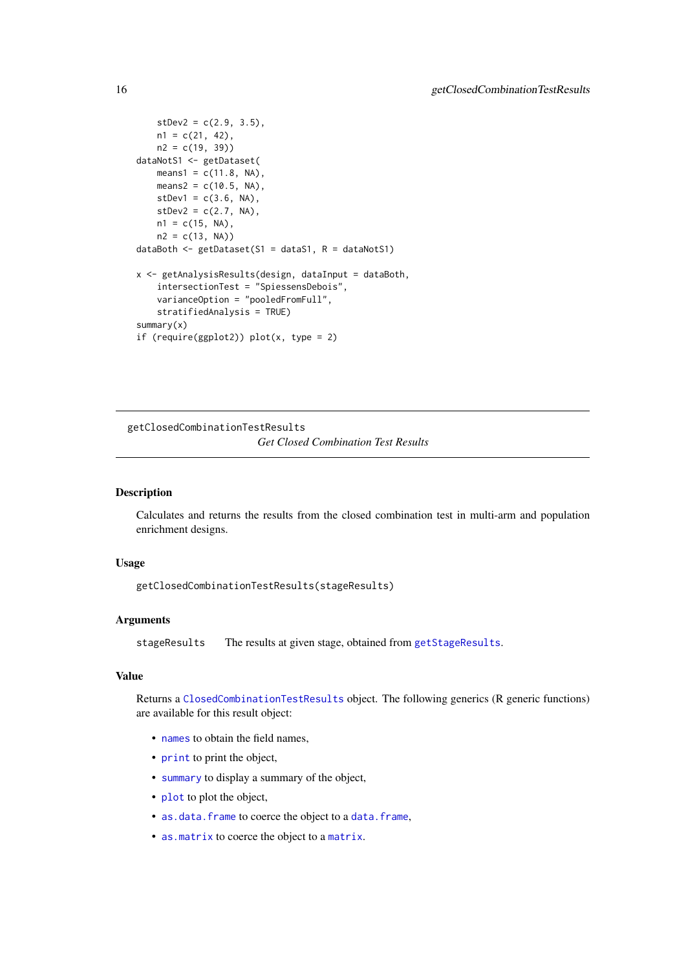```
stDev2 = c(2.9, 3.5),n1 = c(21, 42),
   n2 = c(19, 39)dataNotS1 <- getDataset(
   means1 = c(11.8, NA),means2 = c(10.5, NA),stDev1 = c(3.6, NA),stDev2 = c(2.7, NA),n1 = c(15, NA),
    n2 = c(13, NA)dataBoth \leq getDataset(S1 = dataS1, R = dataNotS1)
x <- getAnalysisResults(design, dataInput = dataBoth,
    intersectionTest = "SpiessensDebois",
    varianceOption = "pooledFromFull",
    stratifiedAnalysis = TRUE)
summary(x)
if (require(ggplot2)) plot(x, type = 2)
```
<span id="page-15-1"></span>getClosedCombinationTestResults *Get Closed Combination Test Results*

### Description

Calculates and returns the results from the closed combination test in multi-arm and population enrichment designs.

### Usage

getClosedCombinationTestResults(stageResults)

### Arguments

stageResults The results at given stage, obtained from [getStageResults](#page-125-1).

### Value

Returns a [ClosedCombinationTestResults](#page-0-0) object. The following generics (R generic functions) are available for this result object:

- [names](#page-0-0) to obtain the field names,
- [print](#page-0-0) to print the object,
- [summary](#page-0-0) to display a summary of the object,
- [plot](#page-137-1) to plot the object,
- [as.data.frame](#page-0-0) to coerce the object to a [data.frame](#page-0-0),
- [as.matrix](#page-0-0) to coerce the object to a [matrix](#page-0-0).

<span id="page-15-0"></span>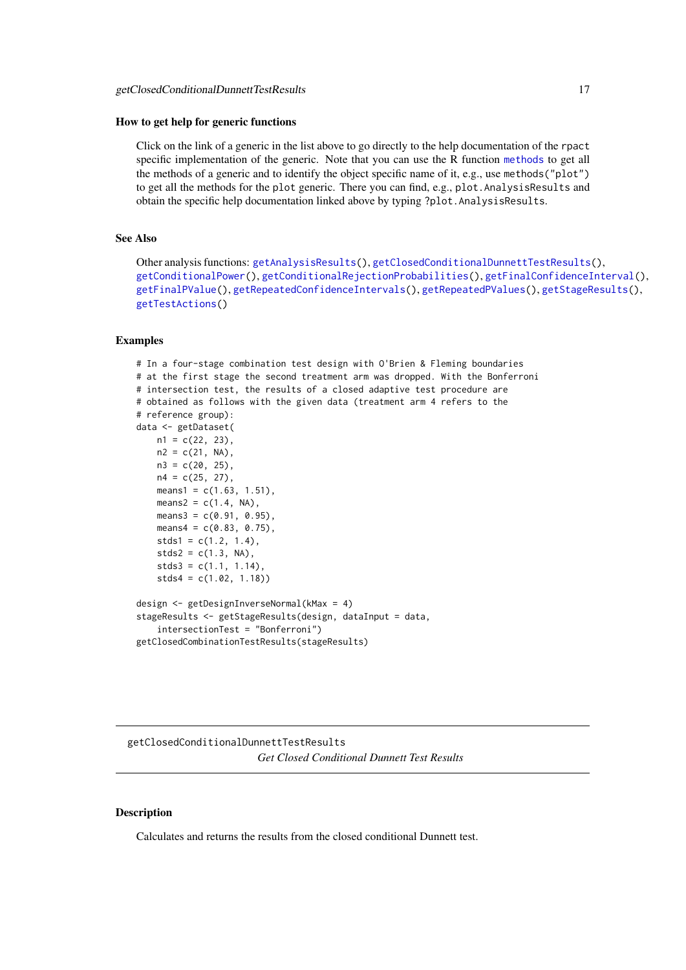#### <span id="page-16-0"></span>How to get help for generic functions

Click on the link of a generic in the list above to go directly to the help documentation of the rpact specific implementation of the generic. Note that you can use the R function [methods](#page-0-0) to get all the methods of a generic and to identify the object specific name of it, e.g., use methods("plot") to get all the methods for the plot generic. There you can find, e.g., plot.AnalysisResults and obtain the specific help documentation linked above by typing ?plot.AnalysisResults.

### See Also

Other analysis functions: [getAnalysisResults\(](#page-10-1)), [getClosedConditionalDunnettTestResults\(](#page-16-1)), [getConditionalPower\(](#page-18-1)), [getConditionalRejectionProbabilities\(](#page-20-1)), [getFinalConfidenceInterval\(](#page-42-1)), [getFinalPValue\(](#page-44-1)), [getRepeatedConfidenceIntervals\(](#page-66-1)), [getRepeatedPValues\(](#page-68-1)), [getStageResults\(](#page-125-1)), [getTestActions\(](#page-127-1))

### Examples

```
# In a four-stage combination test design with O'Brien & Fleming boundaries
# at the first stage the second treatment arm was dropped. With the Bonferroni
# intersection test, the results of a closed adaptive test procedure are
# obtained as follows with the given data (treatment arm 4 refers to the
# reference group):
data <- getDataset(
   n1 = c(22, 23),
    n2 = c(21, NA),n3 = c(20, 25),n4 = c(25, 27),
    means1 = c(1.63, 1.51),
    means2 = c(1.4, NA),
    means3 = c(0.91, 0.95),
    means4 = c(0.83, 0.75),
    stds1 = c(1.2, 1.4),stds2 = c(1.3, NA),stds3 = c(1.1, 1.14),
    stds4 = c(1.02, 1.18)design <- getDesignInverseNormal(kMax = 4)
stageResults <- getStageResults(design, dataInput = data,
    intersectionTest = "Bonferroni")
getClosedCombinationTestResults(stageResults)
```
<span id="page-16-1"></span>getClosedConditionalDunnettTestResults *Get Closed Conditional Dunnett Test Results*

### Description

Calculates and returns the results from the closed conditional Dunnett test.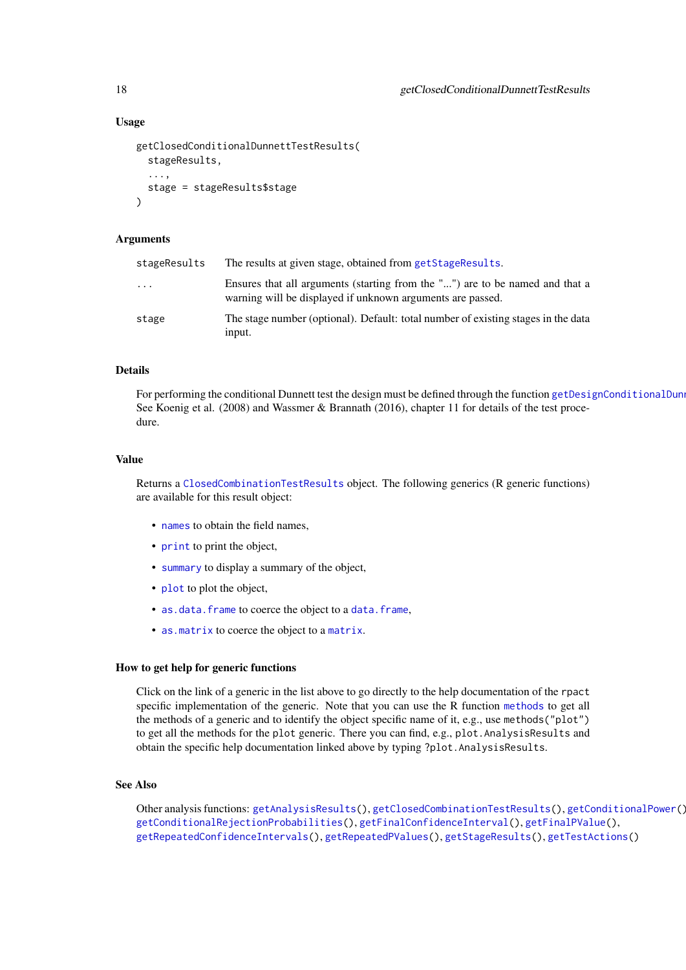### Usage

```
getClosedConditionalDunnettTestResults(
  stageResults,
  ...,
  stage = stageResults$stage
\lambda
```
### Arguments

| stageResults | The results at given stage, obtained from getStageResults.                                                                                 |
|--------------|--------------------------------------------------------------------------------------------------------------------------------------------|
| $\cdots$     | Ensures that all arguments (starting from the "") are to be named and that a<br>warning will be displayed if unknown arguments are passed. |
| stage        | The stage number (optional). Default: total number of existing stages in the data<br>input.                                                |

### Details

For performing the conditional Dunnett test the design must be defined through the function getDesignConditionalDun See Koenig et al. (2008) and Wassmer & Brannath (2016), chapter 11 for details of the test procedure.

### Value

Returns a [ClosedCombinationTestResults](#page-0-0) object. The following generics (R generic functions) are available for this result object:

- [names](#page-0-0) to obtain the field names,
- [print](#page-0-0) to print the object,
- [summary](#page-0-0) to display a summary of the object,
- [plot](#page-137-1) to plot the object,
- [as.data.frame](#page-0-0) to coerce the object to a [data.frame](#page-0-0),
- [as.matrix](#page-0-0) to coerce the object to a [matrix](#page-0-0).

#### How to get help for generic functions

Click on the link of a generic in the list above to go directly to the help documentation of the rpact specific implementation of the generic. Note that you can use the R function [methods](#page-0-0) to get all the methods of a generic and to identify the object specific name of it, e.g., use methods("plot") to get all the methods for the plot generic. There you can find, e.g., plot.AnalysisResults and obtain the specific help documentation linked above by typing ?plot.AnalysisResults.

### See Also

Other analysis functions: [getAnalysisResults\(](#page-10-1)), [getClosedCombinationTestResults\(](#page-15-1)), [getConditionalPower\(](#page-18-1)), [getConditionalRejectionProbabilities\(](#page-20-1)), [getFinalConfidenceInterval\(](#page-42-1)), [getFinalPValue\(](#page-44-1)), [getRepeatedConfidenceIntervals\(](#page-66-1)), [getRepeatedPValues\(](#page-68-1)), [getStageResults\(](#page-125-1)), [getTestActions\(](#page-127-1))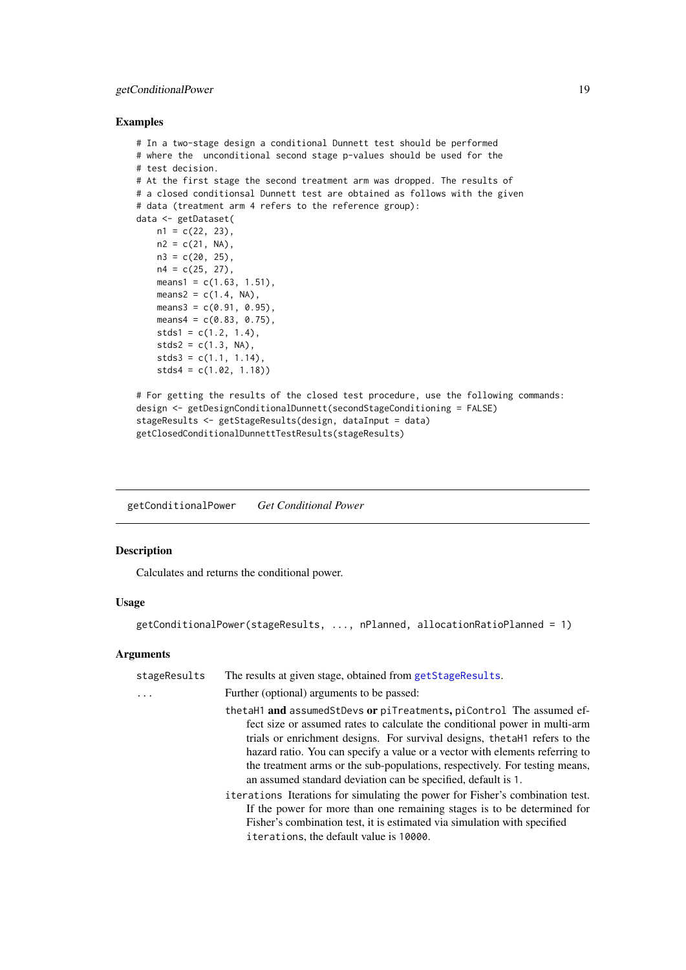#### <span id="page-18-0"></span>getConditionalPower 19

### Examples

```
# In a two-stage design a conditional Dunnett test should be performed
# where the unconditional second stage p-values should be used for the
# test decision.
# At the first stage the second treatment arm was dropped. The results of
# a closed conditionsal Dunnett test are obtained as follows with the given
# data (treatment arm 4 refers to the reference group):
data <- getDataset(
   n1 = c(22, 23),
   n2 = c(21, NA),
   n3 = c(20, 25),n4 = c(25, 27),means1 = c(1.63, 1.51),
   means2 = c(1.4, NA),means3 = c(0.91, 0.95),
   means4 = c(0.83, 0.75),
   stds1 = c(1.2, 1.4),stds2 = c(1.3, NA),stds3 = c(1.1, 1.14),stds4 = c(1.02, 1.18))
# For getting the results of the closed test procedure, use the following commands:
design <- getDesignConditionalDunnett(secondStageConditioning = FALSE)
stageResults <- getStageResults(design, dataInput = data)
getClosedConditionalDunnettTestResults(stageResults)
```
<span id="page-18-1"></span>getConditionalPower *Get Conditional Power*

### Description

Calculates and returns the conditional power.

### Usage

getConditionalPower(stageResults, ..., nPlanned, allocationRatioPlanned = 1)

### Arguments

| stageResults | The results at given stage, obtained from getStageResults.                                                                                                                                                                                                                                                                                                                                                                                                       |
|--------------|------------------------------------------------------------------------------------------------------------------------------------------------------------------------------------------------------------------------------------------------------------------------------------------------------------------------------------------------------------------------------------------------------------------------------------------------------------------|
|              | Further (optional) arguments to be passed:                                                                                                                                                                                                                                                                                                                                                                                                                       |
|              | thetaH1 and assumedStDevs or piTreatments, piControl The assumed ef-<br>fect size or assumed rates to calculate the conditional power in multi-arm<br>trials or enrichment designs. For survival designs, the tall refers to the<br>hazard ratio. You can specify a value or a vector with elements referring to<br>the treatment arms or the sub-populations, respectively. For testing means,<br>an assumed standard deviation can be specified, default is 1. |
|              | iterations Iterations for simulating the power for Fisher's combination test.<br>If the power for more than one remaining stages is to be determined for<br>Fisher's combination test, it is estimated via simulation with specified<br>iterations, the default value is 10000.                                                                                                                                                                                  |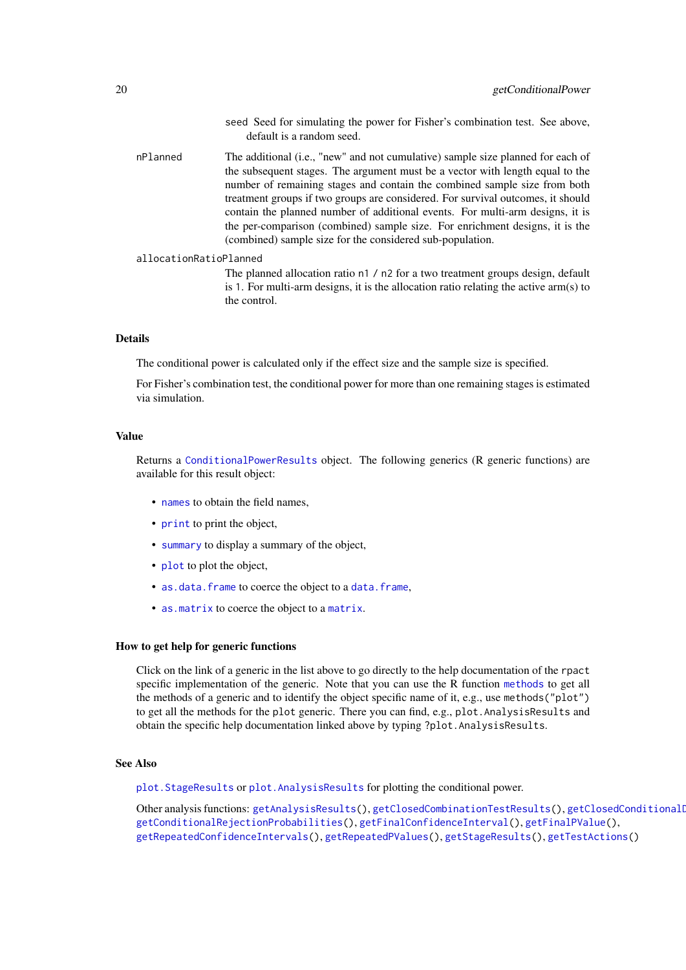|                        | default is a random seed.                                                                                                                                                                                                                                                                                                                                                                                                                                                                                                                                      |
|------------------------|----------------------------------------------------------------------------------------------------------------------------------------------------------------------------------------------------------------------------------------------------------------------------------------------------------------------------------------------------------------------------------------------------------------------------------------------------------------------------------------------------------------------------------------------------------------|
| nPlanned               | The additional (i.e., "new" and not cumulative) sample size planned for each of<br>the subsequent stages. The argument must be a vector with length equal to the<br>number of remaining stages and contain the combined sample size from both<br>treatment groups if two groups are considered. For survival outcomes, it should<br>contain the planned number of additional events. For multi-arm designs, it is<br>the per-comparison (combined) sample size. For enrichment designs, it is the<br>(combined) sample size for the considered sub-population. |
| allocationRatioPlanned |                                                                                                                                                                                                                                                                                                                                                                                                                                                                                                                                                                |

The planned allocation ratio n1 / n2 for a two treatment groups design, default is 1. For multi-arm designs, it is the allocation ratio relating the active arm(s) to the control.

seed Seed for simulating the power for Fisher's combination test. See above,

#### Details

The conditional power is calculated only if the effect size and the sample size is specified.

For Fisher's combination test, the conditional power for more than one remaining stages is estimated via simulation.

### Value

Returns a [ConditionalPowerResults](#page-0-0) object. The following generics (R generic functions) are available for this result object:

- [names](#page-0-0) to obtain the field names,
- [print](#page-0-0) to print the object,
- [summary](#page-0-0) to display a summary of the object,
- [plot](#page-137-1) to plot the object,
- [as.data.frame](#page-0-0) to coerce the object to a [data.frame](#page-0-0),
- [as.matrix](#page-0-0) to coerce the object to a [matrix](#page-0-0).

#### How to get help for generic functions

Click on the link of a generic in the list above to go directly to the help documentation of the rpact specific implementation of the generic. Note that you can use the R function [methods](#page-0-0) to get all the methods of a generic and to identify the object specific name of it, e.g., use methods("plot") to get all the methods for the plot generic. There you can find, e.g., plot.AnalysisResults and obtain the specific help documentation linked above by typing ?plot.AnalysisResults.

### See Also

[plot.StageResults](#page-140-1) or [plot.AnalysisResults](#page-129-1) for plotting the conditional power.

Other analysis functions: [getAnalysisResults\(](#page-10-1)), [getClosedCombinationTestResults\(](#page-15-1)), getClosedConditionalI [getConditionalRejectionProbabilities\(](#page-20-1)), [getFinalConfidenceInterval\(](#page-42-1)), [getFinalPValue\(](#page-44-1)), [getRepeatedConfidenceIntervals\(](#page-66-1)), [getRepeatedPValues\(](#page-68-1)), [getStageResults\(](#page-125-1)), [getTestActions\(](#page-127-1))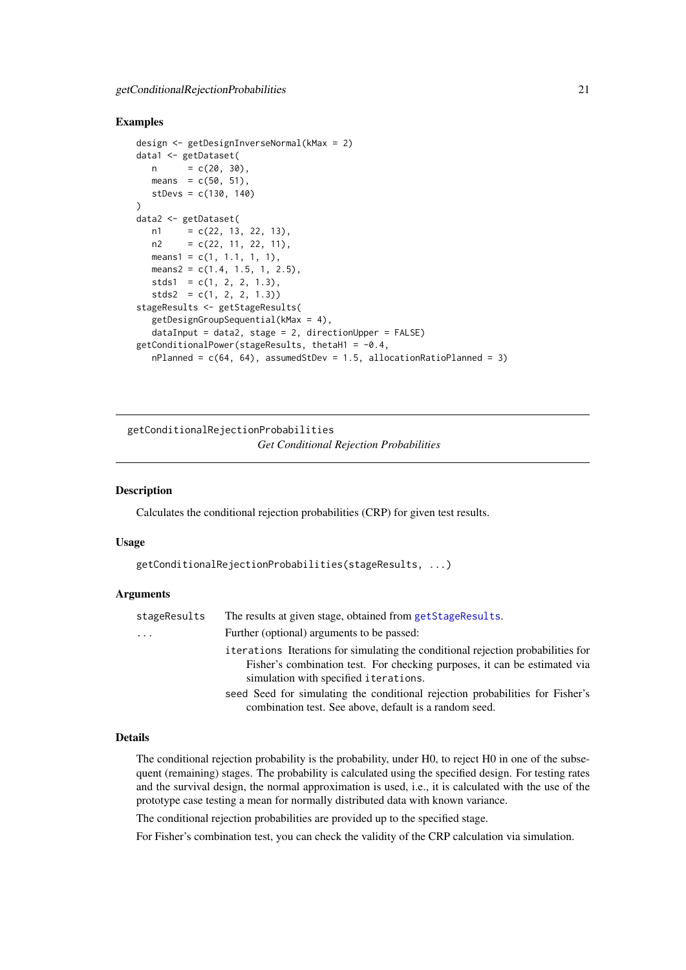#### <span id="page-20-0"></span>Examples

```
design <- getDesignInverseNormal(kMax = 2)
data1 <- getDataset(
  n = c(20, 30),means = c(50, 51),stDevs = c(130, 140))
data2 <- getDataset(
  n1 = c(22, 13, 22, 13),n2 = c(22, 11, 22, 11),means1 = c(1, 1.1, 1, 1),means2 = c(1.4, 1.5, 1, 2.5),
  stds1 = c(1, 2, 2, 1.3),stds2 = c(1, 2, 2, 1.3)stageResults <- getStageResults(
  getDesignGroupSequential(kMax = 4),
  dataInput = data2, stage = 2, directionUpper = FALSE)
getConditionalPower(stageResults, thetaH1 = -0.4,
   nPlanned = c(64, 64), assumedStDev = 1.5, allocationRatioPlanned = 3)
```
<span id="page-20-1"></span>getConditionalRejectionProbabilities *Get Conditional Rejection Probabilities*

#### Description

Calculates the conditional rejection probabilities (CRP) for given test results.

#### Usage

getConditionalRejectionProbabilities(stageResults, ...)

#### Arguments

| stageResults | The results at given stage, obtained from getStageResults.                                                                                                                                             |
|--------------|--------------------------------------------------------------------------------------------------------------------------------------------------------------------------------------------------------|
| $\cdots$     | Further (optional) arguments to be passed:                                                                                                                                                             |
|              | iterations Iterations for simulating the conditional rejection probabilities for<br>Fisher's combination test. For checking purposes, it can be estimated via<br>simulation with specified iterations. |
|              | seed Seed for simulating the conditional rejection probabilities for Fisher's                                                                                                                          |
|              | combination test. See above, default is a random seed.                                                                                                                                                 |

### Details

The conditional rejection probability is the probability, under H0, to reject H0 in one of the subsequent (remaining) stages. The probability is calculated using the specified design. For testing rates and the survival design, the normal approximation is used, i.e., it is calculated with the use of the prototype case testing a mean for normally distributed data with known variance.

The conditional rejection probabilities are provided up to the specified stage.

For Fisher's combination test, you can check the validity of the CRP calculation via simulation.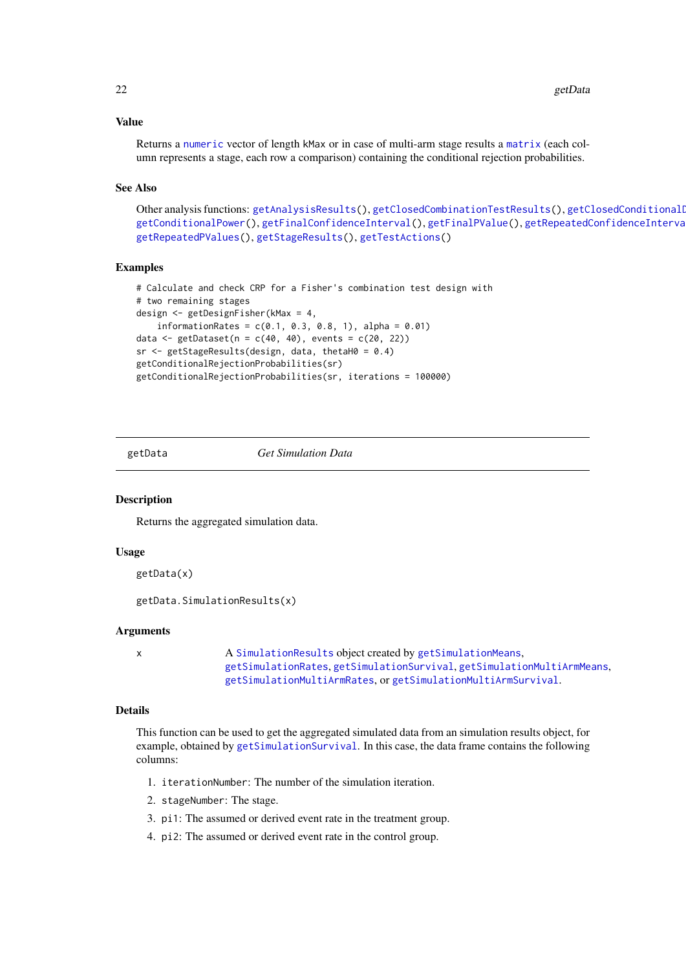### Value

Returns a [numeric](#page-0-0) vector of length kMax or in case of multi-arm stage results a [matrix](#page-0-0) (each column represents a stage, each row a comparison) containing the conditional rejection probabilities.

### See Also

Other analysis functions: [getAnalysisResults\(](#page-10-1)), [getClosedCombinationTestResults\(](#page-15-1)), getClosedConditionalI [getConditionalPower\(](#page-18-1)), [getFinalConfidenceInterval\(](#page-42-1)), [getFinalPValue\(](#page-44-1)), [getRepeatedConfidenceIntervals\(](#page-66-1)), [getRepeatedPValues\(](#page-68-1)), [getStageResults\(](#page-125-1)), [getTestActions\(](#page-127-1))

### Examples

```
# Calculate and check CRP for a Fisher's combination test design with
# two remaining stages
design <- getDesignFisher(kMax = 4,
    informationRates = c(0.1, 0.3, 0.8, 1), alpha = 0.01)
data \leq getDataset(n = c(40, 40), events = c(20, 22))
sr <- getStageResults(design, data, thetaH0 = 0.4)
getConditionalRejectionProbabilities(sr)
getConditionalRejectionProbabilities(sr, iterations = 100000)
```
getData *Get Simulation Data*

### Description

Returns the aggregated simulation data.

### Usage

```
getData(x)
```

```
getData.SimulationResults(x)
```
### Arguments

x A [SimulationResults](#page-0-0) object created by [getSimulationMeans](#page-92-1), [getSimulationRates](#page-111-1), [getSimulationSurvival](#page-116-1), [getSimulationMultiArmMeans](#page-97-1), [getSimulationMultiArmRates](#page-102-1), or [getSimulationMultiArmSurvival](#page-107-1).

### Details

This function can be used to get the aggregated simulated data from an simulation results object, for example, obtained by [getSimulationSurvival](#page-116-1). In this case, the data frame contains the following columns:

- 1. iterationNumber: The number of the simulation iteration.
- 2. stageNumber: The stage.
- 3. pi1: The assumed or derived event rate in the treatment group.
- 4. pi2: The assumed or derived event rate in the control group.

<span id="page-21-0"></span>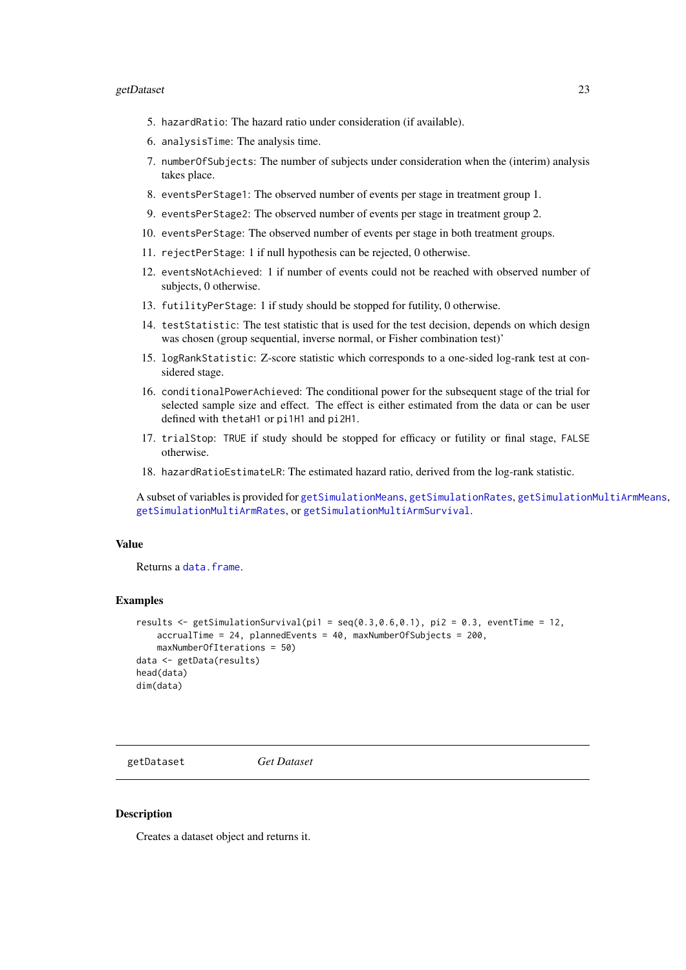#### <span id="page-22-0"></span>getDataset 23

- 5. hazardRatio: The hazard ratio under consideration (if available).
- 6. analysisTime: The analysis time.
- 7. numberOfSubjects: The number of subjects under consideration when the (interim) analysis takes place.
- 8. eventsPerStage1: The observed number of events per stage in treatment group 1.
- 9. eventsPerStage2: The observed number of events per stage in treatment group 2.
- 10. eventsPerStage: The observed number of events per stage in both treatment groups.
- 11. rejectPerStage: 1 if null hypothesis can be rejected, 0 otherwise.
- 12. eventsNotAchieved: 1 if number of events could not be reached with observed number of subjects, 0 otherwise.
- 13. futilityPerStage: 1 if study should be stopped for futility, 0 otherwise.
- 14. testStatistic: The test statistic that is used for the test decision, depends on which design was chosen (group sequential, inverse normal, or Fisher combination test)'
- 15. logRankStatistic: Z-score statistic which corresponds to a one-sided log-rank test at considered stage.
- 16. conditionalPowerAchieved: The conditional power for the subsequent stage of the trial for selected sample size and effect. The effect is either estimated from the data or can be user defined with thetaH1 or pi1H1 and pi2H1.
- 17. trialStop: TRUE if study should be stopped for efficacy or futility or final stage, FALSE otherwise.
- 18. hazardRatioEstimateLR: The estimated hazard ratio, derived from the log-rank statistic.

A subset of variables is provided for [getSimulationMeans](#page-92-1), [getSimulationRates](#page-111-1), [getSimulationMultiArmMeans](#page-97-1), [getSimulationMultiArmRates](#page-102-1), or [getSimulationMultiArmSurvival](#page-107-1).

### Value

Returns a [data.frame](#page-0-0).

#### Examples

```
results \leq getSimulationSurvival(pi1 = seq(0.3,0.6,0.1), pi2 = 0.3, eventTime = 12,
   accrualTime = 24, plannedEvents = 40, maxNumberOfSubjects = 200,
   maxNumberOfIterations = 50)
data <- getData(results)
head(data)
dim(data)
```
<span id="page-22-1"></span>getDataset *Get Dataset*

#### **Description**

Creates a dataset object and returns it.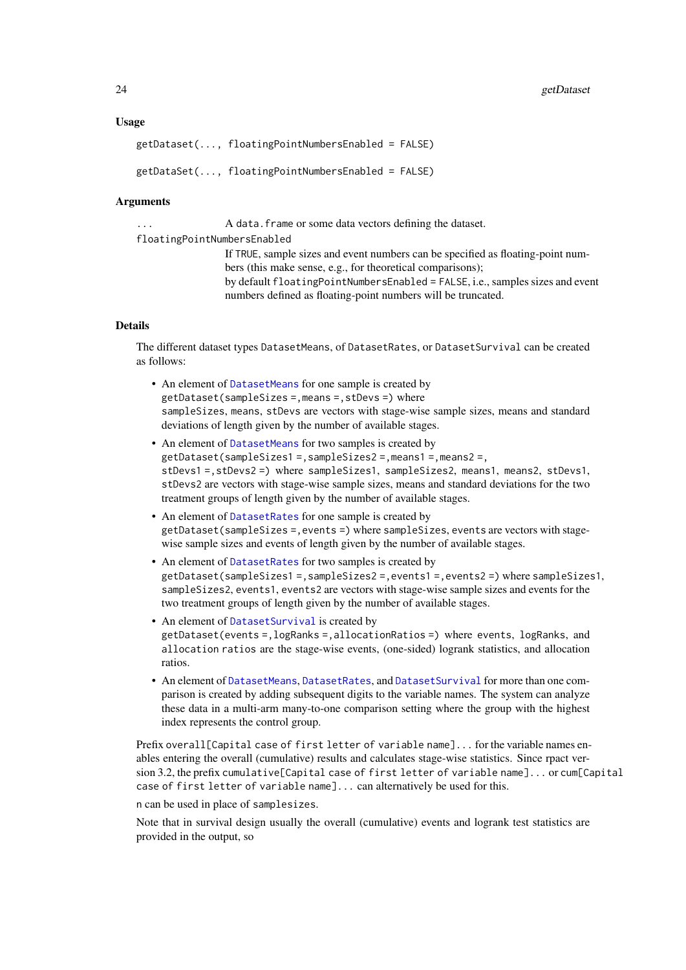#### Usage

```
getDataset(..., floatingPointNumbersEnabled = FALSE)
getDataSet(..., floatingPointNumbersEnabled = FALSE)
```
### Arguments

... A data.frame or some data vectors defining the dataset.

floatingPointNumbersEnabled

If TRUE, sample sizes and event numbers can be specified as floating-point numbers (this make sense, e.g., for theoretical comparisons); by default floatingPointNumbersEnabled = FALSE, i.e., samples sizes and event numbers defined as floating-point numbers will be truncated.

### Details

The different dataset types DatasetMeans, of DatasetRates, or DatasetSurvival can be created as follows:

- An element of [DatasetMeans](#page-0-0) for one sample is created by getDataset(sampleSizes =,means =,stDevs =) where sampleSizes, means, stDevs are vectors with stage-wise sample sizes, means and standard deviations of length given by the number of available stages.
- An element of [DatasetMeans](#page-0-0) for two samples is created by getDataset(sampleSizes1 =,sampleSizes2 =,means1 =,means2 =, stDevs1 =,stDevs2 =) where sampleSizes1, sampleSizes2, means1, means2, stDevs1, stDevs2 are vectors with stage-wise sample sizes, means and standard deviations for the two treatment groups of length given by the number of available stages.
- An element of [DatasetRates](#page-0-0) for one sample is created by getDataset(sampleSizes =,events =) where sampleSizes, events are vectors with stagewise sample sizes and events of length given by the number of available stages.
- An element of [DatasetRates](#page-0-0) for two samples is created by getDataset(sampleSizes1 =,sampleSizes2 =,events1 =,events2 =) where sampleSizes1, sampleSizes2, events1, events2 are vectors with stage-wise sample sizes and events for the two treatment groups of length given by the number of available stages.
- An element of [DatasetSurvival](#page-0-0) is created by getDataset(events =,logRanks =,allocationRatios =) where events, logRanks, and allocation ratios are the stage-wise events, (one-sided) logrank statistics, and allocation ratios.
- An element of [DatasetMeans](#page-0-0), [DatasetRates](#page-0-0), and [DatasetSurvival](#page-0-0) for more than one comparison is created by adding subsequent digits to the variable names. The system can analyze these data in a multi-arm many-to-one comparison setting where the group with the highest index represents the control group.

Prefix overall[Capital case of first letter of variable name]... for the variable names enables entering the overall (cumulative) results and calculates stage-wise statistics. Since rpact version 3.2, the prefix cumulative[Capital case of first letter of variable name]... or cum[Capital case of first letter of variable name]... can alternatively be used for this.

n can be used in place of samplesizes.

Note that in survival design usually the overall (cumulative) events and logrank test statistics are provided in the output, so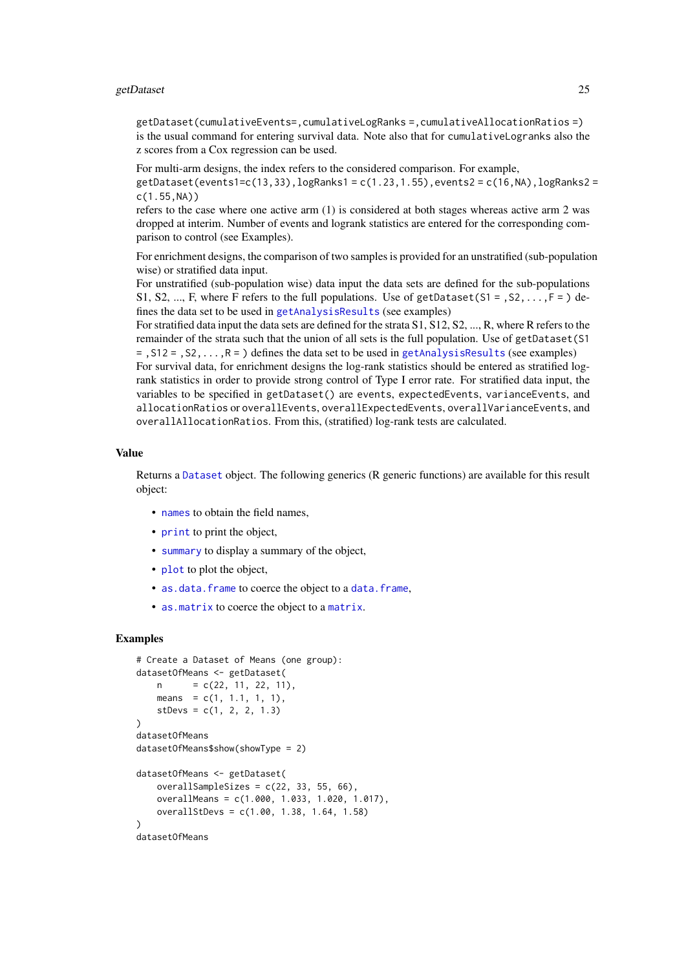getDataset(cumulativeEvents=,cumulativeLogRanks =,cumulativeAllocationRatios =) is the usual command for entering survival data. Note also that for cumulativeLogranks also the z scores from a Cox regression can be used.

For multi-arm designs, the index refers to the considered comparison. For example,

 $getDatasets(events1=c(13,33),logRanks1=c(1.23,1.55), events2=c(16,NA),logRanks2 =$ c(1.55,NA))

refers to the case where one active arm (1) is considered at both stages whereas active arm 2 was dropped at interim. Number of events and logrank statistics are entered for the corresponding comparison to control (see Examples).

For enrichment designs, the comparison of two samples is provided for an unstratified (sub-population wise) or stratified data input.

For unstratified (sub-population wise) data input the data sets are defined for the sub-populations S1, S2, ..., F, where F refers to the full populations. Use of getDataset( $S_1 = S_2, \ldots, F_n = S_n$ ) defines the data set to be used in [getAnalysisResults](#page-10-1) (see examples)

For stratified data input the data sets are defined for the strata S1, S12, S2, ..., R, where R refers to the remainder of the strata such that the union of all sets is the full population. Use of getDataset(S1  $=$ , S12 = , S2, . . . , R = ) defines the data set to be used in [getAnalysisResults](#page-10-1) (see examples) For survival data, for enrichment designs the log-rank statistics should be entered as stratified logrank statistics in order to provide strong control of Type I error rate. For stratified data input, the variables to be specified in getDataset() are events, expectedEvents, varianceEvents, and allocationRatios or overallEvents, overallExpectedEvents, overallVarianceEvents, and overallAllocationRatios. From this, (stratified) log-rank tests are calculated.

### Value

Returns a [Dataset](#page-0-0) object. The following generics (R generic functions) are available for this result object:

- [names](#page-0-0) to obtain the field names,
- [print](#page-0-0) to print the object,
- [summary](#page-0-0) to display a summary of the object,
- [plot](#page-132-1) to plot the object,
- [as.data.frame](#page-0-0) to coerce the object to a [data.frame](#page-0-0).
- [as.matrix](#page-0-0) to coerce the object to a [matrix](#page-0-0).

#### Examples

```
# Create a Dataset of Means (one group):
datasetOfMeans <- getDataset(
    n = c(22, 11, 22, 11),means = c(1, 1.1, 1, 1),
    stDevs = c(1, 2, 2, 1.3))
datasetOfMeans
datasetOfMeans$show(showType = 2)
datasetOfMeans <- getDataset(
    overallSampleSizes = c(22, 33, 55, 66),
    overallMeans = c(1.000, 1.033, 1.020, 1.017),
    overallStDevs = c(1.00, 1.38, 1.64, 1.58)
\lambdadatasetOfMeans
```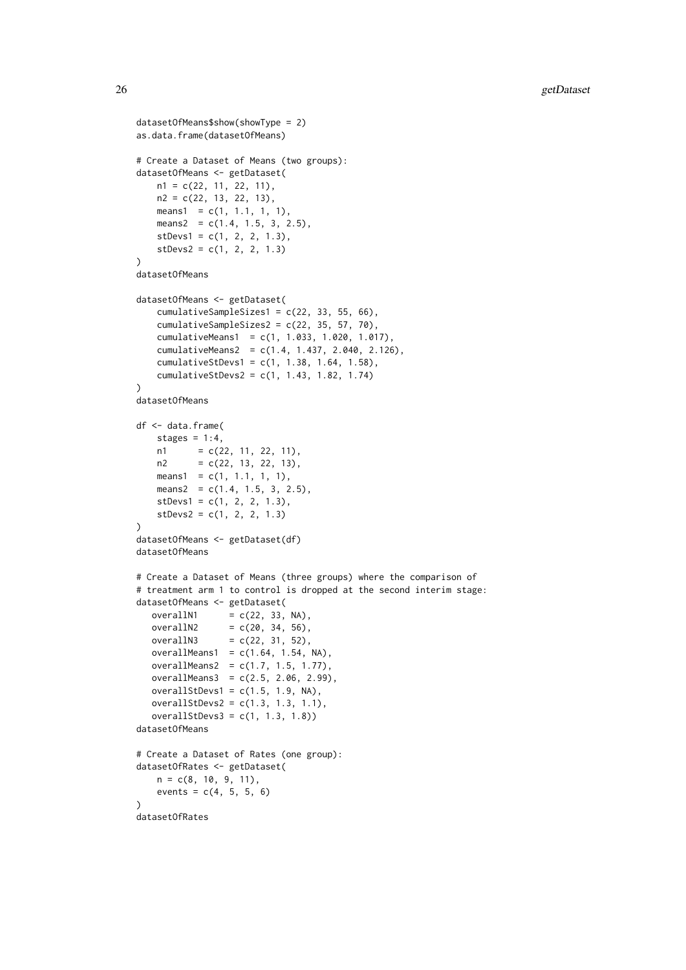```
datasetOfMeans$show(showType = 2)
as.data.frame(datasetOfMeans)
# Create a Dataset of Means (two groups):
datasetOfMeans <- getDataset(
   n1 = c(22, 11, 22, 11),n2 = c(22, 13, 22, 13),
   means1 = c(1, 1.1, 1, 1),
   means2 = c(1.4, 1.5, 3, 2.5),
    stDevs1 = c(1, 2, 2, 1.3),
   stDevs2 = c(1, 2, 2, 1.3)\lambdadatasetOfMeans
datasetOfMeans <- getDataset(
   cumulativeSampleSizes1 = c(22, 33, 55, 66),
    cumulativeSampleSizes2 = c(22, 35, 57, 70),
    cumulativeMeans1 = c(1, 1.033, 1.020, 1.017),
    cumulativeMeans2 = c(1.4, 1.437, 2.040, 2.126),
    cumulativeStDevs1 = c(1, 1.38, 1.64, 1.58),
    cumulativeStDevs2 = c(1, 1.43, 1.82, 1.74)
\lambdadatasetOfMeans
df <- data.frame(
   stages = 1:4,
    n1 = c(22, 11, 22, 11),n2 = c(22, 13, 22, 13),means1 = c(1, 1.1, 1, 1),means2 = c(1.4, 1.5, 3, 2.5),
    stDevs1 = c(1, 2, 2, 1.3),stDevs2 = c(1, 2, 2, 1.3))
datasetOfMeans <- getDataset(df)
datasetOfMeans
# Create a Dataset of Means (three groups) where the comparison of
# treatment arm 1 to control is dropped at the second interim stage:
datasetOfMeans <- getDataset(
   overallN1 = c(22, 33, NA),overallN2 = c(20, 34, 56),
   overallN3 = c(22, 31, 52),
   overallMeans1 = c(1.64, 1.54, NA),
   overallMeans2 = c(1.7, 1.5, 1.77),
   overallMeans3 = c(2.5, 2.06, 2.99),
   overallStDevs1 = c(1.5, 1.9, NA),
   overallStDevs2 = c(1.3, 1.3, 1.1),
   overallStDevs3 = c(1, 1.3, 1.8)datasetOfMeans
# Create a Dataset of Rates (one group):
datasetOfRates <- getDataset(
    n = c(8, 10, 9, 11),
    events = c(4, 5, 5, 6)\lambdadatasetOfRates
```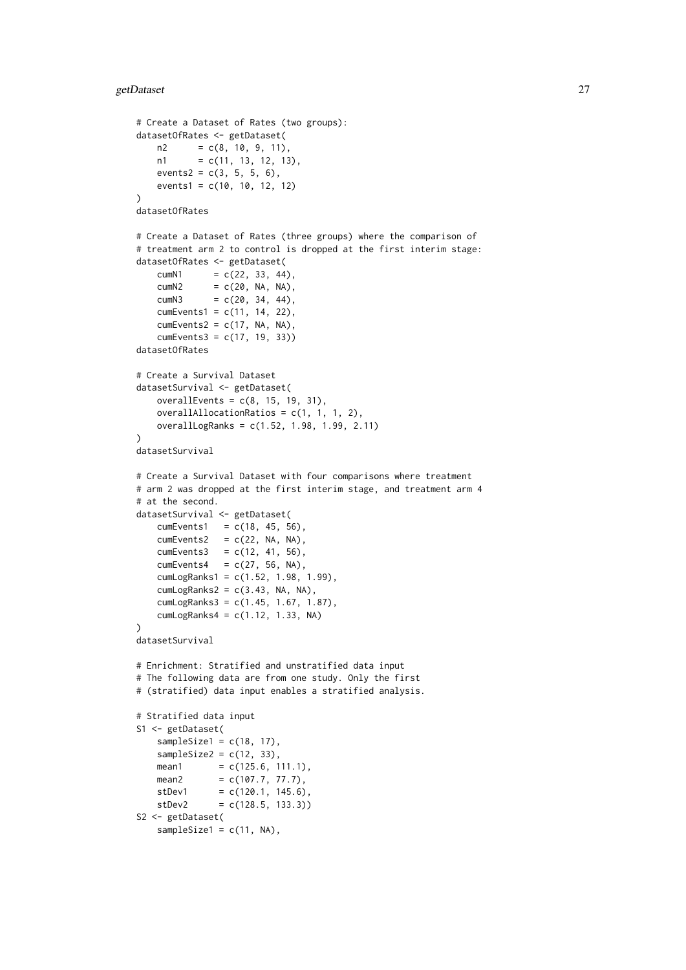```
# Create a Dataset of Rates (two groups):
datasetOfRates <- getDataset(
   n2 = c(8, 10, 9, 11),n1 = c(11, 13, 12, 13),
   events2 = c(3, 5, 5, 6),
   events1 = c(10, 10, 12, 12)
\lambdadatasetOfRates
# Create a Dataset of Rates (three groups) where the comparison of
# treatment arm 2 to control is dropped at the first interim stage:
datasetOfRates <- getDataset(
   cumN1 = c(22, 33, 44),
   cumN2 = c(20, NA, NA),
   cumN3 = c(20, 34, 44),
   cumEvents1 = c(11, 14, 22),cumEvents2 = c(17, NA, NA),cumEvents3 = c(17, 19, 33))datasetOfRates
# Create a Survival Dataset
datasetSurvival <- getDataset(
   overallEvents = c(8, 15, 19, 31),
   overallAllocationRatios = c(1, 1, 1, 2),
   overallLogRanks = c(1.52, 1.98, 1.99, 2.11)
\lambdadatasetSurvival
# Create a Survival Dataset with four comparisons where treatment
# arm 2 was dropped at the first interim stage, and treatment arm 4
# at the second.
datasetSurvival <- getDataset(
   cumEvents1 = c(18, 45, 56),
   cumEvents2 = c(22, NA, NA),cumEvents3 = c(12, 41, 56),
   cumEvents4 = c(27, 56, NA),cumLogRanks1 = c(1.52, 1.98, 1.99),
   cumLogRanks2 = c(3.43, NA, NA),
   cumLogRanks3 = c(1.45, 1.67, 1.87),
   cumLogRanks4 = c(1.12, 1.33, NA))
datasetSurvival
# Enrichment: Stratified and unstratified data input
# The following data are from one study. Only the first
# (stratified) data input enables a stratified analysis.
# Stratified data input
S1 <- getDataset(
    sampleSize1 = c(18, 17),
   sampleSize2 = c(12, 33),
   mean1 = c(125.6, 111.1),
   mean2 = c(107.7, 77.7),
   stDev1 = c(120.1, 145.6),
   stDev2 = c(128.5, 133.3))S2 <- getDataset(
   sampleSize1 = c(11, NA),
```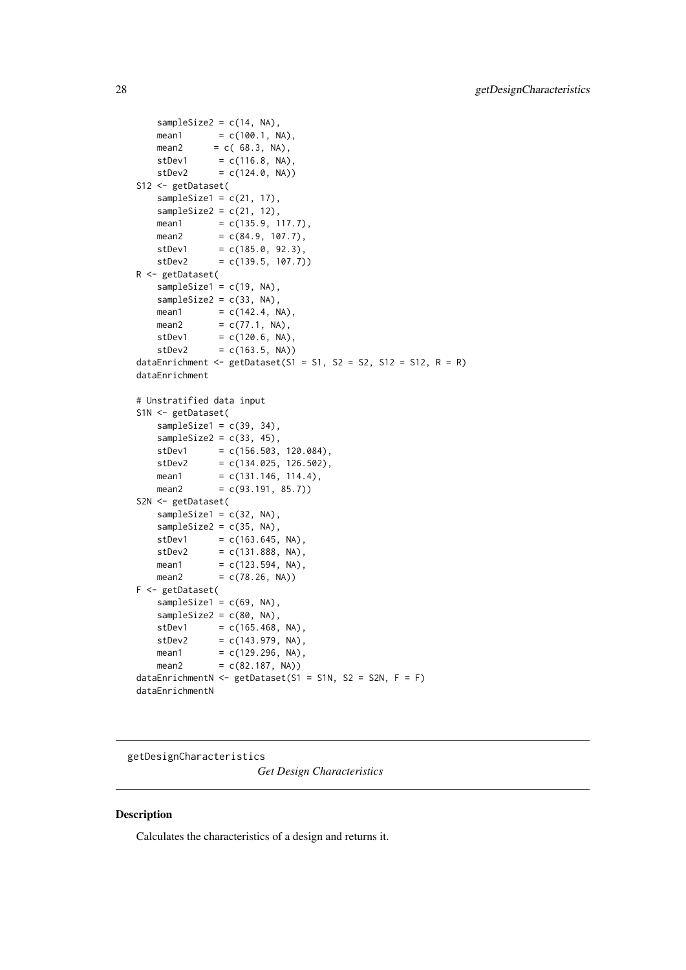```
sampleSize2 = c(14, NA),
   mean1 = c(100.1, NA),mean2 = c(68.3, NA),stDev1 = c(116.8, NA),stDev2 = c(124.0, NA))S12 <- getDataset(
   sampleSize1 = c(21, 17),
   sampleSize2 = c(21, 12),
   mean1 = c(135.9, 117.7),
   mean2 = c(84.9, 107.7),
   stDev1 = c(185.0, 92.3),
   stDev2 = c(139.5, 107.7))
R <- getDataset(
   sampleSize1 = c(19, NA),
   sampleSize2 = c(33, NA),
   mean1 = c(142.4, NA),mean2 = c(77.1, NA),stDev1 = c(120.6, NA),stDev2 = c(163.5, NA)dataEnrichment \leq getDataset(S1 = S1, S2 = S2, S12 = S12, R = R)
dataEnrichment
# Unstratified data input
S1N <- getDataset(
   sampleSize1 = c(39, 34),
   sampleSize2 = c(33, 45),
   stDev1 = c(156.503, 120.084),stDev2 = c(134.025, 126.502),mean1 = c(131.146, 114.4),mean2 = c(93.191, 85.7)S2N <- getDataset(
   sampleSize1 = c(32, NA),
   sampleSize2 = c(35, NA),
   stDev1 = c(163.645, NA),stDev2 = c(131.888, NA),mean1 = c(123.594, NA),mean2 = c(78.26, NA)F <- getDataset(
   sampleSize1 = c(69, NA),
   sampleSize2 = c(80, NA),stDev1 = c(165.468, NA),stDev2 = c(143.979, NA),mean1 = c(129.296, NA),mean2 = c(82.187, NA)dataEnrichmentN <- getDataset(S1 = S1N, S2 = S2N, F = F)
dataEnrichmentN
```
<span id="page-27-1"></span>getDesignCharacteristics

*Get Design Characteristics*

### Description

Calculates the characteristics of a design and returns it.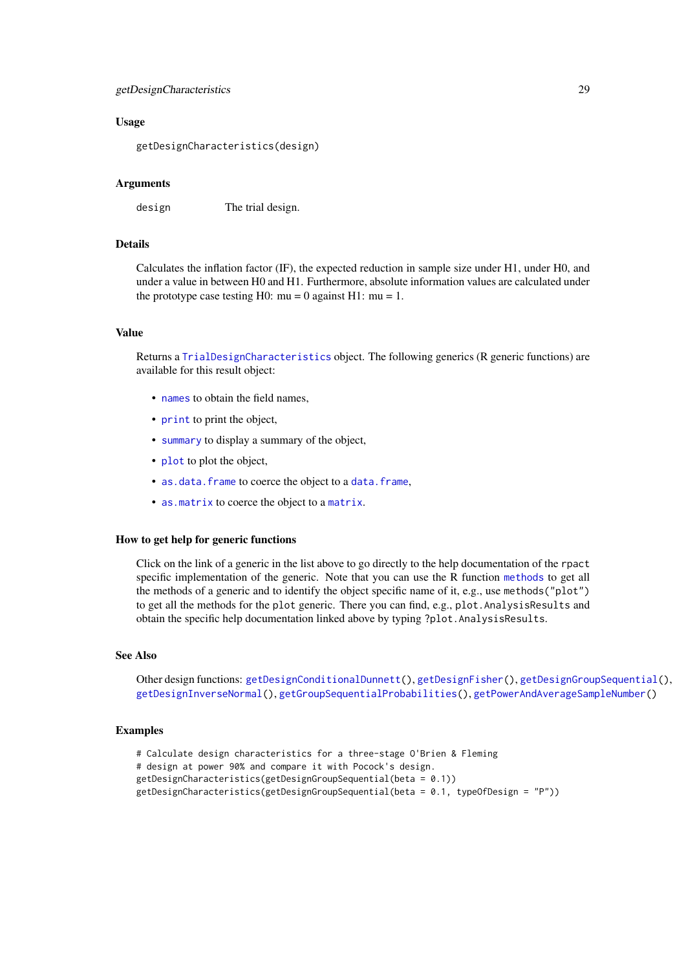#### getDesignCharacteristics 29

### Usage

getDesignCharacteristics(design)

### Arguments

design The trial design.

### Details

Calculates the inflation factor (IF), the expected reduction in sample size under H1, under H0, and under a value in between H0 and H1. Furthermore, absolute information values are calculated under the prototype case testing H0:  $mu = 0$  against H1:  $mu = 1$ .

### Value

Returns a [TrialDesignCharacteristics](#page-0-0) object. The following generics (R generic functions) are available for this result object:

- [names](#page-0-0) to obtain the field names,
- [print](#page-0-0) to print the object,
- [summary](#page-0-0) to display a summary of the object,
- [plot](#page-137-1) to plot the object,
- [as.data.frame](#page-0-0) to coerce the object to a [data.frame](#page-0-0),
- [as.matrix](#page-0-0) to coerce the object to a [matrix](#page-0-0).

#### How to get help for generic functions

Click on the link of a generic in the list above to go directly to the help documentation of the rpact specific implementation of the generic. Note that you can use the R function [methods](#page-0-0) to get all the methods of a generic and to identify the object specific name of it, e.g., use methods("plot") to get all the methods for the plot generic. There you can find, e.g., plot.AnalysisResults and obtain the specific help documentation linked above by typing ?plot.AnalysisResults.

#### See Also

Other design functions: [getDesignConditionalDunnett\(](#page-29-1)), [getDesignFisher\(](#page-30-1)), [getDesignGroupSequential\(](#page-32-1)), [getDesignInverseNormal\(](#page-35-1)), [getGroupSequentialProbabilities\(](#page-45-1)), [getPowerAndAverageSampleNumber\(](#page-54-1))

#### Examples

```
# Calculate design characteristics for a three-stage O'Brien & Fleming
# design at power 90% and compare it with Pocock's design.
getDesignCharacteristics(getDesignGroupSequential(beta = 0.1))
getDesignCharacteristics(getDesignGroupSequential(beta = 0.1, typeOfDesign = "P"))
```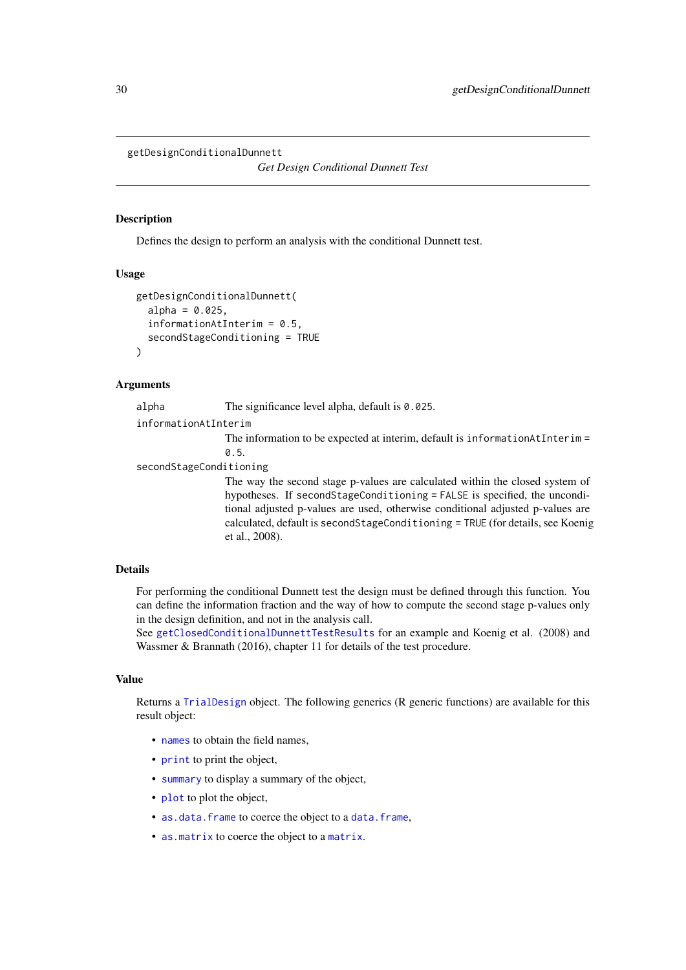```
getDesignConditionalDunnett
```
*Get Design Conditional Dunnett Test*

### Description

Defines the design to perform an analysis with the conditional Dunnett test.

#### Usage

```
getDesignConditionalDunnett(
  alpha = 0.025.
  informationAtInterim = 0.5.
  secondStageConditioning = TRUE
)
```
### Arguments

| alpha | The significance level alpha, default is 0.025. |  |
|-------|-------------------------------------------------|--|
|-------|-------------------------------------------------|--|

informationAtInterim

The information to be expected at interim, default is informationAtInterim = 0.5.

secondStageConditioning

The way the second stage p-values are calculated within the closed system of hypotheses. If secondStageConditioning = FALSE is specified, the unconditional adjusted p-values are used, otherwise conditional adjusted p-values are calculated, default is secondStageConditioning = TRUE (for details, see Koenig et al., 2008).

### Details

For performing the conditional Dunnett test the design must be defined through this function. You can define the information fraction and the way of how to compute the second stage p-values only in the design definition, and not in the analysis call.

See [getClosedConditionalDunnettTestResults](#page-16-1) for an example and Koenig et al. (2008) and Wassmer & Brannath (2016), chapter 11 for details of the test procedure.

### Value

Returns a [TrialDesign](#page-0-0) object. The following generics (R generic functions) are available for this result object:

- [names](#page-0-0) to obtain the field names.
- [print](#page-0-0) to print the object,
- [summary](#page-0-0) to display a summary of the object,
- [plot](#page-143-1) to plot the object,
- [as.data.frame](#page-0-0) to coerce the object to a [data.frame](#page-0-0),
- [as.matrix](#page-0-0) to coerce the object to a [matrix](#page-0-0).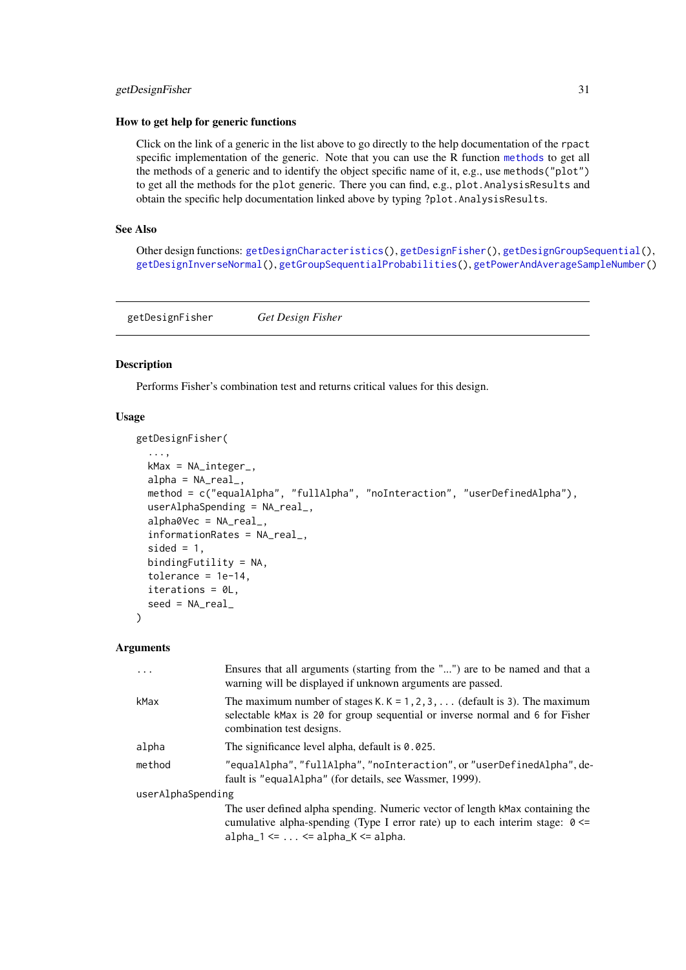#### <span id="page-30-0"></span>getDesignFisher 31

### How to get help for generic functions

Click on the link of a generic in the list above to go directly to the help documentation of the rpact specific implementation of the generic. Note that you can use the R function [methods](#page-0-0) to get all the methods of a generic and to identify the object specific name of it, e.g., use methods("plot") to get all the methods for the plot generic. There you can find, e.g., plot.AnalysisResults and obtain the specific help documentation linked above by typing ?plot.AnalysisResults.

#### See Also

Other design functions: [getDesignCharacteristics\(](#page-27-1)), [getDesignFisher\(](#page-30-1)), [getDesignGroupSequential\(](#page-32-1)), [getDesignInverseNormal\(](#page-35-1)), [getGroupSequentialProbabilities\(](#page-45-1)), [getPowerAndAverageSampleNumber\(](#page-54-1))

<span id="page-30-1"></span>getDesignFisher *Get Design Fisher*

#### Description

Performs Fisher's combination test and returns critical values for this design.

#### Usage

getDesignFisher(

```
...,
 kMax = NA_integer_,
 alpha = NA\_real_method = c("equalAlpha", "fullAlpha", "noInteraction", "userDefinedAlpha"),
 userAlphaSpending = NA_real_,
  alpha0Vec = NA_real_,
  informationRates = NA_real_,
  sided = 1,
 bindingFutility = NA,
  tolerance = 1e-14,
 iterations = 0L,
  seed = NA_real_
\lambda
```
### Arguments

| Ensures that all arguments (starting from the "") are to be named and that a<br>warning will be displayed if unknown arguments are passed.                                                                      |
|-----------------------------------------------------------------------------------------------------------------------------------------------------------------------------------------------------------------|
| The maximum number of stages K. $K = 1, 2, 3, \ldots$ (default is 3). The maximum<br>selectable kMax is 20 for group sequential or inverse normal and 6 for Fisher<br>combination test designs.                 |
| The significance level alpha, default is 0.025.                                                                                                                                                                 |
| "equalAlpha", "fullAlpha", "noInteraction", or "userDefinedAlpha", de-<br>fault is "equalAlpha" (for details, see Wassmer, 1999).                                                                               |
| userAlphaSpending                                                                                                                                                                                               |
| The user defined alpha spending. Numeric vector of length kMax containing the<br>cumulative alpha-spending (Type I error rate) up to each interim stage: $0 \le$<br>alpha_1 $\leq$ $\leq$ alpha_K $\leq$ alpha. |
|                                                                                                                                                                                                                 |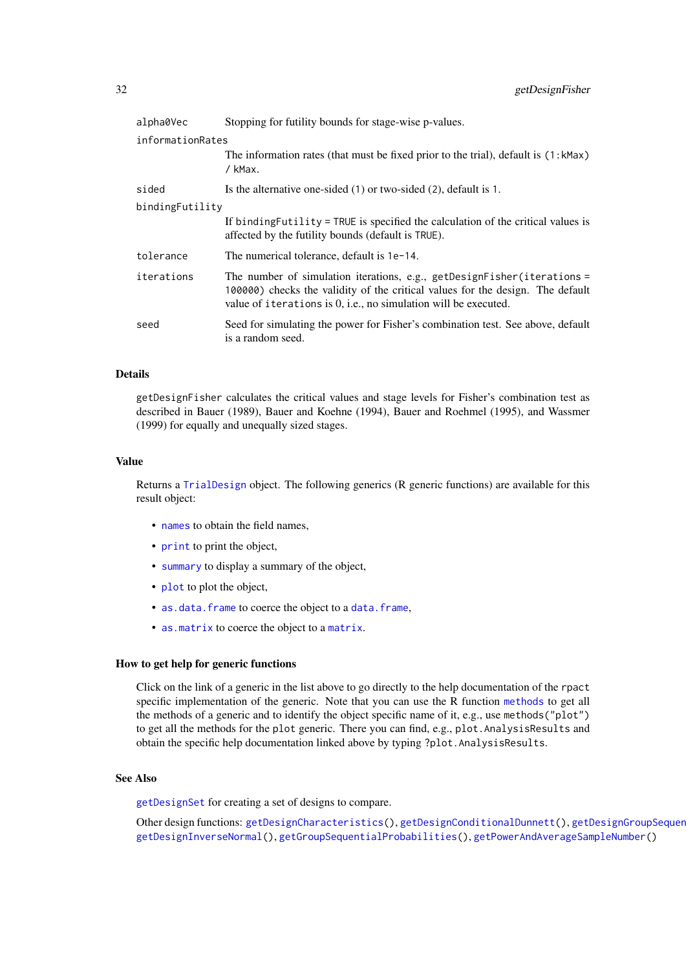| alpha0Vec        | Stopping for futility bounds for stage-wise p-values.                                                                                                                                                                        |
|------------------|------------------------------------------------------------------------------------------------------------------------------------------------------------------------------------------------------------------------------|
| informationRates |                                                                                                                                                                                                                              |
|                  | The information rates (that must be fixed prior to the trial), default is (1:kMax)<br>/ kMax.                                                                                                                                |
| sided            | Is the alternative one-sided $(1)$ or two-sided $(2)$ , default is 1.                                                                                                                                                        |
| bindingFutility  |                                                                                                                                                                                                                              |
|                  | If binding Futility = TRUE is specified the calculation of the critical values is<br>affected by the futility bounds (default is TRUE).                                                                                      |
| tolerance        | The numerical tolerance, default is 1e-14.                                                                                                                                                                                   |
| iterations       | The number of simulation iterations, e.g., getDesignFisher(iterations =<br>100000) checks the validity of the critical values for the design. The default<br>value of iterations is 0, i.e., no simulation will be executed. |
| seed             | Seed for simulating the power for Fisher's combination test. See above, default<br>is a random seed.                                                                                                                         |

### Details

getDesignFisher calculates the critical values and stage levels for Fisher's combination test as described in Bauer (1989), Bauer and Koehne (1994), Bauer and Roehmel (1995), and Wassmer (1999) for equally and unequally sized stages.

### Value

Returns a [TrialDesign](#page-0-0) object. The following generics (R generic functions) are available for this result object:

- [names](#page-0-0) to obtain the field names,
- [print](#page-0-0) to print the object,
- [summary](#page-0-0) to display a summary of the object,
- [plot](#page-143-1) to plot the object,
- [as.data.frame](#page-0-0) to coerce the object to a [data.frame](#page-0-0),
- [as.matrix](#page-0-0) to coerce the object to a [matrix](#page-0-0).

### How to get help for generic functions

Click on the link of a generic in the list above to go directly to the help documentation of the rpact specific implementation of the generic. Note that you can use the R function [methods](#page-0-0) to get all the methods of a generic and to identify the object specific name of it, e.g., use methods("plot") to get all the methods for the plot generic. There you can find, e.g., plot.AnalysisResults and obtain the specific help documentation linked above by typing ?plot.AnalysisResults.

### See Also

[getDesignSet](#page-38-1) for creating a set of designs to compare.

Other design functions: [getDesignCharacteristics\(](#page-27-1)), [getDesignConditionalDunnett\(](#page-29-1)), getDesignGroupSequer [getDesignInverseNormal\(](#page-35-1)), [getGroupSequentialProbabilities\(](#page-45-1)), [getPowerAndAverageSampleNumber\(](#page-54-1))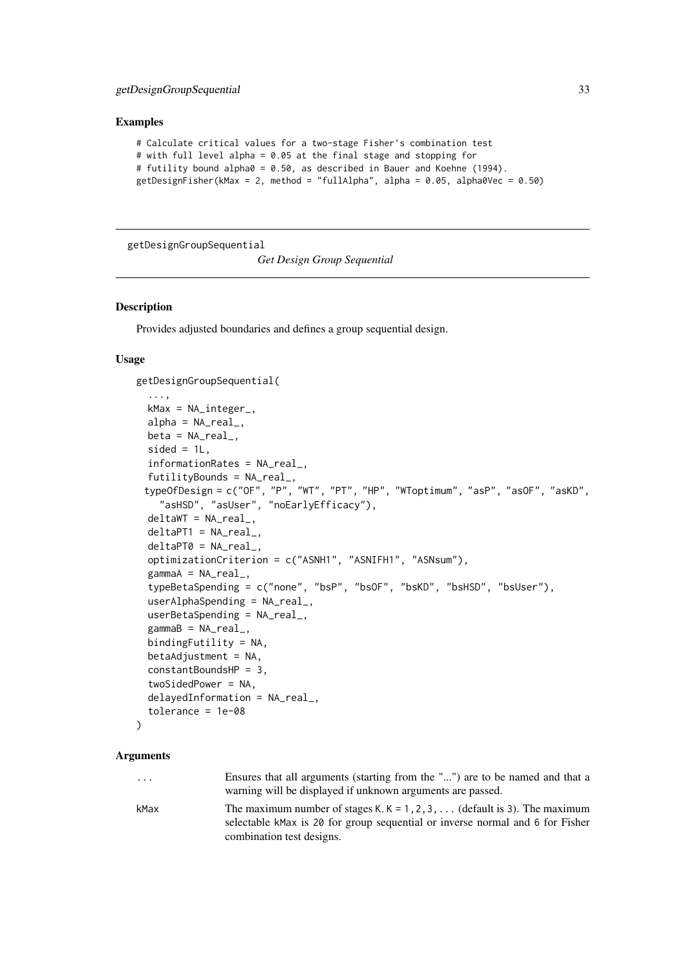### <span id="page-32-0"></span>getDesignGroupSequential 33

### Examples

```
# Calculate critical values for a two-stage Fisher's combination test
# with full level alpha = 0.05 at the final stage and stopping for
# futility bound alpha0 = 0.50, as described in Bauer and Koehne (1994).
getDesignFisher(kMax = 2, method = "fullAlpha", alpha = 0.05, alpha0Vec = 0.50)
```
<span id="page-32-1"></span>getDesignGroupSequential

*Get Design Group Sequential*

#### Description

Provides adjusted boundaries and defines a group sequential design.

### Usage

getDesignGroupSequential(

```
...,
kMax = NA_integer_,
alpha = NA\_real_beta = NA\_real_sided = 1L.
informationRates = NA_real_,
futilityBounds = NA_real_,
typeOfDesign = c("OF", "P", "WT", "PT", "HP", "WToptimum", "asP", "asOF", "asKD",
  "asHSD", "asUser", "noEarlyEfficacy"),
deltawT = NA_real_deltaPT1 = NA_real_,
deltaPT0 = NA_real_,
optimizationCriterion = c("ASNH1", "ASNIFH1", "ASNsum"),
gamma = NA_{real_-,typeBetaSpending = c("none", "bsP", "bsOF", "bsKD", "bsHSD", "bsUser"),
userAlphaSpending = NA_real_,
userBetaSpending = NA_real_,
gamma = NA_{real_-,bindingFutility = NA,
betaAdjustment = NA,
constantBoundsHP = 3,
twoSidedPower = NA,
delayedInformation = NA_real_,
tolerance = 1e-08
```

```
)
```
#### Arguments

... Ensures that all arguments (starting from the "...") are to be named and that a warning will be displayed if unknown arguments are passed.

kMax The maximum number of stages K. K =  $1, 2, 3, \ldots$  (default is 3). The maximum selectable kMax is 20 for group sequential or inverse normal and 6 for Fisher combination test designs.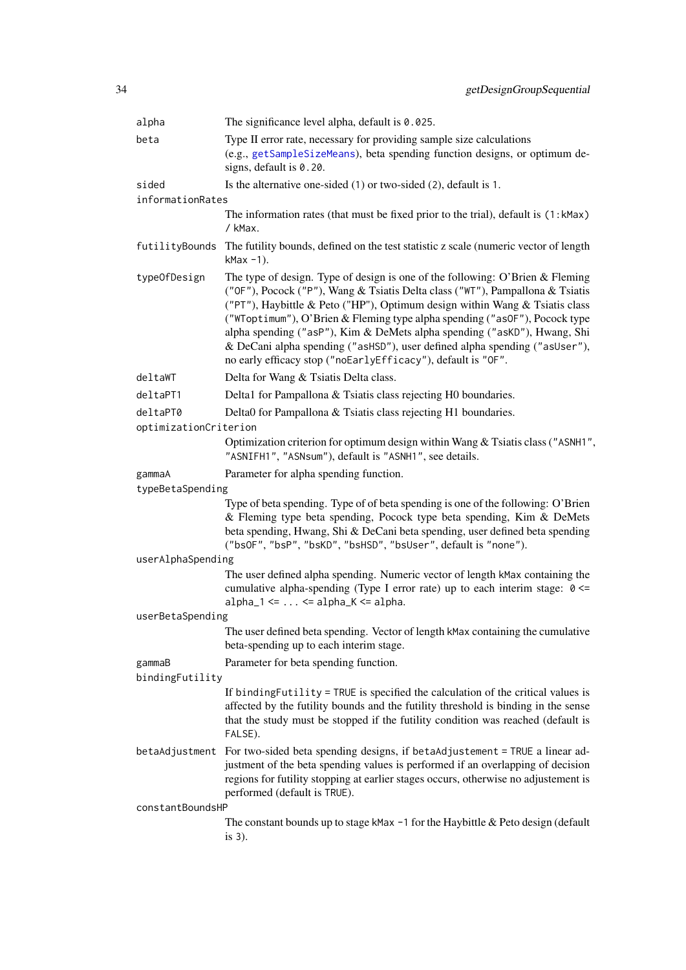| alpha                 | The significance level alpha, default is $0.025$ .                                                                                                                                                                                                                                                                                                                                                                                                                                                                                                    |
|-----------------------|-------------------------------------------------------------------------------------------------------------------------------------------------------------------------------------------------------------------------------------------------------------------------------------------------------------------------------------------------------------------------------------------------------------------------------------------------------------------------------------------------------------------------------------------------------|
| beta                  | Type II error rate, necessary for providing sample size calculations<br>(e.g., getSampleSizeMeans), beta spending function designs, or optimum de-<br>signs, default is 0.20.                                                                                                                                                                                                                                                                                                                                                                         |
| sided                 | Is the alternative one-sided (1) or two-sided (2), default is 1.                                                                                                                                                                                                                                                                                                                                                                                                                                                                                      |
| informationRates      |                                                                                                                                                                                                                                                                                                                                                                                                                                                                                                                                                       |
|                       | The information rates (that must be fixed prior to the trial), default is (1:kMax)<br>/ kMax.                                                                                                                                                                                                                                                                                                                                                                                                                                                         |
| futilityBounds        | The futility bounds, defined on the test statistic z scale (numeric vector of length<br>$k$ Max $-1$ ).                                                                                                                                                                                                                                                                                                                                                                                                                                               |
| typeOfDesign          | The type of design. Type of design is one of the following: O'Brien & Fleming<br>("OF"), Pocock ("P"), Wang & Tsiatis Delta class ("WT"), Pampallona & Tsiatis<br>("PT"), Haybittle & Peto ("HP"), Optimum design within Wang & Tsiatis class<br>("WToptimum"), O'Brien & Fleming type alpha spending ("asOF"), Pocock type<br>alpha spending ("asP"), Kim & DeMets alpha spending ("asKD"), Hwang, Shi<br>& DeCani alpha spending ("asHSD"), user defined alpha spending ("asUser"),<br>no early efficacy stop ("noEarlyEfficacy"), default is "OF". |
| deltaWT               | Delta for Wang & Tsiatis Delta class.                                                                                                                                                                                                                                                                                                                                                                                                                                                                                                                 |
| deltaPT1              | Delta1 for Pampallona & Tsiatis class rejecting H0 boundaries.                                                                                                                                                                                                                                                                                                                                                                                                                                                                                        |
| deltaPT0              | Delta0 for Pampallona & Tsiatis class rejecting H1 boundaries.                                                                                                                                                                                                                                                                                                                                                                                                                                                                                        |
| optimizationCriterion |                                                                                                                                                                                                                                                                                                                                                                                                                                                                                                                                                       |
|                       | Optimization criterion for optimum design within Wang & Tsiatis class ("ASNH1",<br>"ASNIFH1", "ASNsum"), default is "ASNH1", see details.                                                                                                                                                                                                                                                                                                                                                                                                             |
| gammaA                | Parameter for alpha spending function.                                                                                                                                                                                                                                                                                                                                                                                                                                                                                                                |
| typeBetaSpending      |                                                                                                                                                                                                                                                                                                                                                                                                                                                                                                                                                       |
|                       | Type of beta spending. Type of of beta spending is one of the following: O'Brien<br>& Fleming type beta spending, Pocock type beta spending, Kim & DeMets<br>beta spending, Hwang, Shi & DeCani beta spending, user defined beta spending<br>("bsOF", "bsP", "bsKD", "bsHSD", "bsUser", default is "none").                                                                                                                                                                                                                                           |
| userAlphaSpending     |                                                                                                                                                                                                                                                                                                                                                                                                                                                                                                                                                       |
|                       | The user defined alpha spending. Numeric vector of length kMax containing the<br>cumulative alpha-spending (Type I error rate) up to each interim stage: 0 <=<br>$alpha_1 \leftarrow \ldots \leftarrow alpha_K \leftarrow alpha$ .                                                                                                                                                                                                                                                                                                                    |
| userBetaSpending      |                                                                                                                                                                                                                                                                                                                                                                                                                                                                                                                                                       |
|                       | The user defined beta spending. Vector of length kMax containing the cumulative<br>beta-spending up to each interim stage.                                                                                                                                                                                                                                                                                                                                                                                                                            |
| gammaB                | Parameter for beta spending function.                                                                                                                                                                                                                                                                                                                                                                                                                                                                                                                 |
| bindingFutility       |                                                                                                                                                                                                                                                                                                                                                                                                                                                                                                                                                       |
|                       | If binding Futility = TRUE is specified the calculation of the critical values is<br>affected by the futility bounds and the futility threshold is binding in the sense<br>that the study must be stopped if the futility condition was reached (default is<br>FALSE).                                                                                                                                                                                                                                                                                |
|                       | betaAdjustment For two-sided beta spending designs, if betaAdjustement = TRUE a linear ad-<br>justment of the beta spending values is performed if an overlapping of decision<br>regions for futility stopping at earlier stages occurs, otherwise no adjustement is<br>performed (default is TRUE).                                                                                                                                                                                                                                                  |
| constantBoundsHP      |                                                                                                                                                                                                                                                                                                                                                                                                                                                                                                                                                       |
|                       | The constant bounds up to stage kMax $-1$ for the Haybittle & Peto design (default<br>is $3$ ).                                                                                                                                                                                                                                                                                                                                                                                                                                                       |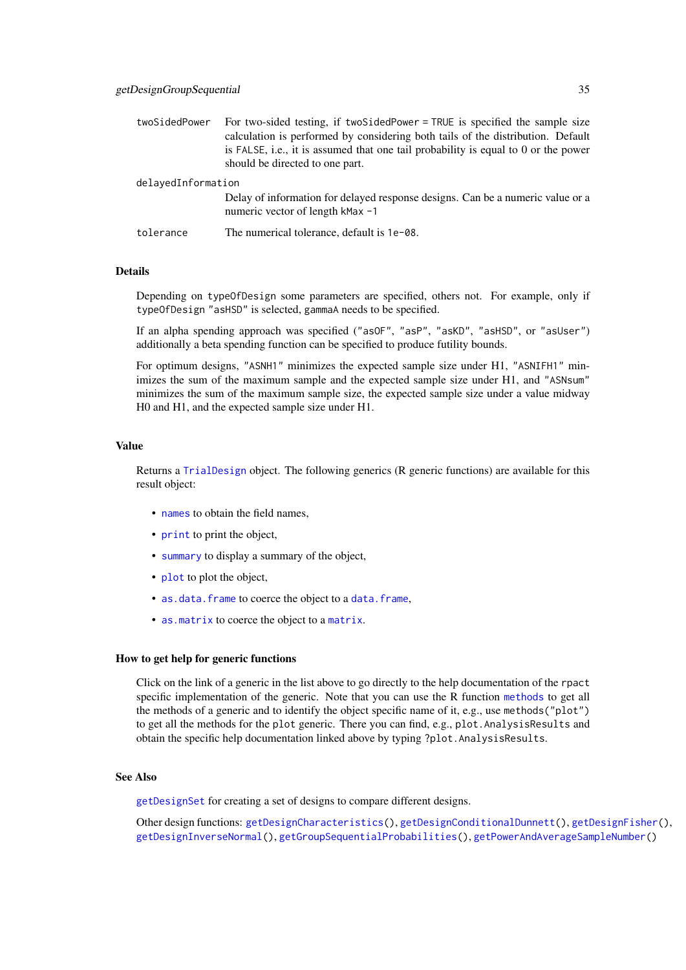| twoSidedPower      | For two-sided testing, if two SidedPower = TRUE is specified the sample size                                       |
|--------------------|--------------------------------------------------------------------------------------------------------------------|
|                    | calculation is performed by considering both tails of the distribution. Default                                    |
|                    | is FALSE, i.e., it is assumed that one tail probability is equal to 0 or the power                                 |
|                    | should be directed to one part.                                                                                    |
| delayedInformation |                                                                                                                    |
|                    | Delay of information for delayed response designs. Can be a numeric value or a<br>numeric vector of length kMax -1 |
| tolerance          | The numerical tolerance, default is 1e-08.                                                                         |

### Details

Depending on typeOfDesign some parameters are specified, others not. For example, only if typeOfDesign "asHSD" is selected, gammaA needs to be specified.

If an alpha spending approach was specified ("asOF", "asP", "asKD", "asHSD", or "asUser") additionally a beta spending function can be specified to produce futility bounds.

For optimum designs, "ASNH1" minimizes the expected sample size under H1, "ASNIFH1" minimizes the sum of the maximum sample and the expected sample size under H1, and "ASNsum" minimizes the sum of the maximum sample size, the expected sample size under a value midway H0 and H1, and the expected sample size under H1.

### Value

Returns a [TrialDesign](#page-0-0) object. The following generics (R generic functions) are available for this result object:

- [names](#page-0-0) to obtain the field names,
- [print](#page-0-0) to print the object,
- [summary](#page-0-0) to display a summary of the object,
- [plot](#page-143-1) to plot the object,
- [as.data.frame](#page-0-0) to coerce the object to a [data.frame](#page-0-0),
- [as.matrix](#page-0-0) to coerce the object to a [matrix](#page-0-0).

#### How to get help for generic functions

Click on the link of a generic in the list above to go directly to the help documentation of the rpact specific implementation of the generic. Note that you can use the R function [methods](#page-0-0) to get all the methods of a generic and to identify the object specific name of it, e.g., use methods("plot") to get all the methods for the plot generic. There you can find, e.g., plot. AnalysisResults and obtain the specific help documentation linked above by typing ?plot.AnalysisResults.

### See Also

[getDesignSet](#page-38-1) for creating a set of designs to compare different designs.

Other design functions: [getDesignCharacteristics\(](#page-27-1)), [getDesignConditionalDunnett\(](#page-29-1)), [getDesignFisher\(](#page-30-1)), [getDesignInverseNormal\(](#page-35-1)), [getGroupSequentialProbabilities\(](#page-45-1)), [getPowerAndAverageSampleNumber\(](#page-54-1))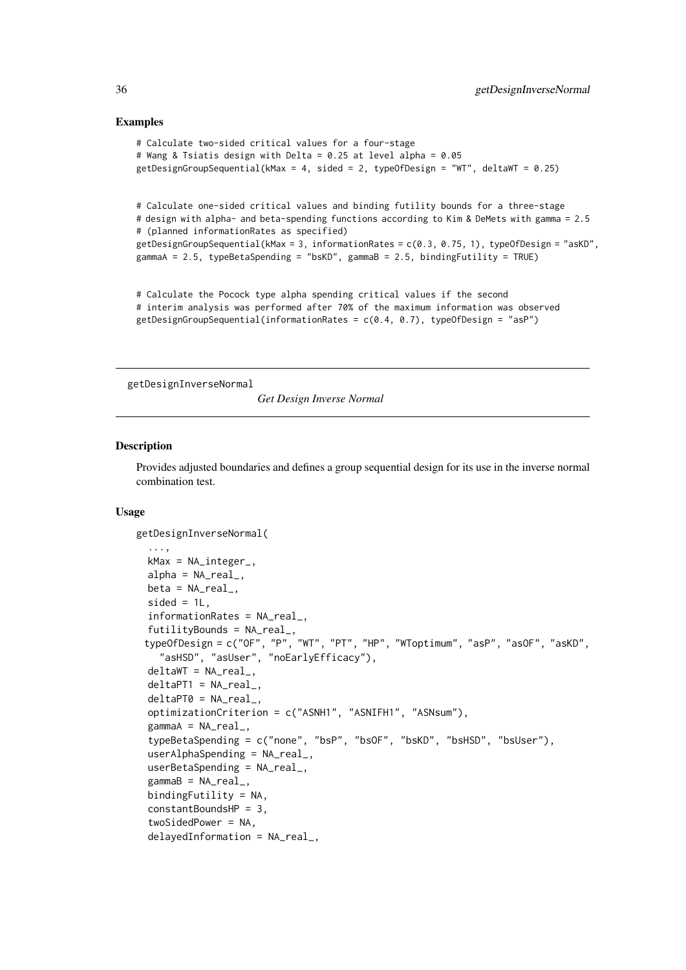### Examples

```
# Calculate two-sided critical values for a four-stage
# Wang & Tsiatis design with Delta = 0.25 at level alpha = 0.05
getDesignGroupSequential(kMax = 4, sided = 2, typeOfDesign = "WT", deltaWT = 0.25)
# Calculate one-sided critical values and binding futility bounds for a three-stage
# design with alpha- and beta-spending functions according to Kim & DeMets with gamma = 2.5
# (planned informationRates as specified)
getDesignGroupSequential(kMax = 3, informationRates = c(0.3, 0.75, 1), typeOfDesign = "asKD",
gammaA = 2.5, typeBetaSpending = "bsKD", gammaB = 2.5, bindingFutility = TRUE)
```

```
# Calculate the Pocock type alpha spending critical values if the second
# interim analysis was performed after 70% of the maximum information was observed
getDesignGroupSequential(informationRates = c(0.4, 0.7), typeOfDesign = "asP")
```
<span id="page-35-1"></span>getDesignInverseNormal

*Get Design Inverse Normal*

### Description

Provides adjusted boundaries and defines a group sequential design for its use in the inverse normal combination test.

### Usage

```
getDesignInverseNormal(
  ...,
  kMax = NA_integer_,
  alpha = NA\_real_beta = NA\_real_,
  sided = 1L,
  informationRates = NA_real_,
  futilityBounds = NA_real_,
 typeOfDesign = c("OF", "P", "WT", "PT", "HP", "WToptimum", "asP", "asOF", "asKD",
    "asHSD", "asUser", "noEarlyEfficacy"),
  deltawT = NA_{real_-,}deltaPT1 = NA_real_,
  deltaPT0 = NA_real_,
  optimizationCriterion = c("ASNH1", "ASNIFH1", "ASNsum"),
  gamma = NA_{real},
  typeBetaSpending = c("none", "bsP", "bsOF", "bsKD", "bsHSD", "bsUser"),
  userAlphaSpending = NA_real_,
  userBetaSpending = NA_real_,
  gammaB = NA_{real_bindingFutility = NA,
  constantBoundsHP = 3,
  twoSidedPower = NA,
  delayedInformation = NA_real_,
```
<span id="page-35-0"></span>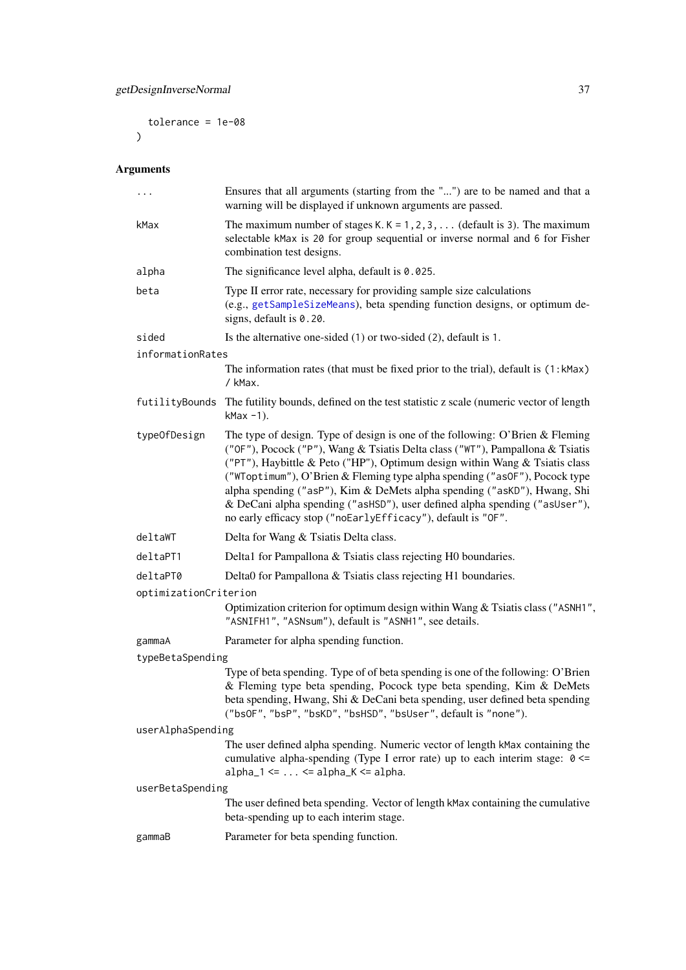tolerance = 1e-08  $\lambda$ 

# Arguments

| $\cdots$              | Ensures that all arguments (starting from the "") are to be named and that a<br>warning will be displayed if unknown arguments are passed.                                                                                                                                                                                                                                                                                                                                                                                                            |
|-----------------------|-------------------------------------------------------------------------------------------------------------------------------------------------------------------------------------------------------------------------------------------------------------------------------------------------------------------------------------------------------------------------------------------------------------------------------------------------------------------------------------------------------------------------------------------------------|
| kMax                  | The maximum number of stages K. $K = 1, 2, 3, \ldots$ (default is 3). The maximum<br>selectable kMax is 20 for group sequential or inverse normal and 6 for Fisher<br>combination test designs.                                                                                                                                                                                                                                                                                                                                                       |
| alpha                 | The significance level alpha, default is $0.025$ .                                                                                                                                                                                                                                                                                                                                                                                                                                                                                                    |
| beta                  | Type II error rate, necessary for providing sample size calculations<br>(e.g., getSampleSizeMeans), beta spending function designs, or optimum de-<br>signs, default is 0.20.                                                                                                                                                                                                                                                                                                                                                                         |
| sided                 | Is the alternative one-sided (1) or two-sided (2), default is 1.                                                                                                                                                                                                                                                                                                                                                                                                                                                                                      |
| informationRates      |                                                                                                                                                                                                                                                                                                                                                                                                                                                                                                                                                       |
|                       | The information rates (that must be fixed prior to the trial), default is (1:kMax)<br>/ kMax.                                                                                                                                                                                                                                                                                                                                                                                                                                                         |
|                       | futilityBounds The futility bounds, defined on the test statistic z scale (numeric vector of length<br>$k$ Max $-1$ ).                                                                                                                                                                                                                                                                                                                                                                                                                                |
| typeOfDesign          | The type of design. Type of design is one of the following: O'Brien & Fleming<br>("OF"), Pocock ("P"), Wang & Tsiatis Delta class ("WT"), Pampallona & Tsiatis<br>("PT"), Haybittle & Peto ("HP"), Optimum design within Wang & Tsiatis class<br>("WToptimum"), O'Brien & Fleming type alpha spending ("as0F"), Pocock type<br>alpha spending ("asP"), Kim & DeMets alpha spending ("asKD"), Hwang, Shi<br>& DeCani alpha spending ("asHSD"), user defined alpha spending ("asUser"),<br>no early efficacy stop ("noEarlyEfficacy"), default is "OF". |
| deltaWT               | Delta for Wang & Tsiatis Delta class.                                                                                                                                                                                                                                                                                                                                                                                                                                                                                                                 |
| deltaPT1              | Delta1 for Pampallona & Tsiatis class rejecting H0 boundaries.                                                                                                                                                                                                                                                                                                                                                                                                                                                                                        |
| deltaPT0              | Delta0 for Pampallona & Tsiatis class rejecting H1 boundaries.                                                                                                                                                                                                                                                                                                                                                                                                                                                                                        |
| optimizationCriterion |                                                                                                                                                                                                                                                                                                                                                                                                                                                                                                                                                       |
|                       | Optimization criterion for optimum design within Wang & Tsiatis class ("ASNH1",<br>"ASNIFH1", "ASNsum"), default is "ASNH1", see details.                                                                                                                                                                                                                                                                                                                                                                                                             |
| gammaA                | Parameter for alpha spending function.                                                                                                                                                                                                                                                                                                                                                                                                                                                                                                                |
| typeBetaSpending      |                                                                                                                                                                                                                                                                                                                                                                                                                                                                                                                                                       |
|                       | Type of beta spending. Type of of beta spending is one of the following: O'Brien<br>& Fleming type beta spending, Pocock type beta spending, Kim & DeMets<br>beta spending, Hwang, Shi & DeCani beta spending, user defined beta spending<br>("bsOF", "bsP", "bsKD", "bsHSD", "bsUser", default is "none").                                                                                                                                                                                                                                           |
| userAlphaSpending     |                                                                                                                                                                                                                                                                                                                                                                                                                                                                                                                                                       |
|                       | The user defined alpha spending. Numeric vector of length kMax containing the<br>cumulative alpha-spending (Type I error rate) up to each interim stage: 0 <=<br>$alpha_1 \leftarrow \ldots \leftarrow alpha_K \leftarrow alpha$ .                                                                                                                                                                                                                                                                                                                    |
| userBetaSpending      |                                                                                                                                                                                                                                                                                                                                                                                                                                                                                                                                                       |
|                       | The user defined beta spending. Vector of length kMax containing the cumulative<br>beta-spending up to each interim stage.                                                                                                                                                                                                                                                                                                                                                                                                                            |
| gammaB                | Parameter for beta spending function.                                                                                                                                                                                                                                                                                                                                                                                                                                                                                                                 |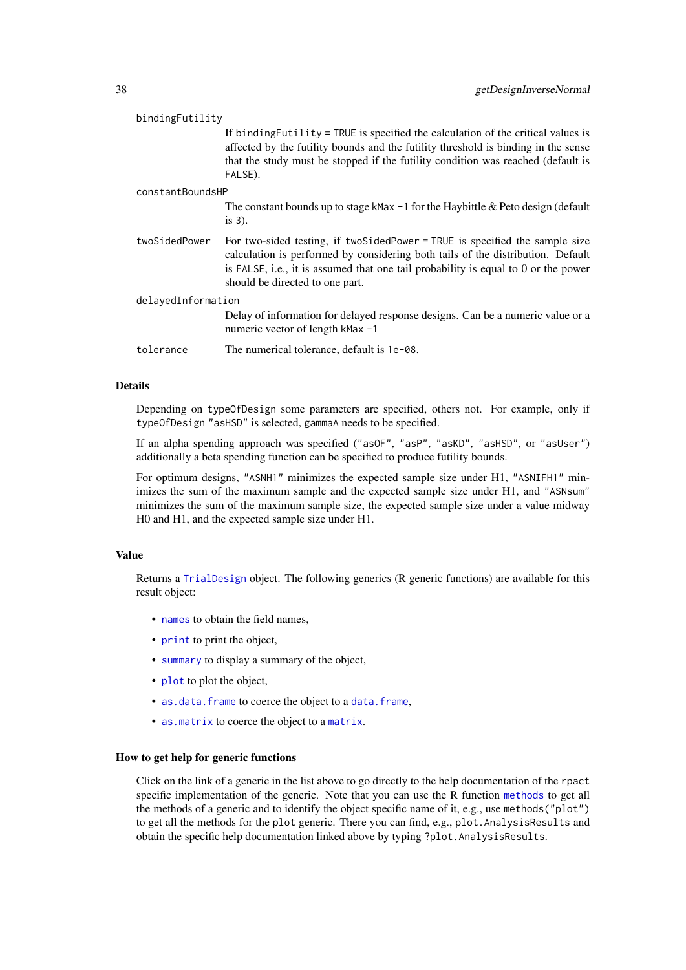| bindingFutility    |                                                                                                                                                                                                                                                                                          |  |
|--------------------|------------------------------------------------------------------------------------------------------------------------------------------------------------------------------------------------------------------------------------------------------------------------------------------|--|
|                    | If binding Futility = TRUE is specified the calculation of the critical values is<br>affected by the futility bounds and the futility threshold is binding in the sense<br>that the study must be stopped if the futility condition was reached (default is<br>FALSE).                   |  |
| constantBoundsHP   |                                                                                                                                                                                                                                                                                          |  |
|                    | The constant bounds up to stage kMax $-1$ for the Haybittle & Peto design (default<br>$is 3)$ .                                                                                                                                                                                          |  |
| twoSidedPower      | For two-sided testing, if two SidedPower = TRUE is specified the sample size<br>calculation is performed by considering both tails of the distribution. Default<br>is FALSE, i.e., it is assumed that one tail probability is equal to 0 or the power<br>should be directed to one part. |  |
| delayedInformation |                                                                                                                                                                                                                                                                                          |  |
|                    | Delay of information for delayed response designs. Can be a numeric value or a<br>numeric vector of length kMax -1                                                                                                                                                                       |  |
| tolerance          | The numerical tolerance, default is 1e-08.                                                                                                                                                                                                                                               |  |

# Details

Depending on typeOfDesign some parameters are specified, others not. For example, only if typeOfDesign "asHSD" is selected, gammaA needs to be specified.

If an alpha spending approach was specified ("asOF", "asP", "asKD", "asHSD", or "asUser") additionally a beta spending function can be specified to produce futility bounds.

For optimum designs, "ASNH1" minimizes the expected sample size under H1, "ASNIFH1" minimizes the sum of the maximum sample and the expected sample size under H1, and "ASNsum" minimizes the sum of the maximum sample size, the expected sample size under a value midway H0 and H1, and the expected sample size under H1.

## Value

Returns a [TrialDesign](#page-0-0) object. The following generics (R generic functions) are available for this result object:

- [names](#page-0-0) to obtain the field names,
- [print](#page-0-0) to print the object,
- [summary](#page-0-0) to display a summary of the object,
- [plot](#page-143-0) to plot the object,
- [as.data.frame](#page-0-0) to coerce the object to a [data.frame](#page-0-0),
- [as.matrix](#page-0-0) to coerce the object to a [matrix](#page-0-0).

#### How to get help for generic functions

Click on the link of a generic in the list above to go directly to the help documentation of the rpact specific implementation of the generic. Note that you can use the R function [methods](#page-0-0) to get all the methods of a generic and to identify the object specific name of it, e.g., use methods("plot") to get all the methods for the plot generic. There you can find, e.g., plot.AnalysisResults and obtain the specific help documentation linked above by typing ?plot.AnalysisResults.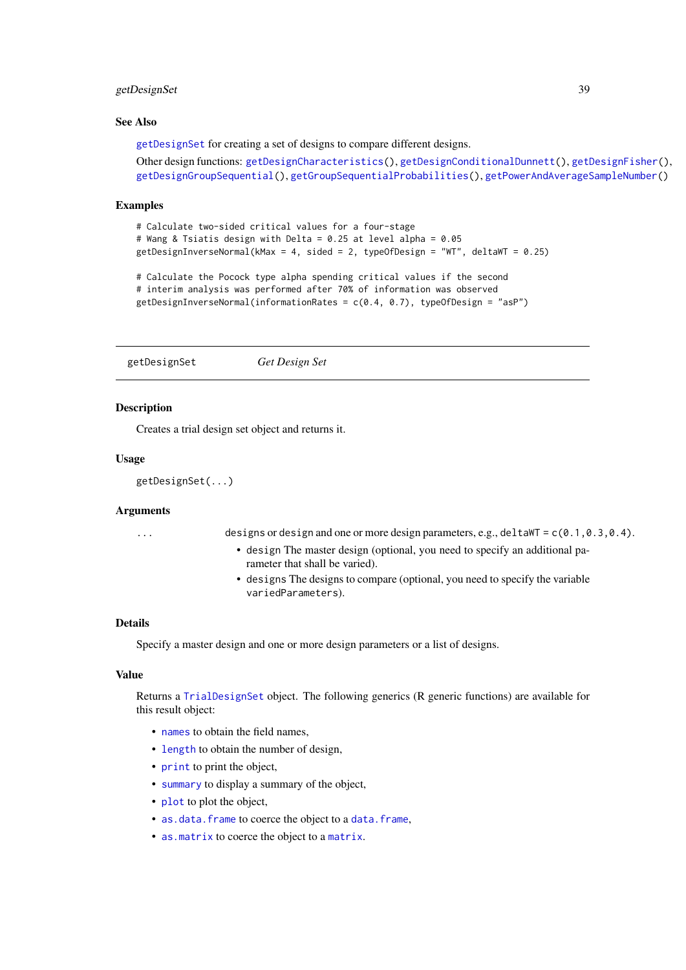### getDesignSet 39

#### See Also

[getDesignSet](#page-38-0) for creating a set of designs to compare different designs.

Other design functions: [getDesignCharacteristics\(](#page-27-0)), [getDesignConditionalDunnett\(](#page-29-0)), [getDesignFisher\(](#page-30-0)), [getDesignGroupSequential\(](#page-32-0)), [getGroupSequentialProbabilities\(](#page-45-0)), [getPowerAndAverageSampleNumber\(](#page-54-0))

#### Examples

```
# Calculate two-sided critical values for a four-stage
# Wang & Tsiatis design with Delta = 0.25 at level alpha = 0.05
getDesignInverseNormal(kMax = 4, sided = 2, typeOfDesign = "WT", deltaWT = 0.25)
```

```
# Calculate the Pocock type alpha spending critical values if the second
# interim analysis was performed after 70% of information was observed
getDesignInverseNormal(informationRates = c(0.4, 0.7), typeOfDesign = "asP")
```
<span id="page-38-0"></span>getDesignSet *Get Design Set*

### Description

Creates a trial design set object and returns it.

## Usage

```
getDesignSet(...)
```
## Arguments

... designs or design and one or more design parameters, e.g., deltaWT = c(0.1,0.3,0.4).

- design The master design (optional, you need to specify an additional parameter that shall be varied).
- designs The designs to compare (optional, you need to specify the variable variedParameters).

#### Details

Specify a master design and one or more design parameters or a list of designs.

## Value

Returns a [TrialDesignSet](#page-0-0) object. The following generics (R generic functions) are available for this result object:

- [names](#page-0-0) to obtain the field names,
- [length](#page-0-0) to obtain the number of design,
- [print](#page-0-0) to print the object,
- [summary](#page-0-0) to display a summary of the object,
- [plot](#page-148-0) to plot the object,
- [as.data.frame](#page-0-0) to coerce the object to a [data.frame](#page-0-0),
- [as.matrix](#page-0-0) to coerce the object to a [matrix](#page-0-0).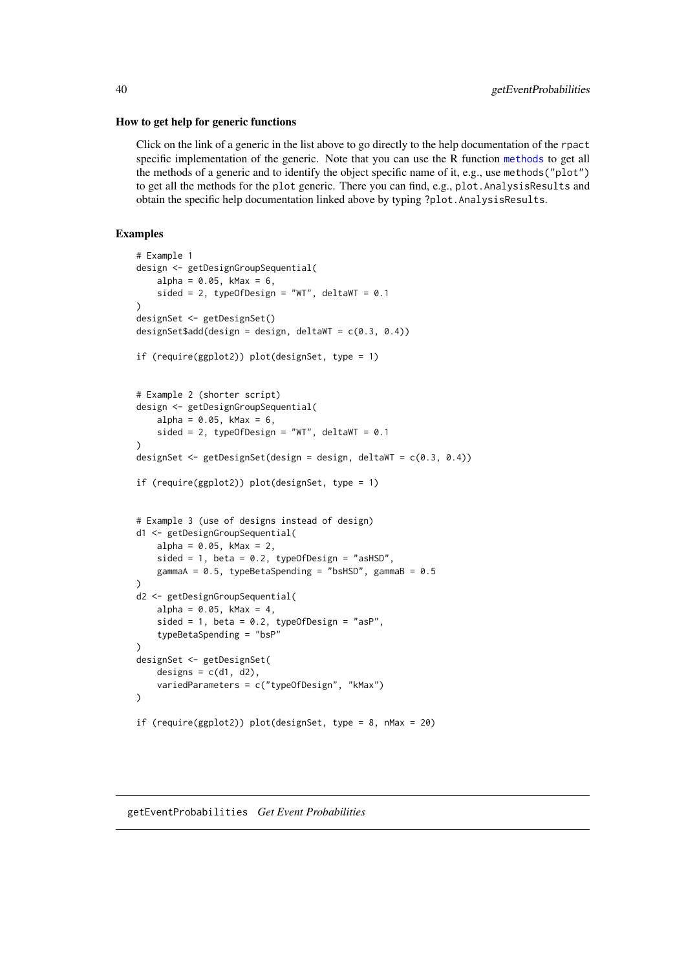#### How to get help for generic functions

Click on the link of a generic in the list above to go directly to the help documentation of the rpact specific implementation of the generic. Note that you can use the R function [methods](#page-0-0) to get all the methods of a generic and to identify the object specific name of it, e.g., use methods("plot") to get all the methods for the plot generic. There you can find, e.g., plot.AnalysisResults and obtain the specific help documentation linked above by typing ?plot.AnalysisResults.

## Examples

```
# Example 1
design <- getDesignGroupSequential(
    alpha = 0.05, kMax = 6,
    sided = 2, typeOfDesign = "WT", deltaWT = 0.1)
designSet <- getDesignSet()
designSet$add(design = design, deltaWT = c(0.3, 0.4))
if (require(ggplot2)) plot(designSet, type = 1)
# Example 2 (shorter script)
design <- getDesignGroupSequential(
    alpha = 0.05, kMax = 6,
    sided = 2, typeOfDesign = "WT", deltaWT = 0.1\lambdadesignSet <- getDesignSet(design = design, deltaWT = c(0.3, 0.4))
if (require(ggplot2)) plot(designSet, type = 1)
# Example 3 (use of designs instead of design)
d1 <- getDesignGroupSequential(
    alpha = 0.05, kMax = 2,
    sided = 1, beta = 0.2, typeOfDesign = "asHSD",
    gammaA = 0.5, typeBetaSpending = "bsHSD", gammaB = 0.5)
d2 <- getDesignGroupSequential(
   alpha = 0.05, kMax = 4,
    sided = 1, beta = 0.2, typeOfDesign = "asP",
    typeBetaSpending = "bsP"
)
designSet <- getDesignSet(
    designs = c(d1, d2),
    variedParameters = c("typeOfDesign", "kMax")
)
if (require(ggplot2)) plot(designSet, type = 8, nMax = 20)
```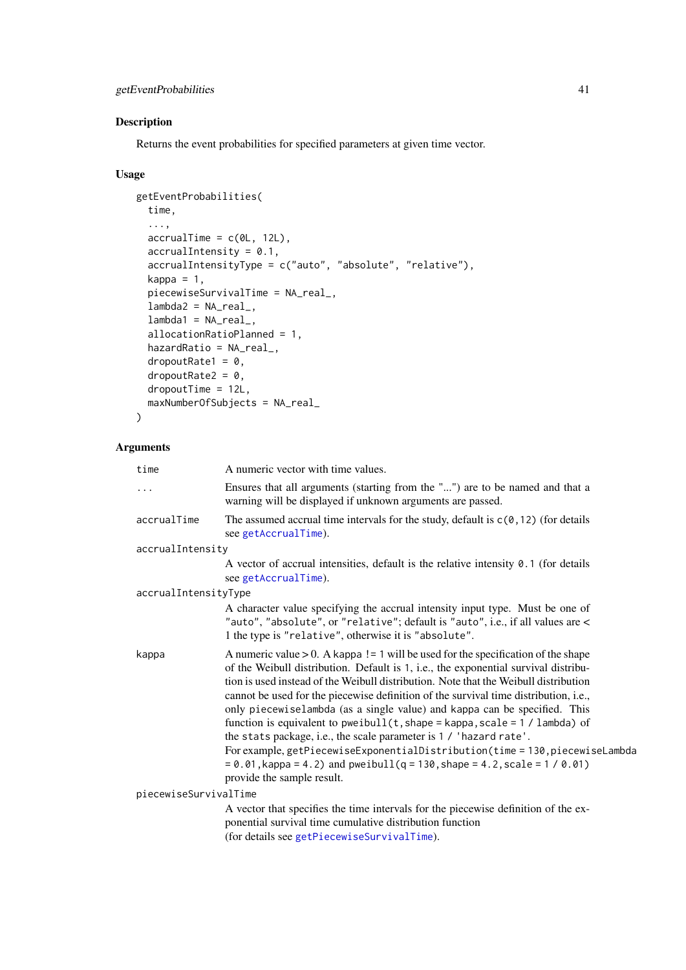## getEventProbabilities 41

## Description

Returns the event probabilities for specified parameters at given time vector.

## Usage

```
getEventProbabilities(
  time,
  ...,
  accrualTime = c(0L, 12L),accrualIntensity = 0.1,
  accrualIntensityType = c("auto", "absolute", "relative"),
  kappa = 1,
  piecewiseSurvivalTime = NA_real_,
  lambda2 = NA_{real_-,lambda1 = NA_{real_-,allocationRatioPlanned = 1,
  hazardRatio = NA_real_,
  dropoutRate1 = 0,
  droputRate2 = 0,dropoutTime = 12L,
  maxNumberOfSubjects = NA_real_
)
```
# Arguments

| time                  | A numeric vector with time values.                                                                                                                                                                                                                                                                                                                                                                                                                                                                                                                                                                                                                                                                                                                                                               |
|-----------------------|--------------------------------------------------------------------------------------------------------------------------------------------------------------------------------------------------------------------------------------------------------------------------------------------------------------------------------------------------------------------------------------------------------------------------------------------------------------------------------------------------------------------------------------------------------------------------------------------------------------------------------------------------------------------------------------------------------------------------------------------------------------------------------------------------|
| $\cdots$              | Ensures that all arguments (starting from the "") are to be named and that a<br>warning will be displayed if unknown arguments are passed.                                                                                                                                                                                                                                                                                                                                                                                                                                                                                                                                                                                                                                                       |
| accrualTime           | The assumed accrual time intervals for the study, default is $c(0, 12)$ (for details<br>see getAccrualTime).                                                                                                                                                                                                                                                                                                                                                                                                                                                                                                                                                                                                                                                                                     |
| accrualIntensity      |                                                                                                                                                                                                                                                                                                                                                                                                                                                                                                                                                                                                                                                                                                                                                                                                  |
|                       | A vector of accrual intensities, default is the relative intensity $0.1$ (for details<br>see getAccrualTime).                                                                                                                                                                                                                                                                                                                                                                                                                                                                                                                                                                                                                                                                                    |
| accrualIntensityType  |                                                                                                                                                                                                                                                                                                                                                                                                                                                                                                                                                                                                                                                                                                                                                                                                  |
|                       | A character value specifying the accrual intensity input type. Must be one of<br>"auto", "absolute", or "relative"; default is "auto", i.e., if all values are <<br>1 the type is "relative", otherwise it is "absolute".                                                                                                                                                                                                                                                                                                                                                                                                                                                                                                                                                                        |
| kappa                 | A numeric value $> 0$ . A kappa ! = 1 will be used for the specification of the shape<br>of the Weibull distribution. Default is 1, i.e., the exponential survival distribu-<br>tion is used instead of the Weibull distribution. Note that the Weibull distribution<br>cannot be used for the piecewise definition of the survival time distribution, i.e.,<br>only piecewiselambda (as a single value) and kappa can be specified. This<br>function is equivalent to pweibull( $t$ , shape = kappa, scale = 1 / lambda) of<br>the stats package, i.e., the scale parameter is 1 / 'hazard rate'.<br>For example, getPiecewiseExponentialDistribution(time = 130, piecewiseLambda<br>$= 0.01$ , kappa = 4.2) and pweibull(q = 130, shape = 4.2, scale = 1 / 0.01)<br>provide the sample result. |
| piecewiseSurvivalTime |                                                                                                                                                                                                                                                                                                                                                                                                                                                                                                                                                                                                                                                                                                                                                                                                  |
|                       | A vector that specifies the time intervals for the piecewise definition of the ex-                                                                                                                                                                                                                                                                                                                                                                                                                                                                                                                                                                                                                                                                                                               |
|                       | ponential survival time cumulative distribution function                                                                                                                                                                                                                                                                                                                                                                                                                                                                                                                                                                                                                                                                                                                                         |
|                       | (for details see getPiecewiseSurvivalTime).                                                                                                                                                                                                                                                                                                                                                                                                                                                                                                                                                                                                                                                                                                                                                      |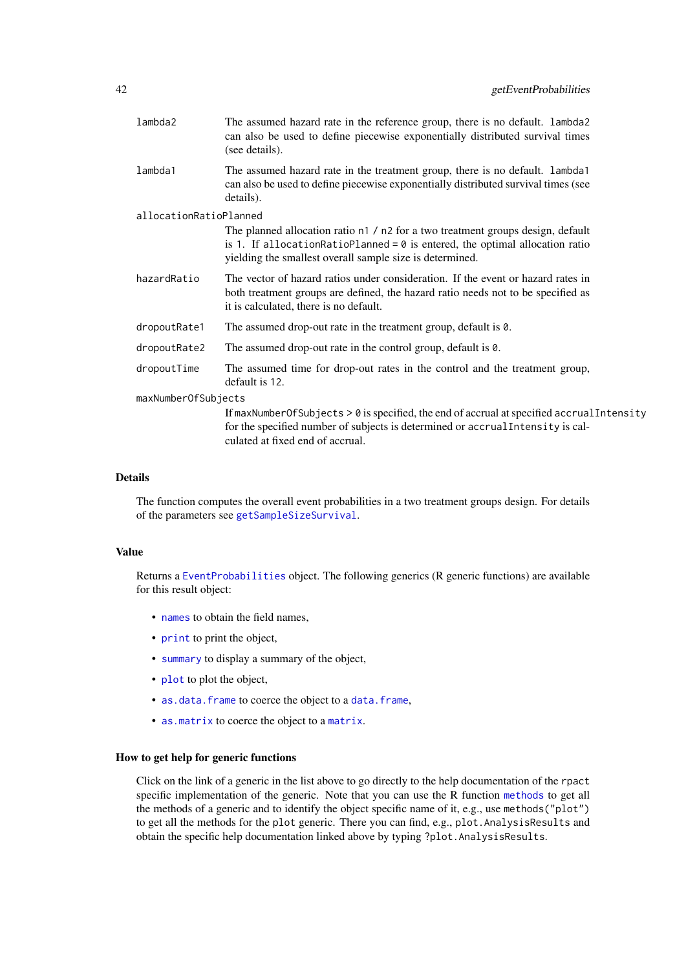| lambda2                | The assumed hazard rate in the reference group, there is no default. lambda2<br>can also be used to define piecewise exponentially distributed survival times<br>(see details).                                               |
|------------------------|-------------------------------------------------------------------------------------------------------------------------------------------------------------------------------------------------------------------------------|
| lambda1                | The assumed hazard rate in the treatment group, there is no default. Lambda1<br>can also be used to define piecewise exponentially distributed survival times (see<br>details).                                               |
| allocationRatioPlanned |                                                                                                                                                                                                                               |
|                        | The planned allocation ratio n1 / n2 for a two treatment groups design, default<br>is 1. If allocationRatioPlanned = $0$ is entered, the optimal allocation ratio<br>yielding the smallest overall sample size is determined. |
| hazardRatio            | The vector of hazard ratios under consideration. If the event or hazard rates in<br>both treatment groups are defined, the hazard ratio needs not to be specified as<br>it is calculated, there is no default.                |
| dropoutRate1           | The assumed drop-out rate in the treatment group, default is $\theta$ .                                                                                                                                                       |
| dropoutRate2           | The assumed drop-out rate in the control group, default is $\theta$ .                                                                                                                                                         |
| dropoutTime            | The assumed time for drop-out rates in the control and the treatment group,<br>default is 12.                                                                                                                                 |
| maxNumberOfSubjects    |                                                                                                                                                                                                                               |
|                        | If maxNumberOfSubjects > 0 is specified, the end of accrual at specified accrual Intensity<br>for the specified number of subjects is determined or accrual Intensity is cal-                                                 |

### Details

The function computes the overall event probabilities in a two treatment groups design. For details of the parameters see [getSampleSizeSurvival](#page-73-0).

## Value

Returns a [EventProbabilities](#page-0-0) object. The following generics (R generic functions) are available for this result object:

- [names](#page-0-0) to obtain the field names,
- [print](#page-0-0) to print the object,
- [summary](#page-0-0) to display a summary of the object,
- [plot](#page-133-0) to plot the object,
- [as.data.frame](#page-0-0) to coerce the object to a [data.frame](#page-0-0),

culated at fixed end of accrual.

• [as.matrix](#page-0-0) to coerce the object to a [matrix](#page-0-0).

### How to get help for generic functions

Click on the link of a generic in the list above to go directly to the help documentation of the rpact specific implementation of the generic. Note that you can use the R function [methods](#page-0-0) to get all the methods of a generic and to identify the object specific name of it, e.g., use methods("plot") to get all the methods for the plot generic. There you can find, e.g., plot.AnalysisResults and obtain the specific help documentation linked above by typing ?plot.AnalysisResults.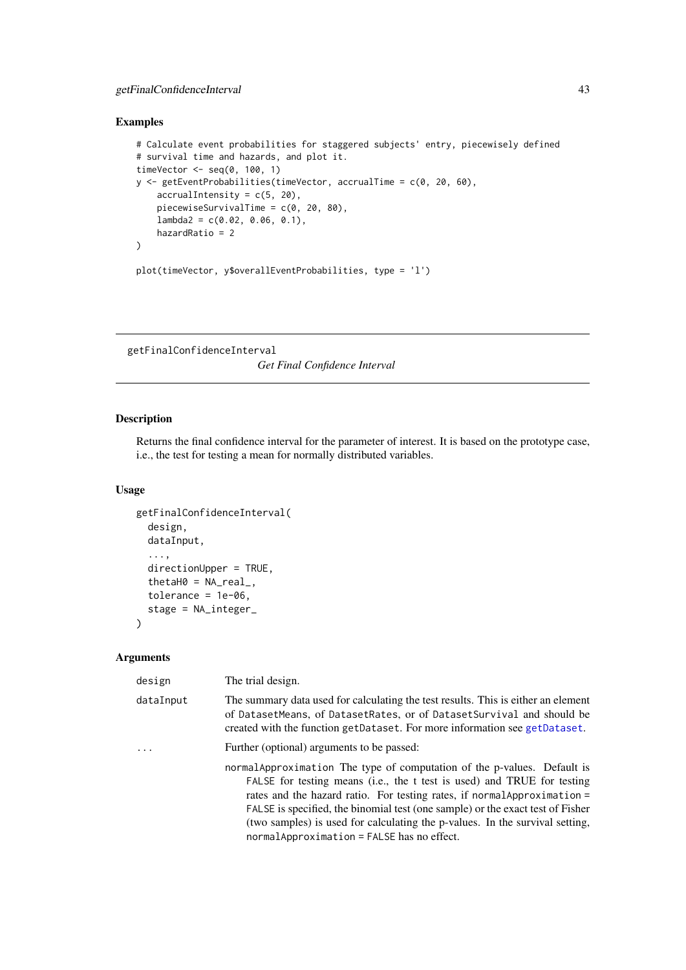### getFinalConfidenceInterval 43

## Examples

```
# Calculate event probabilities for staggered subjects' entry, piecewisely defined
# survival time and hazards, and plot it.
timeVector <- seq(0, 100, 1)
y <- getEventProbabilities(timeVector, accrualTime = c(0, 20, 60),
    accrualIntensity = c(5, 20),
    piecewiseSurvivalTime = c(0, 20, 80),
    lambda2 = c(0.02, 0.06, 0.1),hazardRatio = 2
\lambdaplot(timeVector, y$overallEventProbabilities, type = 'l')
```
<span id="page-42-0"></span>getFinalConfidenceInterval

*Get Final Confidence Interval*

## Description

Returns the final confidence interval for the parameter of interest. It is based on the prototype case, i.e., the test for testing a mean for normally distributed variables.

## Usage

```
getFinalConfidenceInterval(
  design,
  dataInput,
  ...,
  directionUpper = TRUE,
  thetaH0 = NA\_real_,
  tolerance = 1e-06,
  stage = NA_integer_
)
```
## Arguments

| design    | The trial design.                                                                                                                                                                                                                                                                                                                                                                                                                                 |
|-----------|---------------------------------------------------------------------------------------------------------------------------------------------------------------------------------------------------------------------------------------------------------------------------------------------------------------------------------------------------------------------------------------------------------------------------------------------------|
| dataInput | The summary data used for calculating the test results. This is either an element<br>of DatasetMeans, of DatasetRates, or of DatasetSurvival and should be<br>created with the function getDataset. For more information see getDataset.                                                                                                                                                                                                          |
|           | Further (optional) arguments to be passed:                                                                                                                                                                                                                                                                                                                                                                                                        |
|           | normal Approximation The type of computation of the p-values. Default is<br>FALSE for testing means (i.e., the t test is used) and TRUE for testing<br>rates and the hazard ratio. For testing rates, if normal Approximation =<br>FALSE is specified, the binomial test (one sample) or the exact test of Fisher<br>(two samples) is used for calculating the p-values. In the survival setting,<br>$normalApproximation = FALSE$ has no effect. |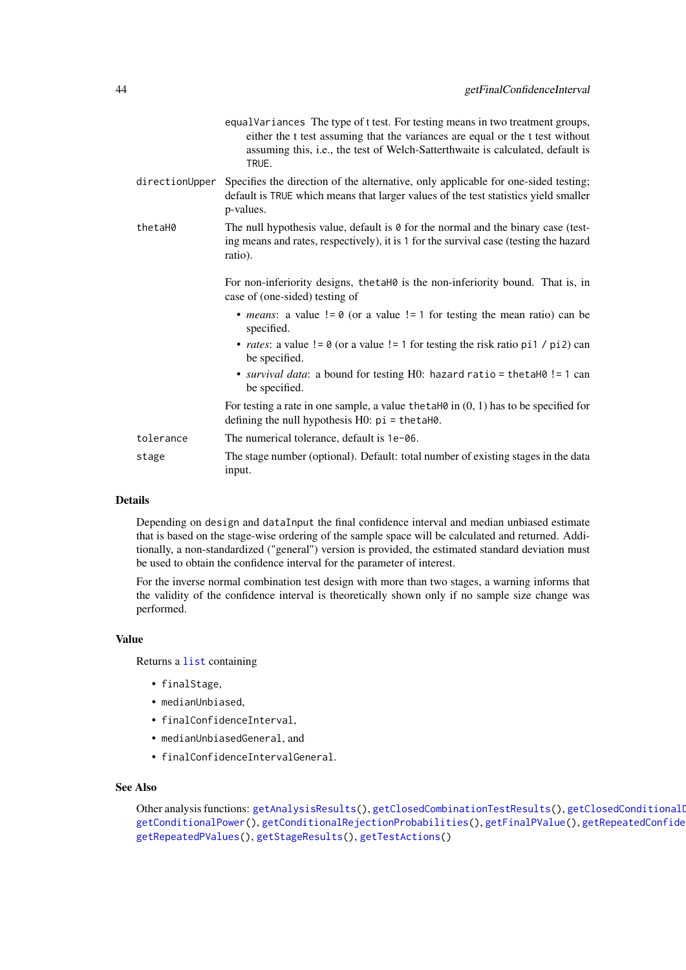|           | equalVariances The type of t test. For testing means in two treatment groups,<br>either the t test assuming that the variances are equal or the t test without<br>assuming this, i.e., the test of Welch-Satterthwaite is calculated, default is<br>TRUE. |
|-----------|-----------------------------------------------------------------------------------------------------------------------------------------------------------------------------------------------------------------------------------------------------------|
|           | directionUpper Specifies the direction of the alternative, only applicable for one-sided testing;<br>default is TRUE which means that larger values of the test statistics yield smaller<br>p-values.                                                     |
| thetaH0   | The null hypothesis value, default is $\theta$ for the normal and the binary case (test-<br>ing means and rates, respectively), it is 1 for the survival case (testing the hazard<br>ratio).                                                              |
|           | For non-inferiority designs, the taho is the non-inferiority bound. That is, in<br>case of (one-sided) testing of                                                                                                                                         |
|           | • <i>means</i> : a value $!= 0$ (or a value $!= 1$ for testing the mean ratio) can be<br>specified.                                                                                                                                                       |
|           | • <i>rates</i> : a value $!= 0$ (or a value $!= 1$ for testing the risk ratio pi1 / pi2) can<br>be specified.                                                                                                                                             |
|           | • <i>survival data</i> : a bound for testing H0: hazard ratio = the ta H0 ! = 1 can<br>be specified.                                                                                                                                                      |
|           | For testing a rate in one sample, a value the taller in $(0, 1)$ has to be specified for<br>defining the null hypothesis $H0$ : $pi = \text{thetaH0}$ .                                                                                                   |
| tolerance | The numerical tolerance, default is 1e-06.                                                                                                                                                                                                                |
| stage     | The stage number (optional). Default: total number of existing stages in the data<br>input.                                                                                                                                                               |

### Details

Depending on design and dataInput the final confidence interval and median unbiased estimate that is based on the stage-wise ordering of the sample space will be calculated and returned. Additionally, a non-standardized ("general") version is provided, the estimated standard deviation must be used to obtain the confidence interval for the parameter of interest.

For the inverse normal combination test design with more than two stages, a warning informs that the validity of the confidence interval is theoretically shown only if no sample size change was performed.

### Value

Returns a [list](#page-0-0) containing

- finalStage,
- medianUnbiased,
- finalConfidenceInterval,
- medianUnbiasedGeneral, and
- finalConfidenceIntervalGeneral.

# See Also

```
getAnalysisResults(getClosedCombinationTestResults(), getClosedConditional
getConditionalPower(getConditionalRejectionProbabilities(getFinalPValue(), getRepeatedConfide
getRepeatedPValues(), getStageResults(), getTestActions()
```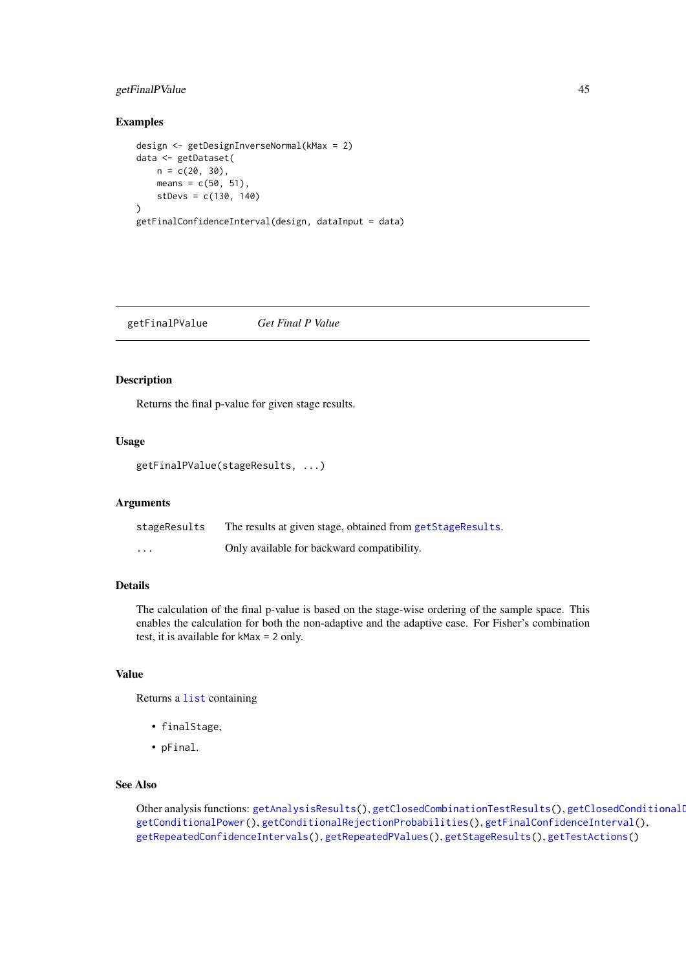### getFinalPValue 45

## Examples

```
design <- getDesignInverseNormal(kMax = 2)
data <- getDataset(
   n = c(20, 30),means = c(50, 51),
   stDevs = c(130, 140)
)
getFinalConfidenceInterval(design, dataInput = data)
```
<span id="page-44-0"></span>getFinalPValue *Get Final P Value*

#### Description

Returns the final p-value for given stage results.

### Usage

getFinalPValue(stageResults, ...)

#### Arguments

| stageResults | The results at given stage, obtained from getStageResults. |
|--------------|------------------------------------------------------------|
| $\cdots$     | Only available for backward compatibility.                 |

### Details

The calculation of the final p-value is based on the stage-wise ordering of the sample space. This enables the calculation for both the non-adaptive and the adaptive case. For Fisher's combination test, it is available for kMax = 2 only.

# Value

Returns a [list](#page-0-0) containing

- finalStage,
- pFinal.

#### See Also

Other analysis functions: [getAnalysisResults\(](#page-10-0)), [getClosedCombinationTestResults\(](#page-15-0)), getClosedConditionalI [getConditionalPower\(](#page-18-0)), [getConditionalRejectionProbabilities\(](#page-20-0)), [getFinalConfidenceInterval\(](#page-42-0)), [getRepeatedConfidenceIntervals\(](#page-66-0)), [getRepeatedPValues\(](#page-68-0)), [getStageResults\(](#page-125-0)), [getTestActions\(](#page-127-0))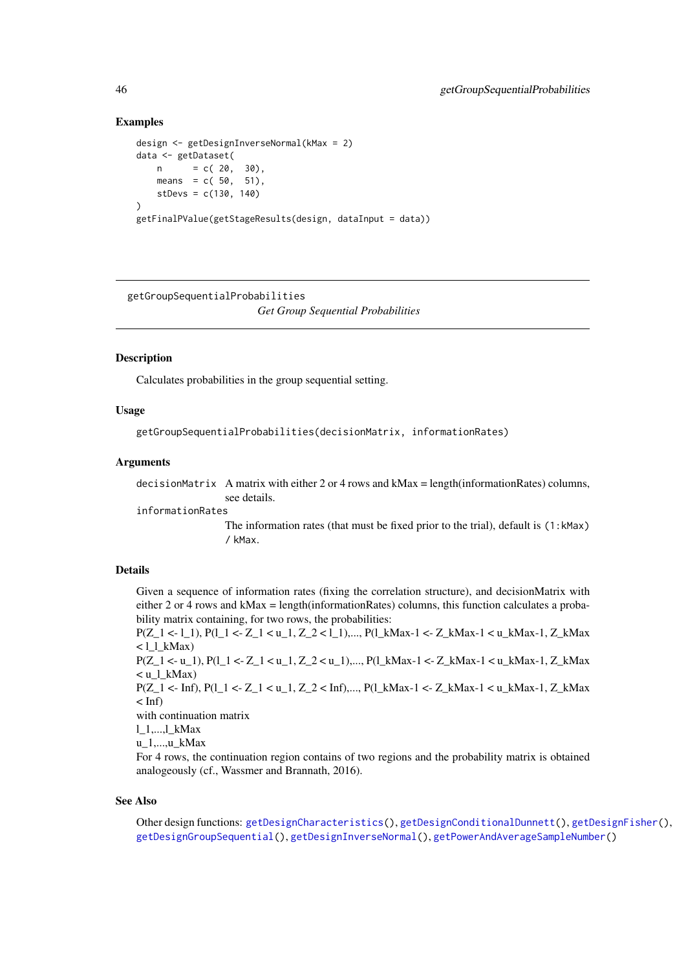#### Examples

```
design <- getDesignInverseNormal(kMax = 2)
data <- getDataset(
   n = c(20, 30),means = c(50, 51),
   stDevs = c(130, 140))
getFinalPValue(getStageResults(design, dataInput = data))
```
<span id="page-45-0"></span>getGroupSequentialProbabilities

*Get Group Sequential Probabilities*

#### Description

Calculates probabilities in the group sequential setting.

## Usage

getGroupSequentialProbabilities(decisionMatrix, informationRates)

#### Arguments

decisionMatrix A matrix with either 2 or 4 rows and kMax = length(informationRates) columns, see details.

informationRates

The information rates (that must be fixed prior to the trial), default is (1:kMax) / kMax.

#### Details

Given a sequence of information rates (fixing the correlation structure), and decisionMatrix with either 2 or 4 rows and kMax = length(informationRates) columns, this function calculates a probability matrix containing, for two rows, the probabilities:

P(Z\_1 <- l\_1), P(l\_1 <- Z\_1 < u\_1, Z\_2 < l\_1),..., P(l\_kMax-1 <- Z\_kMax-1 < u\_kMax-1, Z\_kMax  $\langle$  l\_l\_kMax)

P(Z\_1 <- u\_1), P(l\_1 <- Z\_1 < u\_1, Z\_2 < u\_1),..., P(l\_kMax-1 <- Z\_kMax-1 < u\_kMax-1, Z\_kMax  $\langle u_l|$ \_kMax)

P(Z\_1 <- Inf), P(l\_1 <- Z\_1 < u\_1, Z\_2 < Inf),..., P(l\_kMax-1 <- Z\_kMax-1 < u\_kMax-1, Z\_kMax  $<$  Inf)

with continuation matrix

l\_1,...,l\_kMax

u\_1,...,u\_kMax

For 4 rows, the continuation region contains of two regions and the probability matrix is obtained analogeously (cf., Wassmer and Brannath, 2016).

### See Also

Other design functions: [getDesignCharacteristics\(](#page-27-0)), [getDesignConditionalDunnett\(](#page-29-0)), [getDesignFisher\(](#page-30-0)), [getDesignGroupSequential\(](#page-32-0)), [getDesignInverseNormal\(](#page-35-0)), [getPowerAndAverageSampleNumber\(](#page-54-0))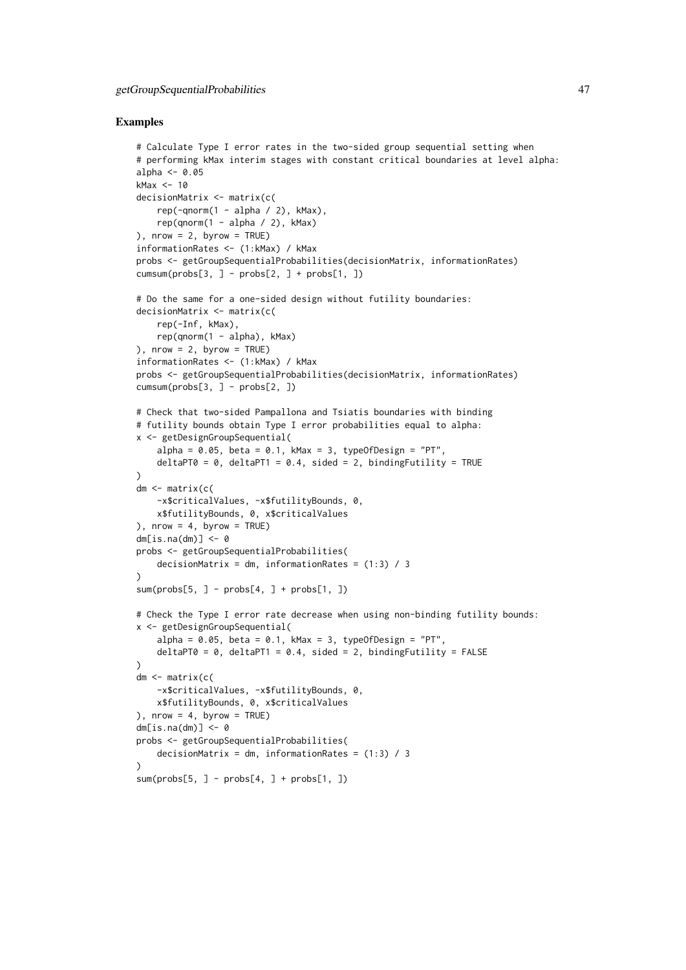### Examples

```
# Calculate Type I error rates in the two-sided group sequential setting when
# performing kMax interim stages with constant critical boundaries at level alpha:
alpha \leq -0.05kMax <- 10
decisionMatrix <- matrix(c(
    rep(-qnorm(1 - alpha / 2), kMax),
    rep(qnorm(1 - alpha / 2), kMax)), nrow = 2, byrow = TRUE)
informationRates <- (1:kMax) / kMax
probs <- getGroupSequentialProbabilities(decisionMatrix, informationRates)
cumsum(probs[3, ] - probs[2, ] + probs[1, ])
# Do the same for a one-sided design without futility boundaries:
decisionMatrix <- matrix(c(
    rep(-Inf, kMax),
    rep(qnorm(1 - alpha), kMax)), nrow = 2, byrow = TRUE)
informationRates <- (1:kMax) / kMax
probs <- getGroupSequentialProbabilities(decisionMatrix, informationRates)
cumsum(probs[3, ] - probs[2, ])# Check that two-sided Pampallona and Tsiatis boundaries with binding
# futility bounds obtain Type I error probabilities equal to alpha:
x <- getDesignGroupSequential(
    alpha = 0.05, beta = 0.1, kMax = 3, typeOfDesign = "PT",
    deltaPT0 = 0, deltaPT1 = 0.4, sided = 2, bindingFutility = TRUE
\lambdadm <- matrix(c(
   -x$criticalValues, -x$futilityBounds, 0,
    x$futilityBounds, 0, x$criticalValues
), nrow = 4, byrow = TRUE)
dm[i s, na(dm)] \leq -\emptysetprobs <- getGroupSequentialProbabilities(
    decisionMatrix = dm, informationRates = (1:3) / 3\lambdasum(probs[5, ] - probs[4, ] + probs[1, ])# Check the Type I error rate decrease when using non-binding futility bounds:
x <- getDesignGroupSequential(
    alpha = 0.05, beta = 0.1, kMax = 3, typeOfDesign = "PT",
    deltaPT0 = 0, deltaPT1 = 0.4, sided = 2, bindingFutility = FALSE
)
dm <- matrix(c(
    -x$criticalValues, -x$futilityBounds, 0,
    x$futilityBounds, 0, x$criticalValues
), nrow = 4, byrow = TRUE)
dm[i s.na(dm)] \leq -\emptysetprobs <- getGroupSequentialProbabilities(
    decisionMatrix = dm, informationRates = (1:3) / 3)
sum(probs[5, ] - probs[4, ] + probs[1, ])
```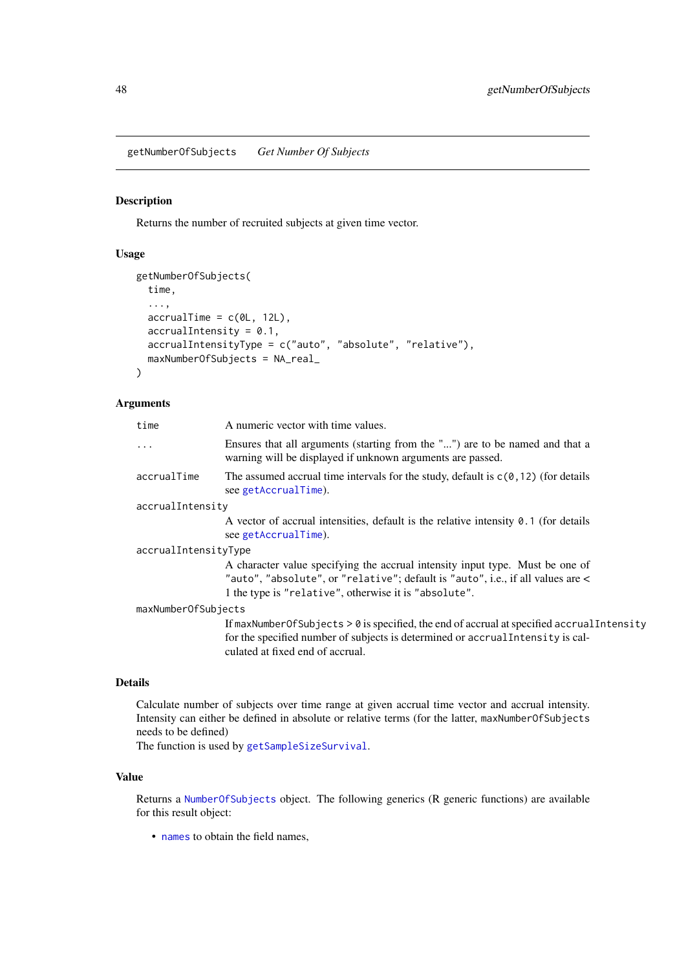getNumberOfSubjects *Get Number Of Subjects*

## Description

Returns the number of recruited subjects at given time vector.

## Usage

```
getNumberOfSubjects(
  time,
  ...,
  \text{accuralTime} = c(0L, 12L),
  accrualIntensity = 0.1,accrualIntensityType = c("auto", "absolute", "relative"),
  maxNumberOfSubjects = NA_real_
\lambda
```
### Arguments

| time                 | A numeric vector with time values.                                                                                                                                                                                        |
|----------------------|---------------------------------------------------------------------------------------------------------------------------------------------------------------------------------------------------------------------------|
| $\ddots$ .           | Ensures that all arguments (starting from the "") are to be named and that a<br>warning will be displayed if unknown arguments are passed.                                                                                |
| accrualTime          | The assumed accrual time intervals for the study, default is $c(0, 12)$ (for details<br>see getAccrualTime).                                                                                                              |
| accrualIntensity     |                                                                                                                                                                                                                           |
|                      | A vector of accrual intensities, default is the relative intensity $\theta$ . 1 (for details<br>see getAccrualTime).                                                                                                      |
| accrualIntensityType |                                                                                                                                                                                                                           |
|                      | A character value specifying the accrual intensity input type. Must be one of<br>"auto", "absolute", or "relative"; default is "auto", i.e., if all values are <<br>1 the type is "relative", otherwise it is "absolute". |
| maxNumberOfSubjects  |                                                                                                                                                                                                                           |
|                      | If maxNumberOfSubjects $> 0$ is specified, the end of accrual at specified accrual Intensity<br>for the specified number of subjects is determined or accrual Intensity is cal-<br>culated at fixed end of accrual.       |

### Details

Calculate number of subjects over time range at given accrual time vector and accrual intensity. Intensity can either be defined in absolute or relative terms (for the latter, maxNumberOfSubjects needs to be defined)

The function is used by [getSampleSizeSurvival](#page-73-0).

## Value

Returns a [NumberOfSubjects](#page-0-0) object. The following generics (R generic functions) are available for this result object:

• [names](#page-0-0) to obtain the field names,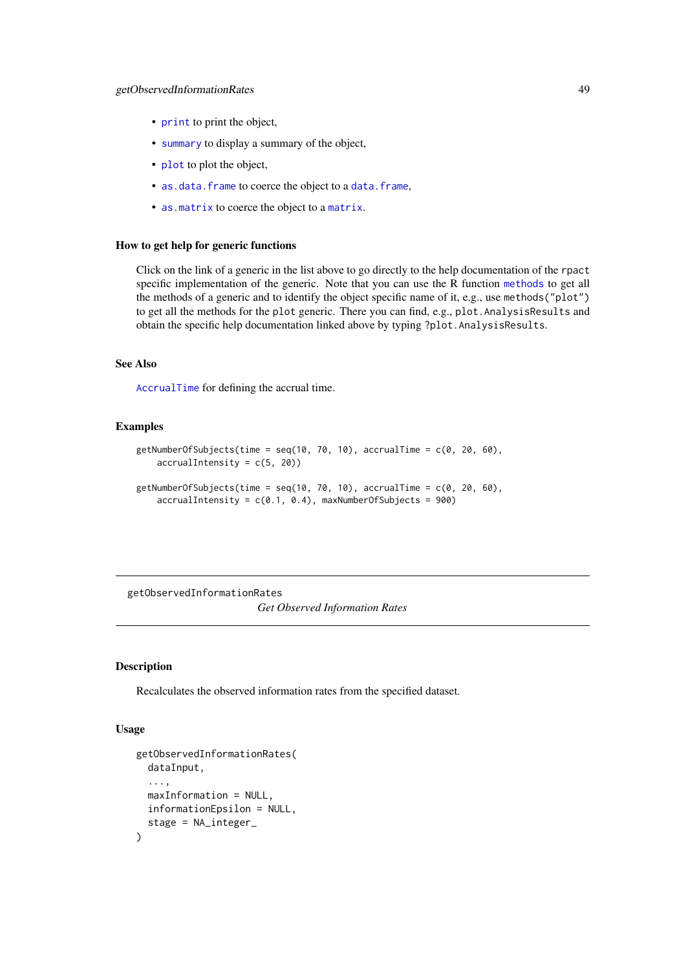- [print](#page-0-0) to print the object,
- [summary](#page-0-0) to display a summary of the object,
- [plot](#page-135-0) to plot the object,
- [as.data.frame](#page-0-0) to coerce the object to a [data.frame](#page-0-0),
- [as.matrix](#page-0-0) to coerce the object to a [matrix](#page-0-0).

## How to get help for generic functions

Click on the link of a generic in the list above to go directly to the help documentation of the rpact specific implementation of the generic. Note that you can use the R function [methods](#page-0-0) to get all the methods of a generic and to identify the object specific name of it, e.g., use methods("plot") to get all the methods for the plot generic. There you can find, e.g., plot.AnalysisResults and obtain the specific help documentation linked above by typing ?plot.AnalysisResults.

## See Also

[AccrualTime](#page-0-0) for defining the accrual time.

#### Examples

```
getNumberOfSubjects(time = seq(10, 70, 10), accrualTime = c(0, 20, 60),
    accrualIntensity = c(5, 20)getNumberOfSubjects(time = seq(10, 70, 10), accrualTime = c(0, 20, 60),
```

```
accrualIntensity = c(0.1, 0.4), maxNumberOfSubjects = 900)
```
getObservedInformationRates *Get Observed Information Rates*

## Description

Recalculates the observed information rates from the specified dataset.

## Usage

```
getObservedInformationRates(
  dataInput,
  ...,
  maxInformation = NULL,
  informationEpsilon = NULL,
  stage = NA_integer_
)
```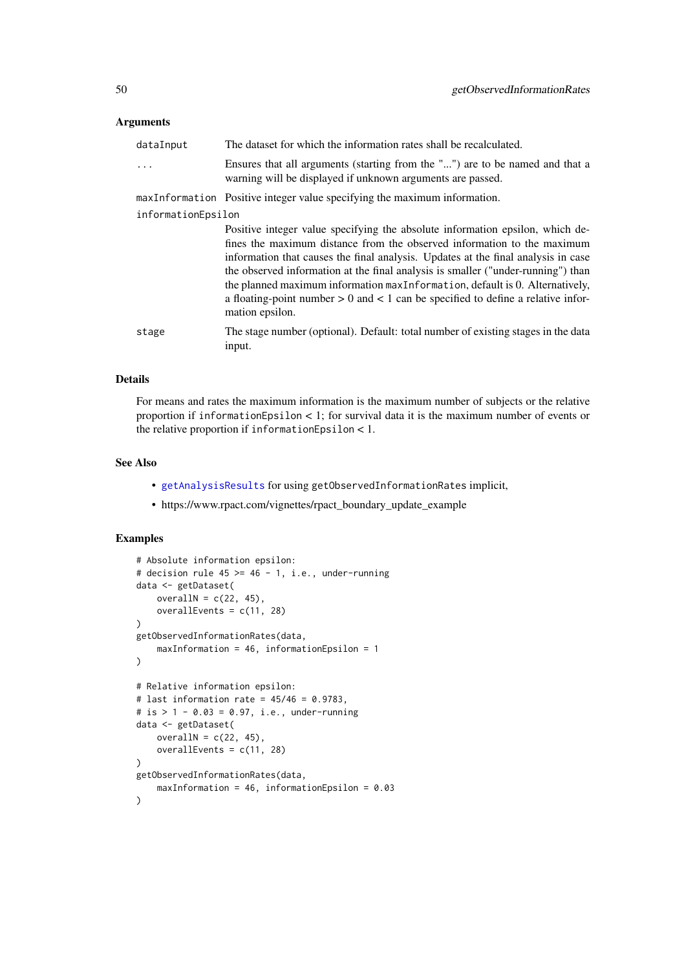### Arguments

| dataInput          | The dataset for which the information rates shall be recalculated.                                                                                                                                                                                                                                                                                                                                                                                                                                                           |
|--------------------|------------------------------------------------------------------------------------------------------------------------------------------------------------------------------------------------------------------------------------------------------------------------------------------------------------------------------------------------------------------------------------------------------------------------------------------------------------------------------------------------------------------------------|
| $\ddots$           | Ensures that all arguments (starting from the "") are to be named and that a<br>warning will be displayed if unknown arguments are passed.                                                                                                                                                                                                                                                                                                                                                                                   |
|                    | maxInformation Positive integer value specifying the maximum information.                                                                                                                                                                                                                                                                                                                                                                                                                                                    |
| informationEpsilon |                                                                                                                                                                                                                                                                                                                                                                                                                                                                                                                              |
|                    | Positive integer value specifying the absolute information epsilon, which de-<br>fines the maximum distance from the observed information to the maximum<br>information that causes the final analysis. Updates at the final analysis in case<br>the observed information at the final analysis is smaller ("under-running") than<br>the planned maximum information maxInformation, default is 0. Alternatively,<br>a floating-point number $> 0$ and $< 1$ can be specified to define a relative infor-<br>mation epsilon. |
| stage              | The stage number (optional). Default: total number of existing stages in the data<br>input.                                                                                                                                                                                                                                                                                                                                                                                                                                  |
|                    |                                                                                                                                                                                                                                                                                                                                                                                                                                                                                                                              |

## Details

For means and rates the maximum information is the maximum number of subjects or the relative proportion if informationEpsilon < 1; for survival data it is the maximum number of events or the relative proportion if informationEpsilon < 1.

## See Also

- [getAnalysisResults](#page-10-0) for using getObservedInformationRates implicit,
- https://www.rpact.com/vignettes/rpact\_boundary\_update\_example

## Examples

```
# Absolute information epsilon:
# decision rule 45 \ge 46 - 1, i.e., under-running
data <- getDataset(
   overallN = c(22, 45),
   overallEvents = c(11, 28)
)
getObservedInformationRates(data,
    maxInformation = 46, informationEpsilon = 1
)
# Relative information epsilon:
# last information rate = 45/46 = 0.9783,
# is > 1 - 0.03 = 0.97, i.e., under-running
data <- getDataset(
   overallN = c(22, 45),
    overallEvents = c(11, 28)
)
getObservedInformationRates(data,
   maxInformation = 46, informationEpsilon = 0.03
)
```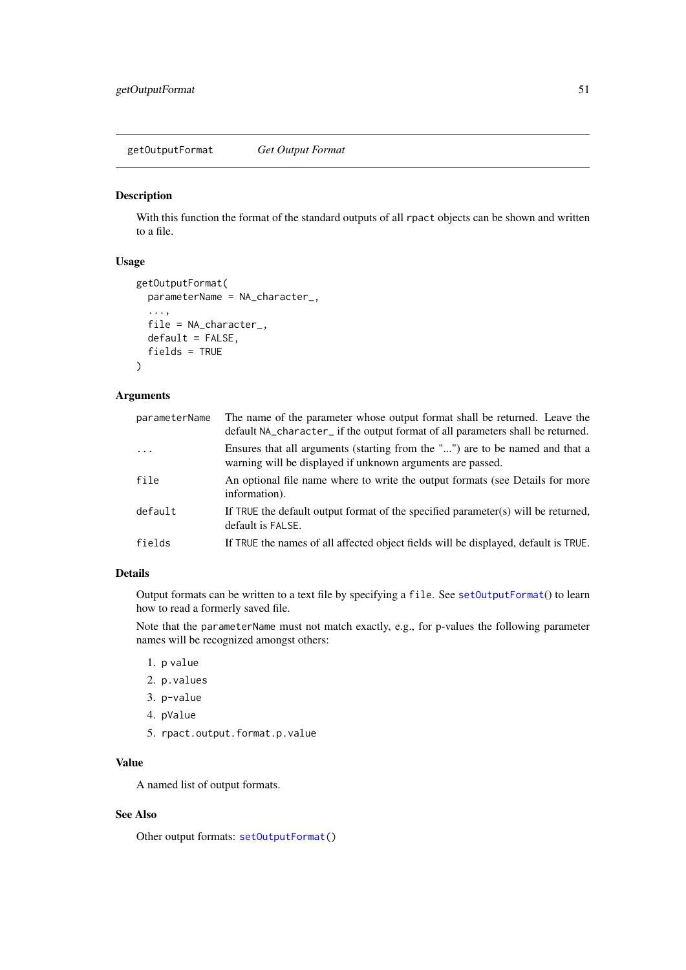getOutputFormat *Get Output Format*

## Description

With this function the format of the standard outputs of all rpact objects can be shown and written to a file.

## Usage

```
getOutputFormat(
  parameterName = NA_character_,
  ...,
  file = NA_character_,
  default = FALSE,fields = TRUE
)
```
## Arguments

| parameterName | The name of the parameter whose output format shall be returned. Leave the<br>default NA_character_ if the output format of all parameters shall be returned. |
|---------------|---------------------------------------------------------------------------------------------------------------------------------------------------------------|
| $\ddotsc$     | Ensures that all arguments (starting from the "") are to be named and that a<br>warning will be displayed if unknown arguments are passed.                    |
| file          | An optional file name where to write the output formats (see Details for more<br>information).                                                                |
| default       | If TRUE the default output format of the specified parameter(s) will be returned,<br>default is FALSE.                                                        |
| fields        | If TRUE the names of all affected object fields will be displayed, default is TRUE.                                                                           |

# Details

Output formats can be written to a text file by specifying a file. See [setOutputFormat](#page-158-0)() to learn how to read a formerly saved file.

Note that the parameterName must not match exactly, e.g., for p-values the following parameter names will be recognized amongst others:

- 1. p value
- 2. p.values
- 3. p-value
- 4. pValue
- 5. rpact.output.format.p.value

## Value

A named list of output formats.

## See Also

Other output formats: [setOutputFormat\(](#page-158-0))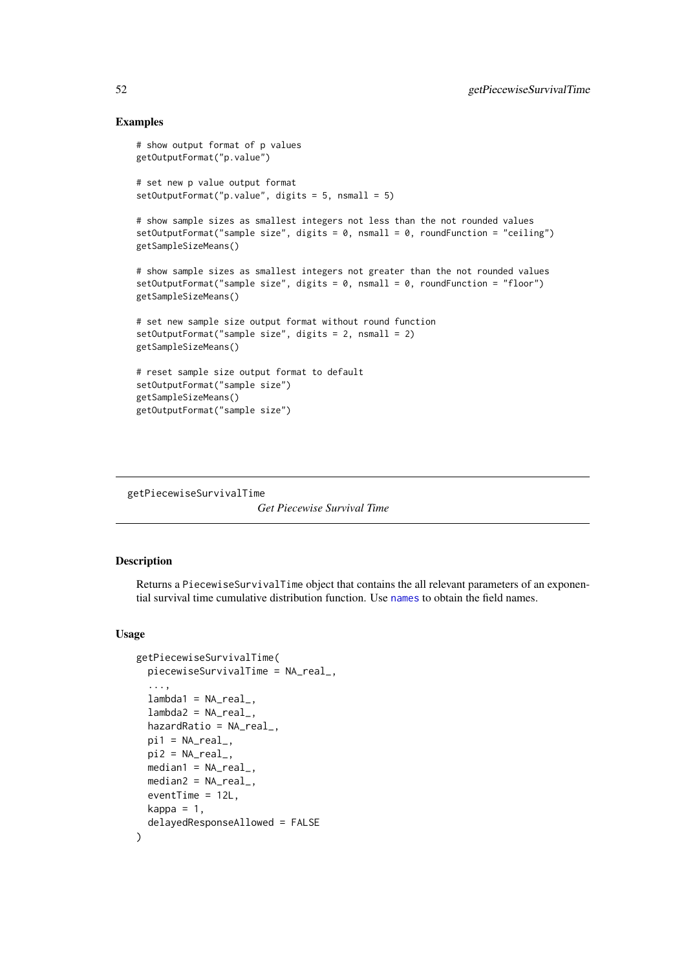### Examples

```
# show output format of p values
getOutputFormat("p.value")
# set new p value output format
setOutputFormat("p.value", digits = 5, nsmall = 5)
# show sample sizes as smallest integers not less than the not rounded values
setOutputFormat("sample size", digits = 0, nsmall = 0, roundFunction = "ceiling")
getSampleSizeMeans()
# show sample sizes as smallest integers not greater than the not rounded values
setOutputFormat("sample size", digits = 0, nsmall = 0, roundFunction = "floor")
getSampleSizeMeans()
# set new sample size output format without round function
setOutputFormat("sample size", digits = 2, nsmall = 2)
getSampleSizeMeans()
# reset sample size output format to default
setOutputFormat("sample size")
getSampleSizeMeans()
getOutputFormat("sample size")
```
<span id="page-51-0"></span>getPiecewiseSurvivalTime

*Get Piecewise Survival Time*

### Description

Returns a PiecewiseSurvivalTime object that contains the all relevant parameters of an exponential survival time cumulative distribution function. Use [names](#page-0-0) to obtain the field names.

### Usage

```
getPiecewiseSurvivalTime(
  piecewiseSurvivalTime = NA_real_,
  ...,
  lambda1 = NA_{real_-,lambda2 = NA_{real_-,hazardRatio = NA_real_,
  pi1 = NA\_real_pi2 = NA\_real_median1 = NA\_real_median2 = NA_{real_-,}eventTime = 12L,
  kappa = 1,
  delayedResponseAllowed = FALSE
)
```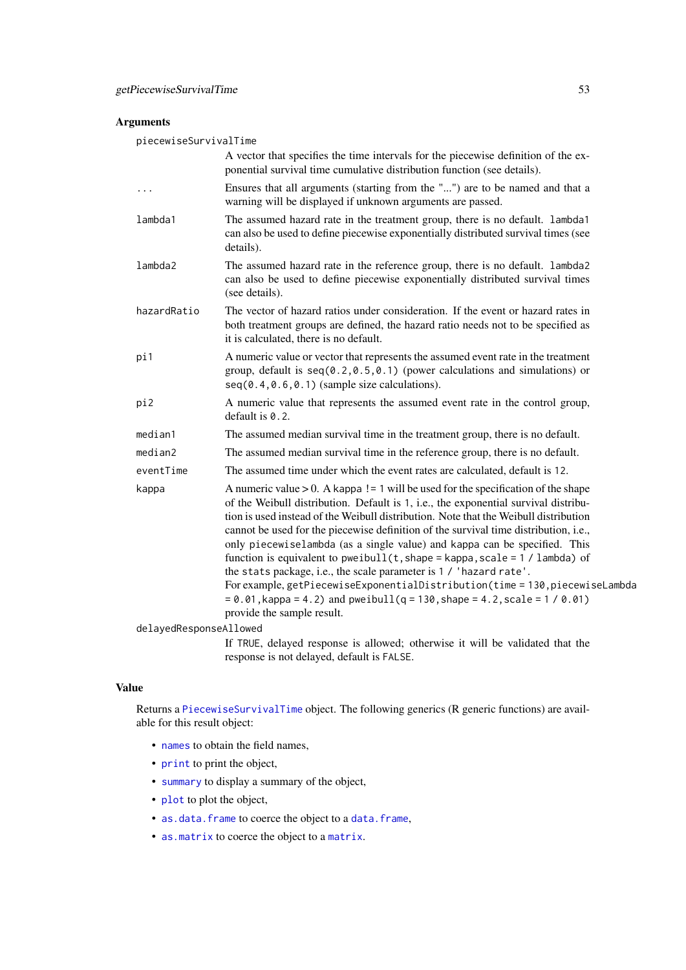## Arguments

piecewiseSurvivalTime

|                        | A vector that specifies the time intervals for the piecewise definition of the ex-<br>ponential survival time cumulative distribution function (see details).                                                                                                                                                                                                                                                                                                                                                                                                                                                                                                                                                                                                      |
|------------------------|--------------------------------------------------------------------------------------------------------------------------------------------------------------------------------------------------------------------------------------------------------------------------------------------------------------------------------------------------------------------------------------------------------------------------------------------------------------------------------------------------------------------------------------------------------------------------------------------------------------------------------------------------------------------------------------------------------------------------------------------------------------------|
| .                      | Ensures that all arguments (starting from the "") are to be named and that a<br>warning will be displayed if unknown arguments are passed.                                                                                                                                                                                                                                                                                                                                                                                                                                                                                                                                                                                                                         |
| lambda1                | The assumed hazard rate in the treatment group, there is no default. lambda1<br>can also be used to define piecewise exponentially distributed survival times (see<br>details).                                                                                                                                                                                                                                                                                                                                                                                                                                                                                                                                                                                    |
| lambda2                | The assumed hazard rate in the reference group, there is no default. lambda2<br>can also be used to define piecewise exponentially distributed survival times<br>(see details).                                                                                                                                                                                                                                                                                                                                                                                                                                                                                                                                                                                    |
| hazardRatio            | The vector of hazard ratios under consideration. If the event or hazard rates in<br>both treatment groups are defined, the hazard ratio needs not to be specified as<br>it is calculated, there is no default.                                                                                                                                                                                                                                                                                                                                                                                                                                                                                                                                                     |
| pi1                    | A numeric value or vector that represents the assumed event rate in the treatment<br>group, default is $seq(0.2, 0.5, 0.1)$ (power calculations and simulations) or<br>$seq(0.4, 0.6, 0.1)$ (sample size calculations).                                                                                                                                                                                                                                                                                                                                                                                                                                                                                                                                            |
| pi2                    | A numeric value that represents the assumed event rate in the control group,<br>default is $0.2$ .                                                                                                                                                                                                                                                                                                                                                                                                                                                                                                                                                                                                                                                                 |
| median1                | The assumed median survival time in the treatment group, there is no default.                                                                                                                                                                                                                                                                                                                                                                                                                                                                                                                                                                                                                                                                                      |
| median2                | The assumed median survival time in the reference group, there is no default.                                                                                                                                                                                                                                                                                                                                                                                                                                                                                                                                                                                                                                                                                      |
| eventTime              | The assumed time under which the event rates are calculated, default is 12.                                                                                                                                                                                                                                                                                                                                                                                                                                                                                                                                                                                                                                                                                        |
| kappa                  | A numeric value $> 0$ . A kappa ! = 1 will be used for the specification of the shape<br>of the Weibull distribution. Default is 1, i.e., the exponential survival distribu-<br>tion is used instead of the Weibull distribution. Note that the Weibull distribution<br>cannot be used for the piecewise definition of the survival time distribution, i.e.,<br>only piecewiselambda (as a single value) and kappa can be specified. This<br>function is equivalent to pweibull( $t$ , shape = kappa, scale = 1 / lambda) of<br>the stats package, i.e., the scale parameter is 1 / 'hazard rate'.<br>For example, getPiecewiseExponentialDistribution(time = 130, piecewiseLambda<br>$= 0.01$ , kappa = 4.2) and pweibull(q = 130, shape = 4.2, scale = 1 / 0.01) |
| delayedResponseAllowed | provide the sample result.                                                                                                                                                                                                                                                                                                                                                                                                                                                                                                                                                                                                                                                                                                                                         |
|                        | If TBUE delayed recogness is allowed: otherwise it will be validated that the                                                                                                                                                                                                                                                                                                                                                                                                                                                                                                                                                                                                                                                                                      |

If TRUE, delayed response is allowed; otherwise it will be validated that the response is not delayed, default is FALSE.

# Value

Returns a [PiecewiseSurvivalTime](#page-0-0) object. The following generics (R generic functions) are available for this result object:

- [names](#page-0-0) to obtain the field names,
- [print](#page-0-0) to print the object,
- [summary](#page-0-0) to display a summary of the object,
- [plot](#page-137-0) to plot the object,
- [as.data.frame](#page-0-0) to coerce the object to a [data.frame](#page-0-0),
- [as.matrix](#page-0-0) to coerce the object to a [matrix](#page-0-0).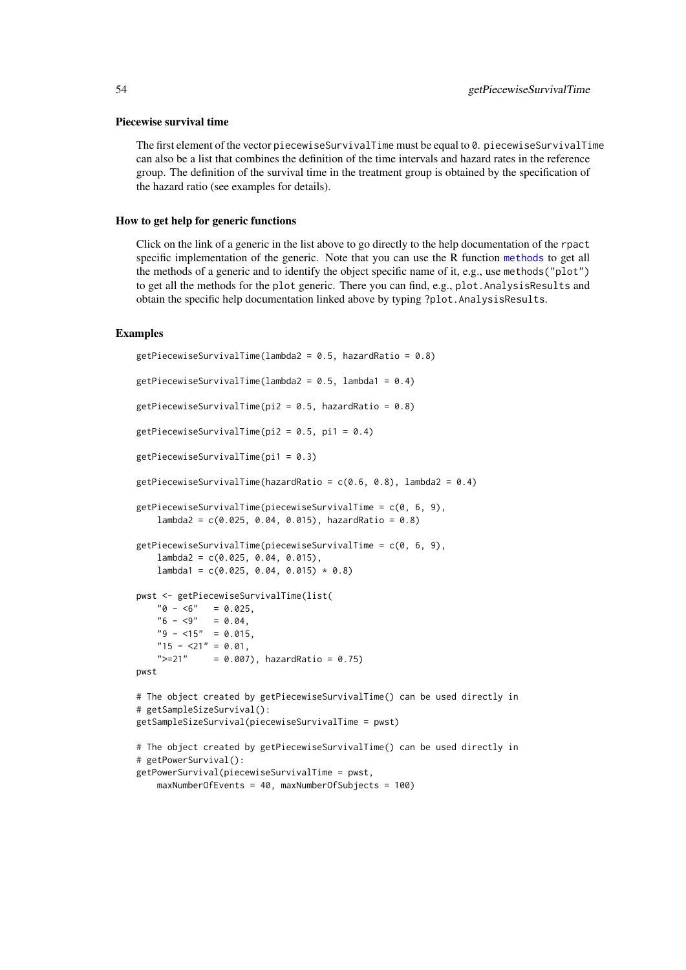#### Piecewise survival time

The first element of the vector piecewiseSurvivalTime must be equal to 0. piecewiseSurvivalTime can also be a list that combines the definition of the time intervals and hazard rates in the reference group. The definition of the survival time in the treatment group is obtained by the specification of the hazard ratio (see examples for details).

## How to get help for generic functions

Click on the link of a generic in the list above to go directly to the help documentation of the rpact specific implementation of the generic. Note that you can use the R function [methods](#page-0-0) to get all the methods of a generic and to identify the object specific name of it, e.g., use methods("plot") to get all the methods for the plot generic. There you can find, e.g., plot.AnalysisResults and obtain the specific help documentation linked above by typing ?plot.AnalysisResults.

#### Examples

```
getPiecewiseSurvivalTime(lambda2 = 0.5, hazardRatio = 0.8)
getPiecewiseSurvivalTime(lambda2 = 0.5, lambda1 = 0.4)
getPiecewiseSurvivalTime(pi2 = 0.5, hazardRatio = 0.8)
getPiecewiseSurvivalTime(pi2 = 0.5, pi1 = 0.4)
getPiecewiseSurvivalTime(pi1 = 0.3)getPiecewiseSurvivalTime(hazardRatio = c(0.6, 0.8), lambda2 = 0.4)
getPiecewiseSurvivalTime(piecewiseSurvivalTime = c(0, 6, 9),
    lambda2 = c(0.025, 0.04, 0.015), hazardRatio = 0.8)
getPiecewiseSurvivalTime(piecewiseSurvivalTime = c(0, 6, 9),
    lambda2 = c(0.025, 0.04, 0.015),
    lambda1 = c(0.025, 0.04, 0.015) * 0.8)pwst <- getPiecewiseSurvivalTime(list(
    "0 - 6" = 0.025,"6 - <9" = 0.04,"9 - 15" = 0.015,
    "15 - 21" = 0.01,">=21" = 0.007, hazardRatio = 0.75)
pwst
# The object created by getPiecewiseSurvivalTime() can be used directly in
# getSampleSizeSurvival():
getSampleSizeSurvival(piecewiseSurvivalTime = pwst)
# The object created by getPiecewiseSurvivalTime() can be used directly in
# getPowerSurvival():
getPowerSurvival(piecewiseSurvivalTime = pwst,
    maxNumberOfEvents = 40, maxNumberOfSubjects = 100)
```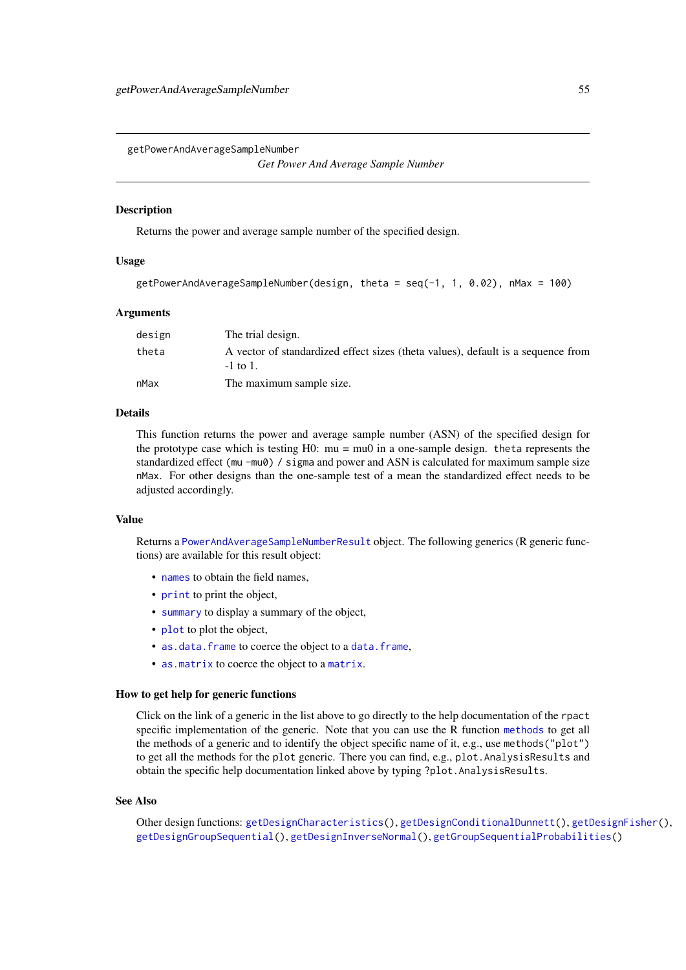*Get Power And Average Sample Number*

#### <span id="page-54-0"></span>Description

Returns the power and average sample number of the specified design.

### Usage

```
getPowerAndAverageSampleNumber(design, theta = seq(-1, 1, 0.02), nMax = 100)
```
#### Arguments

| design | The trial design.                                                                                 |
|--------|---------------------------------------------------------------------------------------------------|
| theta  | A vector of standardized effect sizes (theta values), default is a sequence from<br>$-1$ to $1$ . |
| nMax   | The maximum sample size.                                                                          |

#### Details

This function returns the power and average sample number (ASN) of the specified design for the prototype case which is testing  $H0$ :  $mu = mu0$  in a one-sample design. theta represents the standardized effect (mu -mu0) / sigma and power and ASN is calculated for maximum sample size nMax. For other designs than the one-sample test of a mean the standardized effect needs to be adjusted accordingly.

#### Value

Returns a [PowerAndAverageSampleNumberResult](#page-0-0) object. The following generics (R generic functions) are available for this result object:

- [names](#page-0-0) to obtain the field names,
- [print](#page-0-0) to print the object,
- [summary](#page-0-0) to display a summary of the object,
- [plot](#page-137-0) to plot the object,
- [as.data.frame](#page-0-0) to coerce the object to a [data.frame](#page-0-0),
- [as.matrix](#page-0-0) to coerce the object to a [matrix](#page-0-0).

### How to get help for generic functions

Click on the link of a generic in the list above to go directly to the help documentation of the rpact specific implementation of the generic. Note that you can use the R function [methods](#page-0-0) to get all the methods of a generic and to identify the object specific name of it, e.g., use methods("plot") to get all the methods for the plot generic. There you can find, e.g., plot.AnalysisResults and obtain the specific help documentation linked above by typing ?plot.AnalysisResults.

#### See Also

Other design functions: [getDesignCharacteristics\(](#page-27-0)), [getDesignConditionalDunnett\(](#page-29-0)), [getDesignFisher\(](#page-30-0)), [getDesignGroupSequential\(](#page-32-0)), [getDesignInverseNormal\(](#page-35-0)), [getGroupSequentialProbabilities\(](#page-45-0))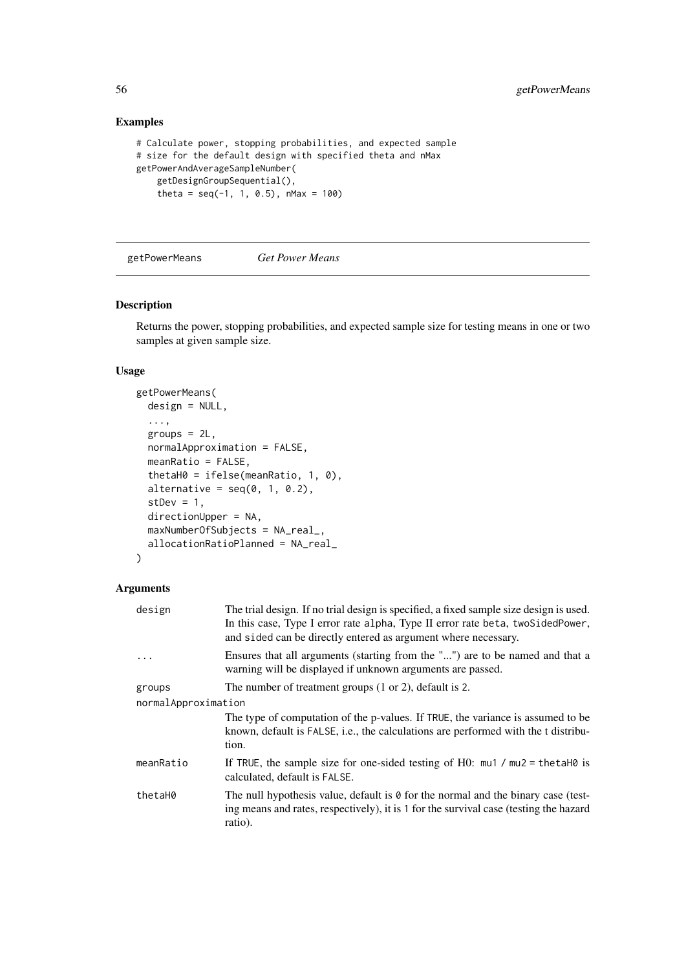## Examples

```
# Calculate power, stopping probabilities, and expected sample
# size for the default design with specified theta and nMax
getPowerAndAverageSampleNumber(
    getDesignGroupSequential(),
    theta = seq(-1, 1, 0.5), nMax = 100)
```
<span id="page-55-0"></span>getPowerMeans *Get Power Means*

## Description

Returns the power, stopping probabilities, and expected sample size for testing means in one or two samples at given sample size.

# Usage

```
getPowerMeans(
  design = NULL,
  ...,
  groups = 2L,
  normalApproximation = FALSE,
  meanRatio = FALSE,
  thetaH0 = ifelse(meanRatio, 1, 0),
  alternative = seq(0, 1, 0.2),
  stDev = 1,directionUpper = NA,
  maxNumberOfSubjects = NA_real_,
  allocationRatioPlanned = NA_real_
)
```
### Arguments

| design              | The trial design. If no trial design is specified, a fixed sample size design is used.<br>In this case, Type I error rate alpha, Type II error rate beta, two SidedPower,<br>and sided can be directly entered as argument where necessary. |
|---------------------|---------------------------------------------------------------------------------------------------------------------------------------------------------------------------------------------------------------------------------------------|
|                     | Ensures that all arguments (starting from the "") are to be named and that a<br>warning will be displayed if unknown arguments are passed.                                                                                                  |
| groups              | The number of treatment groups $(1 \text{ or } 2)$ , default is 2.                                                                                                                                                                          |
| normalApproximation |                                                                                                                                                                                                                                             |
|                     | The type of computation of the p-values. If TRUE, the variance is assumed to be<br>known, default is FALSE, i.e., the calculations are performed with the t distribu-<br>tion.                                                              |
| meanRatio           | If TRUE, the sample size for one-sided testing of H0: $mu1 / mu2 = \text{theta}$ is<br>calculated, default is FALSE.                                                                                                                        |
| thetaH0             | The null hypothesis value, default is $\theta$ for the normal and the binary case (test-<br>ing means and rates, respectively), it is 1 for the survival case (testing the hazard<br>ratio).                                                |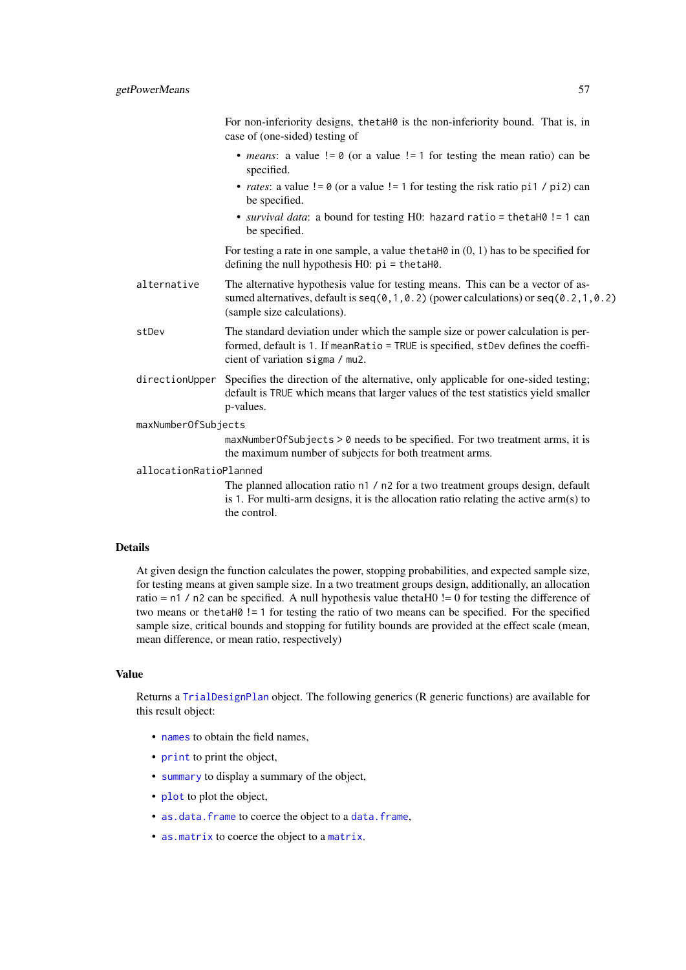For non-inferiority designs, thetaH0 is the non-inferiority bound. That is, in case of (one-sided) testing of

- *means*: a value  $!= 0$  (or a value  $!= 1$  for testing the mean ratio) can be specified.
- *rates*: a value  $!= 0$  (or a value  $!= 1$  for testing the risk ratio pi1 / pi2) can be specified.
- *survival data*: a bound for testing H0: hazard ratio = thetaH0 != 1 can be specified.

For testing a rate in one sample, a value thetaH $\theta$  in  $(0, 1)$  has to be specified for defining the null hypothesis H0: pi = thetaH0.

alternative The alternative hypothesis value for testing means. This can be a vector of assumed alternatives, default is  $seq(0,1,0.2)$  (power calculations) or  $seq(0.2,1,0.2)$ (sample size calculations).

## stDev The standard deviation under which the sample size or power calculation is performed, default is 1. If meanRatio = TRUE is specified, stDev defines the coefficient of variation sigma / mu2.

directionUpper Specifies the direction of the alternative, only applicable for one-sided testing; default is TRUE which means that larger values of the test statistics yield smaller p-values.

### maxNumberOfSubjects

maxNumberOfSubjects > 0 needs to be specified. For two treatment arms, it is the maximum number of subjects for both treatment arms.

#### allocationRatioPlanned

The planned allocation ratio n1 / n2 for a two treatment groups design, default is 1. For multi-arm designs, it is the allocation ratio relating the active arm(s) to the control.

## Details

At given design the function calculates the power, stopping probabilities, and expected sample size, for testing means at given sample size. In a two treatment groups design, additionally, an allocation ratio =  $n1 / n2$  can be specified. A null hypothesis value thetaH0 != 0 for testing the difference of two means or thetaH0 != 1 for testing the ratio of two means can be specified. For the specified sample size, critical bounds and stopping for futility bounds are provided at the effect scale (mean, mean difference, or mean ratio, respectively)

### Value

Returns a [TrialDesignPlan](#page-0-0) object. The following generics (R generic functions) are available for this result object:

- [names](#page-0-0) to obtain the field names.
- [print](#page-0-0) to print the object,
- [summary](#page-0-0) to display a summary of the object,
- [plot](#page-146-0) to plot the object,
- [as.data.frame](#page-0-0) to coerce the object to a [data.frame](#page-0-0),
- [as.matrix](#page-0-0) to coerce the object to a [matrix](#page-0-0).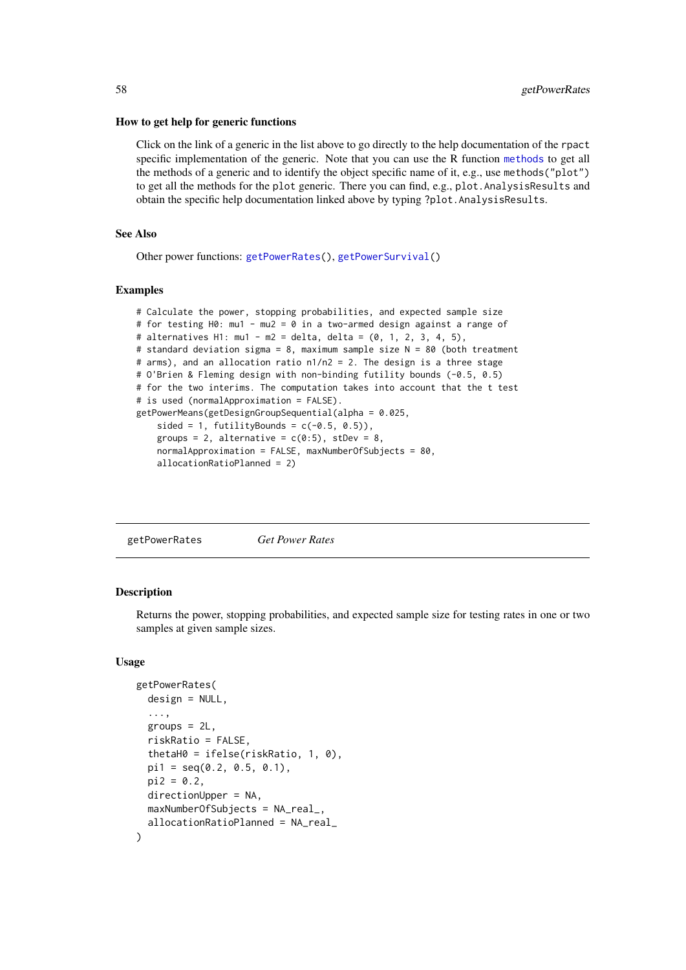#### How to get help for generic functions

Click on the link of a generic in the list above to go directly to the help documentation of the rpact specific implementation of the generic. Note that you can use the R function [methods](#page-0-0) to get all the methods of a generic and to identify the object specific name of it, e.g., use methods("plot") to get all the methods for the plot generic. There you can find, e.g., plot.AnalysisResults and obtain the specific help documentation linked above by typing ?plot.AnalysisResults.

## See Also

Other power functions: [getPowerRates\(](#page-57-0)), [getPowerSurvival\(](#page-60-0))

#### Examples

```
# Calculate the power, stopping probabilities, and expected sample size
# for testing H0: mu1 - mu2 = 0 in a two-armed design against a range of
# alternatives H1: mu1 - m2 = delta, delta = (0, 1, 2, 3, 4, 5),
# standard deviation sigma = 8, maximum sample size N = 80 (both treatment
# arms), and an allocation ratio n1/n2 = 2. The design is a three stage
# O'Brien & Fleming design with non-binding futility bounds (-0.5, 0.5)
# for the two interims. The computation takes into account that the t test
# is used (normalApproximation = FALSE).
getPowerMeans(getDesignGroupSequential(alpha = 0.025,
    sided = 1, futilityBounds = c(-0.5, 0.5),
    groups = 2, alternative = c(0:5), stDev = 8,
    normalApproximation = FALSE, maxNumberOfSubjects = 80,
    allocationRatioPlanned = 2)
```
<span id="page-57-0"></span>getPowerRates *Get Power Rates*

### Description

Returns the power, stopping probabilities, and expected sample size for testing rates in one or two samples at given sample sizes.

#### Usage

```
getPowerRates(
  design = NULL,
  ...,
  groups = 2L,
  riskRatio = FALSE,
  thetaH0 = ifelse(riskRatio, 1, 0),
  pi1 = seq(0.2, 0.5, 0.1),
  pi2 = 0.2,
  directionUpper = NA,
  maxNumberOfSubjects = NA_real_,
  allocationRatioPlanned = NA_real_
)
```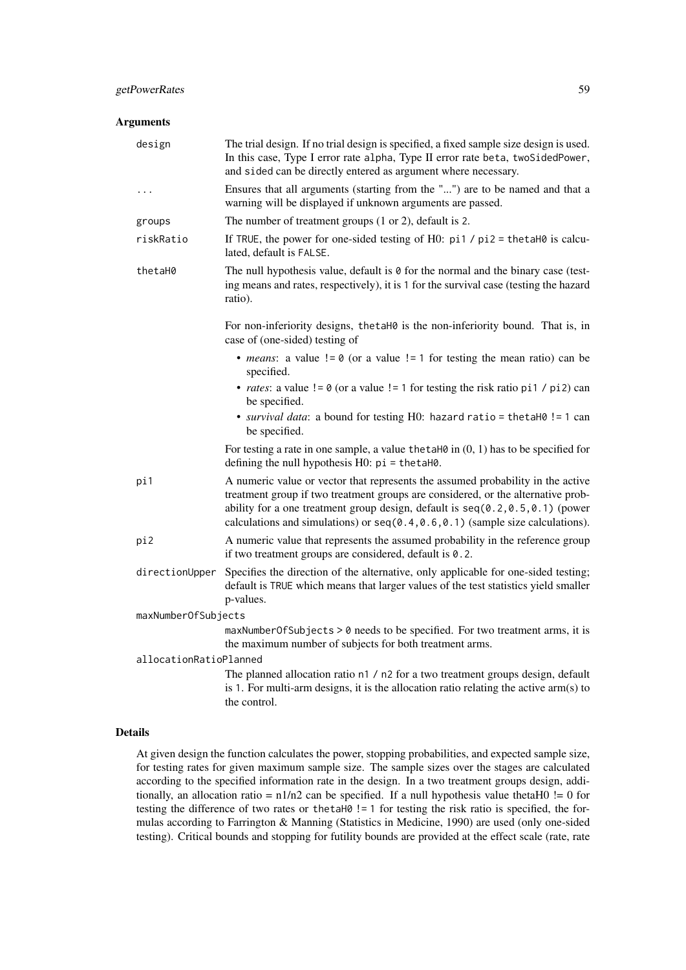# Arguments

| design                 | The trial design. If no trial design is specified, a fixed sample size design is used.<br>In this case, Type I error rate alpha, Type II error rate beta, twoSidedPower,<br>and sided can be directly entered as argument where necessary.                                                                                                   |
|------------------------|----------------------------------------------------------------------------------------------------------------------------------------------------------------------------------------------------------------------------------------------------------------------------------------------------------------------------------------------|
| $\ddotsc$              | Ensures that all arguments (starting from the "") are to be named and that a<br>warning will be displayed if unknown arguments are passed.                                                                                                                                                                                                   |
| groups                 | The number of treatment groups $(1 or 2)$ , default is 2.                                                                                                                                                                                                                                                                                    |
| riskRatio              | If TRUE, the power for one-sided testing of H0: $pi1 / pi2 = \text{thet}4H0$ is calcu-<br>lated, default is FALSE.                                                                                                                                                                                                                           |
| thetaH0                | The null hypothesis value, default is 0 for the normal and the binary case (test-<br>ing means and rates, respectively), it is 1 for the survival case (testing the hazard<br>ratio).                                                                                                                                                        |
|                        | For non-inferiority designs, the taho is the non-inferiority bound. That is, in<br>case of (one-sided) testing of                                                                                                                                                                                                                            |
|                        | • <i>means</i> : a value $!= 0$ (or a value $!= 1$ for testing the mean ratio) can be<br>specified.                                                                                                                                                                                                                                          |
|                        | • <i>rates</i> : a value $!= 0$ (or a value $!= 1$ for testing the risk ratio pi1 / pi2) can<br>be specified.                                                                                                                                                                                                                                |
|                        | • survival data: a bound for testing H0: hazard ratio = thetaH0 != 1 can<br>be specified.                                                                                                                                                                                                                                                    |
|                        | For testing a rate in one sample, a value the taH $\theta$ in $(0, 1)$ has to be specified for<br>defining the null hypothesis $H0$ : $pi = \text{thetaH0}$ .                                                                                                                                                                                |
| pi1                    | A numeric value or vector that represents the assumed probability in the active<br>treatment group if two treatment groups are considered, or the alternative prob-<br>ability for a one treatment group design, default is $seq(0.2, 0.5, 0.1)$ (power<br>calculations and simulations) or $seq(0.4, 0.6, 0.1)$ (sample size calculations). |
| pi2                    | A numeric value that represents the assumed probability in the reference group<br>if two treatment groups are considered, default is 0.2.                                                                                                                                                                                                    |
| directionUpper         | Specifies the direction of the alternative, only applicable for one-sided testing;<br>default is TRUE which means that larger values of the test statistics yield smaller<br>p-values.                                                                                                                                                       |
| maxNumberOfSubjects    |                                                                                                                                                                                                                                                                                                                                              |
|                        | maxNumberOfSubjects > 0 needs to be specified. For two treatment arms, it is<br>the maximum number of subjects for both treatment arms.                                                                                                                                                                                                      |
| allocationRatioPlanned |                                                                                                                                                                                                                                                                                                                                              |
|                        | The planned allocation ratio n1 / n2 for a two treatment groups design, default<br>is 1. For multi-arm designs, it is the allocation ratio relating the active arm(s) to<br>the control.                                                                                                                                                     |

# Details

At given design the function calculates the power, stopping probabilities, and expected sample size, for testing rates for given maximum sample size. The sample sizes over the stages are calculated according to the specified information rate in the design. In a two treatment groups design, additionally, an allocation ratio =  $n1/n2$  can be specified. If a null hypothesis value thetaH0 != 0 for testing the difference of two rates or thetaH0 != 1 for testing the risk ratio is specified, the formulas according to Farrington & Manning (Statistics in Medicine, 1990) are used (only one-sided testing). Critical bounds and stopping for futility bounds are provided at the effect scale (rate, rate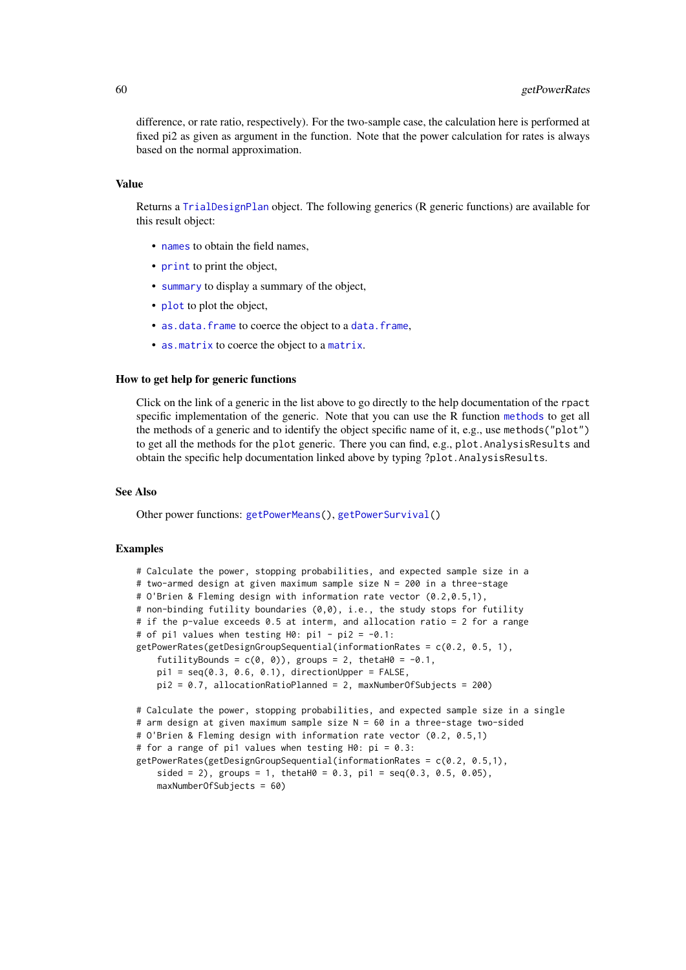difference, or rate ratio, respectively). For the two-sample case, the calculation here is performed at fixed pi2 as given as argument in the function. Note that the power calculation for rates is always based on the normal approximation.

### Value

Returns a [TrialDesignPlan](#page-0-0) object. The following generics (R generic functions) are available for this result object:

- [names](#page-0-0) to obtain the field names,
- [print](#page-0-0) to print the object,
- [summary](#page-0-0) to display a summary of the object,
- [plot](#page-146-0) to plot the object,
- [as.data.frame](#page-0-0) to coerce the object to a [data.frame](#page-0-0),
- [as.matrix](#page-0-0) to coerce the object to a [matrix](#page-0-0).

#### How to get help for generic functions

Click on the link of a generic in the list above to go directly to the help documentation of the rpact specific implementation of the generic. Note that you can use the R function [methods](#page-0-0) to get all the methods of a generic and to identify the object specific name of it, e.g., use methods("plot") to get all the methods for the plot generic. There you can find, e.g., plot. AnalysisResults and obtain the specific help documentation linked above by typing ?plot.AnalysisResults.

### See Also

Other power functions: [getPowerMeans\(](#page-55-0)), [getPowerSurvival\(](#page-60-0))

#### Examples

```
# Calculate the power, stopping probabilities, and expected sample size in a
# two-armed design at given maximum sample size N = 200 in a three-stage
# O'Brien & Fleming design with information rate vector (0.2,0.5,1),
# non-binding futility boundaries (0,0), i.e., the study stops for futility
# if the p-value exceeds 0.5 at interm, and allocation ratio = 2 for a range
# of pi1 values when testing H0: pi1 - pi2 = -0.1:
getPowerRates(getDesignGroupSequential(information Rates = c(0.2, 0.5, 1)),futilityBounds = c(\emptyset, \emptyset), groups = 2, thetaH\emptyset = -\emptyset.1,
    pi1 = seq(0.3, 0.6, 0.1), directionUpper = FALSE,
    pi2 = 0.7, allocationRatioPlanned = 2, maxNumberOfSubjects = 200)
# Calculate the power, stopping probabilities, and expected sample size in a single
# arm design at given maximum sample size N = 60 in a three-stage two-sided
# O'Brien & Fleming design with information rate vector (0.2, 0.5,1)
# for a range of pi1 values when testing H0: pi = 0.3:
getPowerRates(getDesignGroupSequential(informationRates = c(0.2, 0.5,1),
    sided = 2), groups = 1, thetaH0 = 0.3, pi1 = seq(0.3, 0.5, 0.05),
    maxNumberOfSubjects = 60)
```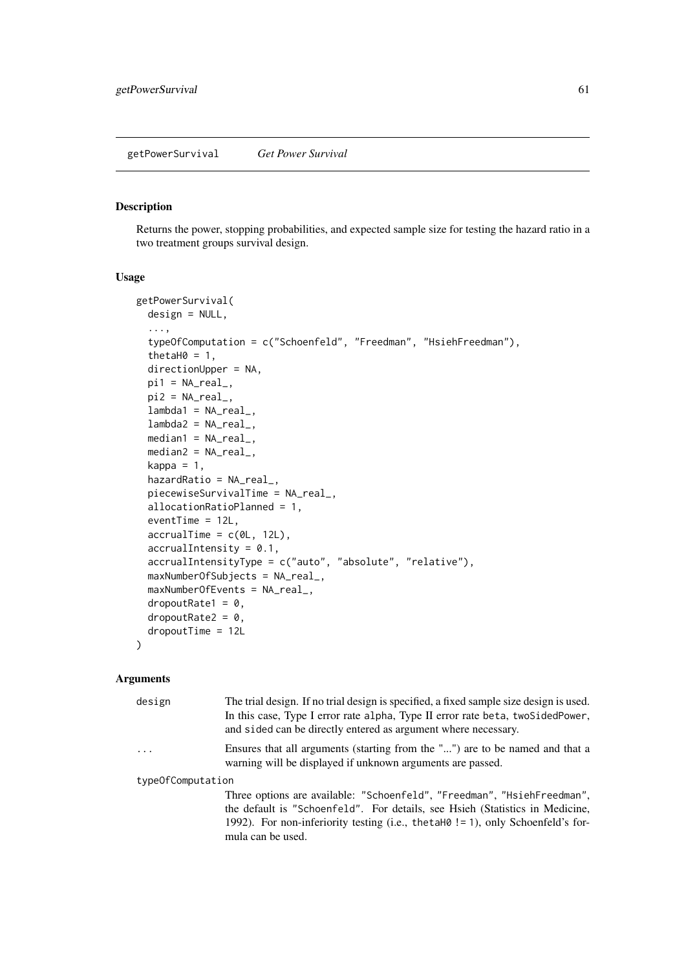### <span id="page-60-0"></span>Description

Returns the power, stopping probabilities, and expected sample size for testing the hazard ratio in a two treatment groups survival design.

#### Usage

```
getPowerSurvival(
 design = NULL,
  ...,
  typeOfComputation = c("Schoenfeld", "Freedman", "HsiehFreedman"),
  thetaH0 = 1,
 directionUpper = NA,
 pi1 = NA\_real_pi2 = NA\_real_lambda1 = NA_{real_lambda2 = NA_{real_-,median1 = NA\_real_median2 = NA_{real_kappa = 1.
 hazardRatio = NA_real_,
 piecewiseSurvivalTime = NA_real_,
 allocationRatioPlanned = 1,
 eventTime = 12L,
 accrualTime = c(0L, 12L),
 accrualIntensity = 0.1,
 accrualIntensityType = c("auto", "absolute", "relative"),
 maxNumberOfSubjects = NA_real_,
 maxNumberOfEvents = NA_real_,
 droputRate1 = 0,droputRate2 = 0,
 dropoutTime = 12L
)
```
#### Arguments

| design                  | The trial design. If no trial design is specified, a fixed sample size design is used.<br>In this case, Type I error rate alpha, Type II error rate beta, two SidedPower,<br>and sided can be directly entered as argument where necessary. |
|-------------------------|---------------------------------------------------------------------------------------------------------------------------------------------------------------------------------------------------------------------------------------------|
| $\cdot$ $\cdot$ $\cdot$ | Ensures that all arguments (starting from the "") are to be named and that a<br>warning will be displayed if unknown arguments are passed.                                                                                                  |
| typeOfComputation       |                                                                                                                                                                                                                                             |

Three options are available: "Schoenfeld", "Freedman", "HsiehFreedman", the default is "Schoenfeld". For details, see Hsieh (Statistics in Medicine, 1992). For non-inferiority testing (i.e., thetaH0 != 1), only Schoenfeld's formula can be used.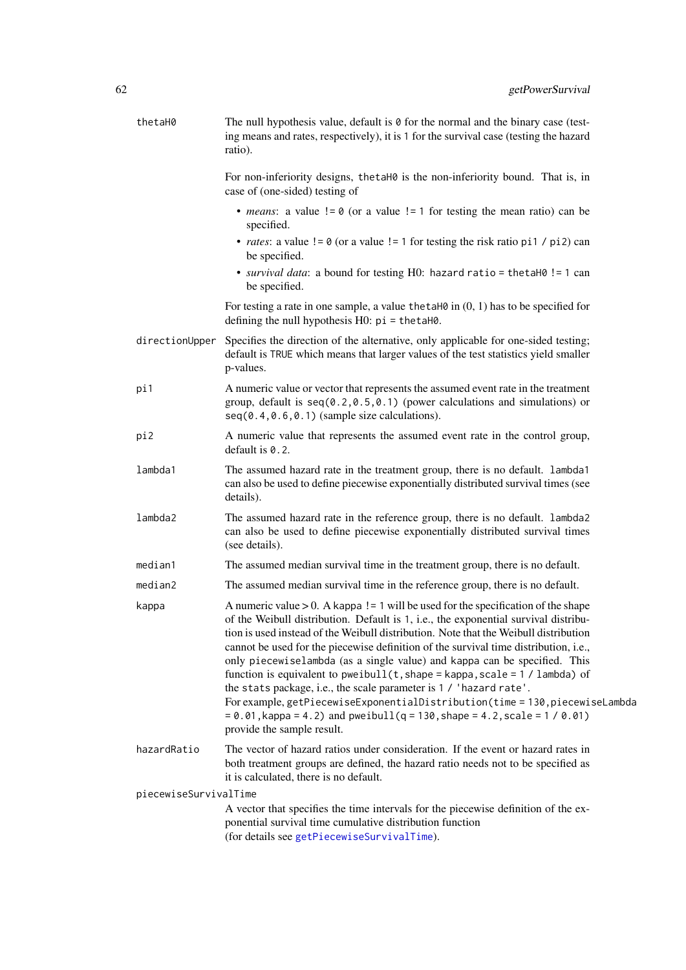| thetaH0               | The null hypothesis value, default is $\theta$ for the normal and the binary case (test-<br>ing means and rates, respectively), it is 1 for the survival case (testing the hazard<br>ratio).                                                                                                                                                                                                                                                                                                                                                                                                                                                                                                                                                                                                       |
|-----------------------|----------------------------------------------------------------------------------------------------------------------------------------------------------------------------------------------------------------------------------------------------------------------------------------------------------------------------------------------------------------------------------------------------------------------------------------------------------------------------------------------------------------------------------------------------------------------------------------------------------------------------------------------------------------------------------------------------------------------------------------------------------------------------------------------------|
|                       | For non-inferiority designs, thetaH0 is the non-inferiority bound. That is, in<br>case of (one-sided) testing of                                                                                                                                                                                                                                                                                                                                                                                                                                                                                                                                                                                                                                                                                   |
|                       | • <i>means</i> : a value $!= 0$ (or a value $!= 1$ for testing the mean ratio) can be<br>specified.                                                                                                                                                                                                                                                                                                                                                                                                                                                                                                                                                                                                                                                                                                |
|                       | • <i>rates</i> : a value $!= 0$ (or a value $!= 1$ for testing the risk ratio pi1 / pi2) can<br>be specified.                                                                                                                                                                                                                                                                                                                                                                                                                                                                                                                                                                                                                                                                                      |
|                       | • survival data: a bound for testing H0: hazard ratio = thetaH0 != 1 can<br>be specified.                                                                                                                                                                                                                                                                                                                                                                                                                                                                                                                                                                                                                                                                                                          |
|                       | For testing a rate in one sample, a value the talled in $(0, 1)$ has to be specified for<br>defining the null hypothesis $H0$ : $pi = \text{thetaH0}$ .                                                                                                                                                                                                                                                                                                                                                                                                                                                                                                                                                                                                                                            |
| directionUpper        | Specifies the direction of the alternative, only applicable for one-sided testing;<br>default is TRUE which means that larger values of the test statistics yield smaller<br>p-values.                                                                                                                                                                                                                                                                                                                                                                                                                                                                                                                                                                                                             |
| pi1                   | A numeric value or vector that represents the assumed event rate in the treatment<br>group, default is $seq(0.2, 0.5, 0.1)$ (power calculations and simulations) or<br>$seq(0.4, 0.6, 0.1)$ (sample size calculations).                                                                                                                                                                                                                                                                                                                                                                                                                                                                                                                                                                            |
| pi2                   | A numeric value that represents the assumed event rate in the control group,<br>default is 0.2.                                                                                                                                                                                                                                                                                                                                                                                                                                                                                                                                                                                                                                                                                                    |
| lambda1               | The assumed hazard rate in the treatment group, there is no default. lambda1<br>can also be used to define piecewise exponentially distributed survival times (see<br>details).                                                                                                                                                                                                                                                                                                                                                                                                                                                                                                                                                                                                                    |
| lambda2               | The assumed hazard rate in the reference group, there is no default. lambda2<br>can also be used to define piecewise exponentially distributed survival times<br>(see details).                                                                                                                                                                                                                                                                                                                                                                                                                                                                                                                                                                                                                    |
| median1               | The assumed median survival time in the treatment group, there is no default.                                                                                                                                                                                                                                                                                                                                                                                                                                                                                                                                                                                                                                                                                                                      |
| median2               | The assumed median survival time in the reference group, there is no default.                                                                                                                                                                                                                                                                                                                                                                                                                                                                                                                                                                                                                                                                                                                      |
| kappa                 | A numeric value $> 0$ . A kappa ! = 1 will be used for the specification of the shape<br>of the Weibull distribution. Default is 1, i.e., the exponential survival distribu-<br>tion is used instead of the Weibull distribution. Note that the Weibull distribution<br>cannot be used for the piecewise definition of the survival time distribution, i.e.,<br>only piecewiselambda (as a single value) and kappa can be specified. This<br>function is equivalent to pweibull( $t$ , shape = kappa, scale = $1 /$ lambda) of<br>the stats package, i.e., the scale parameter is 1 / 'hazard rate'.<br>For example, getPiecewiseExponentialDistribution(time = 130, piecewiseLambda<br>$= 0.01$ , kappa = 4.2) and pweibull(q = 130, shape = 4.2, scale = 1 / 0.01)<br>provide the sample result. |
| hazardRatio           | The vector of hazard ratios under consideration. If the event or hazard rates in<br>both treatment groups are defined, the hazard ratio needs not to be specified as<br>it is calculated, there is no default.                                                                                                                                                                                                                                                                                                                                                                                                                                                                                                                                                                                     |
| piecewiseSurvivalTime |                                                                                                                                                                                                                                                                                                                                                                                                                                                                                                                                                                                                                                                                                                                                                                                                    |
|                       | A vector that specifies the time intervals for the piecewise definition of the ex-<br>ponential survival time cumulative distribution function<br>(for details see getPiecewiseSurvivalTime).                                                                                                                                                                                                                                                                                                                                                                                                                                                                                                                                                                                                      |
|                       |                                                                                                                                                                                                                                                                                                                                                                                                                                                                                                                                                                                                                                                                                                                                                                                                    |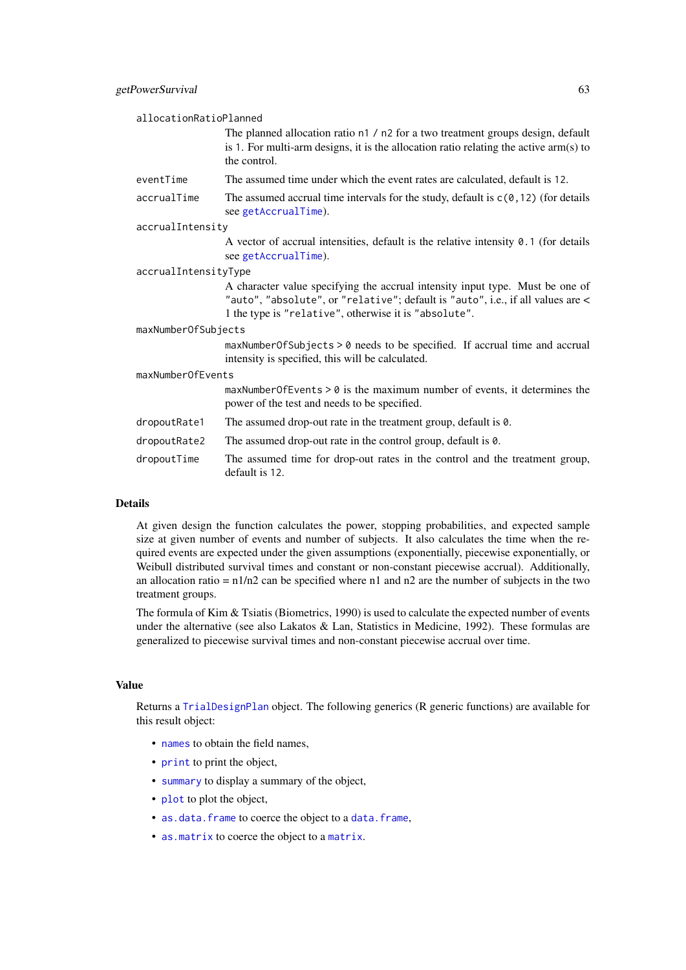| allocationRatioPlanned |                                                                                                                                                                                                                           |
|------------------------|---------------------------------------------------------------------------------------------------------------------------------------------------------------------------------------------------------------------------|
|                        | The planned allocation ratio n1 / n2 for a two treatment groups design, default<br>is 1. For multi-arm designs, it is the allocation ratio relating the active arm(s) to<br>the control.                                  |
| eventTime              | The assumed time under which the event rates are calculated, default is 12.                                                                                                                                               |
| accrualTime            | The assumed accrual time intervals for the study, default is $c(0, 12)$ (for details<br>see getAccrualTime).                                                                                                              |
| accrualIntensity       |                                                                                                                                                                                                                           |
|                        | A vector of accrual intensities, default is the relative intensity $0.1$ (for details<br>see getAccrualTime).                                                                                                             |
| accrualIntensityType   |                                                                                                                                                                                                                           |
|                        | A character value specifying the accrual intensity input type. Must be one of<br>"auto", "absolute", or "relative"; default is "auto", i.e., if all values are <<br>1 the type is "relative", otherwise it is "absolute". |
| maxNumberOfSubjects    |                                                                                                                                                                                                                           |
|                        | maxNumberOfSubjects > 0 needs to be specified. If accrual time and accrual<br>intensity is specified, this will be calculated.                                                                                            |
| maxNumberOfEvents      |                                                                                                                                                                                                                           |
|                        | $maxNumberOfEvents > 0$ is the maximum number of events, it determines the<br>power of the test and needs to be specified.                                                                                                |
| dropoutRate1           | The assumed drop-out rate in the treatment group, default is $\theta$ .                                                                                                                                                   |
| dropoutRate2           | The assumed drop-out rate in the control group, default is $\theta$ .                                                                                                                                                     |
| dropoutTime            | The assumed time for drop-out rates in the control and the treatment group,<br>default is 12.                                                                                                                             |
|                        |                                                                                                                                                                                                                           |

## Details

At given design the function calculates the power, stopping probabilities, and expected sample size at given number of events and number of subjects. It also calculates the time when the required events are expected under the given assumptions (exponentially, piecewise exponentially, or Weibull distributed survival times and constant or non-constant piecewise accrual). Additionally, an allocation ratio =  $n1/n2$  can be specified where n1 and n2 are the number of subjects in the two treatment groups.

The formula of Kim & Tsiatis (Biometrics, 1990) is used to calculate the expected number of events under the alternative (see also Lakatos & Lan, Statistics in Medicine, 1992). These formulas are generalized to piecewise survival times and non-constant piecewise accrual over time.

## Value

Returns a [TrialDesignPlan](#page-0-0) object. The following generics (R generic functions) are available for this result object:

- [names](#page-0-0) to obtain the field names.
- [print](#page-0-0) to print the object,
- [summary](#page-0-0) to display a summary of the object,
- [plot](#page-146-0) to plot the object,
- [as.data.frame](#page-0-0) to coerce the object to a [data.frame](#page-0-0),
- [as.matrix](#page-0-0) to coerce the object to a [matrix](#page-0-0).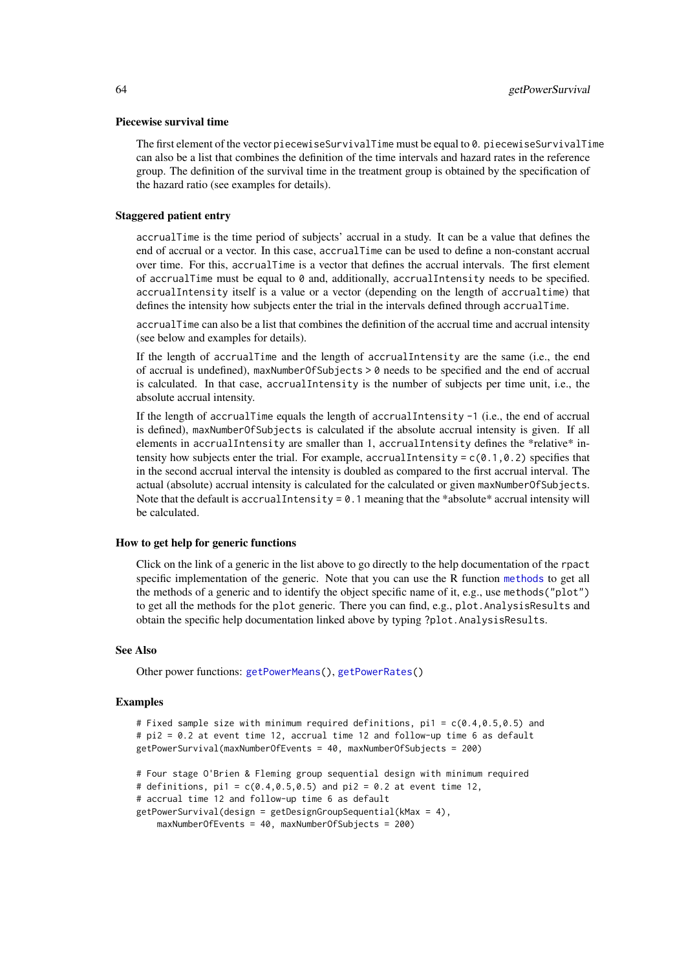#### Piecewise survival time

The first element of the vector piecewiseSurvivalTime must be equal to 0. piecewiseSurvivalTime can also be a list that combines the definition of the time intervals and hazard rates in the reference group. The definition of the survival time in the treatment group is obtained by the specification of the hazard ratio (see examples for details).

#### Staggered patient entry

accrualTime is the time period of subjects' accrual in a study. It can be a value that defines the end of accrual or a vector. In this case, accrualTime can be used to define a non-constant accrual over time. For this, accrualTime is a vector that defines the accrual intervals. The first element of accrualTime must be equal to  $\theta$  and, additionally, accrualIntensity needs to be specified. accrualIntensity itself is a value or a vector (depending on the length of accrualtime) that defines the intensity how subjects enter the trial in the intervals defined through accrualTime.

accrualTime can also be a list that combines the definition of the accrual time and accrual intensity (see below and examples for details).

If the length of accrualTime and the length of accrualIntensity are the same (i.e., the end of accrual is undefined), maxNumberOfSubjects > 0 needs to be specified and the end of accrual is calculated. In that case, accrualIntensity is the number of subjects per time unit, i.e., the absolute accrual intensity.

If the length of accrualTime equals the length of accrualIntensity -1 (i.e., the end of accrual is defined), maxNumberOfSubjects is calculated if the absolute accrual intensity is given. If all elements in accrualIntensity are smaller than 1, accrualIntensity defines the \*relative\* intensity how subjects enter the trial. For example, accrualIntensity =  $c(0.1, 0.2)$  specifies that in the second accrual interval the intensity is doubled as compared to the first accrual interval. The actual (absolute) accrual intensity is calculated for the calculated or given maxNumberOfSubjects. Note that the default is accrualIntensity =  $0.1$  meaning that the \*absolute\* accrual intensity will be calculated.

#### How to get help for generic functions

Click on the link of a generic in the list above to go directly to the help documentation of the rpact specific implementation of the generic. Note that you can use the R function [methods](#page-0-0) to get all the methods of a generic and to identify the object specific name of it, e.g., use methods("plot") to get all the methods for the plot generic. There you can find, e.g., plot.AnalysisResults and obtain the specific help documentation linked above by typing ?plot.AnalysisResults.

## See Also

Other power functions: [getPowerMeans\(](#page-55-0)), [getPowerRates\(](#page-57-0))

## Examples

```
# Fixed sample size with minimum required definitions, pi1 = c(0.4, 0.5, 0.5) and
# pi2 = 0.2 at event time 12, accrual time 12 and follow-up time 6 as default
getPowerSurvival(maxNumberOfEvents = 40, maxNumberOfSubjects = 200)
# Four stage O'Brien & Fleming group sequential design with minimum required
# definitions, pi1 = c(0.4, 0.5, 0.5) and pi2 = 0.2 at event time 12,
# accrual time 12 and follow-up time 6 as default
getPowerSurvival(design = getDesignGroupSequential(kMax = 4),
   maxNumberOfEvents = 40, maxNumberOfSubjects = 200)
```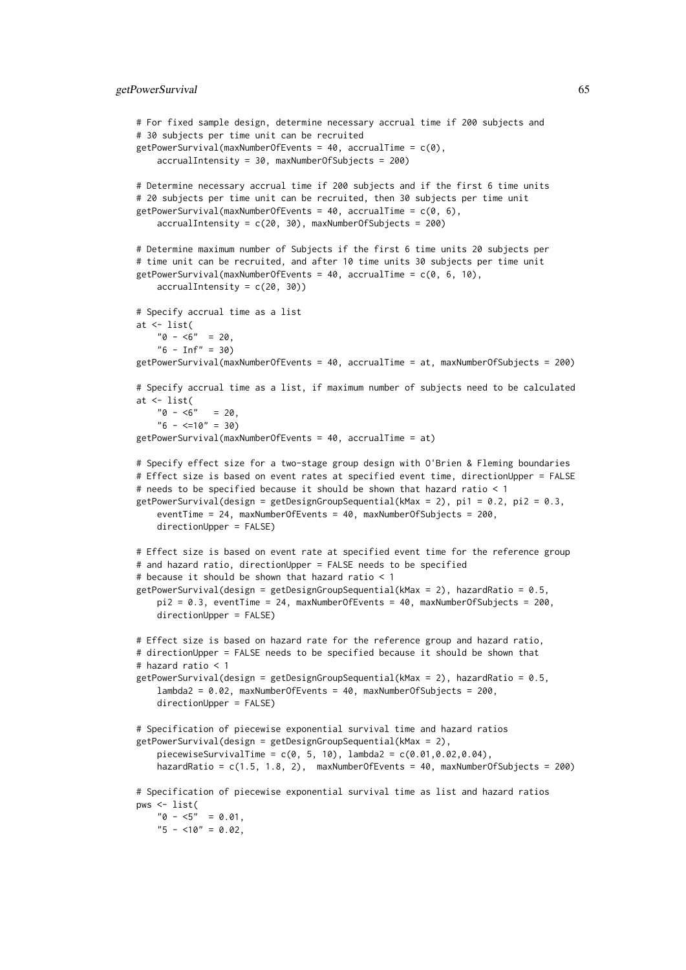```
# For fixed sample design, determine necessary accrual time if 200 subjects and
# 30 subjects per time unit can be recruited
getPowerSurvival(maxNumberOfEvents = 40, accrualTime = c(0),
    accrualIntensity = 30, maxNumberOfSubjects = 200)
# Determine necessary accrual time if 200 subjects and if the first 6 time units
# 20 subjects per time unit can be recruited, then 30 subjects per time unit
getPowerSurvival(maxNumberOfEvents = 40, accrualTime = c(0, 6),
    accruallIntensity = c(20, 30), maxNumberOfSubjects = 200)# Determine maximum number of Subjects if the first 6 time units 20 subjects per
# time unit can be recruited, and after 10 time units 30 subjects per time unit
getPowerSurvival(maxNumberOfEvents = 40, accrualTime = c(0, 6, 10),
   accrualIntensity = c(20, 30)# Specify accrual time as a list
at <- list(
    "0 - 5" = 20."6 - Inf" = 30getPowerSurvival(maxNumberOfEvents = 40, accrualTime = at, maxNumberOfSubjects = 200)
# Specify accrual time as a list, if maximum number of subjects need to be calculated
at <- list(
    "0 - 5" = 20"6 - \leq 10" = 30)getPowerSurvival(maxNumberOfEvents = 40, accrualTime = at)
# Specify effect size for a two-stage group design with O'Brien & Fleming boundaries
# Effect size is based on event rates at specified event time, directionUpper = FALSE
# needs to be specified because it should be shown that hazard ratio < 1
getPowerSurvival(design = getDesignGroupSequential(KMax = 2), pi1 = 0.2, pi2 = 0.3,eventTime = 24, maxNumberOfEvents = 40, maxNumberOfSubjects = 200,
   directionUpper = FALSE)
# Effect size is based on event rate at specified event time for the reference group
# and hazard ratio, directionUpper = FALSE needs to be specified
# because it should be shown that hazard ratio < 1
getPowerSurvival(design = getDesignGroupSequential(kMax = 2), hazardRatio = 0.5,
   pi2 = 0.3, eventTime = 24, maxNumberOfEvents = 40, maxNumberOfSubjects = 200,
   directionUpper = FALSE)
# Effect size is based on hazard rate for the reference group and hazard ratio,
# directionUpper = FALSE needs to be specified because it should be shown that
# hazard ratio < 1
getPowerSurvival(design = getDesignGroupSequential(kMax = 2), hazardRatio = 0.5,
    lambda2 = 0.02, maxNumberOfEvents = 40, maxNumberOfSubjects = 200,
   directionUpper = FALSE)
# Specification of piecewise exponential survival time and hazard ratios
getPowerSurvival(design = getDesignGroupSequential(kMax = 2),
   piecewiseSurvivalTime = c(0, 5, 10), lambda2 = c(0.01, 0.02, 0.04),
   hazardRatio = c(1.5, 1.8, 2), maxNumberOfEvents = 40, maxNumberOfSubjects = 200)
# Specification of piecewise exponential survival time as list and hazard ratios
pws <- list(
   "0 - 5" = 0.01,"5 - 10" = 0.02
```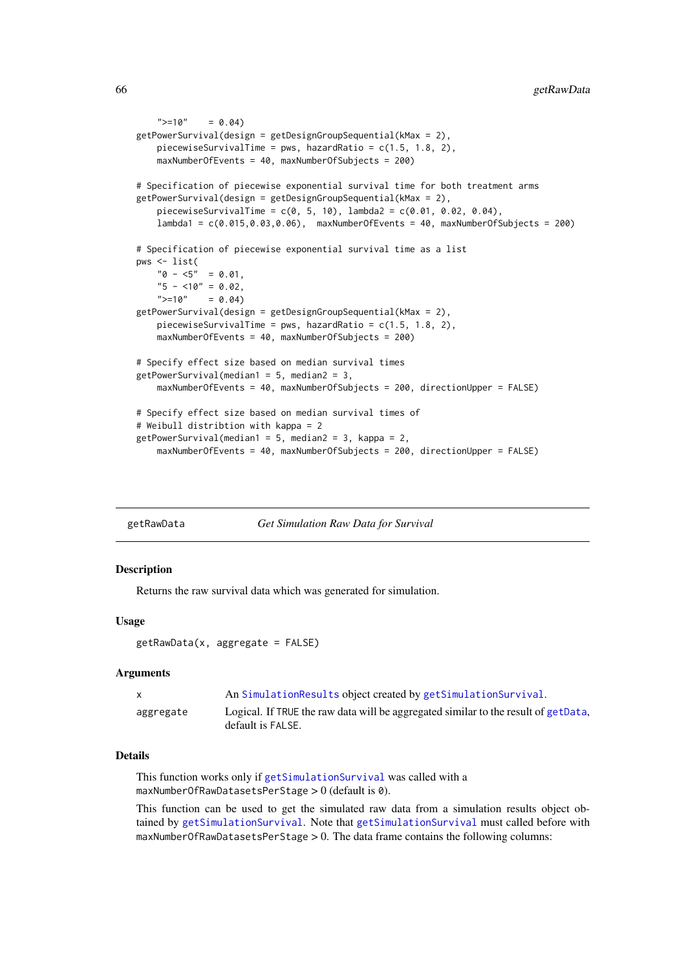```
">=10" = 0.04getPowerSurvival(design = getDesignGroupSequential(kMax = 2),
    piecewiseSurvivalTime = pws, hazardRatio = c(1.5, 1.8, 2),
    maxNumberOfEvents = 40, maxNumberOfSubjects = 200)
# Specification of piecewise exponential survival time for both treatment arms
getPowerSurvival(design = getDesignGroupSequential(kMax = 2),
    piecewiseSurvivalTime = c(0, 5, 10), lambda2 = c(0.01, 0.02, 0.04),
    lambda1 = c(0.015,0.03,0.06), maxNumberOfEvents = 40, maxNumberOfSubjects = 200)
# Specification of piecewise exponential survival time as a list
pws <- list(
    "0 - 5" = 0.01,"5 - 10" = 0.02,<br>">= 10" = 0.04= 0.04getPowerSurvival(design = getDesignGroupSequential(kMax = 2),
    piecewiseSurvivalTime = pws, hazardRatio = c(1.5, 1.8, 2),
    maxNumberOfEvents = 40, maxNumberOfSubjects = 200)
# Specify effect size based on median survival times
getPowerSurvival(median1 = 5, median2 = 3,maxNumberOfEvents = 40, maxNumberOfSubjects = 200, directionUpper = FALSE)
# Specify effect size based on median survival times of
# Weibull distribtion with kappa = 2
getPowerCurvival(median1 = 5, median2 = 3, kappa = 2,maxNumberOfEvents = 40, maxNumberOfSubjects = 200, directionUpper = FALSE)
```

| getRawData | <b>Get Simulation Raw Data for Survival</b> |  |  |
|------------|---------------------------------------------|--|--|

### Description

Returns the raw survival data which was generated for simulation.

### Usage

```
getRawData(x, aggregate = FALSE)
```
## Arguments

|           | An SimulationResults object created by getSimulationSurvival.                                           |
|-----------|---------------------------------------------------------------------------------------------------------|
| aggregate | Logical. If TRUE the raw data will be aggregated similar to the result of getData,<br>default is FALSE. |

#### Details

This function works only if [getSimulationSurvival](#page-116-0) was called with a maxNumberOfRawDatasetsPerStage > 0 (default is 0).

This function can be used to get the simulated raw data from a simulation results object obtained by [getSimulationSurvival](#page-116-0). Note that [getSimulationSurvival](#page-116-0) must called before with maxNumberOfRawDatasetsPerStage > 0. The data frame contains the following columns: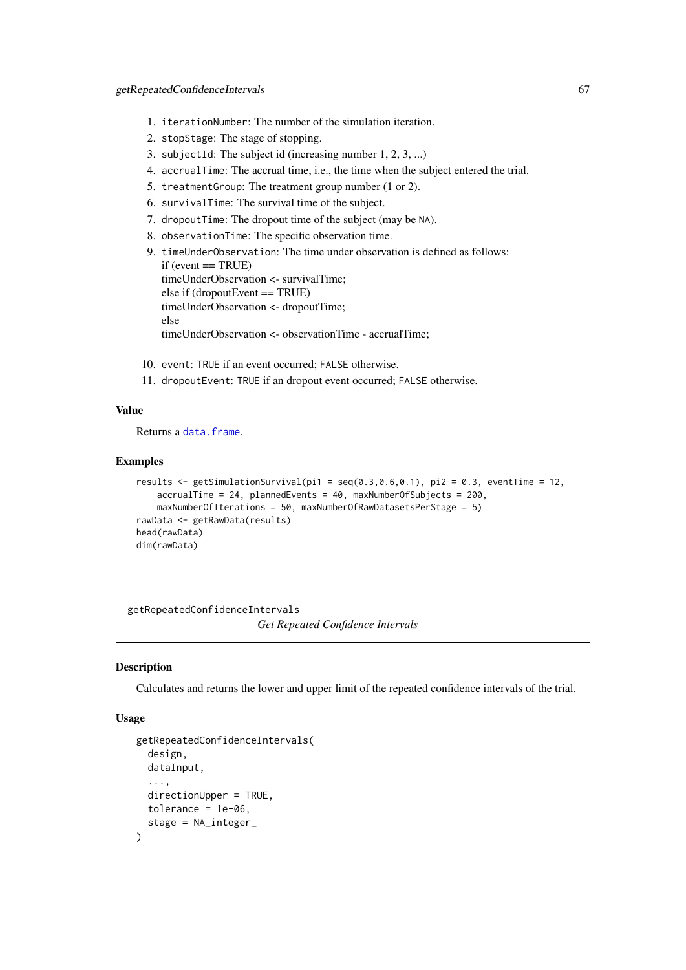- 1. iterationNumber: The number of the simulation iteration.
- 2. stopStage: The stage of stopping.
- 3. subjectId: The subject id (increasing number 1, 2, 3, ...)
- 4. accrualTime: The accrual time, i.e., the time when the subject entered the trial.
- 5. treatmentGroup: The treatment group number (1 or 2).
- 6. survivalTime: The survival time of the subject.
- 7. dropoutTime: The dropout time of the subject (may be NA).
- 8. observationTime: The specific observation time.
- 9. timeUnderObservation: The time under observation is defined as follows:  $if (event == TRUE)$ timeUnderObservation <- survivalTime; else if (dropoutEvent == TRUE) timeUnderObservation <- dropoutTime; else timeUnderObservation <- observationTime - accrualTime;
- 10. event: TRUE if an event occurred; FALSE otherwise.
- 11. dropoutEvent: TRUE if an dropout event occurred; FALSE otherwise.

## Value

Returns a [data.frame](#page-0-0).

### Examples

```
results \leq getSimulationSurvival(pi1 = seq(0.3,0.6,0.1), pi2 = 0.3, eventTime = 12,
    accrualTime = 24, plannedEvents = 40, maxNumberOfSubjects = 200,
    maxNumberOfIterations = 50, maxNumberOfRawDatasetsPerStage = 5)
rawData <- getRawData(results)
head(rawData)
dim(rawData)
```
<span id="page-66-0"></span>getRepeatedConfidenceIntervals *Get Repeated Confidence Intervals*

#### Description

Calculates and returns the lower and upper limit of the repeated confidence intervals of the trial.

### Usage

```
getRepeatedConfidenceIntervals(
  design,
  dataInput,
  ...,
  directionUpper = TRUE,
  tolerance = 1e-06,
  stage = NA_integer_
)
```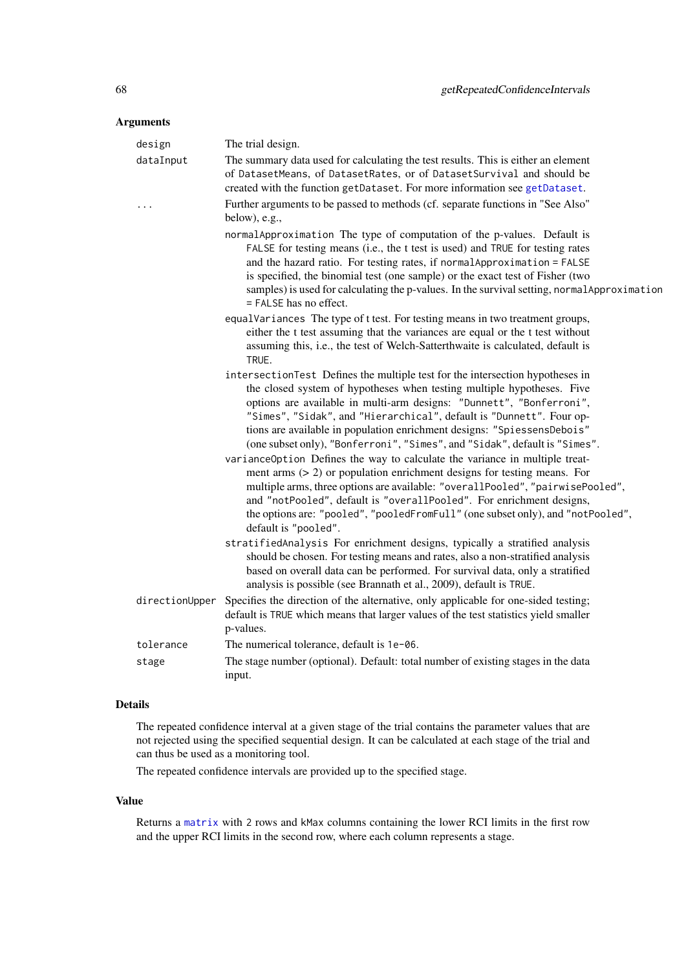## Arguments

| design    | The trial design.                                                                                                                                                                                                                                                                                                                                                                                                                                                |
|-----------|------------------------------------------------------------------------------------------------------------------------------------------------------------------------------------------------------------------------------------------------------------------------------------------------------------------------------------------------------------------------------------------------------------------------------------------------------------------|
| dataInput | The summary data used for calculating the test results. This is either an element<br>of DatasetMeans, of DatasetRates, or of DatasetSurvival and should be<br>created with the function getDataset. For more information see getDataset.                                                                                                                                                                                                                         |
| .         | Further arguments to be passed to methods (cf. separate functions in "See Also"<br>below), e.g.,                                                                                                                                                                                                                                                                                                                                                                 |
|           | normalApproximation The type of computation of the p-values. Default is<br>FALSE for testing means (i.e., the t test is used) and TRUE for testing rates<br>and the hazard ratio. For testing rates, if normal Approximation = FALSE<br>is specified, the binomial test (one sample) or the exact test of Fisher (two<br>samples) is used for calculating the p-values. In the survival setting, normal Approximation<br>= FALSE has no effect.                  |
|           | equalVariances The type of t test. For testing means in two treatment groups,<br>either the t test assuming that the variances are equal or the t test without<br>assuming this, i.e., the test of Welch-Satterthwaite is calculated, default is<br>TRUE.                                                                                                                                                                                                        |
|           | intersectionTest Defines the multiple test for the intersection hypotheses in<br>the closed system of hypotheses when testing multiple hypotheses. Five<br>options are available in multi-arm designs: "Dunnett", "Bonferroni",<br>"Simes", "Sidak", and "Hierarchical", default is "Dunnett". Four op-<br>tions are available in population enrichment designs: "SpiessensDebois"<br>(one subset only), "Bonferroni", "Simes", and "Sidak", default is "Simes". |
|           | varianceOption Defines the way to calculate the variance in multiple treat-<br>ment arms $(> 2)$ or population enrichment designs for testing means. For<br>multiple arms, three options are available: "overallPooled", "pairwisePooled",<br>and "notPooled", default is "overallPooled". For enrichment designs,<br>the options are: "pooled", "pooledFromFull" (one subset only), and "notPooled",<br>default is "pooled".                                    |
|           | stratifiedAnalysis For enrichment designs, typically a stratified analysis<br>should be chosen. For testing means and rates, also a non-stratified analysis<br>based on overall data can be performed. For survival data, only a stratified<br>analysis is possible (see Brannath et al., 2009), default is TRUE.                                                                                                                                                |
|           | directionUpper Specifies the direction of the alternative, only applicable for one-sided testing;<br>default is TRUE which means that larger values of the test statistics yield smaller<br>p-values.                                                                                                                                                                                                                                                            |
| tolerance | The numerical tolerance, default is 1e-06.                                                                                                                                                                                                                                                                                                                                                                                                                       |
| stage     | The stage number (optional). Default: total number of existing stages in the data<br>input.                                                                                                                                                                                                                                                                                                                                                                      |

## Details

The repeated confidence interval at a given stage of the trial contains the parameter values that are not rejected using the specified sequential design. It can be calculated at each stage of the trial and can thus be used as a monitoring tool.

The repeated confidence intervals are provided up to the specified stage.

## Value

Returns a [matrix](#page-0-0) with 2 rows and kMax columns containing the lower RCI limits in the first row and the upper RCI limits in the second row, where each column represents a stage.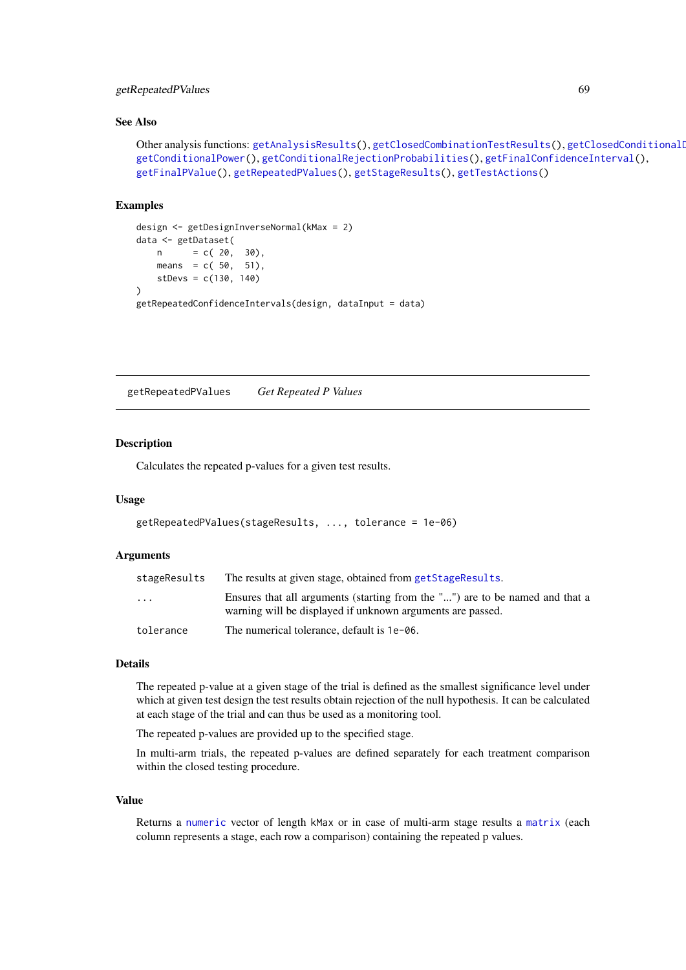### getRepeatedPValues 69

### See Also

```
getAnalysisResults(getClosedCombinationTestResults(), getClosedConditionalI
getConditionalPower(), getConditionalRejectionProbabilities(), getFinalConfidenceInterval(),
getFinalPValue(), getRepeatedPValues(), getStageResults(), getTestActions()
```
#### Examples

```
design <- getDesignInverseNormal(kMax = 2)
data <- getDataset(
   n = c(20, 30),means = c(50, 51),stDevs = c(130, 140)
\lambdagetRepeatedConfidenceIntervals(design, dataInput = data)
```
<span id="page-68-0"></span>getRepeatedPValues *Get Repeated P Values*

### Description

Calculates the repeated p-values for a given test results.

## Usage

```
getRepeatedPValues(stageResults, ..., tolerance = 1e-06)
```
#### Arguments

| stageResults            | The results at given stage, obtained from getStageResults.                                                                                 |
|-------------------------|--------------------------------------------------------------------------------------------------------------------------------------------|
| $\cdot$ $\cdot$ $\cdot$ | Ensures that all arguments (starting from the "") are to be named and that a<br>warning will be displayed if unknown arguments are passed. |
| tolerance               | The numerical tolerance, default is 1e-06.                                                                                                 |

## Details

The repeated p-value at a given stage of the trial is defined as the smallest significance level under which at given test design the test results obtain rejection of the null hypothesis. It can be calculated at each stage of the trial and can thus be used as a monitoring tool.

The repeated p-values are provided up to the specified stage.

In multi-arm trials, the repeated p-values are defined separately for each treatment comparison within the closed testing procedure.

## Value

Returns a [numeric](#page-0-0) vector of length kMax or in case of multi-arm stage results a [matrix](#page-0-0) (each column represents a stage, each row a comparison) containing the repeated p values.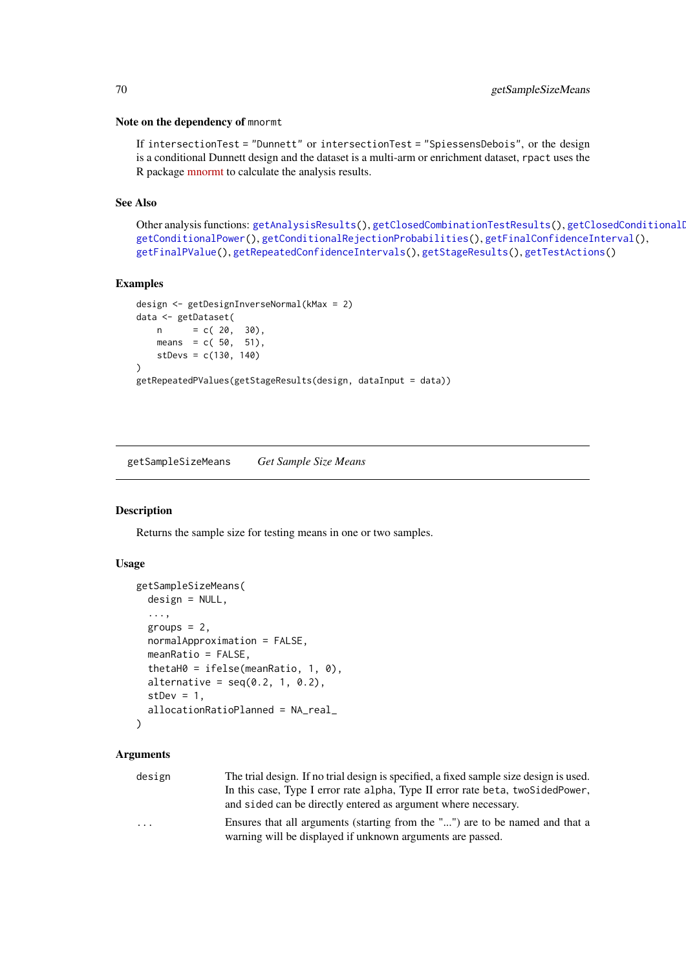#### Note on the dependency of mnormt

If intersectionTest = "Dunnett" or intersectionTest = "SpiessensDebois", or the design is a conditional Dunnett design and the dataset is a multi-arm or enrichment dataset, rpact uses the R package [mnormt](https://cran.r-project.org/package=mnormt) to calculate the analysis results.

### See Also

Other analysis functions: [getAnalysisResults\(](#page-10-0)), [getClosedCombinationTestResults\(](#page-15-0)), getClosedConditionalDunnet [getConditionalPower\(](#page-18-0)), [getConditionalRejectionProbabilities\(](#page-20-0)), [getFinalConfidenceInterval\(](#page-42-0)), [getFinalPValue\(](#page-44-0)), [getRepeatedConfidenceIntervals\(](#page-66-0)), [getStageResults\(](#page-125-0)), [getTestActions\(](#page-127-0))

### Examples

```
design <- getDesignInverseNormal(kMax = 2)
data <- getDataset(
    n = c( 20, 30),
    means = c( 50, 51),stDevs = c(130, 140)
\lambdagetRepeatedPValues(getStageResults(design, dataInput = data))
```
<span id="page-69-0"></span>getSampleSizeMeans *Get Sample Size Means*

## Description

Returns the sample size for testing means in one or two samples.

#### Usage

```
getSampleSizeMeans(
  design = NULL,
  ...,
  groups = 2,
  normalApproximation = FALSE,
  meanRatio = FALSE,
  thetaH0 = ifelse(meanRatio, 1, 0),
  alternative = seq(0.2, 1, 0.2),
  stDev = 1,allocationRatioPlanned = NA_real_
)
```
## Arguments

| design   | The trial design. If no trial design is specified, a fixed sample size design is used. |
|----------|----------------------------------------------------------------------------------------|
|          | In this case, Type I error rate alpha, Type II error rate beta, two Sided Power,       |
|          | and sided can be directly entered as argument where necessary.                         |
| $\cdots$ | Ensures that all arguments (starting from the "") are to be named and that a           |
|          | warning will be displayed if unknown arguments are passed.                             |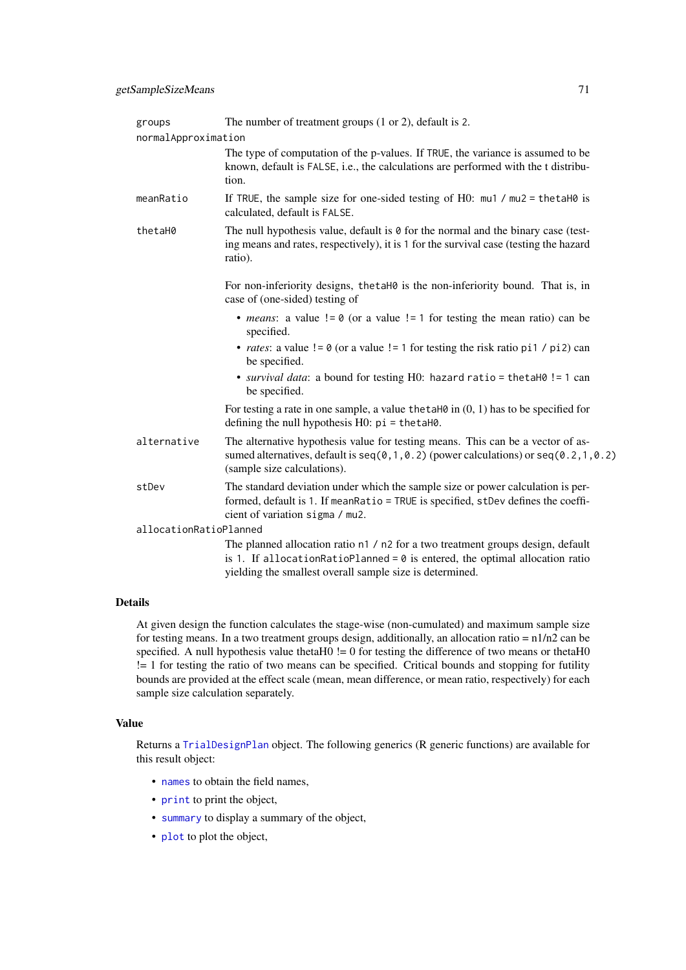| groups                 | The number of treatment groups $(1 \text{ or } 2)$ , default is 2.                                                                                                                                                            |
|------------------------|-------------------------------------------------------------------------------------------------------------------------------------------------------------------------------------------------------------------------------|
| normalApproximation    |                                                                                                                                                                                                                               |
|                        | The type of computation of the p-values. If TRUE, the variance is assumed to be<br>known, default is FALSE, i.e., the calculations are performed with the t distribu-<br>tion.                                                |
| meanRatio              | If TRUE, the sample size for one-sided testing of H0: $mu1 / mu2 = \text{thetaH0}$ is<br>calculated, default is FALSE.                                                                                                        |
| thetaH0                | The null hypothesis value, default is $\theta$ for the normal and the binary case (test-<br>ing means and rates, respectively), it is 1 for the survival case (testing the hazard<br>ratio).                                  |
|                        | For non-inferiority designs, the taH0 is the non-inferiority bound. That is, in<br>case of (one-sided) testing of                                                                                                             |
|                        | • <i>means</i> : a value $!= 0$ (or a value $!= 1$ for testing the mean ratio) can be<br>specified.                                                                                                                           |
|                        | • <i>rates</i> : a value $!= 0$ (or a value $!= 1$ for testing the risk ratio pi1 / pi2) can<br>be specified.                                                                                                                 |
|                        | • survival data: a bound for testing H0: hazard ratio = thetaH0 != 1 can<br>be specified.                                                                                                                                     |
|                        | For testing a rate in one sample, a value the tah $\theta$ in $(0, 1)$ has to be specified for<br>defining the null hypothesis $H0$ : $pi = \text{thetaH0}$ .                                                                 |
| alternative            | The alternative hypothesis value for testing means. This can be a vector of as-<br>sumed alternatives, default is $seq(0, 1, 0.2)$ (power calculations) or $seq(0.2, 1, 0.2)$<br>(sample size calculations).                  |
| stDev                  | The standard deviation under which the sample size or power calculation is per-<br>formed, default is 1. If meanRatio = TRUE is specified, stDev defines the coeffi-<br>cient of variation sigma / mu2.                       |
| allocationRatioPlanned |                                                                                                                                                                                                                               |
|                        | The planned allocation ratio n1 / n2 for a two treatment groups design, default<br>is 1. If allocationRatioPlanned = $0$ is entered, the optimal allocation ratio<br>yielding the smallest overall sample size is determined. |

## Details

At given design the function calculates the stage-wise (non-cumulated) and maximum sample size for testing means. In a two treatment groups design, additionally, an allocation ratio =  $n1/n2$  can be specified. A null hypothesis value theta $H0$  != 0 for testing the difference of two means or theta $H0$ != 1 for testing the ratio of two means can be specified. Critical bounds and stopping for futility bounds are provided at the effect scale (mean, mean difference, or mean ratio, respectively) for each sample size calculation separately.

## Value

Returns a [TrialDesignPlan](#page-0-0) object. The following generics (R generic functions) are available for this result object:

- [names](#page-0-0) to obtain the field names,
- [print](#page-0-0) to print the object,
- [summary](#page-0-0) to display a summary of the object,
- [plot](#page-146-0) to plot the object,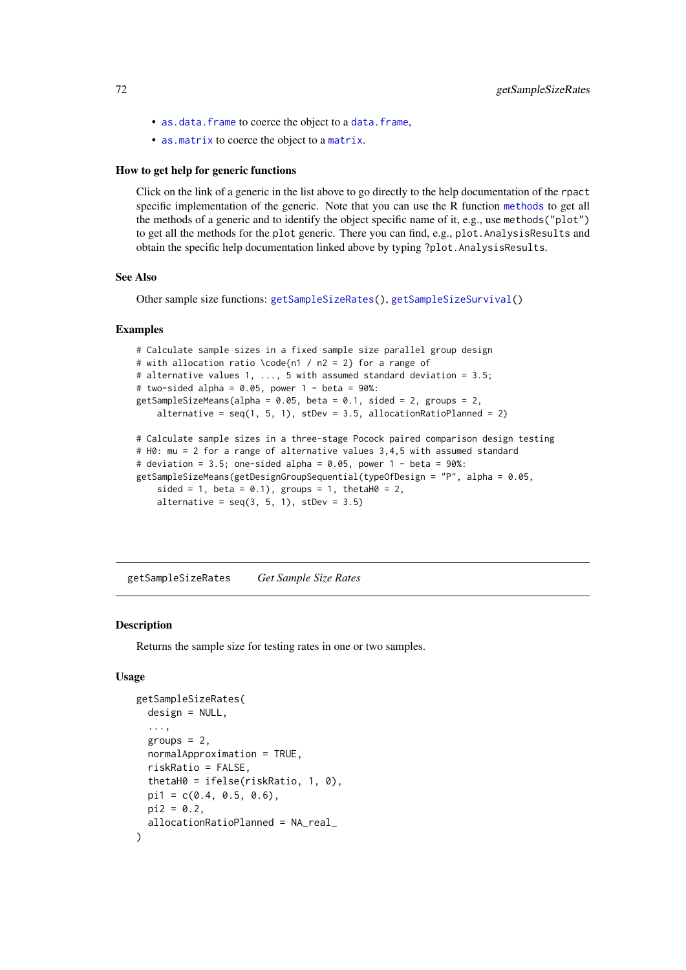- [as.data.frame](#page-0-0) to coerce the object to a [data.frame](#page-0-0),
- [as.matrix](#page-0-0) to coerce the object to a [matrix](#page-0-0).

#### How to get help for generic functions

Click on the link of a generic in the list above to go directly to the help documentation of the rpact specific implementation of the generic. Note that you can use the R function [methods](#page-0-0) to get all the methods of a generic and to identify the object specific name of it, e.g., use methods("plot") to get all the methods for the plot generic. There you can find, e.g., plot.AnalysisResults and obtain the specific help documentation linked above by typing ?plot.AnalysisResults.

#### See Also

Other sample size functions: [getSampleSizeRates\(](#page-71-0)), [getSampleSizeSurvival\(](#page-73-0))

#### Examples

```
# Calculate sample sizes in a fixed sample size parallel group design
# with allocation ratio \code{n1 / n2 = 2} for a range of
# alternative values 1, ..., 5 with assumed standard deviation = 3.5;
# two-sided alpha = 0.05, power 1 - \beta beta = 90\%:
getSampleSizeMeans(alpha = 0.05, beta = 0.1, sided = 2, groups = 2,
    alternative = seq(1, 5, 1), step = 3.5, allocationRatioPlanned = 2)
# Calculate sample sizes in a three-stage Pocock paired comparison design testing
# H0: mu = 2 for a range of alternative values 3,4,5 with assumed standard
# deviation = 3.5; one-sided alpha = 0.05, power 1 - beta = 90\%:
getSampleSizeMeans(getDesignGroupSequential(typeOfDesign = "P", alpha = 0.05,
    sided = 1, beta = 0.1), groups = 1, thetaH0 = 2,
    alternative = seq(3, 5, 1), stDev = 3.5)
```
<span id="page-71-0"></span>getSampleSizeRates *Get Sample Size Rates*

### **Description**

Returns the sample size for testing rates in one or two samples.

## Usage

```
getSampleSizeRates(
 design = NULL,
  ...,
 groups = 2,
 normalApproximation = TRUE,
 riskRatio = FALSE,
  thetaH0 = ifelse(riskRatio, 1, 0),
 pi1 = c(0.4, 0.5, 0.6),
 pi2 = 0.2,
  allocationRatioPlanned = NA_real_
)
```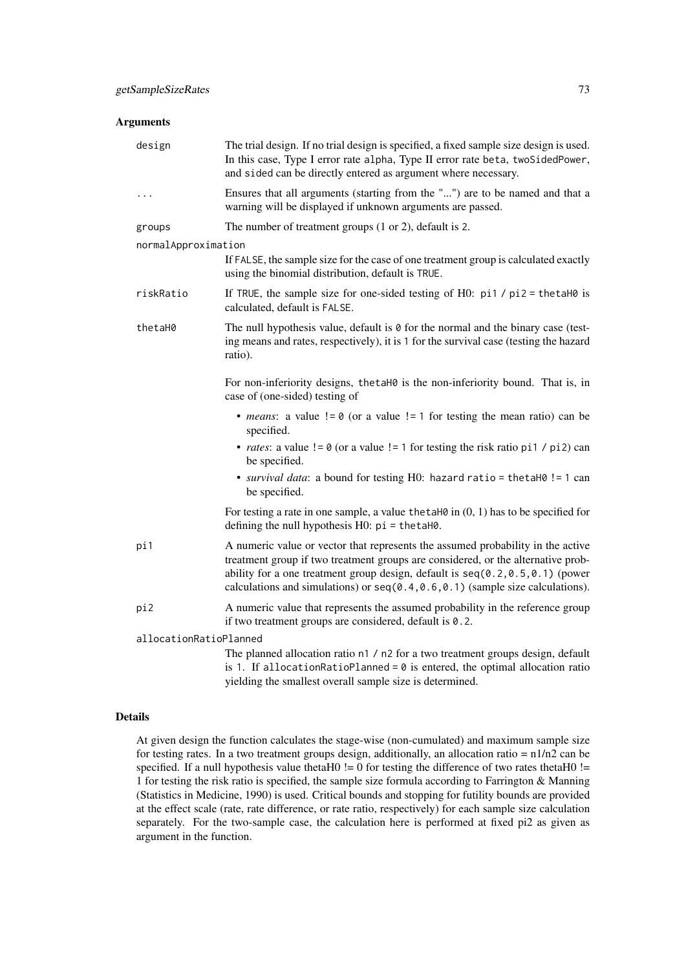| design                 | The trial design. If no trial design is specified, a fixed sample size design is used.<br>In this case, Type I error rate alpha, Type II error rate beta, twoSidedPower,<br>and sided can be directly entered as argument where necessary.                                                                                                   |
|------------------------|----------------------------------------------------------------------------------------------------------------------------------------------------------------------------------------------------------------------------------------------------------------------------------------------------------------------------------------------|
| .                      | Ensures that all arguments (starting from the "") are to be named and that a<br>warning will be displayed if unknown arguments are passed.                                                                                                                                                                                                   |
| groups                 | The number of treatment groups $(1 or 2)$ , default is 2.                                                                                                                                                                                                                                                                                    |
| normalApproximation    |                                                                                                                                                                                                                                                                                                                                              |
|                        | If FALSE, the sample size for the case of one treatment group is calculated exactly<br>using the binomial distribution, default is TRUE.                                                                                                                                                                                                     |
| riskRatio              | If TRUE, the sample size for one-sided testing of H0: $pi1 / pi2 = \text{thetaH0}$ is<br>calculated, default is FALSE.                                                                                                                                                                                                                       |
| thetaH0                | The null hypothesis value, default is $\theta$ for the normal and the binary case (test-<br>ing means and rates, respectively), it is 1 for the survival case (testing the hazard<br>ratio).                                                                                                                                                 |
|                        | For non-inferiority designs, the taH0 is the non-inferiority bound. That is, in<br>case of (one-sided) testing of                                                                                                                                                                                                                            |
|                        | • <i>means</i> : a value $!= 0$ (or a value $!= 1$ for testing the mean ratio) can be<br>specified.                                                                                                                                                                                                                                          |
|                        | • <i>rates</i> : a value $!= 0$ (or a value $!= 1$ for testing the risk ratio pi1 / pi2) can<br>be specified.                                                                                                                                                                                                                                |
|                        | • survival data: a bound for testing H0: hazard ratio = thetaH0 != 1 can<br>be specified.                                                                                                                                                                                                                                                    |
|                        | For testing a rate in one sample, a value the talled in $(0, 1)$ has to be specified for<br>defining the null hypothesis $H0$ : $pi = \text{thetaH0}$ .                                                                                                                                                                                      |
| pi1                    | A numeric value or vector that represents the assumed probability in the active<br>treatment group if two treatment groups are considered, or the alternative prob-<br>ability for a one treatment group design, default is $seq(0.2, 0.5, 0.1)$ (power<br>calculations and simulations) or $seq(0.4, 0.6, 0.1)$ (sample size calculations). |
| pi2                    | A numeric value that represents the assumed probability in the reference group<br>if two treatment groups are considered, default is 0.2.                                                                                                                                                                                                    |
| allocationRatioPlanned |                                                                                                                                                                                                                                                                                                                                              |
|                        | The planned allocation ratio n1 / n2 for a two treatment groups design, default                                                                                                                                                                                                                                                              |

is 1. If allocationRatioPlanned =  $0$  is entered, the optimal allocation ratio yielding the smallest overall sample size is determined.

## Details

At given design the function calculates the stage-wise (non-cumulated) and maximum sample size for testing rates. In a two treatment groups design, additionally, an allocation ratio =  $n1/n2$  can be specified. If a null hypothesis value thetaH0  $!=$  0 for testing the difference of two rates thetaH0  $!=$ 1 for testing the risk ratio is specified, the sample size formula according to Farrington & Manning (Statistics in Medicine, 1990) is used. Critical bounds and stopping for futility bounds are provided at the effect scale (rate, rate difference, or rate ratio, respectively) for each sample size calculation separately. For the two-sample case, the calculation here is performed at fixed pi2 as given as argument in the function.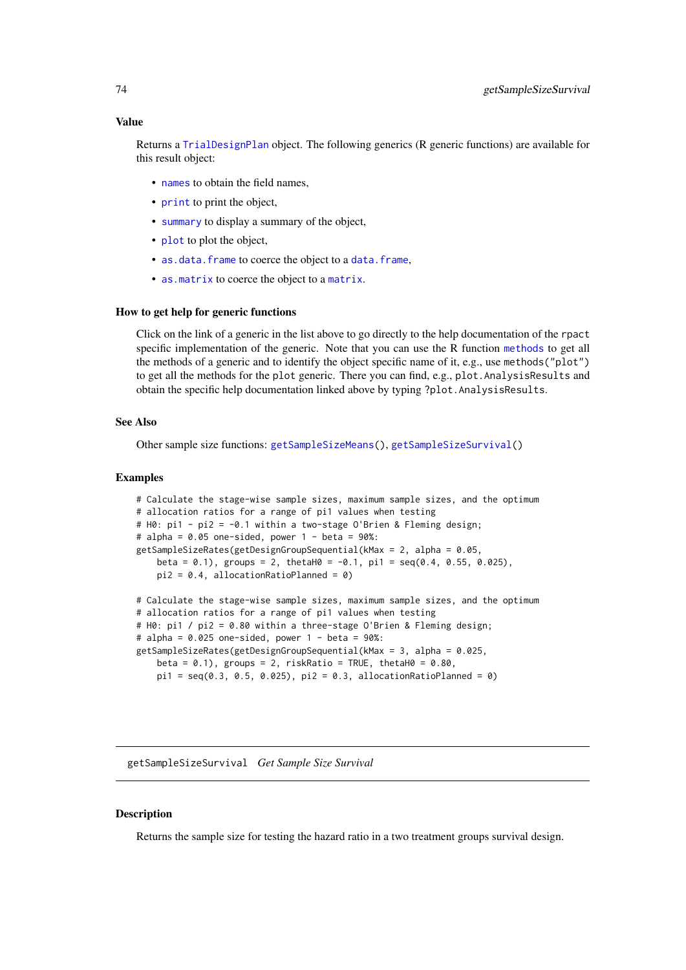#### Value

Returns a [TrialDesignPlan](#page-0-0) object. The following generics (R generic functions) are available for this result object:

- [names](#page-0-0) to obtain the field names,
- [print](#page-0-0) to print the object,
- [summary](#page-0-0) to display a summary of the object,
- [plot](#page-146-0) to plot the object,
- [as.data.frame](#page-0-0) to coerce the object to a [data.frame](#page-0-0),
- [as.matrix](#page-0-0) to coerce the object to a [matrix](#page-0-0).

#### How to get help for generic functions

Click on the link of a generic in the list above to go directly to the help documentation of the rpact specific implementation of the generic. Note that you can use the R function [methods](#page-0-0) to get all the methods of a generic and to identify the object specific name of it, e.g., use methods("plot") to get all the methods for the plot generic. There you can find, e.g., plot. AnalysisResults and obtain the specific help documentation linked above by typing ?plot.AnalysisResults.

### See Also

Other sample size functions: [getSampleSizeMeans\(](#page-69-0)), [getSampleSizeSurvival\(](#page-73-0))

#### Examples

```
# Calculate the stage-wise sample sizes, maximum sample sizes, and the optimum
# allocation ratios for a range of pi1 values when testing
# H0: pi1 - pi2 = -0.1 within a two-stage O'Brien & Fleming design;
# alpha = 0.05 one-sided, power 1 - \beta = 90\%:
getSampleSizeRates(getDesignGroupSequential(kMax = 2, alpha = 0.05,
    beta = (0.1), groups = 2, thetaH(0.1, \text{pi}) = seq((0.4, 0.55, 0.025),
    pi2 = 0.4, allocationRatioPlanned = 0)
# Calculate the stage-wise sample sizes, maximum sample sizes, and the optimum
# allocation ratios for a range of pi1 values when testing
# H0: pi1 / pi2 = 0.80 within a three-stage O'Brien & Fleming design;
# alpha = 0.025 one-sided, power 1 - \beta beta = 90\%:
getSampleSizeRates(getDesignGroupSequential(kMax = 3, alpha = 0.025,
```

```
beta = 0.1), groups = 2, riskRatio = TRUE, thetaH0 = 0.80,
pi1 = seq(0.3, 0.5, 0.025), pi2 = 0.3, allocationRatioPlanned = 0)
```
<span id="page-73-0"></span>getSampleSizeSurvival *Get Sample Size Survival*

### Description

Returns the sample size for testing the hazard ratio in a two treatment groups survival design.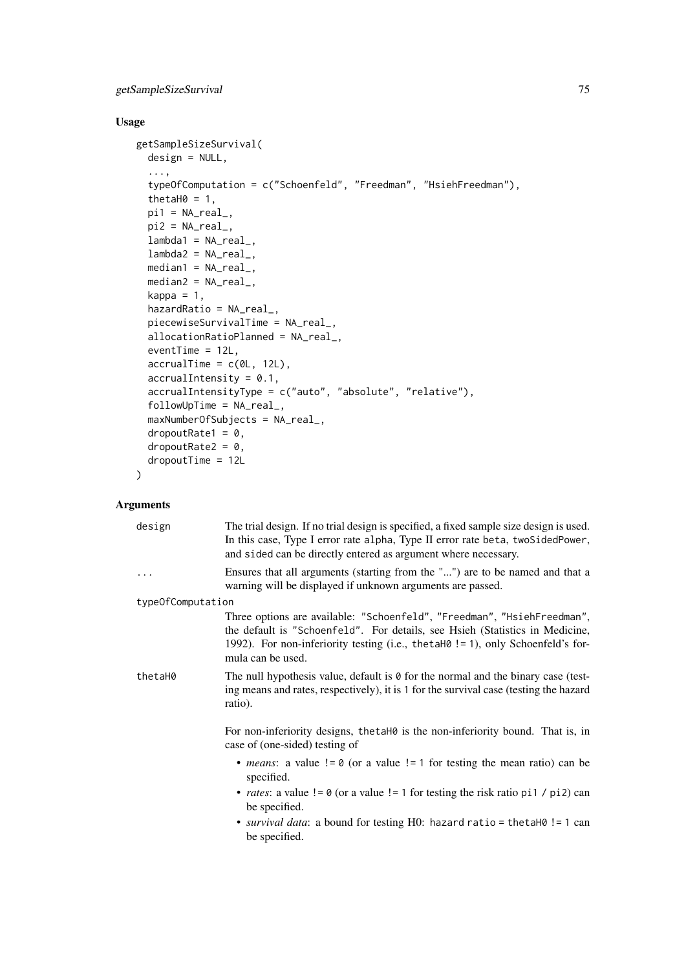# getSampleSizeSurvival 75

# Usage

```
getSampleSizeSurvival(
  design = NULL,
  ...,
  typeOfComputation = c("Schoenfeld", "Freedman", "HsiehFreedman"),
  thetaH0 = 1,
  pi1 = NA\_real_pi2 = NA\_real_lambda = NA_{real_-,lambda2 = NA_{real_-,median1 = NA\_real_median2 = NA_{real_-,}kappa = 1,
  hazardRatio = NA_real_,
  piecewiseSurvivalTime = NA_real_,
  allocationRatioPlanned = NA_real_,
  eventTime = 12L,
  accrualTime = c(0L, 12L),
  accrualIntensity = 0.1,
  accrualIntensityType = c("auto", "absolute", "relative"),
  followUpTime = NA_real_,
  maxNumberOfSubjects = NA_real_,
  dropoutRate1 = 0,
  dropoutRate2 = 0,
  dropoutTime = 12L
\lambda
```

|                   | design  | The trial design. If no trial design is specified, a fixed sample size design is used.<br>In this case, Type I error rate alpha, Type II error rate beta, two SidedPower,<br>and sided can be directly entered as argument where necessary.                     |
|-------------------|---------|-----------------------------------------------------------------------------------------------------------------------------------------------------------------------------------------------------------------------------------------------------------------|
|                   | .       | Ensures that all arguments (starting from the "") are to be named and that a<br>warning will be displayed if unknown arguments are passed.                                                                                                                      |
| typeOfComputation |         |                                                                                                                                                                                                                                                                 |
|                   |         | Three options are available: "Schoenfeld", "Freedman", "HsiehFreedman",<br>the default is "Schoenfeld". For details, see Hsieh (Statistics in Medicine,<br>1992). For non-inferiority testing (i.e., thetaH0! = 1), only Schoenfeld's for-<br>mula can be used. |
|                   | thetaH0 | The null hypothesis value, default is $\theta$ for the normal and the binary case (test-<br>ing means and rates, respectively), it is 1 for the survival case (testing the hazard<br>ratio).                                                                    |
|                   |         | For non-inferiority designs, the taH0 is the non-inferiority bound. That is, in<br>case of (one-sided) testing of                                                                                                                                               |
|                   |         | • <i>means</i> : a value $!= 0$ (or a value $!= 1$ for testing the mean ratio) can be<br>specified.                                                                                                                                                             |
|                   |         | • <i>rates</i> : a value $!= 0$ (or a value $!= 1$ for testing the risk ratio pi1 / pi2) can<br>be specified.                                                                                                                                                   |
|                   |         | • <i>survival data</i> : a bound for testing H0: hazard ratio = the tah0! = 1 can<br>be specified.                                                                                                                                                              |
|                   |         |                                                                                                                                                                                                                                                                 |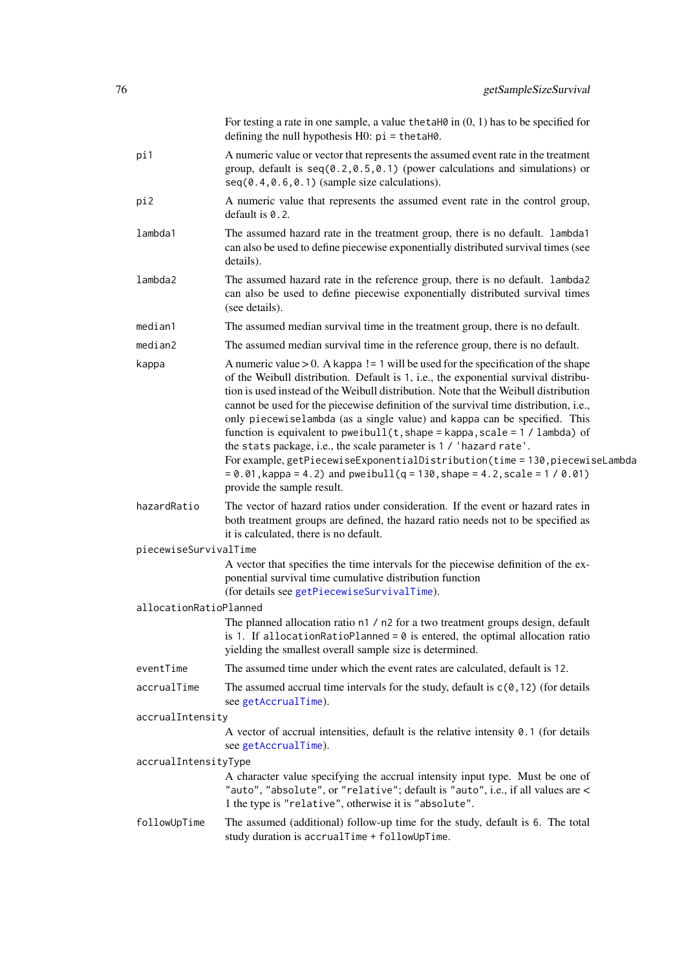|                        | For testing a rate in one sample, a value the tah $\theta$ in $(0, 1)$ has to be specified for<br>defining the null hypothesis $H0$ : $pi =$ the tah $\theta$ .                                                                                                                                                                                                                                                                                                                                                                                                                                                                                                                                                                                                                                  |
|------------------------|--------------------------------------------------------------------------------------------------------------------------------------------------------------------------------------------------------------------------------------------------------------------------------------------------------------------------------------------------------------------------------------------------------------------------------------------------------------------------------------------------------------------------------------------------------------------------------------------------------------------------------------------------------------------------------------------------------------------------------------------------------------------------------------------------|
| pi1                    | A numeric value or vector that represents the assumed event rate in the treatment<br>group, default is $seq(0.2, 0.5, 0.1)$ (power calculations and simulations) or<br>$seq(0.4, 0.6, 0.1)$ (sample size calculations).                                                                                                                                                                                                                                                                                                                                                                                                                                                                                                                                                                          |
| pi2                    | A numeric value that represents the assumed event rate in the control group,<br>default is $0.2$ .                                                                                                                                                                                                                                                                                                                                                                                                                                                                                                                                                                                                                                                                                               |
| lambda1                | The assumed hazard rate in the treatment group, there is no default. lambda1<br>can also be used to define piecewise exponentially distributed survival times (see<br>details).                                                                                                                                                                                                                                                                                                                                                                                                                                                                                                                                                                                                                  |
| lambda2                | The assumed hazard rate in the reference group, there is no default. lambda2<br>can also be used to define piecewise exponentially distributed survival times<br>(see details).                                                                                                                                                                                                                                                                                                                                                                                                                                                                                                                                                                                                                  |
| median1                | The assumed median survival time in the treatment group, there is no default.                                                                                                                                                                                                                                                                                                                                                                                                                                                                                                                                                                                                                                                                                                                    |
| median2                | The assumed median survival time in the reference group, there is no default.                                                                                                                                                                                                                                                                                                                                                                                                                                                                                                                                                                                                                                                                                                                    |
| kappa                  | A numeric value $> 0$ . A kappa ! = 1 will be used for the specification of the shape<br>of the Weibull distribution. Default is 1, i.e., the exponential survival distribu-<br>tion is used instead of the Weibull distribution. Note that the Weibull distribution<br>cannot be used for the piecewise definition of the survival time distribution, i.e.,<br>only piecewiselambda (as a single value) and kappa can be specified. This<br>function is equivalent to pweibull( $t$ , shape = kappa, scale = 1 / lambda) of<br>the stats package, i.e., the scale parameter is 1 / 'hazard rate'.<br>For example, getPiecewiseExponentialDistribution(time = 130, piecewiseLambda<br>$= 0.01$ , kappa = 4.2) and pweibull(q = 130, shape = 4.2, scale = 1 / 0.01)<br>provide the sample result. |
| hazardRatio            | The vector of hazard ratios under consideration. If the event or hazard rates in<br>both treatment groups are defined, the hazard ratio needs not to be specified as<br>it is calculated, there is no default.                                                                                                                                                                                                                                                                                                                                                                                                                                                                                                                                                                                   |
| piecewiseSurvivalTime  |                                                                                                                                                                                                                                                                                                                                                                                                                                                                                                                                                                                                                                                                                                                                                                                                  |
|                        | A vector that specifies the time intervals for the piecewise definition of the ex-<br>ponential survival time cumulative distribution function<br>(for details see getPiecewiseSurvivalTime).                                                                                                                                                                                                                                                                                                                                                                                                                                                                                                                                                                                                    |
| allocationRatioPlanned |                                                                                                                                                                                                                                                                                                                                                                                                                                                                                                                                                                                                                                                                                                                                                                                                  |
|                        | The planned allocation ratio n1 / n2 for a two treatment groups design, default<br>is 1. If allocationRatioPlanned = $0$ is entered, the optimal allocation ratio<br>yielding the smallest overall sample size is determined.                                                                                                                                                                                                                                                                                                                                                                                                                                                                                                                                                                    |
| eventTime              | The assumed time under which the event rates are calculated, default is 12.                                                                                                                                                                                                                                                                                                                                                                                                                                                                                                                                                                                                                                                                                                                      |
| accrualTime            | The assumed accrual time intervals for the study, default is $c(0, 12)$ (for details<br>see getAccrualTime).                                                                                                                                                                                                                                                                                                                                                                                                                                                                                                                                                                                                                                                                                     |
| accrualIntensity       |                                                                                                                                                                                                                                                                                                                                                                                                                                                                                                                                                                                                                                                                                                                                                                                                  |
|                        | A vector of accrual intensities, default is the relative intensity $0.1$ (for details<br>see getAccrualTime).                                                                                                                                                                                                                                                                                                                                                                                                                                                                                                                                                                                                                                                                                    |
| accrualIntensityType   |                                                                                                                                                                                                                                                                                                                                                                                                                                                                                                                                                                                                                                                                                                                                                                                                  |
|                        | A character value specifying the accrual intensity input type. Must be one of<br>"auto", "absolute", or "relative"; default is "auto", i.e., if all values are <<br>1 the type is "relative", otherwise it is "absolute".                                                                                                                                                                                                                                                                                                                                                                                                                                                                                                                                                                        |
| followUpTime           | The assumed (additional) follow-up time for the study, default is 6. The total<br>study duration is accrualTime + followUpTime.                                                                                                                                                                                                                                                                                                                                                                                                                                                                                                                                                                                                                                                                  |
|                        |                                                                                                                                                                                                                                                                                                                                                                                                                                                                                                                                                                                                                                                                                                                                                                                                  |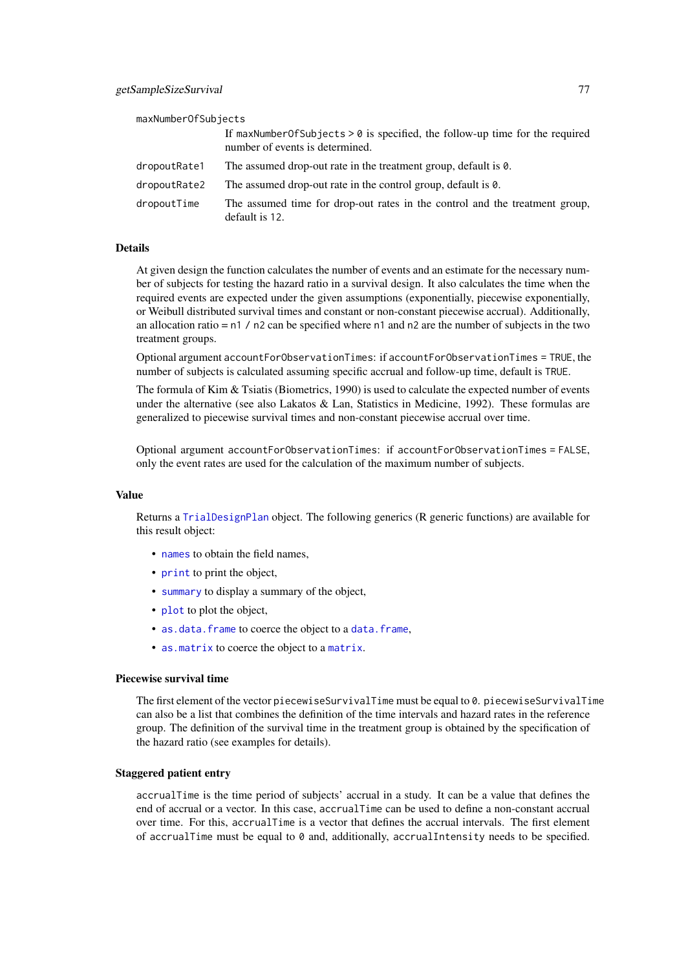| maxNumberOfSubiects |                                                                                |
|---------------------|--------------------------------------------------------------------------------|
|                     | If maxNumberOfSubjects $> 0$ is specified, the follow-up time for the required |
|                     | number of events is determined.                                                |

| dropoutRate1 | The assumed drop-out rate in the treatment group, default is 0.                               |
|--------------|-----------------------------------------------------------------------------------------------|
| dropoutRate2 | The assumed drop-out rate in the control group, default is 0.                                 |
| dropoutTime  | The assumed time for drop-out rates in the control and the treatment group,<br>default is 12. |

At given design the function calculates the number of events and an estimate for the necessary number of subjects for testing the hazard ratio in a survival design. It also calculates the time when the required events are expected under the given assumptions (exponentially, piecewise exponentially, or Weibull distributed survival times and constant or non-constant piecewise accrual). Additionally, an allocation ratio = n1 / n2 can be specified where n1 and n2 are the number of subjects in the two treatment groups.

Optional argument accountForObservationTimes: if accountForObservationTimes = TRUE, the number of subjects is calculated assuming specific accrual and follow-up time, default is TRUE.

The formula of Kim & Tsiatis (Biometrics, 1990) is used to calculate the expected number of events under the alternative (see also Lakatos & Lan, Statistics in Medicine, 1992). These formulas are generalized to piecewise survival times and non-constant piecewise accrual over time.

Optional argument accountForObservationTimes: if accountForObservationTimes = FALSE, only the event rates are used for the calculation of the maximum number of subjects.

#### Value

Returns a [TrialDesignPlan](#page-0-0) object. The following generics (R generic functions) are available for this result object:

- [names](#page-0-0) to obtain the field names,
- [print](#page-0-0) to print the object,
- [summary](#page-0-0) to display a summary of the object,
- [plot](#page-146-0) to plot the object,
- [as.data.frame](#page-0-0) to coerce the object to a [data.frame](#page-0-0),
- [as.matrix](#page-0-0) to coerce the object to a [matrix](#page-0-0).

### Piecewise survival time

The first element of the vector piecewiseSurvivalTime must be equal to 0. piecewiseSurvivalTime can also be a list that combines the definition of the time intervals and hazard rates in the reference group. The definition of the survival time in the treatment group is obtained by the specification of the hazard ratio (see examples for details).

# Staggered patient entry

accrualTime is the time period of subjects' accrual in a study. It can be a value that defines the end of accrual or a vector. In this case, accrualTime can be used to define a non-constant accrual over time. For this, accrualTime is a vector that defines the accrual intervals. The first element of accrualTime must be equal to  $\theta$  and, additionally, accrualIntensity needs to be specified.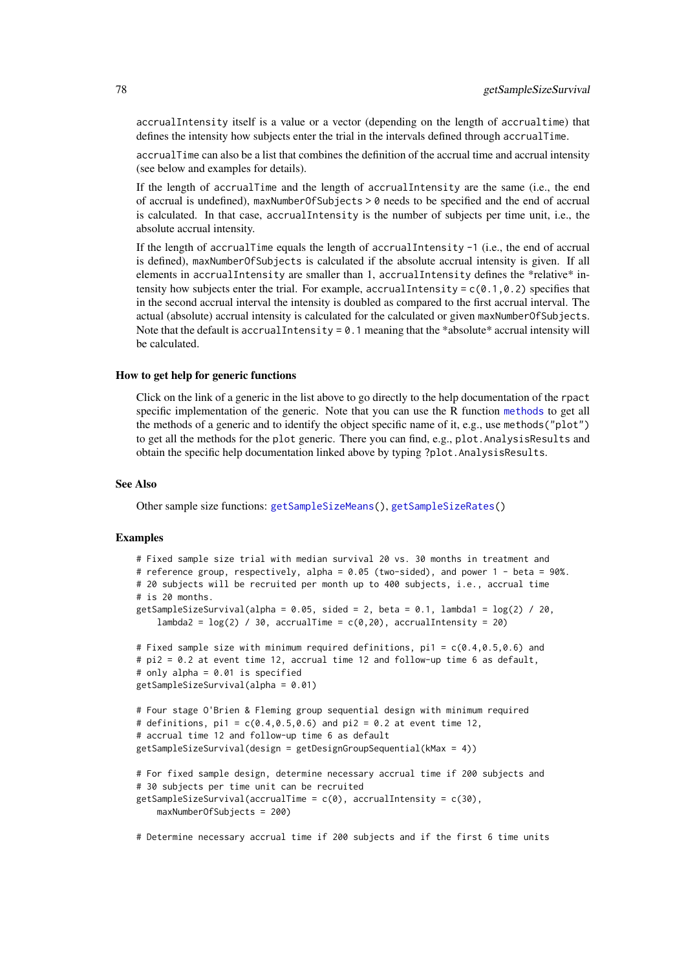accrualIntensity itself is a value or a vector (depending on the length of accrualtime) that defines the intensity how subjects enter the trial in the intervals defined through accrualTime.

accrualTime can also be a list that combines the definition of the accrual time and accrual intensity (see below and examples for details).

If the length of accrualTime and the length of accrualIntensity are the same (i.e., the end of accrual is undefined), maxNumberOfSubjects > 0 needs to be specified and the end of accrual is calculated. In that case, accrualIntensity is the number of subjects per time unit, i.e., the absolute accrual intensity.

If the length of accrualTime equals the length of accrualIntensity -1 (i.e., the end of accrual is defined), maxNumberOfSubjects is calculated if the absolute accrual intensity is given. If all elements in accrualIntensity are smaller than 1, accrualIntensity defines the \*relative\* intensity how subjects enter the trial. For example, accrualIntensity =  $c(0.1, 0.2)$  specifies that in the second accrual interval the intensity is doubled as compared to the first accrual interval. The actual (absolute) accrual intensity is calculated for the calculated or given maxNumberOfSubjects. Note that the default is accrualIntensity =  $0.1$  meaning that the \*absolute\* accrual intensity will be calculated.

# How to get help for generic functions

Click on the link of a generic in the list above to go directly to the help documentation of the rpact specific implementation of the generic. Note that you can use the R function [methods](#page-0-0) to get all the methods of a generic and to identify the object specific name of it, e.g., use methods("plot") to get all the methods for the plot generic. There you can find, e.g., plot.AnalysisResults and obtain the specific help documentation linked above by typing ?plot.AnalysisResults.

### See Also

Other sample size functions: [getSampleSizeMeans\(](#page-69-0)), [getSampleSizeRates\(](#page-71-0))

#### Examples

```
# Fixed sample size trial with median survival 20 vs. 30 months in treatment and
# reference group, respectively, alpha = 0.05 (two-sided), and power 1 - beta = 90%.
# 20 subjects will be recruited per month up to 400 subjects, i.e., accrual time
# is 20 months.
getSampleSizeSurvival(alpha = 0.05, sided = 2, beta = 0.1, lambda1 = \log(2) / 20,
    lambda2 = log(2) / 30, accrualTime = c(0, 20), accrualIntensity = 20)
# Fixed sample size with minimum required definitions, pi1 = c(0.4,0.5,0.6) and
# pi2 = 0.2 at event time 12, accrual time 12 and follow-up time 6 as default,
# only alpha = 0.01 is specified
getSampleSizeSurvival(alpha = 0.01)
# Four stage O'Brien & Fleming group sequential design with minimum required
# definitions, pi1 = c(0.4, 0.5, 0.6) and pi2 = 0.2 at event time 12,
# accrual time 12 and follow-up time 6 as default
getSampleSizeSurvival(design = getDesignGroupSequential(kMax = 4))
# For fixed sample design, determine necessary accrual time if 200 subjects and
# 30 subjects per time unit can be recruited
getSampleSizeSurvival(accrualTime = c(\emptyset), accrualIntensity = c(3\emptyset),
    maxNumberOfSubjects = 200)
```
# Determine necessary accrual time if 200 subjects and if the first 6 time units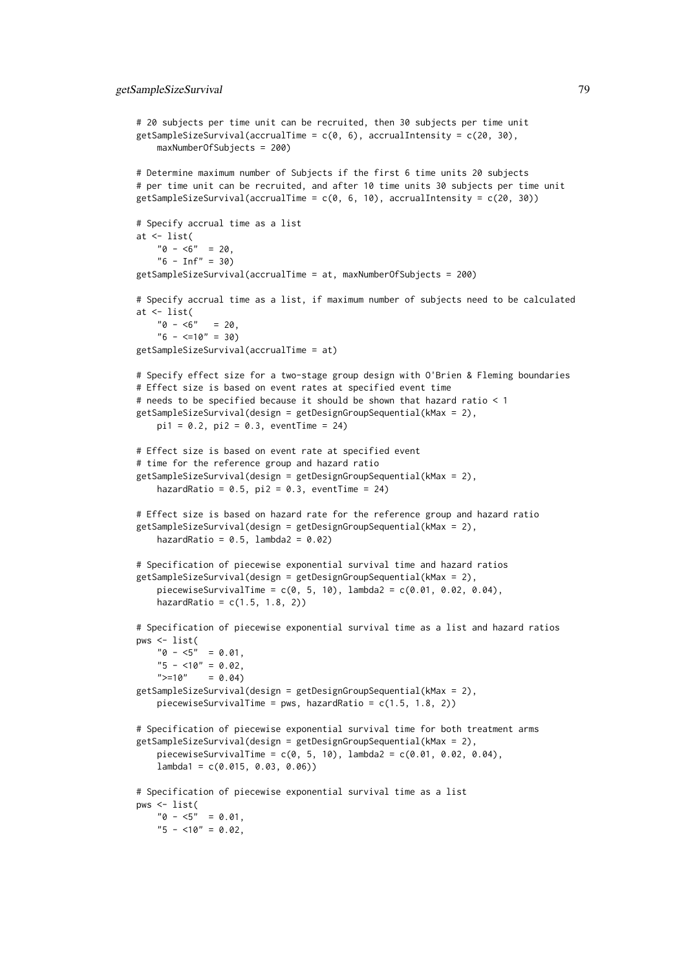```
# 20 subjects per time unit can be recruited, then 30 subjects per time unit
getSampleSizeSurvival(accrualTime = c(\theta, 6), accrualIntensity = c(2\theta, 3\theta),
    maxNumberOfSubjects = 200)
# Determine maximum number of Subjects if the first 6 time units 20 subjects
# per time unit can be recruited, and after 10 time units 30 subjects per time unit
getSampleSizeSurvival(accrualTime = c(0, 6, 10), accrualIntensity = c(20, 30))
# Specify accrual time as a list
at \leftarrow list(
    "0 - 5" = 20."6 - Inf" = 30getSampleSizeSurvival(accrualTime = at, maxNumberOfSubjects = 200)
# Specify accrual time as a list, if maximum number of subjects need to be calculated
at \leftarrow list(
    "0 - 5" = 20."6 - \leq 10" = 30getSampleSizeSurvival(accrualTime = at)
# Specify effect size for a two-stage group design with O'Brien & Fleming boundaries
# Effect size is based on event rates at specified event time
# needs to be specified because it should be shown that hazard ratio < 1
getSampleSizeSurvival(design = getDesignGroupSequential(kMax = 2),
    pi1 = 0.2, pi2 = 0.3, eventTime = 24)
# Effect size is based on event rate at specified event
# time for the reference group and hazard ratio
getSampleSizeSurvival(design = getDesignGroupSequential(kMax = 2),
    hazardRatio = 0.5, pi2 = 0.3, eventTime = 24)
# Effect size is based on hazard rate for the reference group and hazard ratio
getSampleSizeSurvival(design = getDesignGroupSequential(kMax = 2),
    hazardRatio = 0.5, lambda2 = 0.02)
# Specification of piecewise exponential survival time and hazard ratios
getSampleSizeSurvival(design = getDesignGroupSequential(kMax = 2),
    piecewiseSurvivalTime = c(0, 5, 10), lambda2 = c(0.01, 0.02, 0.04),
    hazardRatio = c(1.5, 1.8, 2)# Specification of piecewise exponential survival time as a list and hazard ratios
pws <- list(
    "0 - 5" = 0.01,"5 - 10" = 0.02,">=10" = 0.04getSampleSizeSurvival(design = getDesignGroupSequential(kMax = 2),
    piecewiseSurvivalTime = pws, hazardRatio = c(1.5, 1.8, 2))
# Specification of piecewise exponential survival time for both treatment arms
getSampleSizeSurvival(design = getDesignGroupSequential(kMax = 2),
    piecewiseSurvivalTime = c(0, 5, 10), lambda2 = c(0.01, 0.02, 0.04),
    lambda1 = c(0.015, 0.03, 0.06)# Specification of piecewise exponential survival time as a list
pws <- list(
   "0 - 5" = 0.01,"5 - 10" = 0.02
```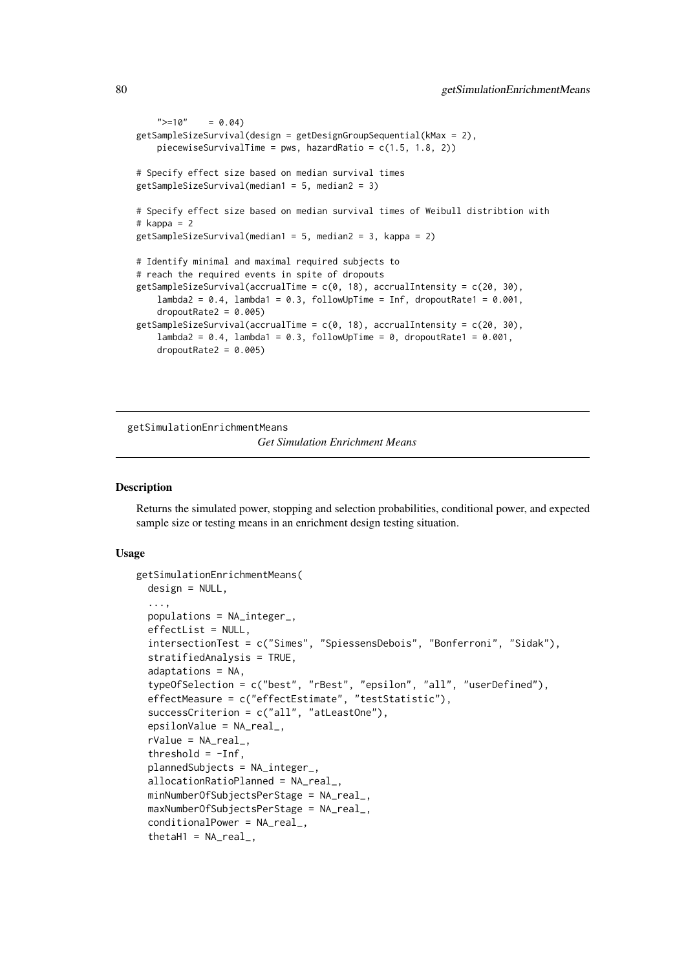```
">=10" = 0.04getSampleSizeSurvival(design = getDesignGroupSequential(kMax = 2),
    piecewiseSurvivalTime = pws, hazardRatio = c(1.5, 1.8, 2))
# Specify effect size based on median survival times
getSampleSizeSurvival(median1 = 5, median2 = 3)
# Specify effect size based on median survival times of Weibull distribtion with
# kappa = 2
getSampleSizeSurvival(median1 = 5, median2 = 3, kappa = 2)
# Identify minimal and maximal required subjects to
# reach the required events in spite of dropouts
getSampleSizeSurvival(accrualTime = c(0, 18), accrualIntensity = c(20, 30),
    lambda2 = 0.4, lambda1 = 0.3, followUpTime = Inf, dropoutRate1 = 0.001,
    dropoutRate2 = 0.005getSampleSizeSurvival(accrualTime = c(0, 18), accrualIntensity = c(20, 30),
    lambda2 = 0.4, lambda1 = 0.3, followUpTime = 0, dropoutRate1 = 0.001,
    dropoutRate2 = 0.005
```
getSimulationEnrichmentMeans

*Get Simulation Enrichment Means*

### Description

Returns the simulated power, stopping and selection probabilities, conditional power, and expected sample size or testing means in an enrichment design testing situation.

```
getSimulationEnrichmentMeans(
  design = NULL,
  ...,
  populations = NA_integer_,
  effectList = NULL,
  intersectionTest = c("Simes", "SpiessensDebois", "Bonferroni", "Sidak"),
  stratifiedAnalysis = TRUE,
  adaptations = NA,
  typeOfSelection = c("best", "rBest", "epsilon", "all", "userDefined"),
  effectMeasure = c("effectEstimate", "testStatistic"),
  successCriterion = c("all", "atLeastOne"),
  epsilonValue = NA_real_,
  rValue = NA_{real}.
  threshold = -Inf,
  plannedSubjects = NA_integer_,
  allocationRatioPlanned = NA_real_,
  minNumberOfSubjectsPerStage = NA_real_,
  maxNumberOfSubjectsPerStage = NA_real_,
  conditionalPower = NA_real_,
  thetaH1 = NA\_real_,
```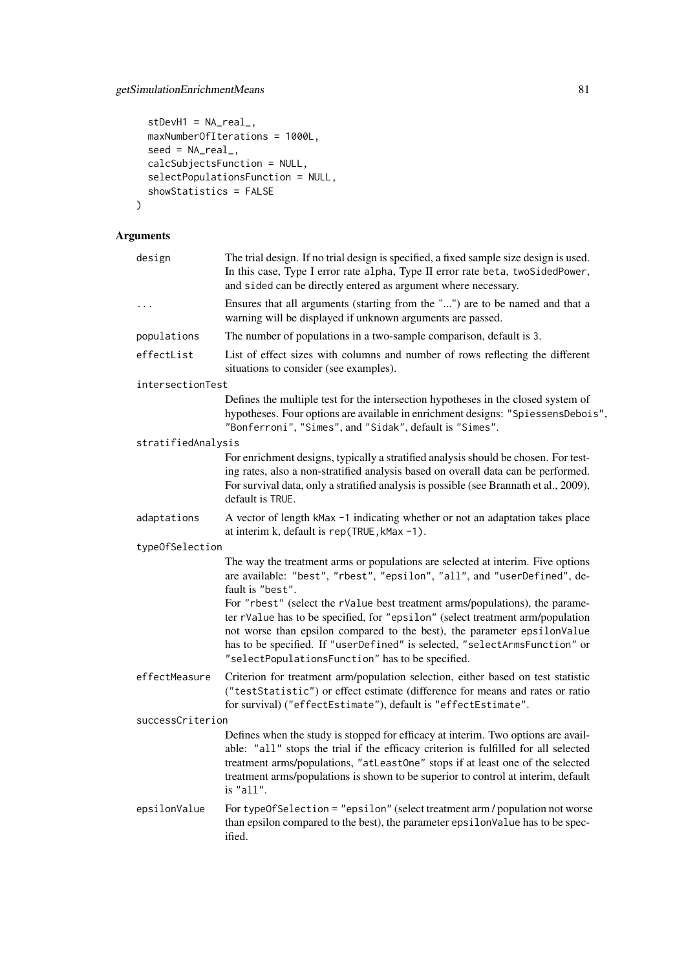```
stDevH1 = NA\_real_maxNumberOfIterations = 1000L,
  seed = NA\_real_calcSubjectsFunction = NULL,
  selectPopulationsFunction = NULL,
 showStatistics = FALSE
)
```

| design             | The trial design. If no trial design is specified, a fixed sample size design is used.<br>In this case, Type I error rate alpha, Type II error rate beta, twoSidedPower,<br>and sided can be directly entered as argument where necessary.                                                                                                                                                                                                                                                                                                                      |
|--------------------|-----------------------------------------------------------------------------------------------------------------------------------------------------------------------------------------------------------------------------------------------------------------------------------------------------------------------------------------------------------------------------------------------------------------------------------------------------------------------------------------------------------------------------------------------------------------|
| $\ddotsc$          | Ensures that all arguments (starting from the "") are to be named and that a<br>warning will be displayed if unknown arguments are passed.                                                                                                                                                                                                                                                                                                                                                                                                                      |
| populations        | The number of populations in a two-sample comparison, default is 3.                                                                                                                                                                                                                                                                                                                                                                                                                                                                                             |
| effectList         | List of effect sizes with columns and number of rows reflecting the different<br>situations to consider (see examples).                                                                                                                                                                                                                                                                                                                                                                                                                                         |
| intersectionTest   |                                                                                                                                                                                                                                                                                                                                                                                                                                                                                                                                                                 |
|                    | Defines the multiple test for the intersection hypotheses in the closed system of<br>hypotheses. Four options are available in enrichment designs: "SpiessensDebois",<br>"Bonferroni", "Simes", and "Sidak", default is "Simes".                                                                                                                                                                                                                                                                                                                                |
| stratifiedAnalysis |                                                                                                                                                                                                                                                                                                                                                                                                                                                                                                                                                                 |
|                    | For enrichment designs, typically a stratified analysis should be chosen. For test-<br>ing rates, also a non-stratified analysis based on overall data can be performed.<br>For survival data, only a stratified analysis is possible (see Brannath et al., 2009),<br>default is TRUE.                                                                                                                                                                                                                                                                          |
| adaptations        | A vector of length kMax -1 indicating whether or not an adaptation takes place<br>at interim k, default is rep(TRUE, kMax -1).                                                                                                                                                                                                                                                                                                                                                                                                                                  |
| typeOfSelection    |                                                                                                                                                                                                                                                                                                                                                                                                                                                                                                                                                                 |
|                    | The way the treatment arms or populations are selected at interim. Five options<br>are available: "best", "rbest", "epsilon", "all", and "userDefined", de-<br>fault is "best".<br>For "rbest" (select the rValue best treatment arms/populations), the parame-<br>ter rValue has to be specified, for "epsilon" (select treatment arm/population<br>not worse than epsilon compared to the best), the parameter epsilonValue<br>has to be specified. If "userDefined" is selected, "selectArmsFunction" or<br>"selectPopulationsFunction" has to be specified. |
| effectMeasure      | Criterion for treatment arm/population selection, either based on test statistic<br>("testStatistic") or effect estimate (difference for means and rates or ratio<br>for survival) ("effectEstimate"), default is "effectEstimate".                                                                                                                                                                                                                                                                                                                             |
| successCriterion   |                                                                                                                                                                                                                                                                                                                                                                                                                                                                                                                                                                 |
|                    | Defines when the study is stopped for efficacy at interim. Two options are avail-<br>able: "all" stops the trial if the efficacy criterion is fulfilled for all selected<br>treatment arms/populations, "atLeastOne" stops if at least one of the selected<br>treatment arms/populations is shown to be superior to control at interim, default<br>is "all".                                                                                                                                                                                                    |
| epsilonValue       | For typeOfSelection = "epsilon" (select treatment arm / population not worse<br>than epsilon compared to the best), the parameter epsilonValue has to be spec-<br>ified.                                                                                                                                                                                                                                                                                                                                                                                        |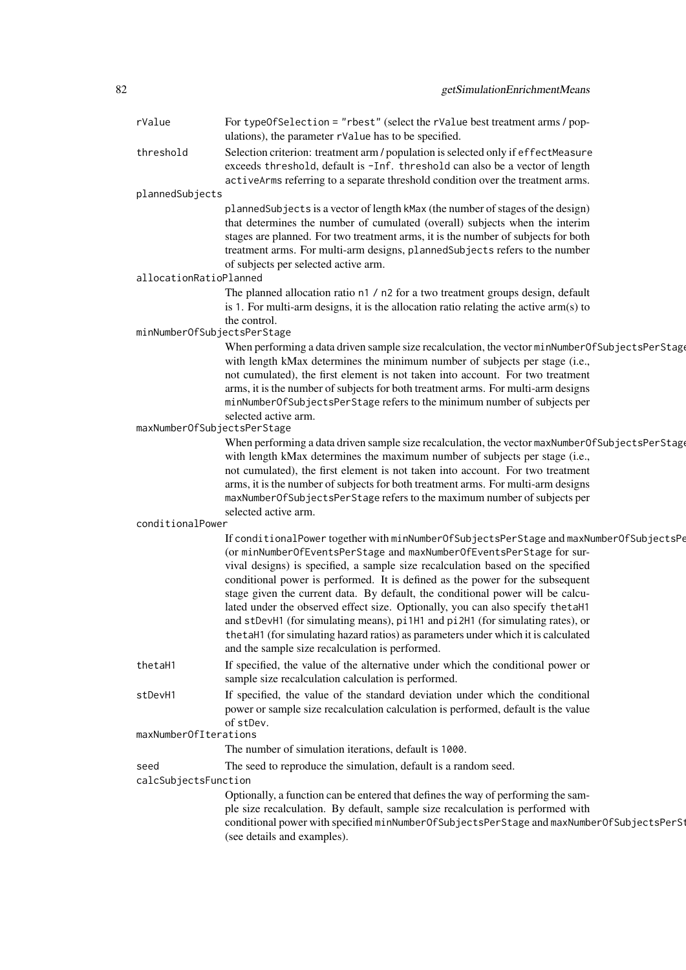| rValue                      | For typeOfSelection = "rbest" (select the rValue best treatment arms / pop-<br>ulations), the parameter rValue has to be specified.                               |
|-----------------------------|-------------------------------------------------------------------------------------------------------------------------------------------------------------------|
| threshold                   | Selection criterion: treatment arm / population is selected only if effectMeasure<br>exceeds threshold, default is -Inf. threshold can also be a vector of length |
|                             | activeArms referring to a separate threshold condition over the treatment arms.                                                                                   |
| plannedSubjects             |                                                                                                                                                                   |
|                             | plannedSubjects is a vector of length kMax (the number of stages of the design)                                                                                   |
|                             | that determines the number of cumulated (overall) subjects when the interim                                                                                       |
|                             | stages are planned. For two treatment arms, it is the number of subjects for both                                                                                 |
|                             | treatment arms. For multi-arm designs, plannedSubjects refers to the number                                                                                       |
|                             | of subjects per selected active arm.                                                                                                                              |
| allocationRatioPlanned      |                                                                                                                                                                   |
|                             | The planned allocation ratio n1 / n2 for a two treatment groups design, default                                                                                   |
|                             | is 1. For multi-arm designs, it is the allocation ratio relating the active $arm(s)$ to                                                                           |
|                             | the control.                                                                                                                                                      |
| minNumberOfSubjectsPerStage |                                                                                                                                                                   |
|                             | When performing a data driven sample size recalculation, the vector minNumberOfSubjectsPerStage                                                                   |
|                             | with length kMax determines the minimum number of subjects per stage (i.e.,<br>not cumulated), the first element is not taken into account. For two treatment     |
|                             | arms, it is the number of subjects for both treatment arms. For multi-arm designs                                                                                 |
|                             | minNumberOfSubjectsPerStage refers to the minimum number of subjects per                                                                                          |
|                             | selected active arm.                                                                                                                                              |
| maxNumberOfSubjectsPerStage |                                                                                                                                                                   |
|                             | When performing a data driven sample size recalculation, the vector maxNumberOfSubjectsPerStage                                                                   |
|                             | with length kMax determines the maximum number of subjects per stage (i.e.,                                                                                       |
|                             | not cumulated), the first element is not taken into account. For two treatment                                                                                    |
|                             | arms, it is the number of subjects for both treatment arms. For multi-arm designs                                                                                 |
|                             | maxNumberOfSubjectsPerStage refers to the maximum number of subjects per                                                                                          |
|                             | selected active arm.                                                                                                                                              |
| conditionalPower            |                                                                                                                                                                   |
|                             | If conditionalPower together with minNumberOfSubjectsPerStage and maxNumberOfSubjectsPe                                                                           |
|                             | (or minNumberOfEventsPerStage and maxNumberOfEventsPerStage for sur-                                                                                              |
|                             | vival designs) is specified, a sample size recalculation based on the specified                                                                                   |
|                             | conditional power is performed. It is defined as the power for the subsequent                                                                                     |
|                             | stage given the current data. By default, the conditional power will be calcu-                                                                                    |
|                             | lated under the observed effect size. Optionally, you can also specify the taH1                                                                                   |
|                             | and stDevH1 (for simulating means), pi1H1 and pi2H1 (for simulating rates), or                                                                                    |
|                             | the taH1 (for simulating hazard ratios) as parameters under which it is calculated                                                                                |
|                             | and the sample size recalculation is performed.                                                                                                                   |
| thetaH1                     | If specified, the value of the alternative under which the conditional power or                                                                                   |
|                             | sample size recalculation calculation is performed.                                                                                                               |
| stDevH1                     | If specified, the value of the standard deviation under which the conditional                                                                                     |
|                             | power or sample size recalculation calculation is performed, default is the value                                                                                 |
| maxNumberOfIterations       | of stDev.                                                                                                                                                         |
|                             | The number of simulation iterations, default is 1000.                                                                                                             |
|                             |                                                                                                                                                                   |
| seed                        | The seed to reproduce the simulation, default is a random seed.                                                                                                   |
| calcSubjectsFunction        |                                                                                                                                                                   |
|                             | Optionally, a function can be entered that defines the way of performing the sam-                                                                                 |
|                             | ple size recalculation. By default, sample size recalculation is performed with                                                                                   |
|                             | conditional power with specified minNumberOfSubjectsPerStage and maxNumberOfSubjectsPerSt                                                                         |
|                             | (see details and examples).                                                                                                                                       |
|                             |                                                                                                                                                                   |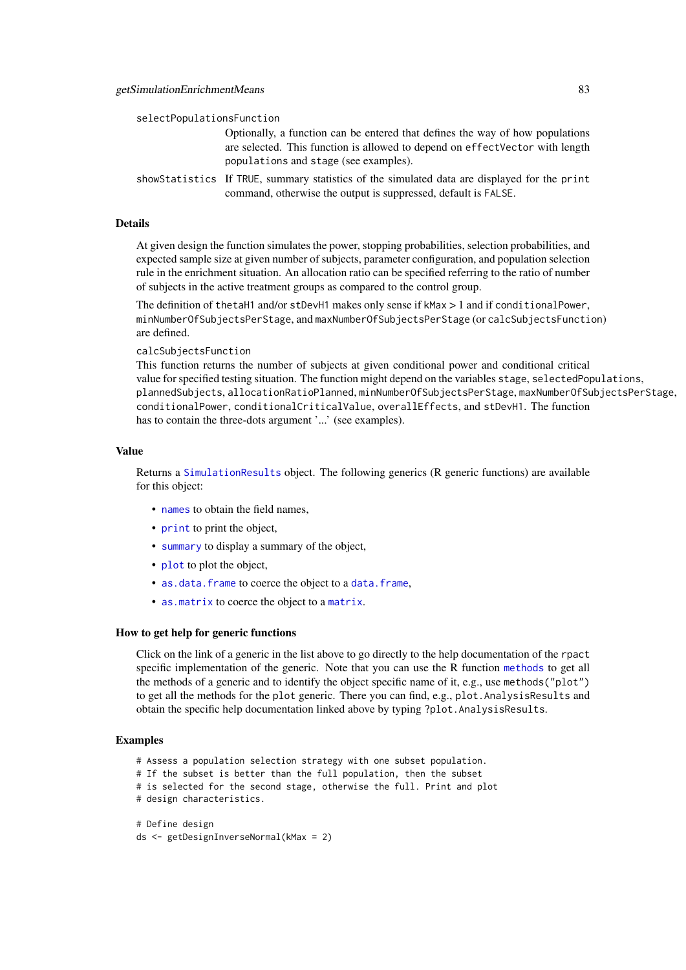| selectPopulationsFunction |                                                                                                                                                                                                         |
|---------------------------|---------------------------------------------------------------------------------------------------------------------------------------------------------------------------------------------------------|
|                           | Optionally, a function can be entered that defines the way of how populations<br>are selected. This function is allowed to depend on effect Vector with length<br>populations and stage (see examples). |
|                           | showStatistics If TRUE, summary statistics of the simulated data are displayed for the print<br>command, otherwise the output is suppressed, default is FALSE.                                          |

At given design the function simulates the power, stopping probabilities, selection probabilities, and expected sample size at given number of subjects, parameter configuration, and population selection rule in the enrichment situation. An allocation ratio can be specified referring to the ratio of number of subjects in the active treatment groups as compared to the control group.

The definition of thetaH1 and/or stDevH1 makes only sense if kMax > 1 and if conditionalPower, minNumberOfSubjectsPerStage, and maxNumberOfSubjectsPerStage (or calcSubjectsFunction) are defined.

calcSubjectsFunction

This function returns the number of subjects at given conditional power and conditional critical value for specified testing situation. The function might depend on the variables stage, selectedPopulations, plannedSubjects, allocationRatioPlanned, minNumberOfSubjectsPerStage, maxNumberOfSubjectsPerStage, conditionalPower, conditionalCriticalValue, overallEffects, and stDevH1. The function has to contain the three-dots argument '...' (see examples).

### Value

Returns a [SimulationResults](#page-0-0) object. The following generics (R generic functions) are available for this object:

- [names](#page-0-0) to obtain the field names,
- [print](#page-0-0) to print the object,
- [summary](#page-0-0) to display a summary of the object,
- [plot](#page-138-0) to plot the object,
- [as.data.frame](#page-0-0) to coerce the object to a [data.frame](#page-0-0),
- [as.matrix](#page-0-0) to coerce the object to a [matrix](#page-0-0).

### How to get help for generic functions

Click on the link of a generic in the list above to go directly to the help documentation of the rpact specific implementation of the generic. Note that you can use the R function [methods](#page-0-0) to get all the methods of a generic and to identify the object specific name of it, e.g., use methods("plot") to get all the methods for the plot generic. There you can find, e.g., plot.AnalysisResults and obtain the specific help documentation linked above by typing ?plot.AnalysisResults.

#### Examples

- # Assess a population selection strategy with one subset population.
- # If the subset is better than the full population, then the subset
- # is selected for the second stage, otherwise the full. Print and plot
- # design characteristics.

```
# Define design
ds <- getDesignInverseNormal(kMax = 2)
```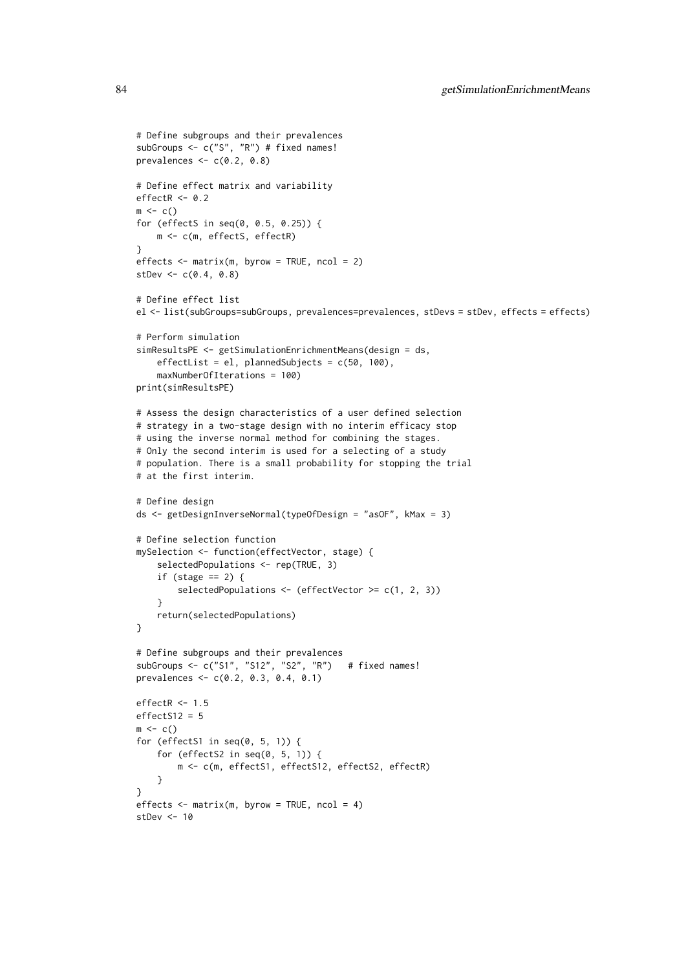```
# Define subgroups and their prevalences
subGroups <- c("S", "R") # fixed names!
prevalences \leq c(0.2, 0.8)# Define effect matrix and variability
effectR < -0.2m \leftarrow c()for (effectS in seq(0, 0.5, 0.25)) {
    m <- c(m, effectS, effectR)
\lambdaeffects \leq matrix(m, byrow = TRUE, ncol = 2)
stDev \leq c(0.4, 0.8)# Define effect list
el <- list(subGroups=subGroups, prevalences=prevalences, stDevs = stDev, effects = effects)
# Perform simulation
simResultsPE <- getSimulationEnrichmentMeans(design = ds,
    effectList = el, plannedSubjects = c(50, 100),
    maxNumberOfIterations = 100)
print(simResultsPE)
# Assess the design characteristics of a user defined selection
# strategy in a two-stage design with no interim efficacy stop
# using the inverse normal method for combining the stages.
# Only the second interim is used for a selecting of a study
# population. There is a small probability for stopping the trial
# at the first interim.
# Define design
ds <- getDesignInverseNormal(typeOfDesign = "asOF", kMax = 3)
# Define selection function
mySelection <- function(effectVector, stage) {
    selectedPopulations <- rep(TRUE, 3)
    if (stage == 2) {
        selectedPopulations <- (effectVector >= c(1, 2, 3))
    }
    return(selectedPopulations)
}
# Define subgroups and their prevalences
subGroups <- c("S1", "S12", "S2", "R") # fixed names!
prevalences <- c(0.2, 0.3, 0.4, 0.1)
effectR < -1.5effectS12 = 5m \leq -c()for (effectS1 in seq(0, 5, 1)) {
    for (effectS2 in seq(0, 5, 1)) {
        m <- c(m, effectS1, effectS12, effectS2, effectR)
    }
}
effects \leq matrix(m, byrow = TRUE, ncol = 4)
stDev <- 10
```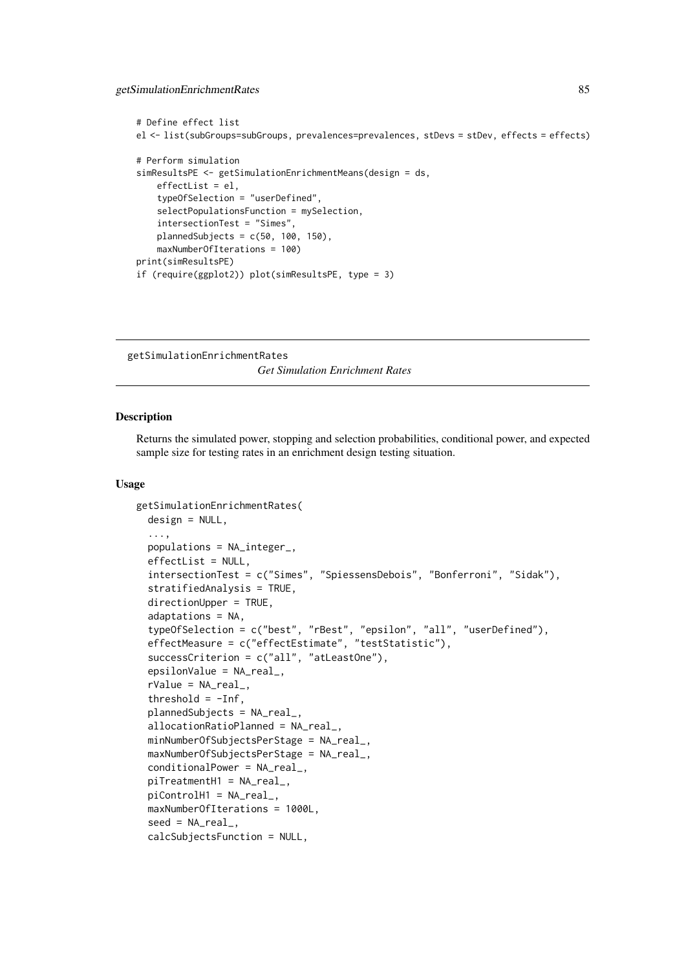getSimulationEnrichmentRates 85

```
# Define effect list
el <- list(subGroups=subGroups, prevalences=prevalences, stDevs = stDev, effects = effects)
# Perform simulation
simResultsPE <- getSimulationEnrichmentMeans(design = ds,
    effectList = el,
    typeOfSelection = "userDefined",
    selectPopulationsFunction = mySelection,
    intersectionTest = "Simes",
    plannedSubjects = c(50, 100, 150).
    maxNumberOfIterations = 100)
print(simResultsPE)
if (require(ggplot2)) plot(simResultsPE, type = 3)
```
getSimulationEnrichmentRates *Get Simulation Enrichment Rates*

### Description

Returns the simulated power, stopping and selection probabilities, conditional power, and expected sample size for testing rates in an enrichment design testing situation.

```
getSimulationEnrichmentRates(
 design = NULL,
  ...,
 populations = NA_integer_,
 effectList = NULL,
  intersectionTest = c("Simes", "SpiessensDebois", "Bonferroni", "Sidak"),
  stratifiedAnalysis = TRUE,
 directionUpper = TRUE,
  adaptations = NA,
  typeOfSelection = c("best", "rBest", "epsilon", "all", "userDefined"),
  effectMeasure = c("effectEstimate", "testStatistic"),
 successCriterion = c("all", "atLeastOne"),
 epsilonValue = NA_real_,
  rValue = NA_real_,
  threshold = -Inf,
 plannedSubjects = NA_real_,
  allocationRatioPlanned = NA_real_,
 minNumberOfSubjectsPerStage = NA_real_,
 maxNumberOfSubjectsPerStage = NA_real_,
 conditionalPower = NA_real_,
 piTreatmentH1 = NA_real_,
 piControlH1 = NA_real_,
 maxNumberOfIterations = 1000L,
  seed = NA\_real_calcSubjectsFunction = NULL,
```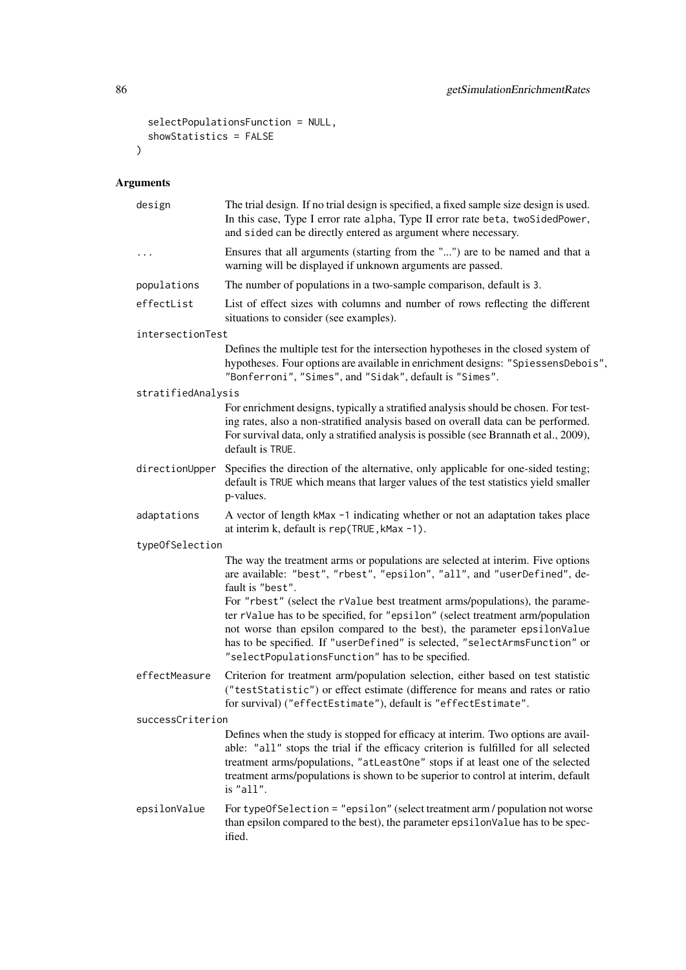```
selectPopulationsFunction = NULL,
  showStatistics = FALSE
\lambda
```

| design             | The trial design. If no trial design is specified, a fixed sample size design is used.<br>In this case, Type I error rate alpha, Type II error rate beta, twoSidedPower,<br>and sided can be directly entered as argument where necessary.                                                                                                                                                                                                                                                                                                                      |
|--------------------|-----------------------------------------------------------------------------------------------------------------------------------------------------------------------------------------------------------------------------------------------------------------------------------------------------------------------------------------------------------------------------------------------------------------------------------------------------------------------------------------------------------------------------------------------------------------|
| $\ddotsc$          | Ensures that all arguments (starting from the "") are to be named and that a<br>warning will be displayed if unknown arguments are passed.                                                                                                                                                                                                                                                                                                                                                                                                                      |
| populations        | The number of populations in a two-sample comparison, default is 3.                                                                                                                                                                                                                                                                                                                                                                                                                                                                                             |
| effectList         | List of effect sizes with columns and number of rows reflecting the different<br>situations to consider (see examples).                                                                                                                                                                                                                                                                                                                                                                                                                                         |
| intersectionTest   |                                                                                                                                                                                                                                                                                                                                                                                                                                                                                                                                                                 |
|                    | Defines the multiple test for the intersection hypotheses in the closed system of<br>hypotheses. Four options are available in enrichment designs: "SpiessensDebois",<br>"Bonferroni", "Simes", and "Sidak", default is "Simes".                                                                                                                                                                                                                                                                                                                                |
| stratifiedAnalysis |                                                                                                                                                                                                                                                                                                                                                                                                                                                                                                                                                                 |
|                    | For enrichment designs, typically a stratified analysis should be chosen. For test-<br>ing rates, also a non-stratified analysis based on overall data can be performed.<br>For survival data, only a stratified analysis is possible (see Brannath et al., 2009),<br>default is TRUE.                                                                                                                                                                                                                                                                          |
| directionUpper     | Specifies the direction of the alternative, only applicable for one-sided testing;<br>default is TRUE which means that larger values of the test statistics yield smaller<br>p-values.                                                                                                                                                                                                                                                                                                                                                                          |
| adaptations        | A vector of length kMax -1 indicating whether or not an adaptation takes place<br>at interim k, default is rep(TRUE, kMax -1).                                                                                                                                                                                                                                                                                                                                                                                                                                  |
| typeOfSelection    |                                                                                                                                                                                                                                                                                                                                                                                                                                                                                                                                                                 |
|                    | The way the treatment arms or populations are selected at interim. Five options<br>are available: "best", "rbest", "epsilon", "all", and "userDefined", de-<br>fault is "best".<br>For "rbest" (select the rValue best treatment arms/populations), the parame-<br>ter rValue has to be specified, for "epsilon" (select treatment arm/population<br>not worse than epsilon compared to the best), the parameter epsilonValue<br>has to be specified. If "userDefined" is selected, "selectArmsFunction" or<br>"selectPopulationsFunction" has to be specified. |
| effectMeasure      | Criterion for treatment arm/population selection, either based on test statistic<br>("testStatistic") or effect estimate (difference for means and rates or ratio<br>for survival) ("effectEstimate"), default is "effectEstimate".                                                                                                                                                                                                                                                                                                                             |
| successCriterion   |                                                                                                                                                                                                                                                                                                                                                                                                                                                                                                                                                                 |
|                    | Defines when the study is stopped for efficacy at interim. Two options are avail-<br>able: "all" stops the trial if the efficacy criterion is fulfilled for all selected<br>treatment arms/populations, "atLeastOne" stops if at least one of the selected<br>treatment arms/populations is shown to be superior to control at interim, default<br>is "all".                                                                                                                                                                                                    |
| epsilonValue       | For typeOfSelection = "epsilon" (select treatment arm / population not worse<br>than epsilon compared to the best), the parameter epsilonValue has to be spec-<br>ified.                                                                                                                                                                                                                                                                                                                                                                                        |
|                    |                                                                                                                                                                                                                                                                                                                                                                                                                                                                                                                                                                 |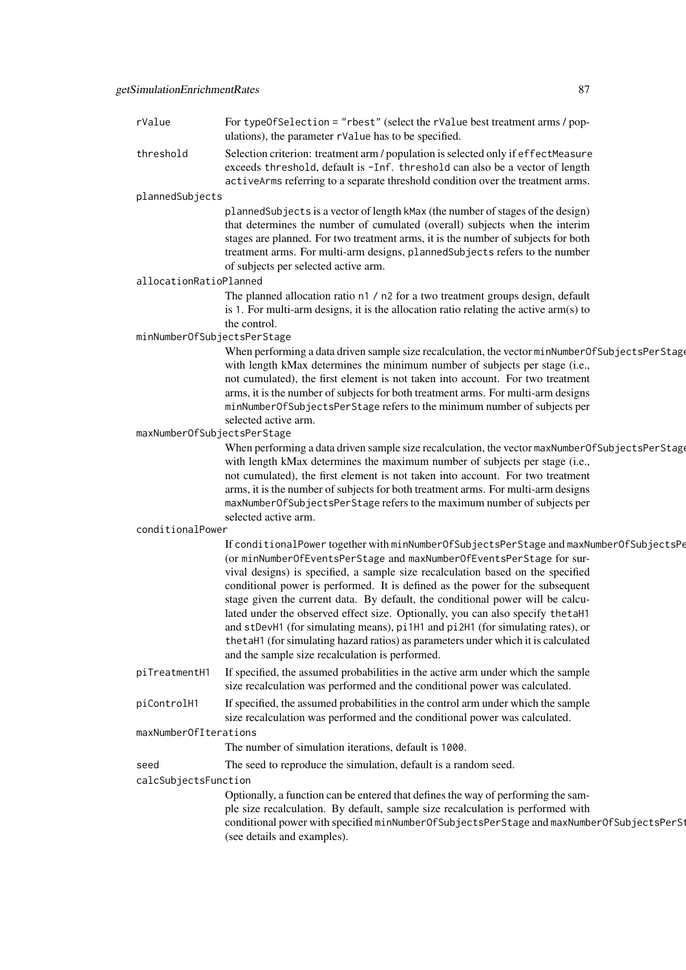| rValue                      | For typeOfSelection = "rbest" (select the rValue best treatment arms / pop-<br>ulations), the parameter rValue has to be specified.                                                                                                                                                                                                                                                                                                                                                                                                                                                                                                                                                                                                 |
|-----------------------------|-------------------------------------------------------------------------------------------------------------------------------------------------------------------------------------------------------------------------------------------------------------------------------------------------------------------------------------------------------------------------------------------------------------------------------------------------------------------------------------------------------------------------------------------------------------------------------------------------------------------------------------------------------------------------------------------------------------------------------------|
| threshold                   | Selection criterion: treatment arm / population is selected only if effectMeasure<br>exceeds threshold, default is -Inf. threshold can also be a vector of length<br>activeArms referring to a separate threshold condition over the treatment arms.                                                                                                                                                                                                                                                                                                                                                                                                                                                                                |
| plannedSubjects             |                                                                                                                                                                                                                                                                                                                                                                                                                                                                                                                                                                                                                                                                                                                                     |
|                             | plannedSubjects is a vector of length kMax (the number of stages of the design)<br>that determines the number of cumulated (overall) subjects when the interim<br>stages are planned. For two treatment arms, it is the number of subjects for both<br>treatment arms. For multi-arm designs, plannedSubjects refers to the number<br>of subjects per selected active arm.                                                                                                                                                                                                                                                                                                                                                          |
| allocationRatioPlanned      |                                                                                                                                                                                                                                                                                                                                                                                                                                                                                                                                                                                                                                                                                                                                     |
|                             | The planned allocation ratio n1 / n2 for a two treatment groups design, default<br>is 1. For multi-arm designs, it is the allocation ratio relating the active arm(s) to<br>the control.                                                                                                                                                                                                                                                                                                                                                                                                                                                                                                                                            |
| minNumberOfSubjectsPerStage |                                                                                                                                                                                                                                                                                                                                                                                                                                                                                                                                                                                                                                                                                                                                     |
|                             | When performing a data driven sample size recalculation, the vector minNumberOfSubjectsPerStage<br>with length kMax determines the minimum number of subjects per stage (i.e.,<br>not cumulated), the first element is not taken into account. For two treatment<br>arms, it is the number of subjects for both treatment arms. For multi-arm designs<br>minNumberOfSubjectsPerStage refers to the minimum number of subjects per                                                                                                                                                                                                                                                                                                   |
|                             | selected active arm.                                                                                                                                                                                                                                                                                                                                                                                                                                                                                                                                                                                                                                                                                                                |
| maxNumberOfSubjectsPerStage | When performing a data driven sample size recalculation, the vector maxNumberOfSubjectsPerStage<br>with length kMax determines the maximum number of subjects per stage (i.e.,<br>not cumulated), the first element is not taken into account. For two treatment<br>arms, it is the number of subjects for both treatment arms. For multi-arm designs<br>maxNumberOfSubjectsPerStage refers to the maximum number of subjects per<br>selected active arm.                                                                                                                                                                                                                                                                           |
| conditionalPower            |                                                                                                                                                                                                                                                                                                                                                                                                                                                                                                                                                                                                                                                                                                                                     |
|                             | If conditionalPower together with minNumberOfSubjectsPerStage and maxNumberOfSubjectsPe<br>(or minNumberOfEventsPerStage and maxNumberOfEventsPerStage for sur-<br>vival designs) is specified, a sample size recalculation based on the specified<br>conditional power is performed. It is defined as the power for the subsequent<br>stage given the current data. By default, the conditional power will be calcu-<br>lated under the observed effect size. Optionally, you can also specify the taH1<br>and stDevH1 (for simulating means), pi1H1 and pi2H1 (for simulating rates), or<br>the taH1 (for simulating hazard ratios) as parameters under which it is calculated<br>and the sample size recalculation is performed. |
| piTreatmentH1               | If specified, the assumed probabilities in the active arm under which the sample<br>size recalculation was performed and the conditional power was calculated.                                                                                                                                                                                                                                                                                                                                                                                                                                                                                                                                                                      |
| piControlH1                 | If specified, the assumed probabilities in the control arm under which the sample<br>size recalculation was performed and the conditional power was calculated.                                                                                                                                                                                                                                                                                                                                                                                                                                                                                                                                                                     |
| maxNumberOfIterations       |                                                                                                                                                                                                                                                                                                                                                                                                                                                                                                                                                                                                                                                                                                                                     |
|                             | The number of simulation iterations, default is 1000.                                                                                                                                                                                                                                                                                                                                                                                                                                                                                                                                                                                                                                                                               |
| seed                        | The seed to reproduce the simulation, default is a random seed.                                                                                                                                                                                                                                                                                                                                                                                                                                                                                                                                                                                                                                                                     |
| calcSubjectsFunction        |                                                                                                                                                                                                                                                                                                                                                                                                                                                                                                                                                                                                                                                                                                                                     |
|                             | Optionally, a function can be entered that defines the way of performing the sam-<br>ple size recalculation. By default, sample size recalculation is performed with<br>conditional power with specified minNumberOfSubjectsPerStage and maxNumberOfSubjectsPerSt<br>(see details and examples).                                                                                                                                                                                                                                                                                                                                                                                                                                    |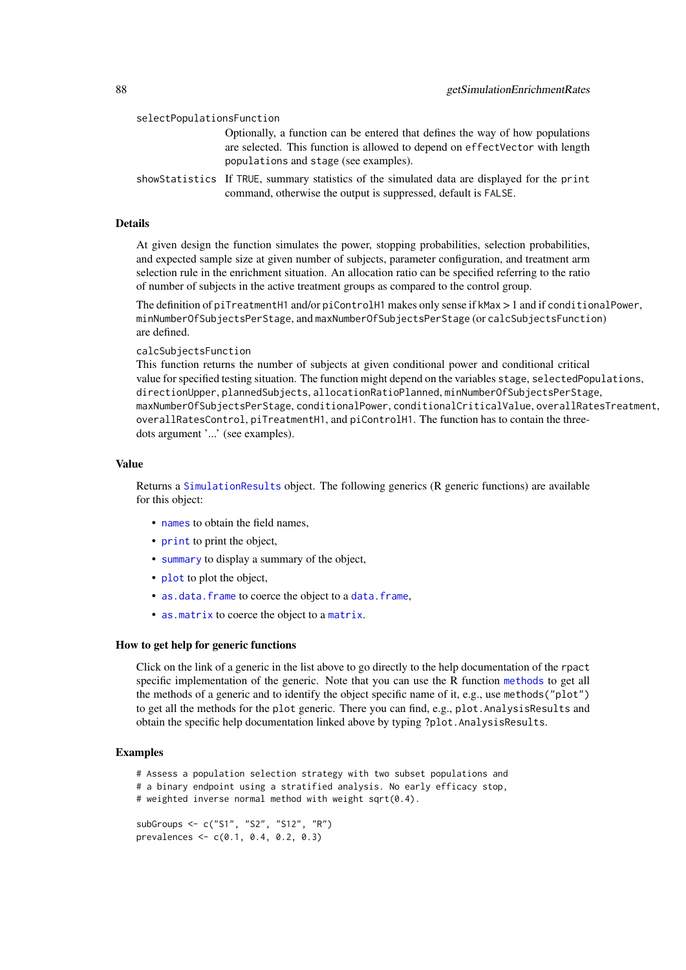| selectPopulationsFunction |                                                                                                                                                                                                        |
|---------------------------|--------------------------------------------------------------------------------------------------------------------------------------------------------------------------------------------------------|
|                           | Optionally, a function can be entered that defines the way of how populations<br>are selected. This function is allowed to depend on effectVector with length<br>populations and stage (see examples). |
|                           | showStatistics If TRUE, summary statistics of the simulated data are displayed for the print<br>command, otherwise the output is suppressed, default is FALSE.                                         |

At given design the function simulates the power, stopping probabilities, selection probabilities, and expected sample size at given number of subjects, parameter configuration, and treatment arm selection rule in the enrichment situation. An allocation ratio can be specified referring to the ratio of number of subjects in the active treatment groups as compared to the control group.

The definition of piTreatmentH1 and/or piControlH1 makes only sense if kMax > 1 and if conditionalPower, minNumberOfSubjectsPerStage, and maxNumberOfSubjectsPerStage (or calcSubjectsFunction) are defined.

calcSubjectsFunction

This function returns the number of subjects at given conditional power and conditional critical value for specified testing situation. The function might depend on the variables stage, selectedPopulations, directionUpper, plannedSubjects, allocationRatioPlanned, minNumberOfSubjectsPerStage, maxNumberOfSubjectsPerStage, conditionalPower, conditionalCriticalValue, overallRatesTreatment, overallRatesControl, piTreatmentH1, and piControlH1. The function has to contain the threedots argument '...' (see examples).

### Value

Returns a [SimulationResults](#page-0-0) object. The following generics (R generic functions) are available for this object:

- [names](#page-0-0) to obtain the field names.
- [print](#page-0-0) to print the object,
- [summary](#page-0-0) to display a summary of the object,
- [plot](#page-138-0) to plot the object,
- [as.data.frame](#page-0-0) to coerce the object to a [data.frame](#page-0-0),
- [as.matrix](#page-0-0) to coerce the object to a [matrix](#page-0-0).

#### How to get help for generic functions

Click on the link of a generic in the list above to go directly to the help documentation of the rpact specific implementation of the generic. Note that you can use the R function [methods](#page-0-0) to get all the methods of a generic and to identify the object specific name of it, e.g., use methods("plot") to get all the methods for the plot generic. There you can find, e.g., plot.AnalysisResults and obtain the specific help documentation linked above by typing ?plot.AnalysisResults.

### Examples

```
# Assess a population selection strategy with two subset populations and
# a binary endpoint using a stratified analysis. No early efficacy stop,
# weighted inverse normal method with weight sqrt(0.4).
subGroups <- c("S1", "S2", "S12", "R")
prevalences <- c(0.1, 0.4, 0.2, 0.3)
```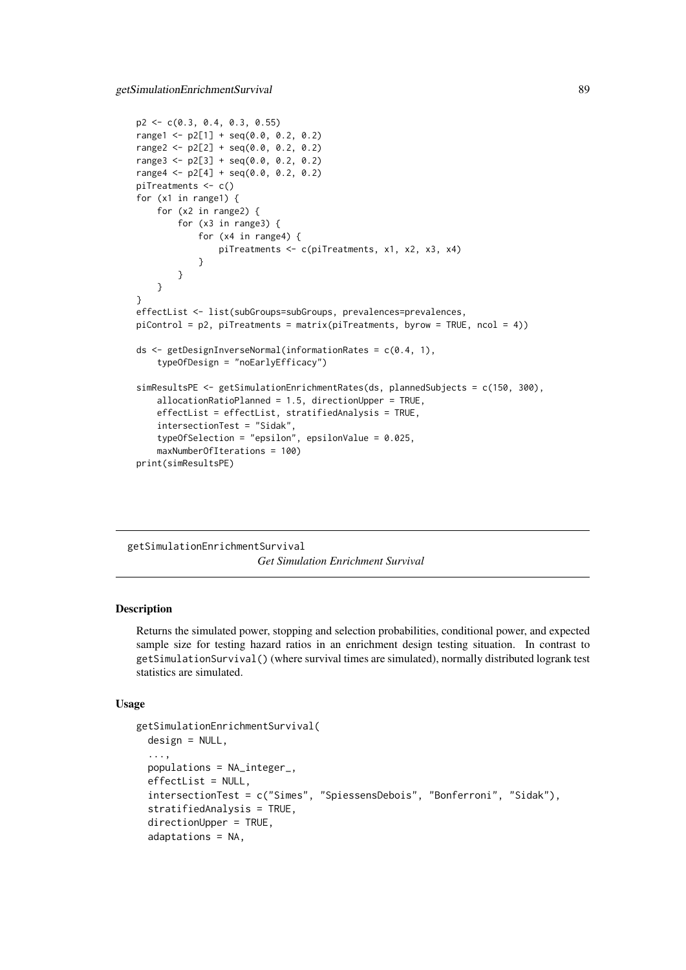```
p2 \leq -c(0.3, 0.4, 0.3, 0.55)range1 <- p2[1] + seq(0.0, 0.2, 0.2)range2 <- p2[2] + seq(0.0, 0.2, 0.2)range3 <- p2[3] + seq(0.0, 0.2, 0.2)
range4 \leq p2[4] + seq(0.0, 0.2, 0.2)
piTreatments <- c()
for (x1 in range1) {
    for (x2 in range2) {
        for (x3 in range3) {
            for (x4 in range4) {
                piTreatments <- c(piTreatments, x1, x2, x3, x4)
            }
        }
    }
}
effectList <- list(subGroups=subGroups, prevalences=prevalences,
piControl = p2, piTreatments = matrix(piTreatments, byrow = TRUE, ncol = 4))
ds <- getDesignInverseNormal(informationRates = c(0.4, 1),
    typeOfDesign = "noEarlyEfficacy")
simResultsPE <- getSimulationEnrichmentRates(ds, plannedSubjects = c(150, 300),
    allocationRatioPlanned = 1.5, directionUpper = TRUE,
    effectList = effectList, stratifiedAnalysis = TRUE,
    intersectionTest = "Sidak",
    typeOfSelection = "epsilon", epsilonValue = 0.025,
    maxNumberOfIterations = 100)
print(simResultsPE)
```
getSimulationEnrichmentSurvival *Get Simulation Enrichment Survival*

### Description

Returns the simulated power, stopping and selection probabilities, conditional power, and expected sample size for testing hazard ratios in an enrichment design testing situation. In contrast to getSimulationSurvival() (where survival times are simulated), normally distributed logrank test statistics are simulated.

```
getSimulationEnrichmentSurvival(
 design = NULL,
  ...,
 populations = NA_integer_,
  effectList = NULL,
  intersectionTest = c("Simes", "SpiessensDebois", "Bonferroni", "Sidak"),
  stratifiedAnalysis = TRUE,
 directionUpper = TRUE,
  adaptations = NA,
```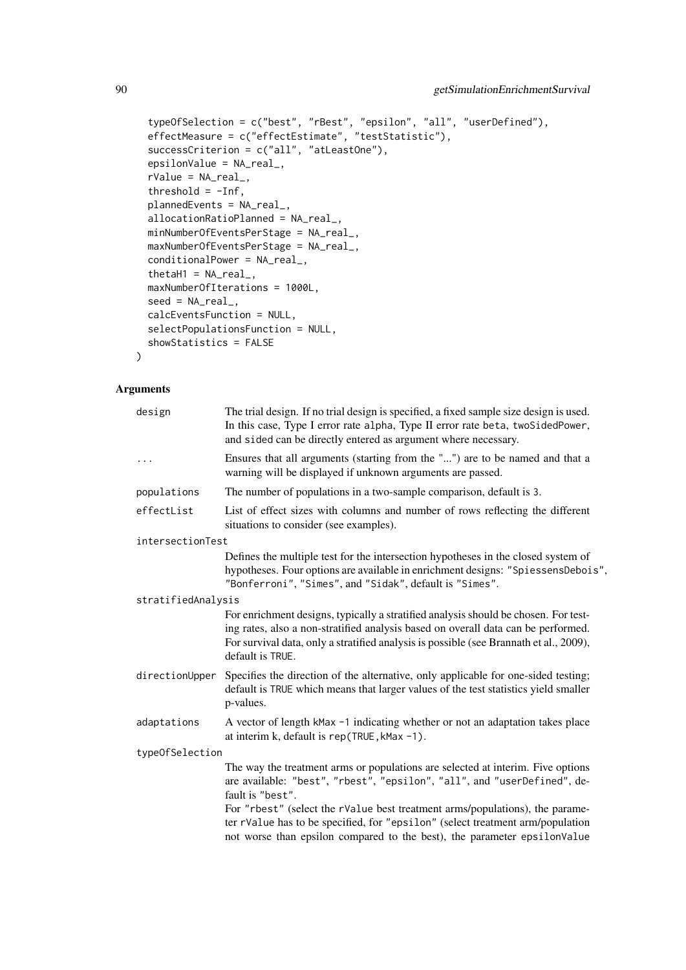```
typeOfSelection = c("best", "rBest", "epsilon", "all", "userDefined"),
effectMeasure = c("effectEstimate", "testStatistic"),
successCriterion = c("all", "atLeastOne"),
epsilonValue = NA_real_,
rValue = NA_real_,
threshold = -Inf,plannedEvents = NA_real_,
allocationRatioPlanned = NA_real_,
minNumberOfEventsPerStage = NA_real_,
maxNumberOfEventsPerStage = NA_real_,
conditionalPower = NA_real_,
thetaH1 = NA_{real_1},
maxNumberOfIterations = 1000L,
seed = NA\_real_calcEventsFunction = NULL,
selectPopulationsFunction = NULL,
showStatistics = FALSE
```
)

| design             | The trial design. If no trial design is specified, a fixed sample size design is used.<br>In this case, Type I error rate alpha, Type II error rate beta, twoSidedPower,<br>and sided can be directly entered as argument where necessary.                                             |
|--------------------|----------------------------------------------------------------------------------------------------------------------------------------------------------------------------------------------------------------------------------------------------------------------------------------|
| $\cdots$           | Ensures that all arguments (starting from the "") are to be named and that a<br>warning will be displayed if unknown arguments are passed.                                                                                                                                             |
| populations        | The number of populations in a two-sample comparison, default is 3.                                                                                                                                                                                                                    |
| effectList         | List of effect sizes with columns and number of rows reflecting the different<br>situations to consider (see examples).                                                                                                                                                                |
| intersectionTest   |                                                                                                                                                                                                                                                                                        |
|                    | Defines the multiple test for the intersection hypotheses in the closed system of<br>hypotheses. Four options are available in enrichment designs: "SpiessensDebois",<br>"Bonferroni", "Simes", and "Sidak", default is "Simes".                                                       |
| stratifiedAnalysis |                                                                                                                                                                                                                                                                                        |
|                    | For enrichment designs, typically a stratified analysis should be chosen. For test-<br>ing rates, also a non-stratified analysis based on overall data can be performed.<br>For survival data, only a stratified analysis is possible (see Brannath et al., 2009),<br>default is TRUE. |
|                    | directionUpper Specifies the direction of the alternative, only applicable for one-sided testing;<br>default is TRUE which means that larger values of the test statistics yield smaller<br>p-values.                                                                                  |
| adaptations        | A vector of length kMax -1 indicating whether or not an adaptation takes place<br>at interim k, default is rep(TRUE, kMax -1).                                                                                                                                                         |
| typeOfSelection    |                                                                                                                                                                                                                                                                                        |
|                    | The way the treatment arms or populations are selected at interim. Five options<br>are available: "best", "rbest", "epsilon", "all", and "userDefined", de-<br>fault is "best".                                                                                                        |
|                    | For "rbest" (select the rValue best treatment arms/populations), the parame-<br>ter rValue has to be specified, for "epsilon" (select treatment arm/population<br>not worse than epsilon compared to the best), the parameter epsilonValue                                             |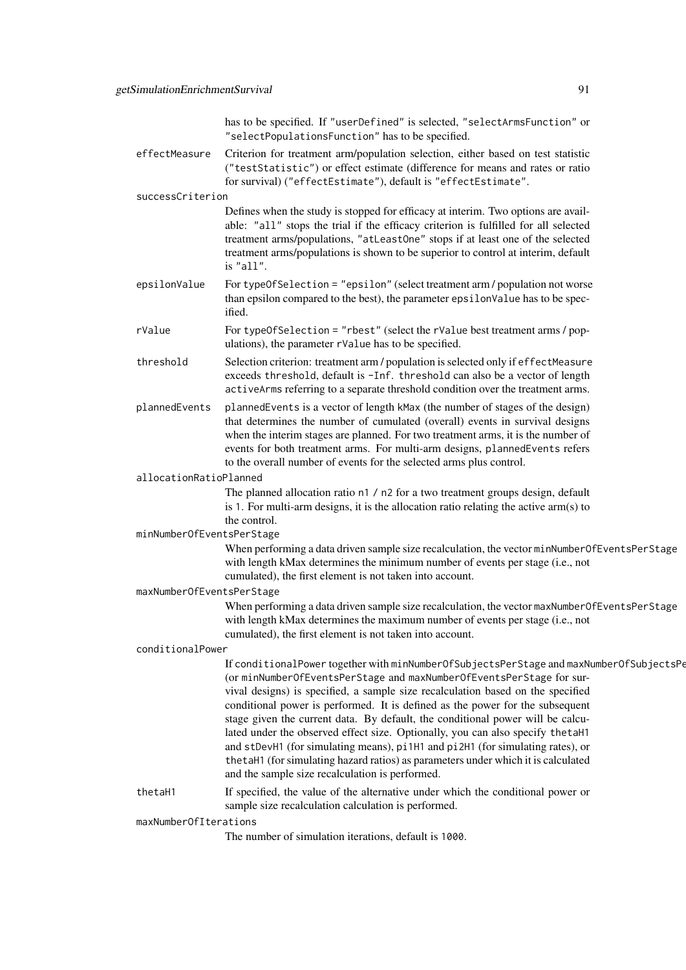|                           | has to be specified. If "userDefined" is selected, "selectArmsFunction" or<br>"selectPopulationsFunction" has to be specified.                                                                                                                                                                                                                                                                                                                                                                                                                                                                                                                                                                                                      |
|---------------------------|-------------------------------------------------------------------------------------------------------------------------------------------------------------------------------------------------------------------------------------------------------------------------------------------------------------------------------------------------------------------------------------------------------------------------------------------------------------------------------------------------------------------------------------------------------------------------------------------------------------------------------------------------------------------------------------------------------------------------------------|
| effectMeasure             | Criterion for treatment arm/population selection, either based on test statistic<br>("testStatistic") or effect estimate (difference for means and rates or ratio<br>for survival) ("effectEstimate"), default is "effectEstimate".                                                                                                                                                                                                                                                                                                                                                                                                                                                                                                 |
| successCriterion          |                                                                                                                                                                                                                                                                                                                                                                                                                                                                                                                                                                                                                                                                                                                                     |
|                           | Defines when the study is stopped for efficacy at interim. Two options are avail-<br>able: "all" stops the trial if the efficacy criterion is fulfilled for all selected<br>treatment arms/populations, "atLeastOne" stops if at least one of the selected<br>treatment arms/populations is shown to be superior to control at interim, default<br>is "all".                                                                                                                                                                                                                                                                                                                                                                        |
| epsilonValue              | For typeOfSelection = "epsilon" (select treatment arm / population not worse<br>than epsilon compared to the best), the parameter epsilonValue has to be spec-<br>ified.                                                                                                                                                                                                                                                                                                                                                                                                                                                                                                                                                            |
| rValue                    | For typeOfSelection = "rbest" (select the rValue best treatment arms / pop-<br>ulations), the parameter rValue has to be specified.                                                                                                                                                                                                                                                                                                                                                                                                                                                                                                                                                                                                 |
| threshold                 | Selection criterion: treatment arm / population is selected only if effectMeasure<br>exceeds threshold, default is -Inf. threshold can also be a vector of length<br>activeArms referring to a separate threshold condition over the treatment arms.                                                                                                                                                                                                                                                                                                                                                                                                                                                                                |
| plannedEvents             | plannedEvents is a vector of length kMax (the number of stages of the design)<br>that determines the number of cumulated (overall) events in survival designs<br>when the interim stages are planned. For two treatment arms, it is the number of<br>events for both treatment arms. For multi-arm designs, plannedEvents refers<br>to the overall number of events for the selected arms plus control.                                                                                                                                                                                                                                                                                                                             |
| allocationRatioPlanned    |                                                                                                                                                                                                                                                                                                                                                                                                                                                                                                                                                                                                                                                                                                                                     |
|                           | The planned allocation ratio n1 / n2 for a two treatment groups design, default<br>is 1. For multi-arm designs, it is the allocation ratio relating the active arm(s) to<br>the control.                                                                                                                                                                                                                                                                                                                                                                                                                                                                                                                                            |
| minNumberOfEventsPerStage | When performing a data driven sample size recalculation, the vector minNumberOfEventsPerStage                                                                                                                                                                                                                                                                                                                                                                                                                                                                                                                                                                                                                                       |
|                           | with length kMax determines the minimum number of events per stage (i.e., not<br>cumulated), the first element is not taken into account.                                                                                                                                                                                                                                                                                                                                                                                                                                                                                                                                                                                           |
| maxNumberOfEventsPerStage |                                                                                                                                                                                                                                                                                                                                                                                                                                                                                                                                                                                                                                                                                                                                     |
|                           | When performing a data driven sample size recalculation, the vector maxNumberOfEventsPerStage<br>with length kMax determines the maximum number of events per stage (i.e., not<br>cumulated), the first element is not taken into account.                                                                                                                                                                                                                                                                                                                                                                                                                                                                                          |
| conditionalPower          |                                                                                                                                                                                                                                                                                                                                                                                                                                                                                                                                                                                                                                                                                                                                     |
|                           | If conditionalPower together with minNumberOfSubjectsPerStage and maxNumberOfSubjectsPe<br>(or minNumberOfEventsPerStage and maxNumberOfEventsPerStage for sur-<br>vival designs) is specified, a sample size recalculation based on the specified<br>conditional power is performed. It is defined as the power for the subsequent<br>stage given the current data. By default, the conditional power will be calcu-<br>lated under the observed effect size. Optionally, you can also specify the taH1<br>and stDevH1 (for simulating means), pi1H1 and pi2H1 (for simulating rates), or<br>the taH1 (for simulating hazard ratios) as parameters under which it is calculated<br>and the sample size recalculation is performed. |
| thetaH1                   | If specified, the value of the alternative under which the conditional power or<br>sample size recalculation calculation is performed.                                                                                                                                                                                                                                                                                                                                                                                                                                                                                                                                                                                              |
| maxNumberOfIterations     |                                                                                                                                                                                                                                                                                                                                                                                                                                                                                                                                                                                                                                                                                                                                     |

The number of simulation iterations, default is 1000.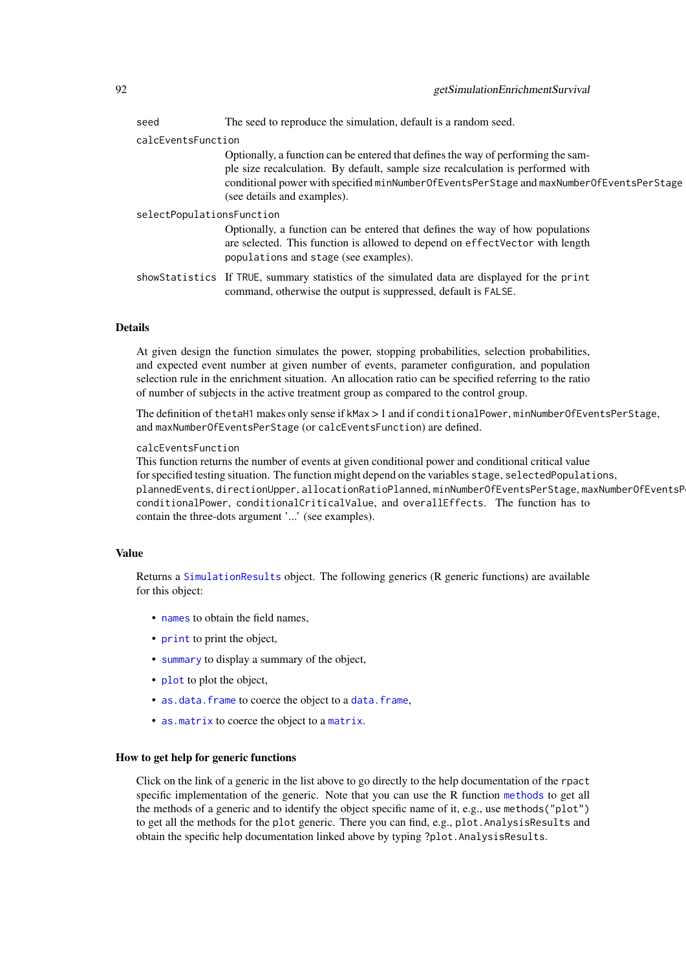| seed                      | The seed to reproduce the simulation, default is a random seed.                                                                                                                                                                                                                                 |
|---------------------------|-------------------------------------------------------------------------------------------------------------------------------------------------------------------------------------------------------------------------------------------------------------------------------------------------|
| calcEventsFunction        |                                                                                                                                                                                                                                                                                                 |
|                           | Optionally, a function can be entered that defines the way of performing the sam-<br>ple size recalculation. By default, sample size recalculation is performed with<br>conditional power with specified minNumberOfEventsPerStage and maxNumberOfEventsPerStage<br>(see details and examples). |
| selectPopulationsFunction |                                                                                                                                                                                                                                                                                                 |
|                           | Optionally, a function can be entered that defines the way of how populations                                                                                                                                                                                                                   |
|                           | are selected. This function is allowed to depend on effect Vector with length<br>populations and stage (see examples).                                                                                                                                                                          |
|                           | showStatistics If TRUE, summary statistics of the simulated data are displayed for the print<br>command, otherwise the output is suppressed, default is FALSE.                                                                                                                                  |

At given design the function simulates the power, stopping probabilities, selection probabilities, and expected event number at given number of events, parameter configuration, and population selection rule in the enrichment situation. An allocation ratio can be specified referring to the ratio of number of subjects in the active treatment group as compared to the control group.

The definition of thetaH1 makes only sense if kMax > 1 and if conditionalPower, minNumberOfEventsPerStage, and maxNumberOfEventsPerStage (or calcEventsFunction) are defined.

### calcEventsFunction

This function returns the number of events at given conditional power and conditional critical value for specified testing situation. The function might depend on the variables stage, selectedPopulations, plannedEvents, directionUpper, allocationRatioPlanned, minNumberOfEventsPerStage, maxNumberOfEventsP conditionalPower, conditionalCriticalValue, and overallEffects. The function has to contain the three-dots argument '...' (see examples).

### Value

Returns a [SimulationResults](#page-0-0) object. The following generics (R generic functions) are available for this object:

- [names](#page-0-0) to obtain the field names,
- [print](#page-0-0) to print the object,
- [summary](#page-0-0) to display a summary of the object,
- [plot](#page-138-0) to plot the object,
- [as.data.frame](#page-0-0) to coerce the object to a [data.frame](#page-0-0),
- [as.matrix](#page-0-0) to coerce the object to a [matrix](#page-0-0).

### How to get help for generic functions

Click on the link of a generic in the list above to go directly to the help documentation of the rpact specific implementation of the generic. Note that you can use the R function [methods](#page-0-0) to get all the methods of a generic and to identify the object specific name of it, e.g., use methods("plot") to get all the methods for the plot generic. There you can find, e.g., plot.AnalysisResults and obtain the specific help documentation linked above by typing ?plot.AnalysisResults.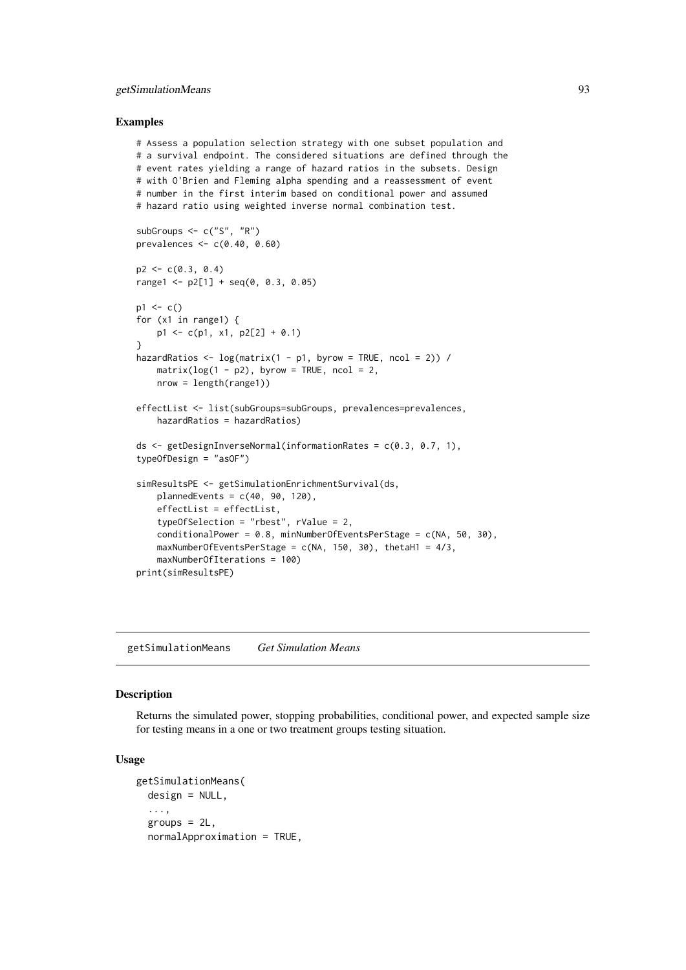### getSimulationMeans 93

### Examples

```
# Assess a population selection strategy with one subset population and
# a survival endpoint. The considered situations are defined through the
# event rates yielding a range of hazard ratios in the subsets. Design
# with O'Brien and Fleming alpha spending and a reassessment of event
# number in the first interim based on conditional power and assumed
# hazard ratio using weighted inverse normal combination test.
subGroups <- c("S", "R")
prevalences <- c(0.40, 0.60)
p2 \leq -c(0.3, 0.4)range1 <- p2[1] + seq(0, 0.3, 0.05)p1 \leq -c()for (x1 in range1) {
    p1 \leftarrow c(p1, x1, p2[2] + 0.1)}
```

```
hazardRatios \leq log(matrix(1 - p1, byrow = TRUE, ncol = 2)) /
    matrix(log(1 - p2), byrow = TRUE, ncol = 2,nrow = length(range1))
```

```
effectList <- list(subGroups=subGroups, prevalences=prevalences,
    hazardRatios = hazardRatios)
```

```
ds <- getDesignInverseNormal(informationRates = c(0.3, 0.7, 1),
typeOfDesign = "asOF")
```

```
simResultsPE <- getSimulationEnrichmentSurvival(ds,
   plannedEvents = c(40, 90, 120),
   effectList = effectList,
   typeOfSelection = "rbest", rValue = 2,
   conditionalPower = 0.8, minNumberOfEventsPerStage = c(NA, 50, 30),
   maxNumberOfEventsPerStage = c(NA, 150, 30), thetaH1 = 4/3,
   maxNumberOfIterations = 100)
print(simResultsPE)
```
getSimulationMeans *Get Simulation Means*

### Description

Returns the simulated power, stopping probabilities, conditional power, and expected sample size for testing means in a one or two treatment groups testing situation.

```
getSimulationMeans(
 design = NULL,
  ...,
  groups = 2L,
  normalApproximation = TRUE,
```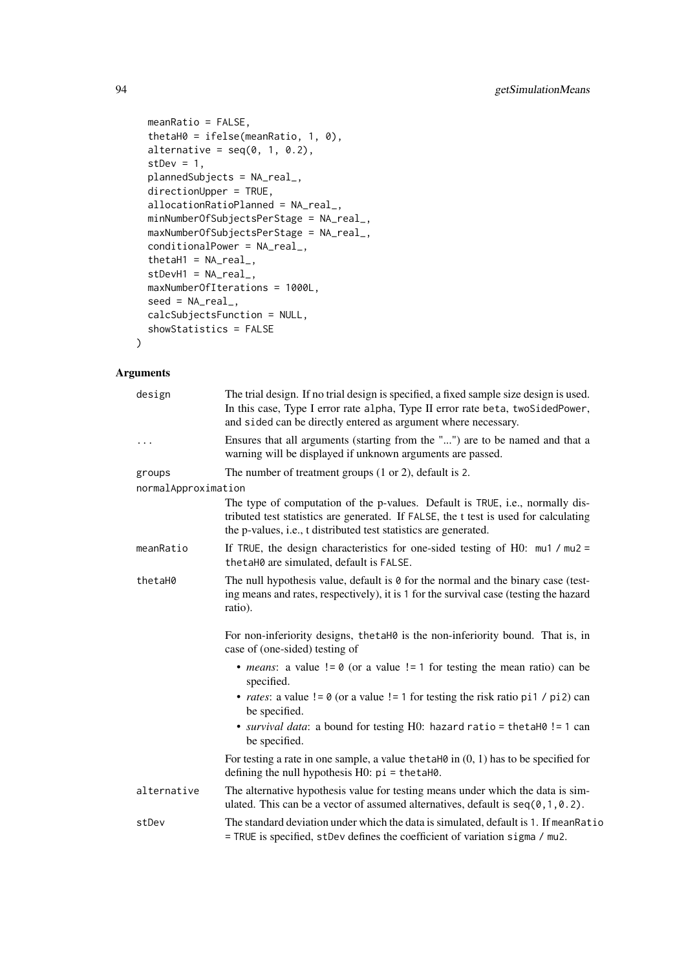```
meanRatio = FALSE,
 thetaH0 = ifelse(meanRatio, 1, 0),
 alternative = seq(0, 1, 0.2),
 stDev = 1,plannedSubjects = NA_real_,
 directionUpper = TRUE,
 allocationRatioPlanned = NA_real_,
 minNumberOfSubjectsPerStage = NA_real_,
 maxNumberOfSubjectsPerStage = NA_real_,
 conditionalPower = NA_real_,
 thetaH1 = NA\_real_,
 stDevH1 = NA\_real_maxNumberOfIterations = 1000L,
 seed = NA\_real_calcSubjectsFunction = NULL,
 showStatistics = FALSE
)
```

| design              | The trial design. If no trial design is specified, a fixed sample size design is used.<br>In this case, Type I error rate alpha, Type II error rate beta, twoSidedPower,<br>and sided can be directly entered as argument where necessary. |
|---------------------|--------------------------------------------------------------------------------------------------------------------------------------------------------------------------------------------------------------------------------------------|
| .                   | Ensures that all arguments (starting from the "") are to be named and that a<br>warning will be displayed if unknown arguments are passed.                                                                                                 |
| groups              | The number of treatment groups $(1 or 2)$ , default is 2.                                                                                                                                                                                  |
| normalApproximation |                                                                                                                                                                                                                                            |
|                     | The type of computation of the p-values. Default is TRUE, i.e., normally dis-<br>tributed test statistics are generated. If FALSE, the t test is used for calculating<br>the p-values, i.e., t distributed test statistics are generated.  |
| meanRatio           | If TRUE, the design characteristics for one-sided testing of H0: $mu1 / mu2 =$<br>thetaH0 are simulated, default is FALSE.                                                                                                                 |
| thetaH0             | The null hypothesis value, default is 0 for the normal and the binary case (test-<br>ing means and rates, respectively), it is 1 for the survival case (testing the hazard<br>ratio).                                                      |
|                     | For non-inferiority designs, the taHO is the non-inferiority bound. That is, in<br>case of (one-sided) testing of                                                                                                                          |
|                     | • <i>means</i> : a value $!= 0$ (or a value $!= 1$ for testing the mean ratio) can be<br>specified.                                                                                                                                        |
|                     | • <i>rates</i> : a value $!= 0$ (or a value $!= 1$ for testing the risk ratio pi1 / pi2) can<br>be specified.                                                                                                                              |
|                     | • survival data: a bound for testing H0: hazard ratio = thetaH0 != 1 can<br>be specified.                                                                                                                                                  |
|                     | For testing a rate in one sample, a value the talled in $(0, 1)$ has to be specified for<br>defining the null hypothesis $H0$ : $pi = \text{thetaH0}$ .                                                                                    |
| alternative         | The alternative hypothesis value for testing means under which the data is sim-<br>ulated. This can be a vector of assumed alternatives, default is $seq(0, 1, 0.2)$ .                                                                     |
| stDev               | The standard deviation under which the data is simulated, default is 1. If mean Ratio<br>= TRUE is specified, stDev defines the coefficient of variation sigma / mu2.                                                                      |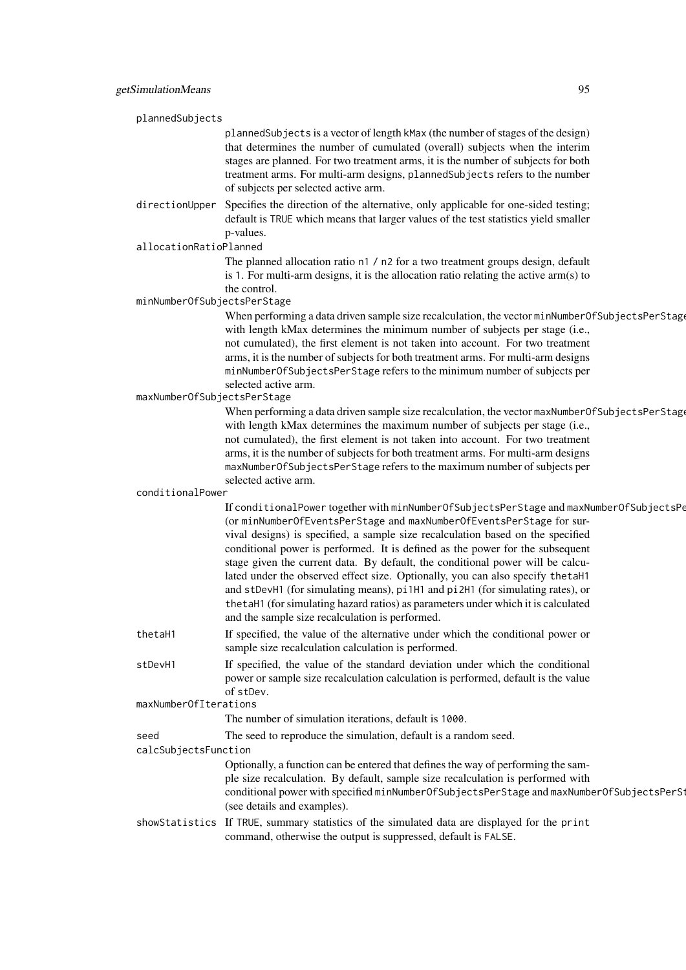| plannedSubjects |                             |                                                                                                                                                                                |
|-----------------|-----------------------------|--------------------------------------------------------------------------------------------------------------------------------------------------------------------------------|
|                 |                             | plannedSubjects is a vector of length kMax (the number of stages of the design)                                                                                                |
|                 |                             | that determines the number of cumulated (overall) subjects when the interim                                                                                                    |
|                 |                             | stages are planned. For two treatment arms, it is the number of subjects for both                                                                                              |
|                 |                             | treatment arms. For multi-arm designs, plannedSubjects refers to the number                                                                                                    |
|                 |                             | of subjects per selected active arm.                                                                                                                                           |
|                 | directionUpper              | Specifies the direction of the alternative, only applicable for one-sided testing;                                                                                             |
|                 |                             | default is TRUE which means that larger values of the test statistics yield smaller                                                                                            |
|                 |                             | p-values.                                                                                                                                                                      |
|                 | allocationRatioPlanned      |                                                                                                                                                                                |
|                 |                             | The planned allocation ratio n1 / n2 for a two treatment groups design, default                                                                                                |
|                 |                             | is 1. For multi-arm designs, it is the allocation ratio relating the active $arm(s)$ to                                                                                        |
|                 |                             | the control.                                                                                                                                                                   |
|                 | minNumberOfSubjectsPerStage |                                                                                                                                                                                |
|                 |                             | When performing a data driven sample size recalculation, the vector minNumberOfSubjectsPerStage<br>with length kMax determines the minimum number of subjects per stage (i.e., |
|                 |                             | not cumulated), the first element is not taken into account. For two treatment                                                                                                 |
|                 |                             | arms, it is the number of subjects for both treatment arms. For multi-arm designs                                                                                              |
|                 |                             | minNumberOfSubjectsPerStage refers to the minimum number of subjects per                                                                                                       |
|                 |                             | selected active arm.                                                                                                                                                           |
|                 | maxNumberOfSubjectsPerStage |                                                                                                                                                                                |
|                 |                             | When performing a data driven sample size recalculation, the vector maxNumberOfSubjectsPerStage                                                                                |
|                 |                             | with length kMax determines the maximum number of subjects per stage (i.e.,                                                                                                    |
|                 |                             | not cumulated), the first element is not taken into account. For two treatment                                                                                                 |
|                 |                             | arms, it is the number of subjects for both treatment arms. For multi-arm designs                                                                                              |
|                 |                             | maxNumberOfSubjectsPerStage refers to the maximum number of subjects per                                                                                                       |
|                 |                             | selected active arm.                                                                                                                                                           |
|                 | conditionalPower            |                                                                                                                                                                                |
|                 |                             | If conditionalPower together with minNumberOfSubjectsPerStage and maxNumberOfSubjectsPe                                                                                        |
|                 |                             | (or minNumberOfEventsPerStage and maxNumberOfEventsPerStage for sur-                                                                                                           |
|                 |                             | vival designs) is specified, a sample size recalculation based on the specified<br>conditional power is performed. It is defined as the power for the subsequent               |
|                 |                             | stage given the current data. By default, the conditional power will be calcu-                                                                                                 |
|                 |                             | lated under the observed effect size. Optionally, you can also specify thetaH1                                                                                                 |
|                 |                             | and stDevH1 (for simulating means), pi1H1 and pi2H1 (for simulating rates), or                                                                                                 |
|                 |                             | the taH1 (for simulating hazard ratios) as parameters under which it is calculated                                                                                             |
|                 |                             | and the sample size recalculation is performed.                                                                                                                                |
|                 | thetaH1                     | If specified, the value of the alternative under which the conditional power or                                                                                                |
|                 |                             | sample size recalculation calculation is performed.                                                                                                                            |
|                 | stDevH1                     | If specified, the value of the standard deviation under which the conditional                                                                                                  |
|                 |                             | power or sample size recalculation calculation is performed, default is the value                                                                                              |
|                 |                             | of stDev.                                                                                                                                                                      |
|                 | maxNumberOfIterations       |                                                                                                                                                                                |
|                 |                             | The number of simulation iterations, default is 1000.                                                                                                                          |
|                 | seed                        | The seed to reproduce the simulation, default is a random seed.                                                                                                                |
|                 | calcSubjectsFunction        |                                                                                                                                                                                |
|                 |                             | Optionally, a function can be entered that defines the way of performing the sam-                                                                                              |
|                 |                             | ple size recalculation. By default, sample size recalculation is performed with                                                                                                |
|                 |                             | conditional power with specified minNumberOfSubjectsPerStage and maxNumberOfSubjectsPerSt                                                                                      |
|                 |                             | (see details and examples).                                                                                                                                                    |
|                 |                             | showStatistics If TRUE, summary statistics of the simulated data are displayed for the print                                                                                   |
|                 |                             | command, otherwise the output is suppressed, default is FALSE.                                                                                                                 |
|                 |                             |                                                                                                                                                                                |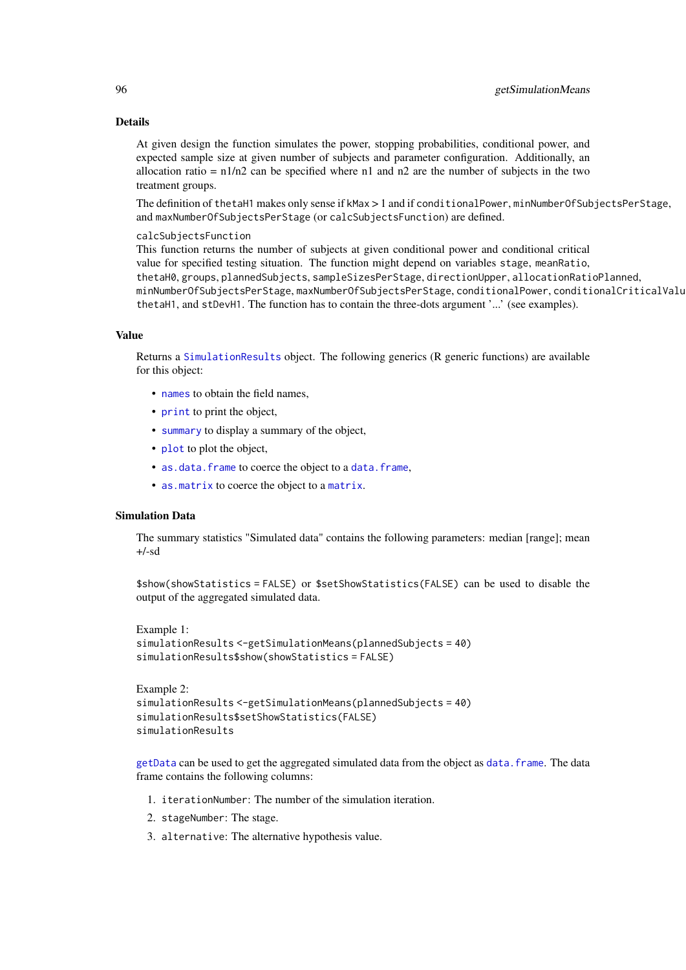At given design the function simulates the power, stopping probabilities, conditional power, and expected sample size at given number of subjects and parameter configuration. Additionally, an allocation ratio =  $n1/n2$  can be specified where n1 and n2 are the number of subjects in the two treatment groups.

The definition of thetaH1 makes only sense if kMax > 1 and if conditionalPower, minNumberOfSubjectsPerStage, and maxNumberOfSubjectsPerStage (or calcSubjectsFunction) are defined.

#### calcSubjectsFunction

This function returns the number of subjects at given conditional power and conditional critical value for specified testing situation. The function might depend on variables stage, meanRatio, thetaH0, groups, plannedSubjects, sampleSizesPerStage, directionUpper, allocationRatioPlanned, minNumberOfSubjectsPerStage, maxNumberOfSubjectsPerStage, conditionalPower, conditionalCriticalValue, thetaH1, and stDevH1. The function has to contain the three-dots argument '...' (see examples).

## Value

Returns a [SimulationResults](#page-0-0) object. The following generics (R generic functions) are available for this object:

- [names](#page-0-0) to obtain the field names,
- [print](#page-0-0) to print the object,
- [summary](#page-0-0) to display a summary of the object,
- [plot](#page-138-0) to plot the object,
- [as.data.frame](#page-0-0) to coerce the object to a [data.frame](#page-0-0),
- [as.matrix](#page-0-0) to coerce the object to a [matrix](#page-0-0).

#### Simulation Data

The summary statistics "Simulated data" contains the following parameters: median [range]; mean  $+/-sd$ 

\$show(showStatistics = FALSE) or \$setShowStatistics(FALSE) can be used to disable the output of the aggregated simulated data.

```
Example 1:
simulationResults <-getSimulationMeans(plannedSubjects = 40)
simulationResults$show(showStatistics = FALSE)
```

```
Example 2:
simulationResults <-getSimulationMeans(plannedSubjects = 40)
simulationResults$setShowStatistics(FALSE)
simulationResults
```
[getData](#page-21-0) can be used to get the aggregated simulated data from the object as [data.frame](#page-0-0). The data frame contains the following columns:

- 1. iterationNumber: The number of the simulation iteration.
- 2. stageNumber: The stage.
- 3. alternative: The alternative hypothesis value.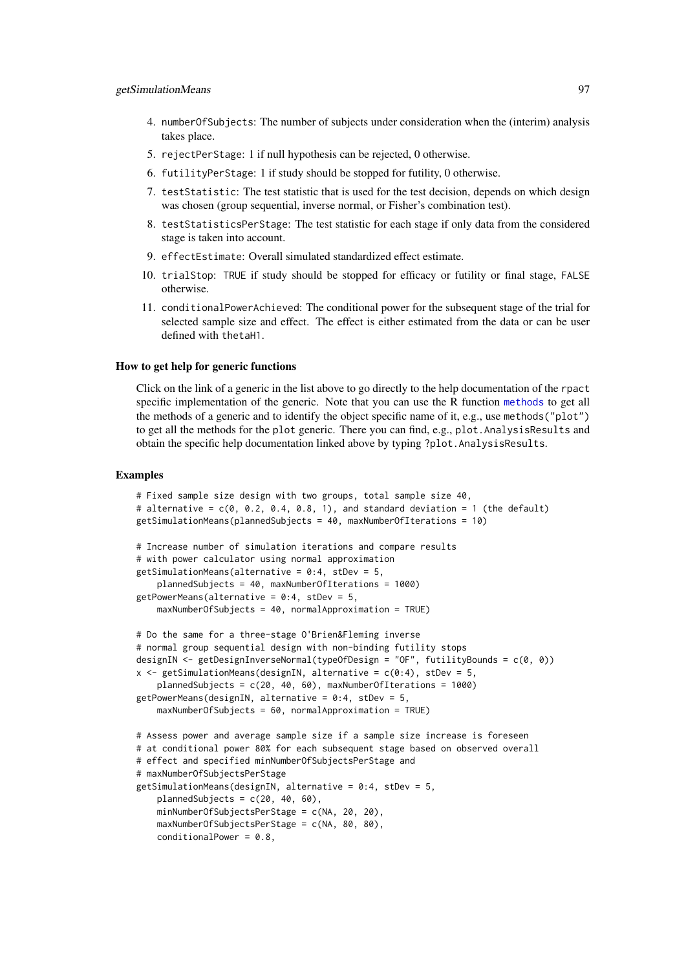- 4. numberOfSubjects: The number of subjects under consideration when the (interim) analysis takes place.
- 5. rejectPerStage: 1 if null hypothesis can be rejected, 0 otherwise.
- 6. futilityPerStage: 1 if study should be stopped for futility, 0 otherwise.
- 7. testStatistic: The test statistic that is used for the test decision, depends on which design was chosen (group sequential, inverse normal, or Fisher's combination test).
- 8. testStatisticsPerStage: The test statistic for each stage if only data from the considered stage is taken into account.
- 9. effectEstimate: Overall simulated standardized effect estimate.
- 10. trialStop: TRUE if study should be stopped for efficacy or futility or final stage, FALSE otherwise.
- 11. conditionalPowerAchieved: The conditional power for the subsequent stage of the trial for selected sample size and effect. The effect is either estimated from the data or can be user defined with thetaH1.

#### How to get help for generic functions

Click on the link of a generic in the list above to go directly to the help documentation of the rpact specific implementation of the generic. Note that you can use the R function [methods](#page-0-0) to get all the methods of a generic and to identify the object specific name of it, e.g., use methods("plot") to get all the methods for the plot generic. There you can find, e.g., plot.AnalysisResults and obtain the specific help documentation linked above by typing ?plot.AnalysisResults.

### Examples

```
# Fixed sample size design with two groups, total sample size 40,
# alternative = c(\emptyset, 0.2, 0.4, 0.8, 1), and standard deviation = 1 (the default)
getSimulationMeans(plannedSubjects = 40, maxNumberOfIterations = 10)
# Increase number of simulation iterations and compare results
# with power calculator using normal approximation
getSimulationMeans(alternative = 0:4, stDev = 5,
    plannedSubjects = 40, maxNumberOfIterations = 1000)
getPowerMeans(alternative = 0:4, stDev = 5,
    maxNumberOfSubjects = 40, normalApproximation = TRUE)
# Do the same for a three-stage O'Brien&Fleming inverse
# normal group sequential design with non-binding futility stops
designIN <- getDesignInverseNormal(typeOfDesign = "OF", futilityBounds = c(0, 0))
x \leq getSimulationMeans(designIN, alternative = c(0:4), stDev = 5,
    plannedSubjects = c(20, 40, 60), maxNumberOfIterations = 1000)
getPowerMeans(designIN, alternative = 0:4, stDev = 5,
    maxNumberOfSubjects = 60, normalApproximation = TRUE)
# Assess power and average sample size if a sample size increase is foreseen
# at conditional power 80% for each subsequent stage based on observed overall
# effect and specified minNumberOfSubjectsPerStage and
# maxNumberOfSubjectsPerStage
getSimulationMeans(designIN, alternative = 0:4, stDev = 5,
    plannedSubjects = c(20, 40, 60),
    minNumberOfSubjectsPerStage = c(NA, 20, 20),
    maxNumberOfSubjectsPerStage = c(NA, 80, 80),
    conditionalPower = 0.8,
```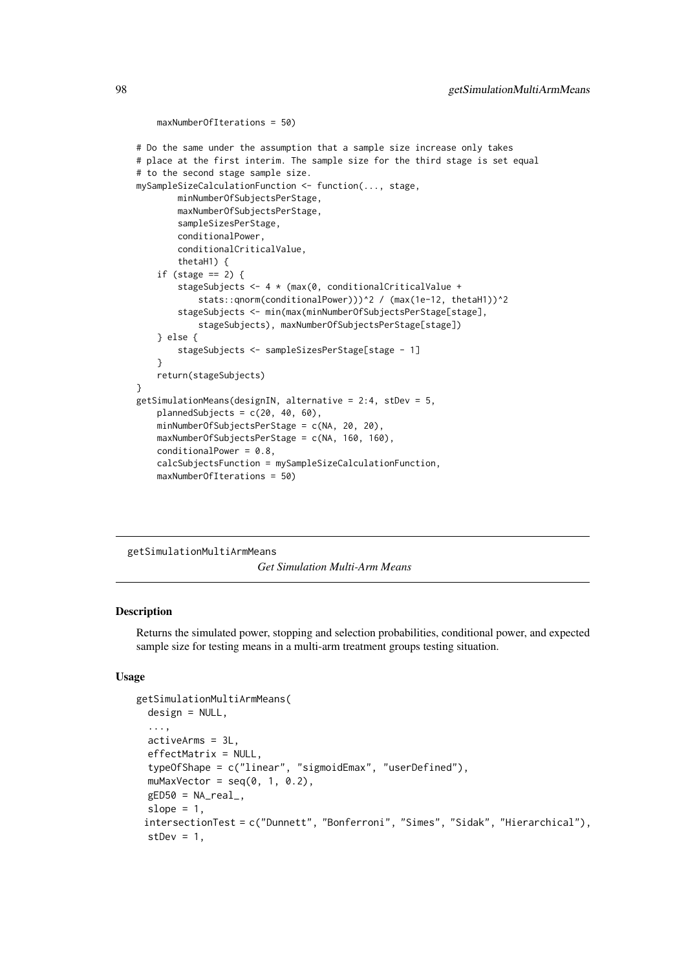```
maxNumberOfIterations = 50)
# Do the same under the assumption that a sample size increase only takes
# place at the first interim. The sample size for the third stage is set equal
# to the second stage sample size.
mySampleSizeCalculationFunction <- function(..., stage,
        minNumberOfSubjectsPerStage,
        maxNumberOfSubjectsPerStage,
        sampleSizesPerStage,
        conditionalPower,
        conditionalCriticalValue,
        thetaH1) {
    if (stage == 2) {
        stageSubjects <- 4 * (max(0, conditionalCriticalValue +
            stats::qnorm(conditionalPower)))^2 / (max(1e-12, thetaH1))^2
        stageSubjects <- min(max(minNumberOfSubjectsPerStage[stage],
            stageSubjects), maxNumberOfSubjectsPerStage[stage])
    } else {
        stageSubjects <- sampleSizesPerStage[stage - 1]
    }
    return(stageSubjects)
}
getSimulationMeans(designIN, alternative = 2:4, stDev = 5,
    plannedSubjects = c(20, 40, 60),
    minNumberOfSubjectsPerStage = c(NA, 20, 20),
    maxNumberOfSubjectsPerStage = c(NA, 160, 160),
    conditionalPower = 0.8,
    calcSubjectsFunction = mySampleSizeCalculationFunction,
    maxNumberOfIterations = 50)
```
#### getSimulationMultiArmMeans

*Get Simulation Multi-Arm Means*

# Description

Returns the simulated power, stopping and selection probabilities, conditional power, and expected sample size for testing means in a multi-arm treatment groups testing situation.

```
getSimulationMultiArmMeans(
  design = NULL,
  ...,
  activeArms = 3L,
  effectMatrix = NULL,
  typeOfShape = c("linear", "sigmoidEmax", "userDefined"),
  muMaxVector = seq(0, 1, 0.2),
  gED50 = NA\_real_slope = 1,
 intersectionTest = c("Dunnett", "Bonferroni", "Simes", "Sidak", "Hierarchical"),
  stDev = 1,
```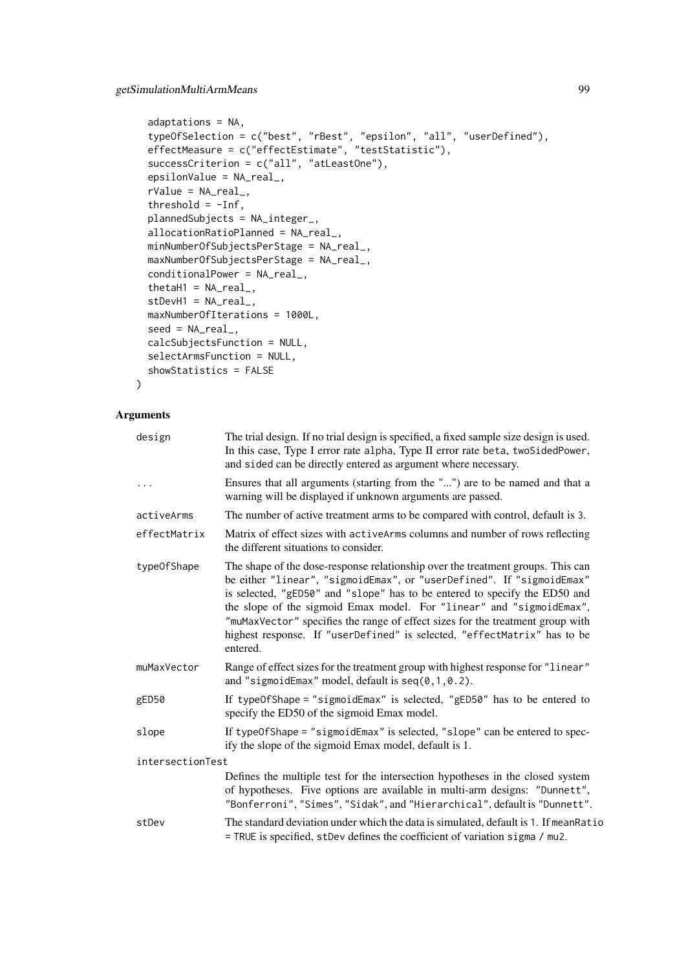```
adaptations = NA,
typeOfSelection = c("best", "rBest", "epsilon", "all", "userDefined"),
effectMeasure = c("effectEstimate", "testStatistic"),
successCriterion = c("all", "atLeastOne"),
epsilonValue = NA_real_,
rValue = NA_real_,
threshold = -Inf,plannedSubjects = NA_integer_,
allocationRatioPlanned = NA_real_,
minNumberOfSubjectsPerStage = NA_real_,
maxNumberOfSubjectsPerStage = NA_real_,
conditionalPower = NA_real_,
thetaH1 = NA_{real_1},
stDevH1 = NA\_real_maxNumberOfIterations = 1000L,
seed = NA\_real_calcSubjectsFunction = NULL,
selectArmsFunction = NULL,
showStatistics = FALSE
```

```
)
```

| design           | The trial design. If no trial design is specified, a fixed sample size design is used.<br>In this case, Type I error rate alpha, Type II error rate beta, twoSidedPower,<br>and sided can be directly entered as argument where necessary.                                                                                                                                                                                                                                               |
|------------------|------------------------------------------------------------------------------------------------------------------------------------------------------------------------------------------------------------------------------------------------------------------------------------------------------------------------------------------------------------------------------------------------------------------------------------------------------------------------------------------|
| .                | Ensures that all arguments (starting from the "") are to be named and that a<br>warning will be displayed if unknown arguments are passed.                                                                                                                                                                                                                                                                                                                                               |
| activeArms       | The number of active treatment arms to be compared with control, default is 3.                                                                                                                                                                                                                                                                                                                                                                                                           |
| effectMatrix     | Matrix of effect sizes with activeArms columns and number of rows reflecting<br>the different situations to consider.                                                                                                                                                                                                                                                                                                                                                                    |
| type0fShape      | The shape of the dose-response relationship over the treatment groups. This can<br>be either "linear", "sigmoidEmax", or "userDefined". If "sigmoidEmax"<br>is selected, "gED50" and "slope" has to be entered to specify the ED50 and<br>the slope of the sigmoid Emax model. For "linear" and "sigmoidEmax",<br>"muMaxVector" specifies the range of effect sizes for the treatment group with<br>highest response. If "userDefined" is selected, "effectMatrix" has to be<br>entered. |
| muMaxVector      | Range of effect sizes for the treatment group with highest response for "linear"<br>and "sigmoidEmax" model, default is $seq(0, 1, 0.2)$ .                                                                                                                                                                                                                                                                                                                                               |
| gED50            | If typeOfShape = "sigmoidEmax" is selected, "gED50" has to be entered to<br>specify the ED50 of the sigmoid Emax model.                                                                                                                                                                                                                                                                                                                                                                  |
| slope            | If typeOfShape = "sigmoidEmax" is selected, "slope" can be entered to spec-<br>ify the slope of the sigmoid Emax model, default is 1.                                                                                                                                                                                                                                                                                                                                                    |
| intersectionTest |                                                                                                                                                                                                                                                                                                                                                                                                                                                                                          |
|                  | Defines the multiple test for the intersection hypotheses in the closed system<br>of hypotheses. Five options are available in multi-arm designs: "Dunnett",<br>"Bonferroni", "Simes", "Sidak", and "Hierarchical", default is "Dunnett".                                                                                                                                                                                                                                                |
| stDev            | The standard deviation under which the data is simulated, default is 1. If mean Ratio<br>= TRUE is specified, stDev defines the coefficient of variation sigma / mu2.                                                                                                                                                                                                                                                                                                                    |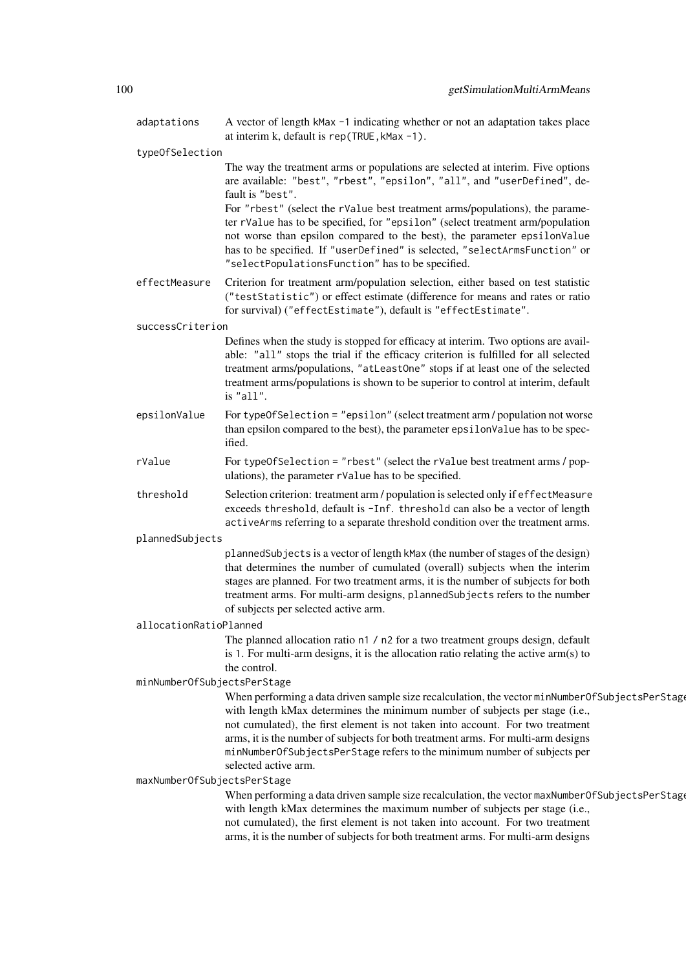| adaptations                 | A vector of length kMax -1 indicating whether or not an adaptation takes place<br>at interim k, default is rep(TRUE, kMax -1).                                                                                                                                                                                                                                                                                                                                                                                                                                  |  |  |
|-----------------------------|-----------------------------------------------------------------------------------------------------------------------------------------------------------------------------------------------------------------------------------------------------------------------------------------------------------------------------------------------------------------------------------------------------------------------------------------------------------------------------------------------------------------------------------------------------------------|--|--|
| typeOfSelection             |                                                                                                                                                                                                                                                                                                                                                                                                                                                                                                                                                                 |  |  |
|                             | The way the treatment arms or populations are selected at interim. Five options<br>are available: "best", "rbest", "epsilon", "all", and "userDefined", de-<br>fault is "best".<br>For "rbest" (select the rValue best treatment arms/populations), the parame-<br>ter rValue has to be specified, for "epsilon" (select treatment arm/population<br>not worse than epsilon compared to the best), the parameter epsilonValue<br>has to be specified. If "userDefined" is selected, "selectArmsFunction" or<br>"selectPopulationsFunction" has to be specified. |  |  |
| effectMeasure               | Criterion for treatment arm/population selection, either based on test statistic<br>("testStatistic") or effect estimate (difference for means and rates or ratio<br>for survival) ("effectEstimate"), default is "effectEstimate".                                                                                                                                                                                                                                                                                                                             |  |  |
| successCriterion            |                                                                                                                                                                                                                                                                                                                                                                                                                                                                                                                                                                 |  |  |
|                             | Defines when the study is stopped for efficacy at interim. Two options are avail-<br>able: "all" stops the trial if the efficacy criterion is fulfilled for all selected<br>treatment arms/populations, "atLeastOne" stops if at least one of the selected<br>treatment arms/populations is shown to be superior to control at interim, default<br>is "all".                                                                                                                                                                                                    |  |  |
| epsilonValue                | For typeOfSelection = "epsilon" (select treatment arm / population not worse<br>than epsilon compared to the best), the parameter epsilon Value has to be spec-<br>ified.                                                                                                                                                                                                                                                                                                                                                                                       |  |  |
| rValue                      | For typeOfSelection = "rbest" (select the rValue best treatment arms / pop-<br>ulations), the parameter rValue has to be specified.                                                                                                                                                                                                                                                                                                                                                                                                                             |  |  |
| threshold                   | Selection criterion: treatment arm / population is selected only if effectMeasure<br>exceeds threshold, default is -Inf. threshold can also be a vector of length<br>activeArms referring to a separate threshold condition over the treatment arms.                                                                                                                                                                                                                                                                                                            |  |  |
| plannedSubjects             |                                                                                                                                                                                                                                                                                                                                                                                                                                                                                                                                                                 |  |  |
|                             | plannedSubjects is a vector of length kMax (the number of stages of the design)<br>that determines the number of cumulated (overall) subjects when the interim<br>stages are planned. For two treatment arms, it is the number of subjects for both<br>treatment arms. For multi-arm designs, plannedSubjects refers to the number<br>of subjects per selected active arm.                                                                                                                                                                                      |  |  |
| allocationRatioPlanned      |                                                                                                                                                                                                                                                                                                                                                                                                                                                                                                                                                                 |  |  |
|                             | The planned allocation ratio n1 / n2 for a two treatment groups design, default<br>is 1. For multi-arm designs, it is the allocation ratio relating the active $arm(s)$ to<br>the control.                                                                                                                                                                                                                                                                                                                                                                      |  |  |
| minNumberOfSubjectsPerStage |                                                                                                                                                                                                                                                                                                                                                                                                                                                                                                                                                                 |  |  |
| maxNumberOfSubjectsPerStage | When performing a data driven sample size recalculation, the vector minNumberOfSubjectsPerStage<br>with length kMax determines the minimum number of subjects per stage (i.e.,<br>not cumulated), the first element is not taken into account. For two treatment<br>arms, it is the number of subjects for both treatment arms. For multi-arm designs<br>minNumberOfSubjectsPerStage refers to the minimum number of subjects per<br>selected active arm.                                                                                                       |  |  |
|                             | When performing a data driven sample size recalculation, the vector maxNumberOfSubjectsPerStage<br>with length kMax determines the maximum number of subjects per stage (i.e.,<br>not cumulated), the first element is not taken into account. For two treatment<br>arms, it is the number of subjects for both treatment arms. For multi-arm designs                                                                                                                                                                                                           |  |  |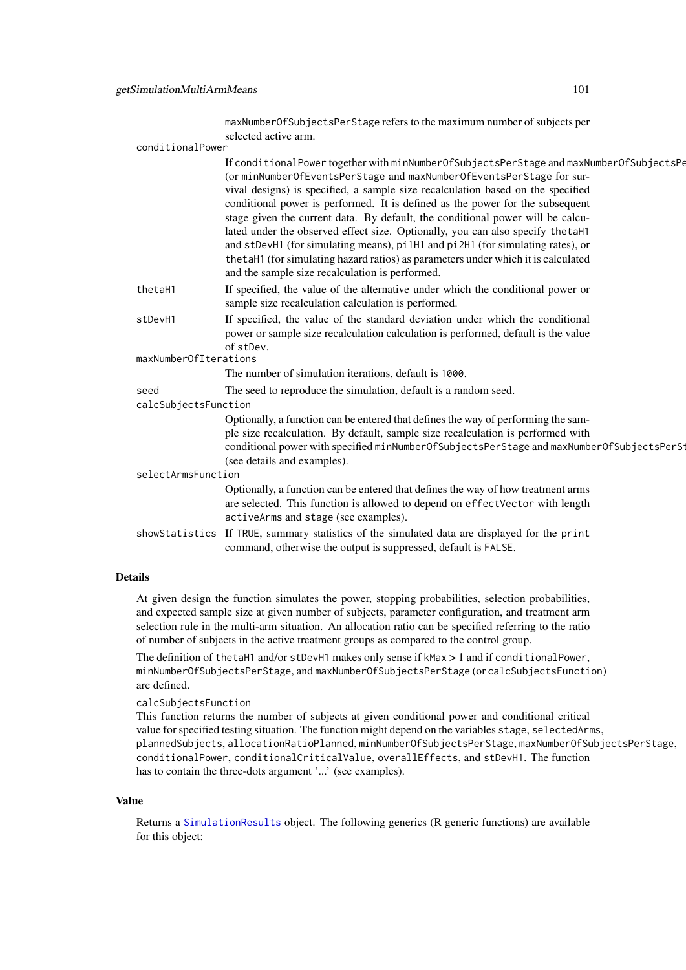|                    |                       | maxNumberOfSubjectsPerStage refers to the maximum number of subjects per                                                                                                                                                                                                                                                                                                                                                                                                                                                                                                                                                                                                                                                            |
|--------------------|-----------------------|-------------------------------------------------------------------------------------------------------------------------------------------------------------------------------------------------------------------------------------------------------------------------------------------------------------------------------------------------------------------------------------------------------------------------------------------------------------------------------------------------------------------------------------------------------------------------------------------------------------------------------------------------------------------------------------------------------------------------------------|
|                    | conditionalPower      | selected active arm.                                                                                                                                                                                                                                                                                                                                                                                                                                                                                                                                                                                                                                                                                                                |
|                    |                       | If conditionalPower together with minNumberOfSubjectsPerStage and maxNumberOfSubjectsPe<br>(or minNumberOfEventsPerStage and maxNumberOfEventsPerStage for sur-<br>vival designs) is specified, a sample size recalculation based on the specified<br>conditional power is performed. It is defined as the power for the subsequent<br>stage given the current data. By default, the conditional power will be calcu-<br>lated under the observed effect size. Optionally, you can also specify the taH1<br>and stDevH1 (for simulating means), pi1H1 and pi2H1 (for simulating rates), or<br>the taH1 (for simulating hazard ratios) as parameters under which it is calculated<br>and the sample size recalculation is performed. |
|                    | thetaH1               | If specified, the value of the alternative under which the conditional power or<br>sample size recalculation calculation is performed.                                                                                                                                                                                                                                                                                                                                                                                                                                                                                                                                                                                              |
|                    | stDevH1               | If specified, the value of the standard deviation under which the conditional<br>power or sample size recalculation calculation is performed, default is the value<br>of stDev.                                                                                                                                                                                                                                                                                                                                                                                                                                                                                                                                                     |
|                    | maxNumberOfIterations |                                                                                                                                                                                                                                                                                                                                                                                                                                                                                                                                                                                                                                                                                                                                     |
|                    |                       | The number of simulation iterations, default is 1000.                                                                                                                                                                                                                                                                                                                                                                                                                                                                                                                                                                                                                                                                               |
|                    | seed                  | The seed to reproduce the simulation, default is a random seed.                                                                                                                                                                                                                                                                                                                                                                                                                                                                                                                                                                                                                                                                     |
|                    | calcSubjectsFunction  |                                                                                                                                                                                                                                                                                                                                                                                                                                                                                                                                                                                                                                                                                                                                     |
|                    |                       | Optionally, a function can be entered that defines the way of performing the sam-<br>ple size recalculation. By default, sample size recalculation is performed with<br>conditional power with specified minNumberOfSubjectsPerStage and maxNumberOfSubjectsPerSt<br>(see details and examples).                                                                                                                                                                                                                                                                                                                                                                                                                                    |
| selectArmsFunction |                       |                                                                                                                                                                                                                                                                                                                                                                                                                                                                                                                                                                                                                                                                                                                                     |
|                    |                       | Optionally, a function can be entered that defines the way of how treatment arms<br>are selected. This function is allowed to depend on effectVector with length<br>activeArms and stage (see examples).                                                                                                                                                                                                                                                                                                                                                                                                                                                                                                                            |
|                    |                       | showStatistics If TRUE, summary statistics of the simulated data are displayed for the print<br>command, otherwise the output is suppressed, default is FALSE.                                                                                                                                                                                                                                                                                                                                                                                                                                                                                                                                                                      |
|                    |                       |                                                                                                                                                                                                                                                                                                                                                                                                                                                                                                                                                                                                                                                                                                                                     |

At given design the function simulates the power, stopping probabilities, selection probabilities, and expected sample size at given number of subjects, parameter configuration, and treatment arm selection rule in the multi-arm situation. An allocation ratio can be specified referring to the ratio of number of subjects in the active treatment groups as compared to the control group.

The definition of thetaH1 and/or stDevH1 makes only sense if kMax > 1 and if conditionalPower, minNumberOfSubjectsPerStage, and maxNumberOfSubjectsPerStage (or calcSubjectsFunction) are defined.

### calcSubjectsFunction

This function returns the number of subjects at given conditional power and conditional critical value for specified testing situation. The function might depend on the variables stage, selectedArms, plannedSubjects, allocationRatioPlanned, minNumberOfSubjectsPerStage, maxNumberOfSubjectsPerStage, conditionalPower, conditionalCriticalValue, overallEffects, and stDevH1. The function has to contain the three-dots argument '...' (see examples).

### Value

Returns a [SimulationResults](#page-0-0) object. The following generics (R generic functions) are available for this object: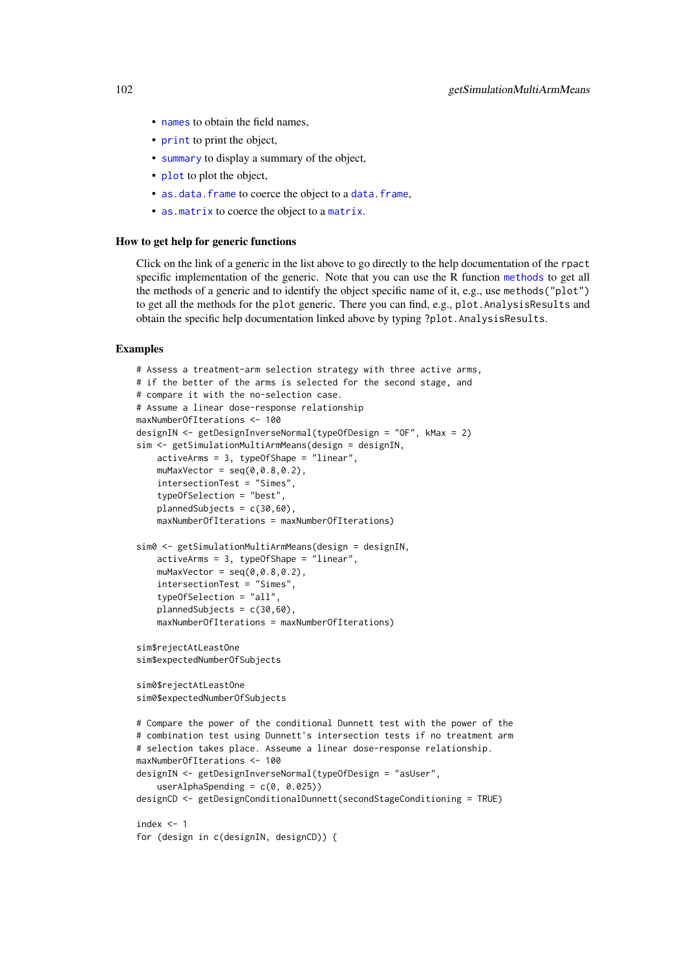- [names](#page-0-0) to obtain the field names,
- [print](#page-0-0) to print the object,
- [summary](#page-0-0) to display a summary of the object,
- [plot](#page-138-0) to plot the object,
- [as.data.frame](#page-0-0) to coerce the object to a [data.frame](#page-0-0),
- [as.matrix](#page-0-0) to coerce the object to a [matrix](#page-0-0).

#### How to get help for generic functions

Click on the link of a generic in the list above to go directly to the help documentation of the rpact specific implementation of the generic. Note that you can use the R function [methods](#page-0-0) to get all the methods of a generic and to identify the object specific name of it, e.g., use methods("plot") to get all the methods for the plot generic. There you can find, e.g., plot. AnalysisResults and obtain the specific help documentation linked above by typing ?plot.AnalysisResults.

### Examples

```
# Assess a treatment-arm selection strategy with three active arms,
# if the better of the arms is selected for the second stage, and
# compare it with the no-selection case.
# Assume a linear dose-response relationship
maxNumberOfIterations <- 100
designIN <- getDesignInverseNormal(typeOfDesign = "OF", kMax = 2)
sim <- getSimulationMultiArmMeans(design = designIN,
    activeArms = 3, typeOfShape = "linear",
    muMaxVector = seq(0, 0.8, 0.2),
    intersectionTest = "Simes",
    typeOfSelection = "best",
    plannedSubjects = c(30,60),
    maxNumberOfIterations = maxNumberOfIterations)
sim0 <- getSimulationMultiArmMeans(design = designIN,
    activeArms = 3, typeOfShape = "linear",
    muMaxVector = seq(0, 0.8, 0.2),
    intersectionTest = "Simes",
    typeOfSelection = "all",
    plannedSubjects = c(30,60),
    maxNumberOfIterations = maxNumberOfIterations)
sim$rejectAtLeastOne
sim$expectedNumberOfSubjects
sim0$rejectAtLeastOne
sim0$expectedNumberOfSubjects
# Compare the power of the conditional Dunnett test with the power of the
# combination test using Dunnett's intersection tests if no treatment arm
# selection takes place. Asseume a linear dose-response relationship.
maxNumberOfIterations <- 100
designIN <- getDesignInverseNormal(typeOfDesign = "asUser",
    userAlphaSpending = c(\theta, \theta.025)designCD <- getDesignConditionalDunnett(secondStageConditioning = TRUE)
index <-1for (design in c(designIN, designCD)) {
```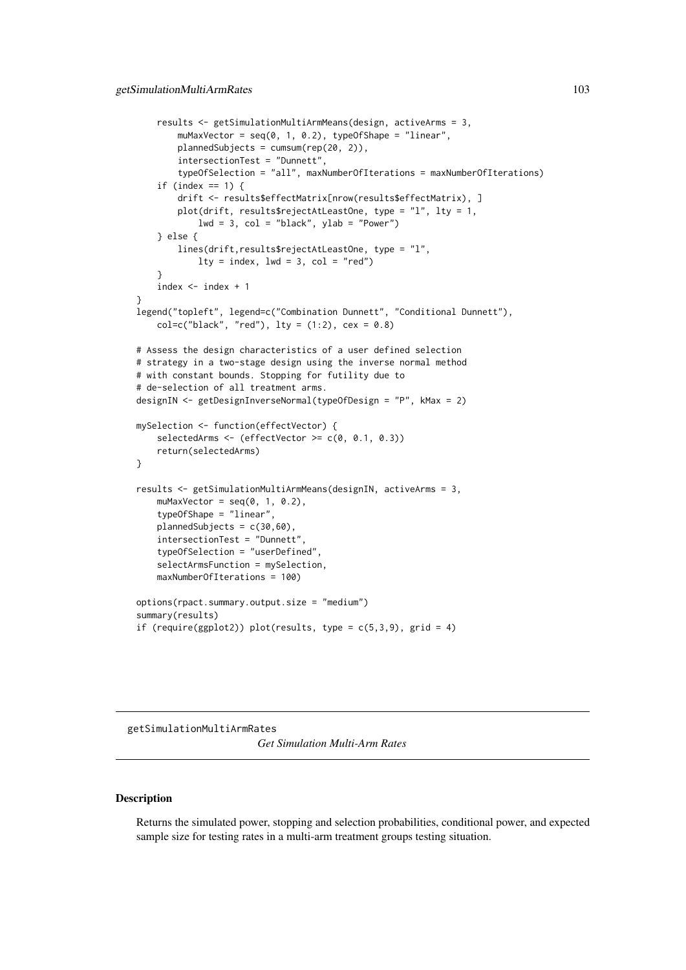```
results <- getSimulationMultiArmMeans(design, activeArms = 3,
        muMaxVector = seq(0, 1, 0.2), typeOfShape = "linear",
        plannedSubjects = cumsum(rep(20, 2)),
        intersectionTest = "Dunnett",
        typeOfSelection = "all", maxNumberOfIterations = maxNumberOfIterations)
    if (index == 1) {
        drift <- results$effectMatrix[nrow(results$effectMatrix), ]
        plot(drift, results$rejectAtLeastOne, type = "l", lty = 1,
            1wd = 3, col = "black", ylab = "Power")} else {
        lines(drift,results$rejectAtLeastOne, type = "l",
            lty = index, lwd = 3, col = "red")}
    index < - index + 1}
legend("topleft", legend=c("Combination Dunnett", "Conditional Dunnett"),
    col = c("black", "red"), \; lty = (1:2), \; cex = 0.8)# Assess the design characteristics of a user defined selection
# strategy in a two-stage design using the inverse normal method
# with constant bounds. Stopping for futility due to
# de-selection of all treatment arms.
designIN <- getDesignInverseNormal(typeOfDesign = "P", kMax = 2)
mySelection <- function(effectVector) {
    selectedArms \leq (effectVector \geq c(0, 0.1, 0.3))
    return(selectedArms)
}
results <- getSimulationMultiArmMeans(designIN, activeArms = 3,
    muMaxVector = seq(0, 1, 0.2),
    typeOfShape = "linear",
    plannedSubjects = c(30,60),
    intersectionTest = "Dunnett",
    typeOfSelection = "userDefined",
    selectArmsFunction = mySelection,
    maxNumberOfIterations = 100)
options(rpact.summary.output.size = "medium")
summary(results)
if (require(ggplot2)) plot(results, type = c(5,3,9), grid = 4)
```
getSimulationMultiArmRates *Get Simulation Multi-Arm Rates*

# Description

Returns the simulated power, stopping and selection probabilities, conditional power, and expected sample size for testing rates in a multi-arm treatment groups testing situation.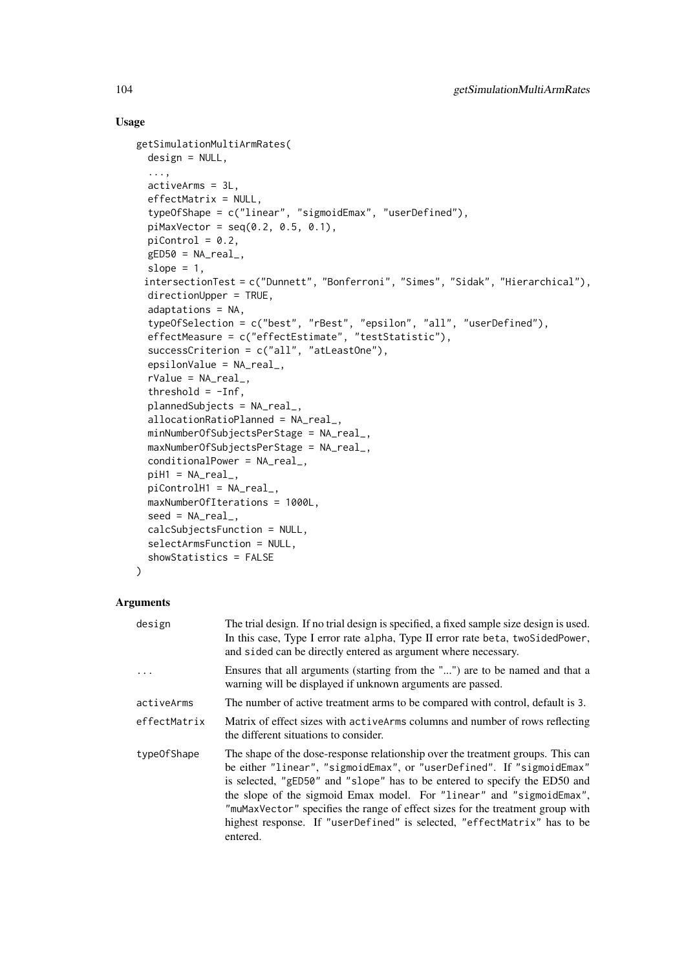### Usage

```
getSimulationMultiArmRates(
 design = NULL,
  ...,
 activeArms = 3L,
 effectMatrix = NULL,
  typeOfShape = c("linear", "sigmoidEmax", "userDefined"),
 piMaxVector = seq(0.2, 0.5, 0.1),
 picontrol = 0.2,
 gED50 = NA\_real_slope = 1,
 intersectionTest = c("Dunnett", "Bonferroni", "Simes", "Sidak", "Hierarchical"),
 directionUpper = TRUE,
 adaptations = NA,
 typeOfSelection = c("best", "rBest", "epsilon", "all", "userDefined"),
 effectMeasure = c("effectEstimate", "testStatistic"),
 successCriterion = c("all", "atLeastOne"),
 epsilonValue = NA_real_,
 rValue = NA_real_,
 threshold = -Inf,
 plannedSubjects = NA_real_,
 allocationRatioPlanned = NA_real_,
 minNumberOfSubjectsPerStage = NA_real_,
 maxNumberOfSubjectsPerStage = NA_real_,
 conditionalPower = NA_real_,
 piH1 = NA\_real_piControlH1 = NA_real_,
 maxNumberOfIterations = 1000L,
 seed = NA\_real_calcSubjectsFunction = NULL,
 selectArmsFunction = NULL,
 showStatistics = FALSE
)
```

| design       | The trial design. If no trial design is specified, a fixed sample size design is used.<br>In this case, Type I error rate alpha, Type II error rate beta, two SidedPower,<br>and sided can be directly entered as argument where necessary.                                                                                                                                                                                                                                              |
|--------------|------------------------------------------------------------------------------------------------------------------------------------------------------------------------------------------------------------------------------------------------------------------------------------------------------------------------------------------------------------------------------------------------------------------------------------------------------------------------------------------|
|              | Ensures that all arguments (starting from the "") are to be named and that a<br>warning will be displayed if unknown arguments are passed.                                                                                                                                                                                                                                                                                                                                               |
| activeArms   | The number of active treatment arms to be compared with control, default is 3.                                                                                                                                                                                                                                                                                                                                                                                                           |
| effectMatrix | Matrix of effect sizes with active Arms columns and number of rows reflecting<br>the different situations to consider.                                                                                                                                                                                                                                                                                                                                                                   |
| type0fShape  | The shape of the dose-response relationship over the treatment groups. This can<br>be either "linear", "sigmoidEmax", or "userDefined". If "sigmoidEmax"<br>is selected, "gED50" and "slope" has to be entered to specify the ED50 and<br>the slope of the sigmoid Emax model. For "linear" and "sigmoidEmax",<br>"muMaxVector" specifies the range of effect sizes for the treatment group with<br>highest response. If "userDefined" is selected, "effectMatrix" has to be<br>entered. |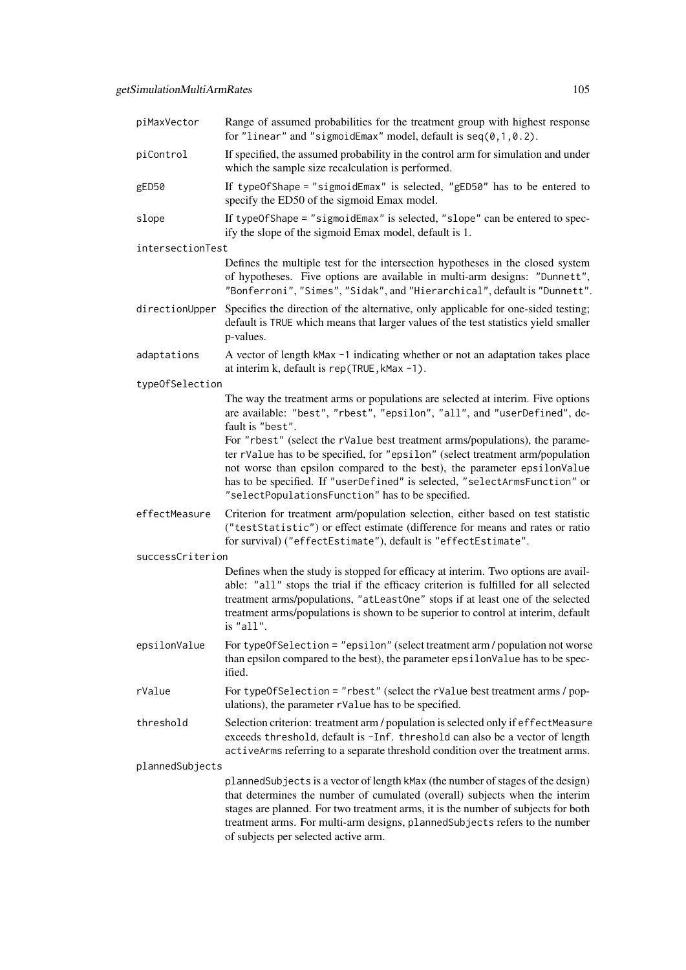| piMaxVector      | Range of assumed probabilities for the treatment group with highest response<br>for "linear" and "sigmoidEmax" model, default is $seq(0, 1, 0.2)$ .                                                                                                                                                                                                                          |
|------------------|------------------------------------------------------------------------------------------------------------------------------------------------------------------------------------------------------------------------------------------------------------------------------------------------------------------------------------------------------------------------------|
| piControl        | If specified, the assumed probability in the control arm for simulation and under<br>which the sample size recalculation is performed.                                                                                                                                                                                                                                       |
| gED50            | If typeOfShape = "sigmoidEmax" is selected, "gED50" has to be entered to<br>specify the ED50 of the sigmoid Emax model.                                                                                                                                                                                                                                                      |
| slope            | If typeOfShape = "sigmoidEmax" is selected, "slope" can be entered to spec-<br>ify the slope of the sigmoid Emax model, default is 1.                                                                                                                                                                                                                                        |
| intersectionTest |                                                                                                                                                                                                                                                                                                                                                                              |
|                  | Defines the multiple test for the intersection hypotheses in the closed system<br>of hypotheses. Five options are available in multi-arm designs: "Dunnett",<br>"Bonferroni", "Simes", "Sidak", and "Hierarchical", default is "Dunnett".                                                                                                                                    |
| directionUpper   | Specifies the direction of the alternative, only applicable for one-sided testing;<br>default is TRUE which means that larger values of the test statistics yield smaller<br>p-values.                                                                                                                                                                                       |
| adaptations      | A vector of length kMax -1 indicating whether or not an adaptation takes place<br>at interim k, default is rep(TRUE, kMax -1).                                                                                                                                                                                                                                               |
| typeOfSelection  |                                                                                                                                                                                                                                                                                                                                                                              |
|                  | The way the treatment arms or populations are selected at interim. Five options<br>are available: "best", "rbest", "epsilon", "all", and "userDefined", de-<br>fault is "best".                                                                                                                                                                                              |
|                  | For "rbest" (select the rValue best treatment arms/populations), the parame-<br>ter rValue has to be specified, for "epsilon" (select treatment arm/population<br>not worse than epsilon compared to the best), the parameter epsilonValue<br>has to be specified. If "userDefined" is selected, "selectArmsFunction" or<br>"selectPopulationsFunction" has to be specified. |
| effectMeasure    | Criterion for treatment arm/population selection, either based on test statistic<br>("testStatistic") or effect estimate (difference for means and rates or ratio<br>for survival) ("effectEstimate"), default is "effectEstimate".                                                                                                                                          |
| successCriterion |                                                                                                                                                                                                                                                                                                                                                                              |
|                  | Defines when the study is stopped for efficacy at interim. Two options are avail-<br>able: "all" stops the trial if the efficacy criterion is fulfilled for all selected<br>treatment arms/populations, "atLeastOne" stops if at least one of the selected<br>treatment arms/populations is shown to be superior to control at interim, default<br>is "all".                 |
| epsilonValue     | For typeOfSelection = "epsilon" (select treatment arm / population not worse<br>than epsilon compared to the best), the parameter epsilonValue has to be spec-<br>ified.                                                                                                                                                                                                     |
| rValue           | For typeOfSelection = "rbest" (select the rValue best treatment arms / pop-<br>ulations), the parameter rValue has to be specified.                                                                                                                                                                                                                                          |
| threshold        | Selection criterion: treatment arm / population is selected only if effectMeasure<br>exceeds threshold, default is -Inf. threshold can also be a vector of length<br>activeArms referring to a separate threshold condition over the treatment arms.                                                                                                                         |
| plannedSubjects  |                                                                                                                                                                                                                                                                                                                                                                              |
|                  | plannedSubjects is a vector of length kMax (the number of stages of the design)<br>that determines the number of cumulated (overall) subjects when the interim<br>stages are planned. For two treatment arms, it is the number of subjects for both<br>treatment arms. For multi-arm designs, plannedSubjects refers to the number<br>of subjects per selected active arm.   |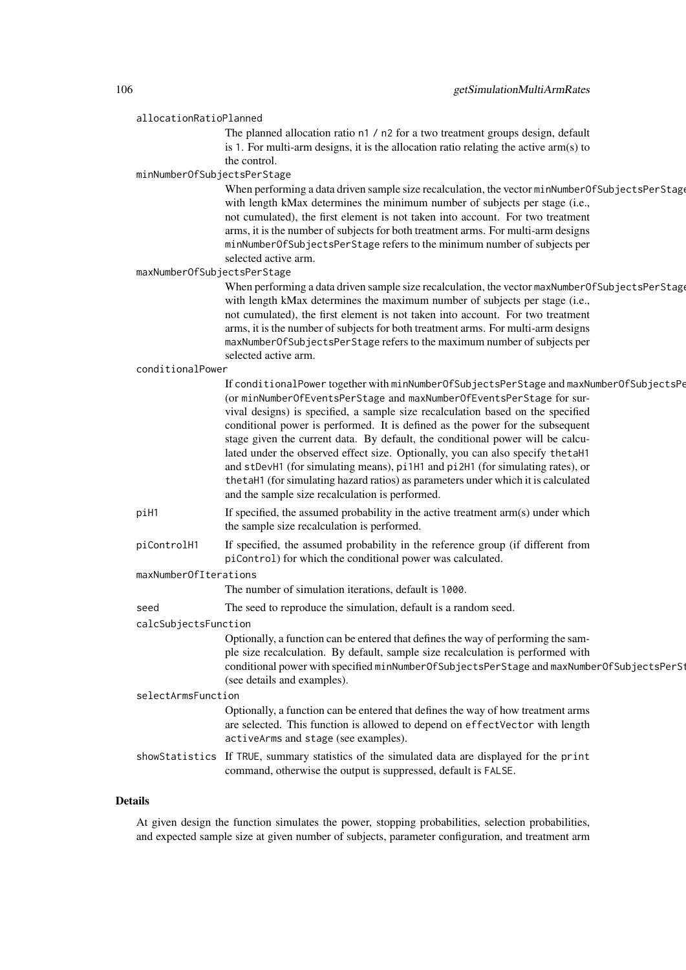| allocationRatioPlanned      |                                                                                                                                                                                                                                                                                                                                                                                                                                                                                                                                                                                                                                                                                                                                     |
|-----------------------------|-------------------------------------------------------------------------------------------------------------------------------------------------------------------------------------------------------------------------------------------------------------------------------------------------------------------------------------------------------------------------------------------------------------------------------------------------------------------------------------------------------------------------------------------------------------------------------------------------------------------------------------------------------------------------------------------------------------------------------------|
|                             | The planned allocation ratio n1 / n2 for a two treatment groups design, default<br>is 1. For multi-arm designs, it is the allocation ratio relating the active $arm(s)$ to<br>the control.                                                                                                                                                                                                                                                                                                                                                                                                                                                                                                                                          |
| minNumberOfSubjectsPerStage |                                                                                                                                                                                                                                                                                                                                                                                                                                                                                                                                                                                                                                                                                                                                     |
|                             | When performing a data driven sample size recalculation, the vector minNumberOfSubjectsPerStage<br>with length kMax determines the minimum number of subjects per stage (i.e.,<br>not cumulated), the first element is not taken into account. For two treatment<br>arms, it is the number of subjects for both treatment arms. For multi-arm designs<br>minNumberOfSubjectsPerStage refers to the minimum number of subjects per<br>selected active arm.                                                                                                                                                                                                                                                                           |
| maxNumberOfSubjectsPerStage |                                                                                                                                                                                                                                                                                                                                                                                                                                                                                                                                                                                                                                                                                                                                     |
|                             | When performing a data driven sample size recalculation, the vector maxNumberOfSubjectsPerStage<br>with length kMax determines the maximum number of subjects per stage (i.e.,<br>not cumulated), the first element is not taken into account. For two treatment<br>arms, it is the number of subjects for both treatment arms. For multi-arm designs<br>maxNumberOfSubjectsPerStage refers to the maximum number of subjects per<br>selected active arm.                                                                                                                                                                                                                                                                           |
| conditionalPower            |                                                                                                                                                                                                                                                                                                                                                                                                                                                                                                                                                                                                                                                                                                                                     |
|                             | If conditionalPower together with minNumberOfSubjectsPerStage and maxNumberOfSubjectsPe<br>(or minNumberOfEventsPerStage and maxNumberOfEventsPerStage for sur-<br>vival designs) is specified, a sample size recalculation based on the specified<br>conditional power is performed. It is defined as the power for the subsequent<br>stage given the current data. By default, the conditional power will be calcu-<br>lated under the observed effect size. Optionally, you can also specify the taH1<br>and stDevH1 (for simulating means), pi1H1 and pi2H1 (for simulating rates), or<br>the taH1 (for simulating hazard ratios) as parameters under which it is calculated<br>and the sample size recalculation is performed. |
| piH1                        | If specified, the assumed probability in the active treatment arm(s) under which<br>the sample size recalculation is performed.                                                                                                                                                                                                                                                                                                                                                                                                                                                                                                                                                                                                     |
| piControlH1                 | If specified, the assumed probability in the reference group (if different from<br>piControl) for which the conditional power was calculated.                                                                                                                                                                                                                                                                                                                                                                                                                                                                                                                                                                                       |
| maxNumberOfIterations       |                                                                                                                                                                                                                                                                                                                                                                                                                                                                                                                                                                                                                                                                                                                                     |
|                             | The number of simulation iterations, default is 1000.                                                                                                                                                                                                                                                                                                                                                                                                                                                                                                                                                                                                                                                                               |
| seed                        | The seed to reproduce the simulation, default is a random seed.                                                                                                                                                                                                                                                                                                                                                                                                                                                                                                                                                                                                                                                                     |
| calcSubjectsFunction        |                                                                                                                                                                                                                                                                                                                                                                                                                                                                                                                                                                                                                                                                                                                                     |
|                             | Optionally, a function can be entered that defines the way of performing the sam-<br>ple size recalculation. By default, sample size recalculation is performed with<br>conditional power with specified minNumberOfSubjectsPerStage and maxNumberOfSubjectsPerSt<br>(see details and examples).                                                                                                                                                                                                                                                                                                                                                                                                                                    |
| selectArmsFunction          |                                                                                                                                                                                                                                                                                                                                                                                                                                                                                                                                                                                                                                                                                                                                     |
|                             | Optionally, a function can be entered that defines the way of how treatment arms<br>are selected. This function is allowed to depend on effectVector with length<br>activeArms and stage (see examples).                                                                                                                                                                                                                                                                                                                                                                                                                                                                                                                            |
|                             | showStatistics If TRUE, summary statistics of the simulated data are displayed for the print<br>command, otherwise the output is suppressed, default is FALSE.                                                                                                                                                                                                                                                                                                                                                                                                                                                                                                                                                                      |
|                             |                                                                                                                                                                                                                                                                                                                                                                                                                                                                                                                                                                                                                                                                                                                                     |

At given design the function simulates the power, stopping probabilities, selection probabilities, and expected sample size at given number of subjects, parameter configuration, and treatment arm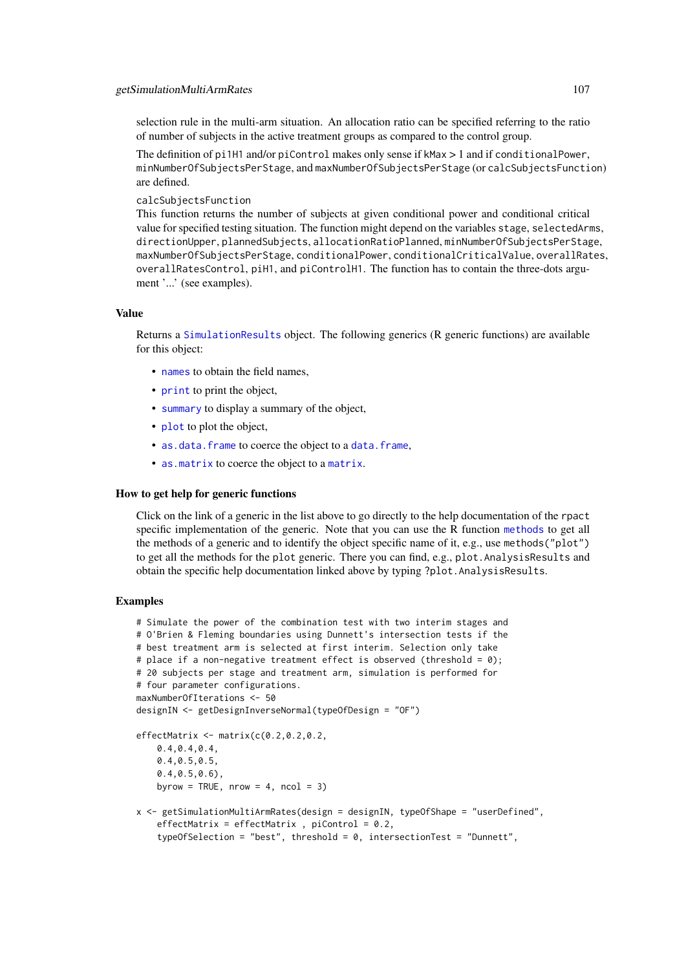selection rule in the multi-arm situation. An allocation ratio can be specified referring to the ratio of number of subjects in the active treatment groups as compared to the control group.

The definition of pi1H1 and/or piControl makes only sense if kMax > 1 and if conditionalPower, minNumberOfSubjectsPerStage, and maxNumberOfSubjectsPerStage (or calcSubjectsFunction) are defined.

calcSubjectsFunction

This function returns the number of subjects at given conditional power and conditional critical value for specified testing situation. The function might depend on the variables stage, selectedArms, directionUpper, plannedSubjects, allocationRatioPlanned, minNumberOfSubjectsPerStage, maxNumberOfSubjectsPerStage, conditionalPower, conditionalCriticalValue, overallRates, overallRatesControl, piH1, and piControlH1. The function has to contain the three-dots argument '...' (see examples).

### Value

Returns a [SimulationResults](#page-0-0) object. The following generics (R generic functions) are available for this object:

- [names](#page-0-0) to obtain the field names,
- [print](#page-0-0) to print the object,
- [summary](#page-0-0) to display a summary of the object,
- [plot](#page-138-0) to plot the object,
- [as.data.frame](#page-0-0) to coerce the object to a [data.frame](#page-0-0),
- [as.matrix](#page-0-0) to coerce the object to a [matrix](#page-0-0).

#### How to get help for generic functions

Click on the link of a generic in the list above to go directly to the help documentation of the rpact specific implementation of the generic. Note that you can use the R function [methods](#page-0-0) to get all the methods of a generic and to identify the object specific name of it, e.g., use methods("plot") to get all the methods for the plot generic. There you can find, e.g., plot.AnalysisResults and obtain the specific help documentation linked above by typing ?plot.AnalysisResults.

### Examples

```
# Simulate the power of the combination test with two interim stages and
# O'Brien & Fleming boundaries using Dunnett's intersection tests if the
# best treatment arm is selected at first interim. Selection only take
# place if a non-negative treatment effect is observed (threshold = 0);
# 20 subjects per stage and treatment arm, simulation is performed for
# four parameter configurations.
maxNumberOfIterations <- 50
designIN <- getDesignInverseNormal(typeOfDesign = "OF")
effectMatrix <- matrix(c(0.2,0.2,0.2,
    0.4,0.4,0.4,
    0.4,0.5,0.5,
    0.4,0.5,0.6),
    byrow = TRUE, nrow = 4, ncol = 3)
x <- getSimulationMultiArmRates(design = designIN, typeOfShape = "userDefined",
    effectMatrix = effectMatrix, piControl = 0.2,
    typeOfSelection = "best", threshold = 0, intersectionTest = "Dunnett",
```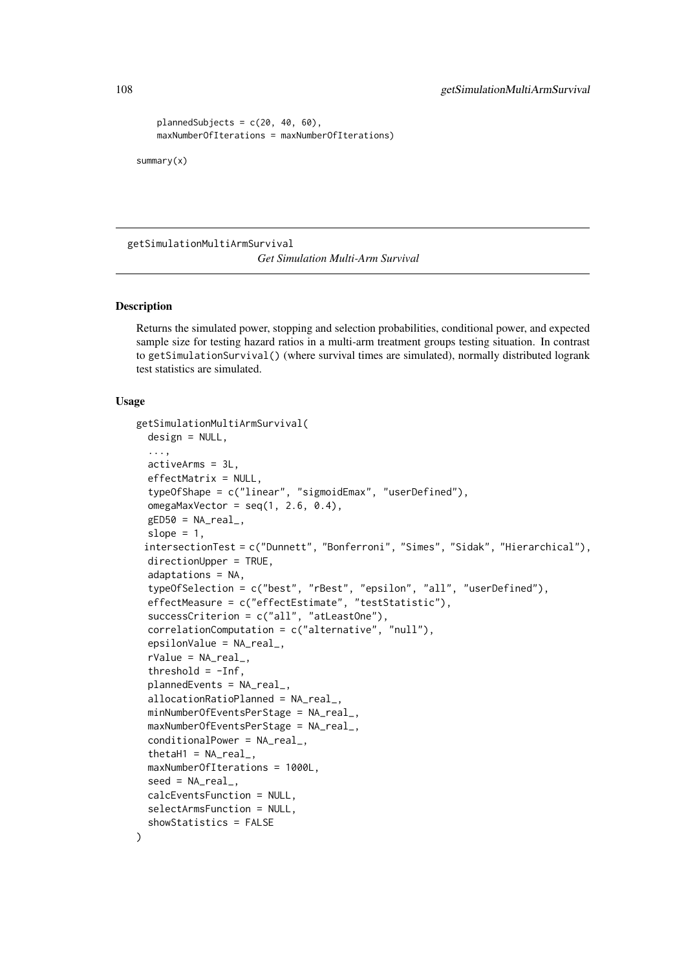```
plannedSubjects = c(20, 40, 60),
maxNumberOfIterations = maxNumberOfIterations)
```
summary(x)

getSimulationMultiArmSurvival *Get Simulation Multi-Arm Survival*

#### Description

Returns the simulated power, stopping and selection probabilities, conditional power, and expected sample size for testing hazard ratios in a multi-arm treatment groups testing situation. In contrast to getSimulationSurvival() (where survival times are simulated), normally distributed logrank test statistics are simulated.

```
getSimulationMultiArmSurvival(
  design = NULL,
  ...,
  activeArms = 3L,
  effectMatrix = NULL,
  typeOfShape = c("linear", "sigmoidEmax", "userDefined"),
  omegaMaxVector = seq(1, 2.6, 0.4),
  gED50 = NA\_real_slope = 1,
 intersectionTest = c("Dunnett", "Bonferroni", "Simes", "Sidak", "Hierarchical"),
  directionUpper = TRUE,
  adaptations = NA,
  typeOfSelection = c("best", "rBest", "epsilon", "all", "userDefined"),
  effectMeasure = c("effectEstimate", "testStatistic"),
  successCriterion = c("all", "atLeastOne"),
  correlationComputation = c("alternative", "null"),
  epsilonValue = NA_real_,
  rValue = NA_{real_-,}threshold = -Inf,
  plannedEvents = NA_real_,
  allocationRatioPlanned = NA_real_,
  minNumberOfEventsPerStage = NA_real_,
  maxNumberOfEventsPerStage = NA_real_,
  conditionalPower = NA_real_,
  thetaH1 = NAreal,
  maxNumberOfIterations = 1000L,
  seed = NA\_real_,
  calcEventsFunction = NULL,
  selectArmsFunction = NULL,
  showStatistics = FALSE
)
```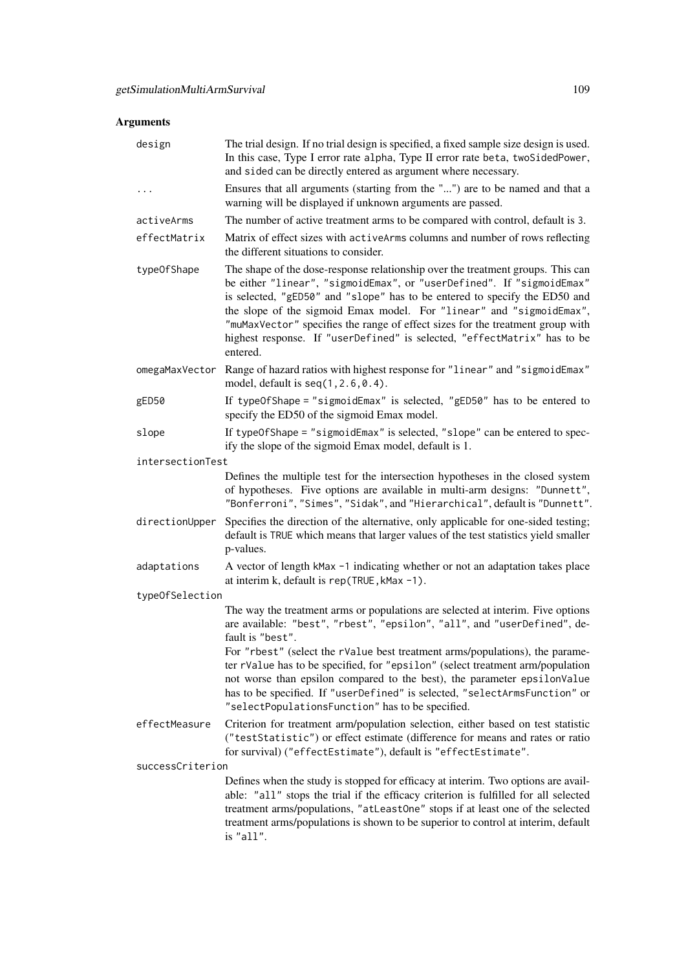# Arguments

| design           | The trial design. If no trial design is specified, a fixed sample size design is used.<br>In this case, Type I error rate alpha, Type II error rate beta, twoSidedPower,<br>and sided can be directly entered as argument where necessary.                                                                                                                                                                                                                                               |
|------------------|------------------------------------------------------------------------------------------------------------------------------------------------------------------------------------------------------------------------------------------------------------------------------------------------------------------------------------------------------------------------------------------------------------------------------------------------------------------------------------------|
| .                | Ensures that all arguments (starting from the "") are to be named and that a<br>warning will be displayed if unknown arguments are passed.                                                                                                                                                                                                                                                                                                                                               |
| activeArms       | The number of active treatment arms to be compared with control, default is 3.                                                                                                                                                                                                                                                                                                                                                                                                           |
| effectMatrix     | Matrix of effect sizes with activeArms columns and number of rows reflecting<br>the different situations to consider.                                                                                                                                                                                                                                                                                                                                                                    |
| type0fShape      | The shape of the dose-response relationship over the treatment groups. This can<br>be either "linear", "sigmoidEmax", or "userDefined". If "sigmoidEmax"<br>is selected, "gED50" and "slope" has to be entered to specify the ED50 and<br>the slope of the sigmoid Emax model. For "linear" and "sigmoidEmax",<br>"muMaxVector" specifies the range of effect sizes for the treatment group with<br>highest response. If "userDefined" is selected, "effectMatrix" has to be<br>entered. |
| omegaMaxVector   | Range of hazard ratios with highest response for "linear" and "sigmoidEmax"<br>model, default is $seq(1, 2.6, 0.4)$ .                                                                                                                                                                                                                                                                                                                                                                    |
| gED50            | If typeOfShape = "sigmoidEmax" is selected, "gED50" has to be entered to<br>specify the ED50 of the sigmoid Emax model.                                                                                                                                                                                                                                                                                                                                                                  |
| slope            | If typeOfShape = "sigmoidEmax" is selected, "slope" can be entered to spec-<br>ify the slope of the sigmoid Emax model, default is 1.                                                                                                                                                                                                                                                                                                                                                    |
| intersectionTest |                                                                                                                                                                                                                                                                                                                                                                                                                                                                                          |
|                  | Defines the multiple test for the intersection hypotheses in the closed system<br>of hypotheses. Five options are available in multi-arm designs: "Dunnett",<br>"Bonferroni", "Simes", "Sidak", and "Hierarchical", default is "Dunnett".                                                                                                                                                                                                                                                |
| directionUpper   | Specifies the direction of the alternative, only applicable for one-sided testing;<br>default is TRUE which means that larger values of the test statistics yield smaller<br>p-values.                                                                                                                                                                                                                                                                                                   |
| adaptations      | A vector of length kMax -1 indicating whether or not an adaptation takes place<br>at interim k, default is rep(TRUE, kMax -1).                                                                                                                                                                                                                                                                                                                                                           |
| typeOfSelection  |                                                                                                                                                                                                                                                                                                                                                                                                                                                                                          |
|                  | The way the treatment arms or populations are selected at interim. Five options<br>are available: "best", "rbest", "epsilon", "all", and "userDefined", de-<br>fault is "best".                                                                                                                                                                                                                                                                                                          |
|                  | For "rbest" (select the rValue best treatment arms/populations), the parame-<br>ter rValue has to be specified, for "epsilon" (select treatment arm/population<br>not worse than epsilon compared to the best), the parameter epsilonValue<br>has to be specified. If "userDefined" is selected, "selectArmsFunction" or<br>"selectPopulationsFunction" has to be specified.                                                                                                             |
| effectMeasure    | Criterion for treatment arm/population selection, either based on test statistic<br>("testStatistic") or effect estimate (difference for means and rates or ratio<br>for survival) ("effectEstimate"), default is "effectEstimate".                                                                                                                                                                                                                                                      |
| successCriterion |                                                                                                                                                                                                                                                                                                                                                                                                                                                                                          |
|                  | Defines when the study is stopped for efficacy at interim. Two options are avail-<br>able: "all" stops the trial if the efficacy criterion is fulfilled for all selected<br>treatment arms/populations, "atLeastOne" stops if at least one of the selected<br>treatment arms/populations is shown to be superior to control at interim, default<br>is "all".                                                                                                                             |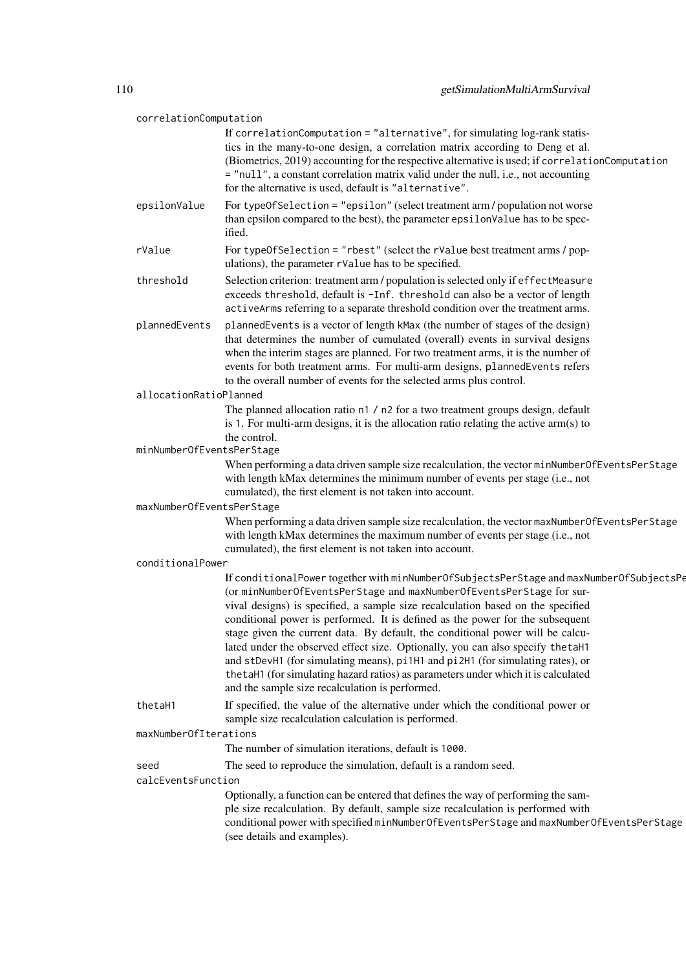| correlationComputation     |                                                                                                                                                                                                                                                                                                                                                                                                                                                                                                                                                                                                                                                                                                                                     |
|----------------------------|-------------------------------------------------------------------------------------------------------------------------------------------------------------------------------------------------------------------------------------------------------------------------------------------------------------------------------------------------------------------------------------------------------------------------------------------------------------------------------------------------------------------------------------------------------------------------------------------------------------------------------------------------------------------------------------------------------------------------------------|
|                            | If correlationComputation = "alternative", for simulating log-rank statis-<br>tics in the many-to-one design, a correlation matrix according to Deng et al.<br>(Biometrics, 2019) accounting for the respective alternative is used; if correlationComputation<br>= "null", a constant correlation matrix valid under the null, i.e., not accounting<br>for the alternative is used, default is "alternative".                                                                                                                                                                                                                                                                                                                      |
| epsilonValue               | For typeOfSelection = "epsilon" (select treatment arm / population not worse<br>than epsilon compared to the best), the parameter epsilon Value has to be spec-<br>ified.                                                                                                                                                                                                                                                                                                                                                                                                                                                                                                                                                           |
| rValue                     | For typeOfSelection = "rbest" (select the rValue best treatment arms / pop-<br>ulations), the parameter rValue has to be specified.                                                                                                                                                                                                                                                                                                                                                                                                                                                                                                                                                                                                 |
| threshold                  | Selection criterion: treatment arm / population is selected only if effectMeasure<br>exceeds threshold, default is -Inf. threshold can also be a vector of length<br>activeArms referring to a separate threshold condition over the treatment arms.                                                                                                                                                                                                                                                                                                                                                                                                                                                                                |
| plannedEvents              | plannedEvents is a vector of length kMax (the number of stages of the design)<br>that determines the number of cumulated (overall) events in survival designs<br>when the interim stages are planned. For two treatment arms, it is the number of<br>events for both treatment arms. For multi-arm designs, plannedEvents refers<br>to the overall number of events for the selected arms plus control.                                                                                                                                                                                                                                                                                                                             |
| allocationRatioPlanned     |                                                                                                                                                                                                                                                                                                                                                                                                                                                                                                                                                                                                                                                                                                                                     |
|                            | The planned allocation ratio n1 / n2 for a two treatment groups design, default<br>is 1. For multi-arm designs, it is the allocation ratio relating the active $arm(s)$ to<br>the control.                                                                                                                                                                                                                                                                                                                                                                                                                                                                                                                                          |
| minNumberOfEventsPerStage  |                                                                                                                                                                                                                                                                                                                                                                                                                                                                                                                                                                                                                                                                                                                                     |
|                            | When performing a data driven sample size recalculation, the vector minNumberOfEventsPerStage<br>with length kMax determines the minimum number of events per stage (i.e., not<br>cumulated), the first element is not taken into account.                                                                                                                                                                                                                                                                                                                                                                                                                                                                                          |
| maxNumberOfEventsPerStage  |                                                                                                                                                                                                                                                                                                                                                                                                                                                                                                                                                                                                                                                                                                                                     |
|                            | When performing a data driven sample size recalculation, the vector maxNumberOfEventsPerStage<br>with length kMax determines the maximum number of events per stage (i.e., not<br>cumulated), the first element is not taken into account.                                                                                                                                                                                                                                                                                                                                                                                                                                                                                          |
| conditionalPower           |                                                                                                                                                                                                                                                                                                                                                                                                                                                                                                                                                                                                                                                                                                                                     |
|                            | If conditionalPower together with minNumberOfSubjectsPerStage and maxNumberOfSubjectsPe<br>(or minNumberOfEventsPerStage and maxNumberOfEventsPerStage for sur-<br>vival designs) is specified, a sample size recalculation based on the specified<br>conditional power is performed. It is defined as the power for the subsequent<br>stage given the current data. By default, the conditional power will be calcu-<br>lated under the observed effect size. Optionally, you can also specify the taH1<br>and stDevH1 (for simulating means), pi1H1 and pi2H1 (for simulating rates), or<br>the taH1 (for simulating hazard ratios) as parameters under which it is calculated<br>and the sample size recalculation is performed. |
| thetaH1                    | If specified, the value of the alternative under which the conditional power or<br>sample size recalculation calculation is performed.                                                                                                                                                                                                                                                                                                                                                                                                                                                                                                                                                                                              |
| maxNumberOfIterations      |                                                                                                                                                                                                                                                                                                                                                                                                                                                                                                                                                                                                                                                                                                                                     |
|                            | The number of simulation iterations, default is 1000.                                                                                                                                                                                                                                                                                                                                                                                                                                                                                                                                                                                                                                                                               |
| seed<br>calcEventsFunction | The seed to reproduce the simulation, default is a random seed.                                                                                                                                                                                                                                                                                                                                                                                                                                                                                                                                                                                                                                                                     |
|                            | Optionally, a function can be entered that defines the way of performing the sam-<br>ple size recalculation. By default, sample size recalculation is performed with<br>conditional power with specified minNumberOfEventsPerStage and maxNumberOfEventsPerStage                                                                                                                                                                                                                                                                                                                                                                                                                                                                    |
|                            | (see details and examples).                                                                                                                                                                                                                                                                                                                                                                                                                                                                                                                                                                                                                                                                                                         |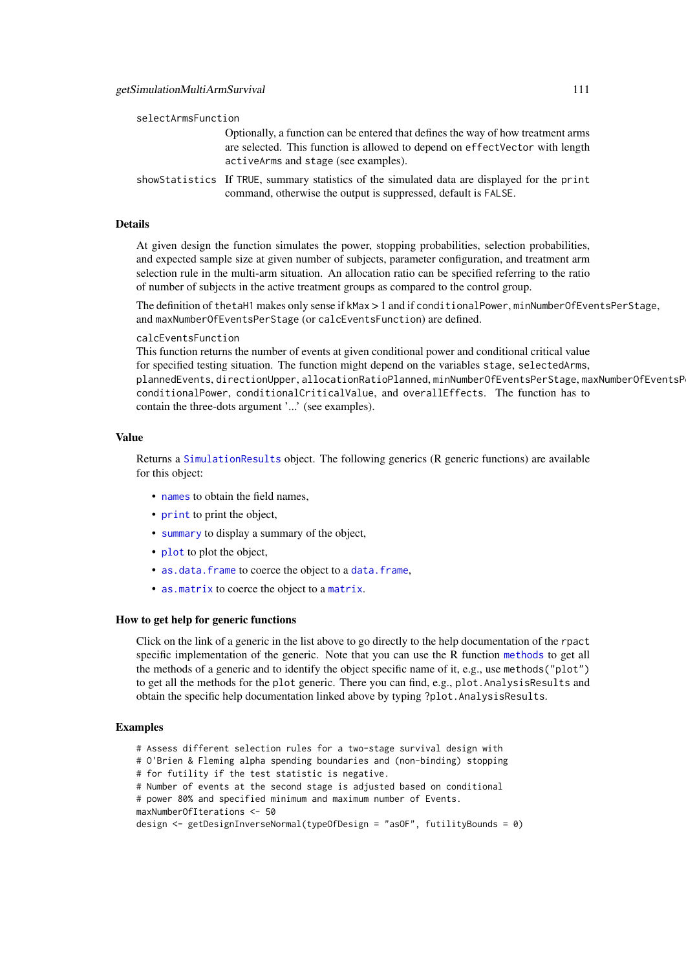| selectArmsFunction |  |
|--------------------|--|
|--------------------|--|

Optionally, a function can be entered that defines the way of how treatment arms are selected. This function is allowed to depend on effectVector with length activeArms and stage (see examples).

showStatistics If TRUE, summary statistics of the simulated data are displayed for the print command, otherwise the output is suppressed, default is FALSE.

# Details

At given design the function simulates the power, stopping probabilities, selection probabilities, and expected sample size at given number of subjects, parameter configuration, and treatment arm selection rule in the multi-arm situation. An allocation ratio can be specified referring to the ratio of number of subjects in the active treatment groups as compared to the control group.

The definition of thetaH1 makes only sense if kMax > 1 and if conditionalPower, minNumberOfEventsPerStage, and maxNumberOfEventsPerStage (or calcEventsFunction) are defined.

#### calcEventsFunction

This function returns the number of events at given conditional power and conditional critical value for specified testing situation. The function might depend on the variables stage, selectedArms, plannedEvents, directionUpper, allocationRatioPlanned, minNumberOfEventsPerStage, maxNumberOfEventsPerStage, conditionalPower, conditionalCriticalValue, and overallEffects. The function has to contain the three-dots argument '...' (see examples).

### Value

Returns a [SimulationResults](#page-0-0) object. The following generics (R generic functions) are available for this object:

- [names](#page-0-0) to obtain the field names,
- [print](#page-0-0) to print the object,
- [summary](#page-0-0) to display a summary of the object,
- [plot](#page-138-0) to plot the object,
- [as.data.frame](#page-0-0) to coerce the object to a [data.frame](#page-0-0),
- [as.matrix](#page-0-0) to coerce the object to a [matrix](#page-0-0).

#### How to get help for generic functions

Click on the link of a generic in the list above to go directly to the help documentation of the rpact specific implementation of the generic. Note that you can use the R function [methods](#page-0-0) to get all the methods of a generic and to identify the object specific name of it, e.g., use methods("plot") to get all the methods for the plot generic. There you can find, e.g., plot.AnalysisResults and obtain the specific help documentation linked above by typing ?plot.AnalysisResults.

# Examples

- # Assess different selection rules for a two-stage survival design with
- # O'Brien & Fleming alpha spending boundaries and (non-binding) stopping
- # for futility if the test statistic is negative.
- # Number of events at the second stage is adjusted based on conditional
- # power 80% and specified minimum and maximum number of Events.
- maxNumberOfIterations <- 50

```
design <- getDesignInverseNormal(typeOfDesign = "asOF", futilityBounds = 0)
```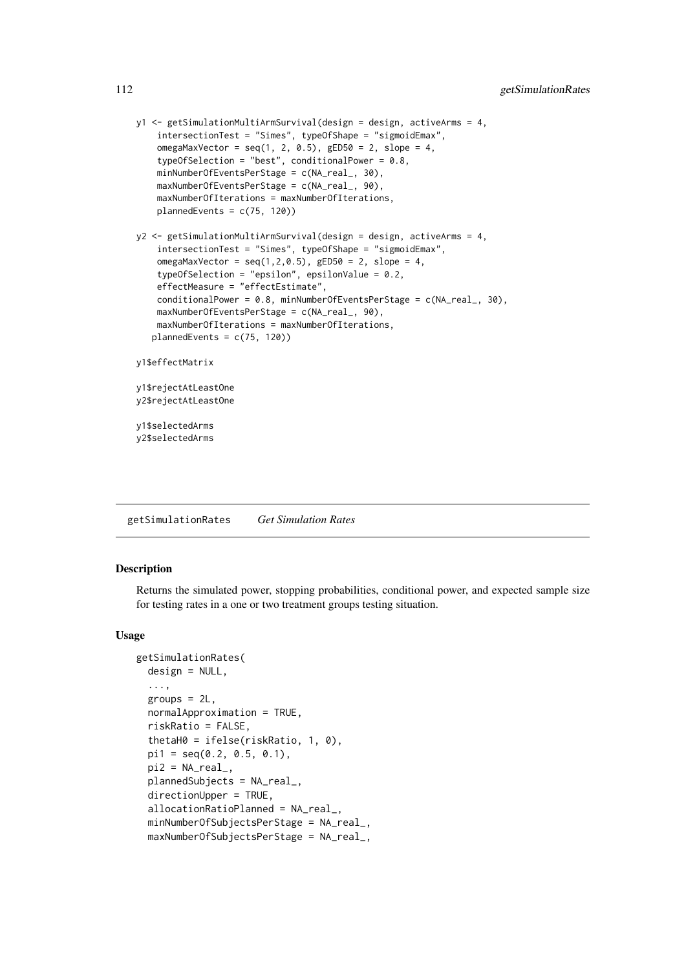```
y1 <- getSimulationMultiArmSurvival(design = design, activeArms = 4,
    intersectionTest = "Simes", typeOfShape = "sigmoidEmax",
    omegaMaxVector = seq(1, 2, 0.5), gED50 = 2, slope = 4,
    typeOfSelection = "best", conditionalPower = 0.8,
    minNumberOfEventsPerStage = c(NA_real_, 30),
    maxNumberOfEventsPerStage = c(NA_real_, 90),
    maxNumberOfIterations = maxNumberOfIterations,
    plannedEvents = c(75, 120))
y2 <- getSimulationMultiArmSurvival(design = design, activeArms = 4,
    intersectionTest = "Simes", typeOfShape = "sigmoidEmax",
    omegaMaxVector = seq(1, 2, 0.5), gED50 = 2, slope = 4,
    typeOfSelection = "epsilon", epsilonValue = 0.2,
    effectMeasure = "effectEstimate",
    conditionalPower = 0.8, minNumberOfEventsPerStage = c(NA_{real_1}, 30),
    maxNumberOfEventsPerStage = c(NA_real_, 90),
    maxNumberOfIterations = maxNumberOfIterations,
   plannedEvents = c(75, 120))
y1$effectMatrix
y1$rejectAtLeastOne
y2$rejectAtLeastOne
y1$selectedArms
y2$selectedArms
```
getSimulationRates *Get Simulation Rates*

#### Description

Returns the simulated power, stopping probabilities, conditional power, and expected sample size for testing rates in a one or two treatment groups testing situation.

```
getSimulationRates(
 design = NULL,
  ...,
 groups = 2L,
 normalApproximation = TRUE,
 riskRatio = FALSE,
 thetaH0 = ifelse(riskRatio, 1, 0),
 pi1 = seq(0.2, 0.5, 0.1),
 pi2 = NA\_real_plannedSubjects = NA_real_,
 directionUpper = TRUE,
 allocationRatioPlanned = NA_real_,
 minNumberOfSubjectsPerStage = NA_real_,
 maxNumberOfSubjectsPerStage = NA_real_,
```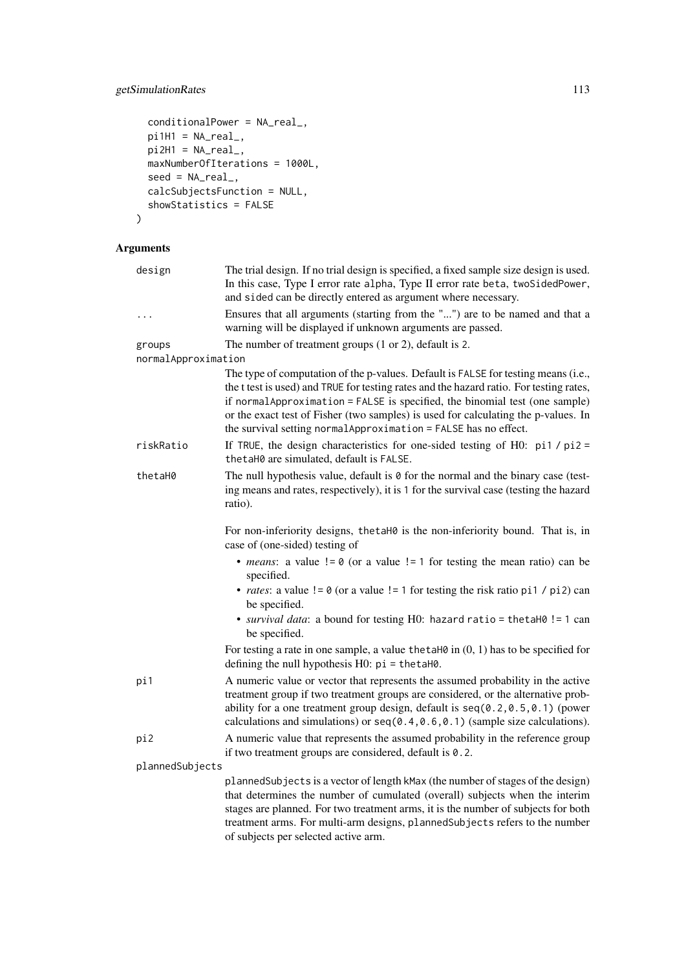# getSimulationRates 113

```
conditionalPower = NA_real_,
  pi1H1 = NA\_real_pi2H1 = NA\_real_maxNumberOfIterations = 1000L,
  seed = NA\_real_calcSubjectsFunction = NULL,
  showStatistics = FALSE
\lambda
```

```
Arguments
```

| design                        | The trial design. If no trial design is specified, a fixed sample size design is used.<br>In this case, Type I error rate alpha, Type II error rate beta, twoSidedPower,<br>and sided can be directly entered as argument where necessary.                                                                                                                                                                             |
|-------------------------------|------------------------------------------------------------------------------------------------------------------------------------------------------------------------------------------------------------------------------------------------------------------------------------------------------------------------------------------------------------------------------------------------------------------------|
| $\cdots$                      | Ensures that all arguments (starting from the "") are to be named and that a<br>warning will be displayed if unknown arguments are passed.                                                                                                                                                                                                                                                                             |
| groups<br>normalApproximation | The number of treatment groups $(1 or 2)$ , default is 2.                                                                                                                                                                                                                                                                                                                                                              |
|                               | The type of computation of the p-values. Default is FALSE for testing means (i.e.,<br>the t test is used) and TRUE for testing rates and the hazard ratio. For testing rates,<br>if normalApproximation = FALSE is specified, the binomial test (one sample)<br>or the exact test of Fisher (two samples) is used for calculating the p-values. In<br>the survival setting normal Approximation = FALSE has no effect. |
| riskRatio                     | If TRUE, the design characteristics for one-sided testing of H0: $pi1 / pi2 =$<br>thetaH0 are simulated, default is FALSE.                                                                                                                                                                                                                                                                                             |
| thetaH0                       | The null hypothesis value, default is $\theta$ for the normal and the binary case (test-<br>ing means and rates, respectively), it is 1 for the survival case (testing the hazard<br>ratio).                                                                                                                                                                                                                           |
|                               | For non-inferiority designs, thetaH0 is the non-inferiority bound. That is, in<br>case of (one-sided) testing of                                                                                                                                                                                                                                                                                                       |
|                               | • <i>means</i> : a value $!= 0$ (or a value $!= 1$ for testing the mean ratio) can be<br>specified.                                                                                                                                                                                                                                                                                                                    |
|                               | • <i>rates</i> : a value $!= 0$ (or a value $!= 1$ for testing the risk ratio pi1 / pi2) can<br>be specified.                                                                                                                                                                                                                                                                                                          |
|                               | • survival data: a bound for testing H0: hazard ratio = thetaH0 != 1 can<br>be specified.                                                                                                                                                                                                                                                                                                                              |
|                               | For testing a rate in one sample, a value the taH $\theta$ in $(0, 1)$ has to be specified for<br>defining the null hypothesis $H0$ : $pi = \text{thetaH0}$ .                                                                                                                                                                                                                                                          |
| pi1                           | A numeric value or vector that represents the assumed probability in the active<br>treatment group if two treatment groups are considered, or the alternative prob-<br>ability for a one treatment group design, default is seq(0.2,0.5,0.1) (power<br>calculations and simulations) or $seq(0.4, 0.6, 0.1)$ (sample size calculations).                                                                               |
| pi2                           | A numeric value that represents the assumed probability in the reference group<br>if two treatment groups are considered, default is $0.2$ .                                                                                                                                                                                                                                                                           |
| plannedSubjects               |                                                                                                                                                                                                                                                                                                                                                                                                                        |
|                               | plannedSubjects is a vector of length kMax (the number of stages of the design)<br>that determines the number of cumulated (overall) subjects when the interim<br>stages are planned. For two treatment arms, it is the number of subjects for both<br>treatment arms. For multi-arm designs, plannedSubjects refers to the number                                                                                     |

of subjects per selected active arm.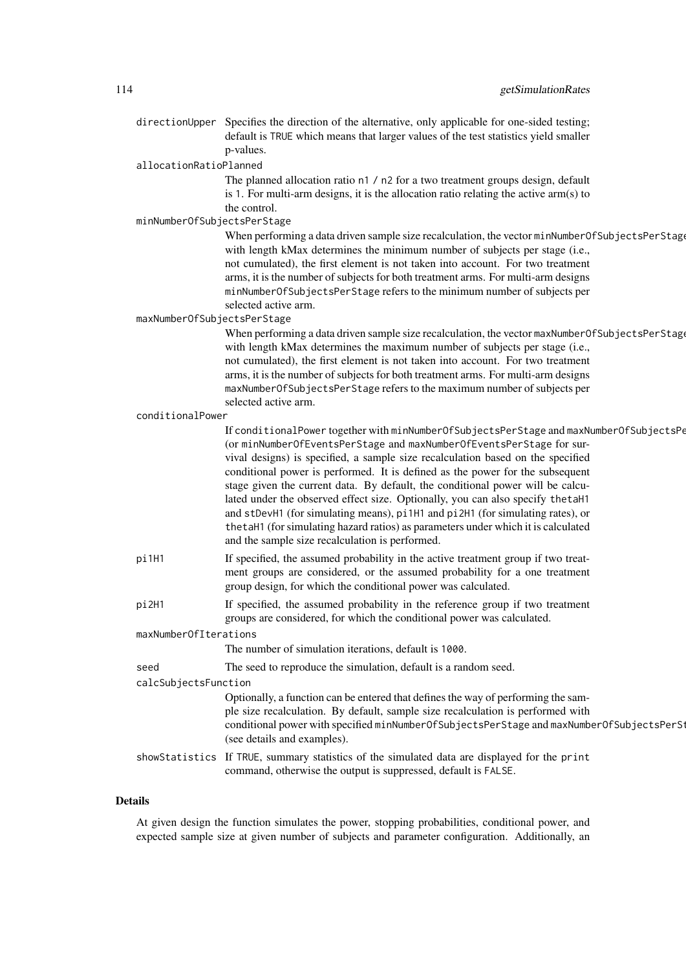directionUpper Specifies the direction of the alternative, only applicable for one-sided testing; default is TRUE which means that larger values of the test statistics yield smaller p-values.

allocationRatioPlanned

The planned allocation ratio n1 / n2 for a two treatment groups design, default is 1. For multi-arm designs, it is the allocation ratio relating the active arm(s) to the control.

minNumberOfSubjectsPerStage

When performing a data driven sample size recalculation, the vector minNumberOfSubjectsPerStag with length kMax determines the minimum number of subjects per stage (i.e., not cumulated), the first element is not taken into account. For two treatment arms, it is the number of subjects for both treatment arms. For multi-arm designs minNumberOfSubjectsPerStage refers to the minimum number of subjects per selected active arm.

maxNumberOfSubjectsPerStage

When performing a data driven sample size recalculation, the vector maxNumberOfSubjectsPerStage with length kMax determines the maximum number of subjects per stage (i.e., not cumulated), the first element is not taken into account. For two treatment arms, it is the number of subjects for both treatment arms. For multi-arm designs maxNumberOfSubjectsPerStage refers to the maximum number of subjects per selected active arm.

conditionalPower

|                       | If conditionalPower together with minNumberOfSubjectsPerStage and maxNumberOfSubjectsPe<br>(or minNumberOfEventsPerStage and maxNumberOfEventsPerStage for sur-<br>vival designs) is specified, a sample size recalculation based on the specified<br>conditional power is performed. It is defined as the power for the subsequent<br>stage given the current data. By default, the conditional power will be calcu-<br>lated under the observed effect size. Optionally, you can also specify thetaH1<br>and stDevH1 (for simulating means), pi1H1 and pi2H1 (for simulating rates), or<br>the taH1 (for simulating hazard ratios) as parameters under which it is calculated<br>and the sample size recalculation is performed. |
|-----------------------|------------------------------------------------------------------------------------------------------------------------------------------------------------------------------------------------------------------------------------------------------------------------------------------------------------------------------------------------------------------------------------------------------------------------------------------------------------------------------------------------------------------------------------------------------------------------------------------------------------------------------------------------------------------------------------------------------------------------------------|
| pi1H1                 | If specified, the assumed probability in the active treatment group if two treat-<br>ment groups are considered, or the assumed probability for a one treatment<br>group design, for which the conditional power was calculated.                                                                                                                                                                                                                                                                                                                                                                                                                                                                                                   |
| pi2H1                 | If specified, the assumed probability in the reference group if two treatment<br>groups are considered, for which the conditional power was calculated.                                                                                                                                                                                                                                                                                                                                                                                                                                                                                                                                                                            |
| maxNumberOfIterations |                                                                                                                                                                                                                                                                                                                                                                                                                                                                                                                                                                                                                                                                                                                                    |
|                       | The number of simulation iterations, default is 1000.                                                                                                                                                                                                                                                                                                                                                                                                                                                                                                                                                                                                                                                                              |
| seed                  | The seed to reproduce the simulation, default is a random seed.                                                                                                                                                                                                                                                                                                                                                                                                                                                                                                                                                                                                                                                                    |
| calcSubjectsFunction  |                                                                                                                                                                                                                                                                                                                                                                                                                                                                                                                                                                                                                                                                                                                                    |
|                       | Optionally, a function can be entered that defines the way of performing the sam-<br>ple size recalculation. By default, sample size recalculation is performed with<br>conditional power with specified minNumberOfSubjectsPerStage and maxNumberOfSubjectsPerSt<br>(see details and examples).                                                                                                                                                                                                                                                                                                                                                                                                                                   |
|                       | showStatistics If TRUE, summary statistics of the simulated data are displayed for the print<br>command, otherwise the output is suppressed, default is FALSE.                                                                                                                                                                                                                                                                                                                                                                                                                                                                                                                                                                     |

#### Details

At given design the function simulates the power, stopping probabilities, conditional power, and expected sample size at given number of subjects and parameter configuration. Additionally, an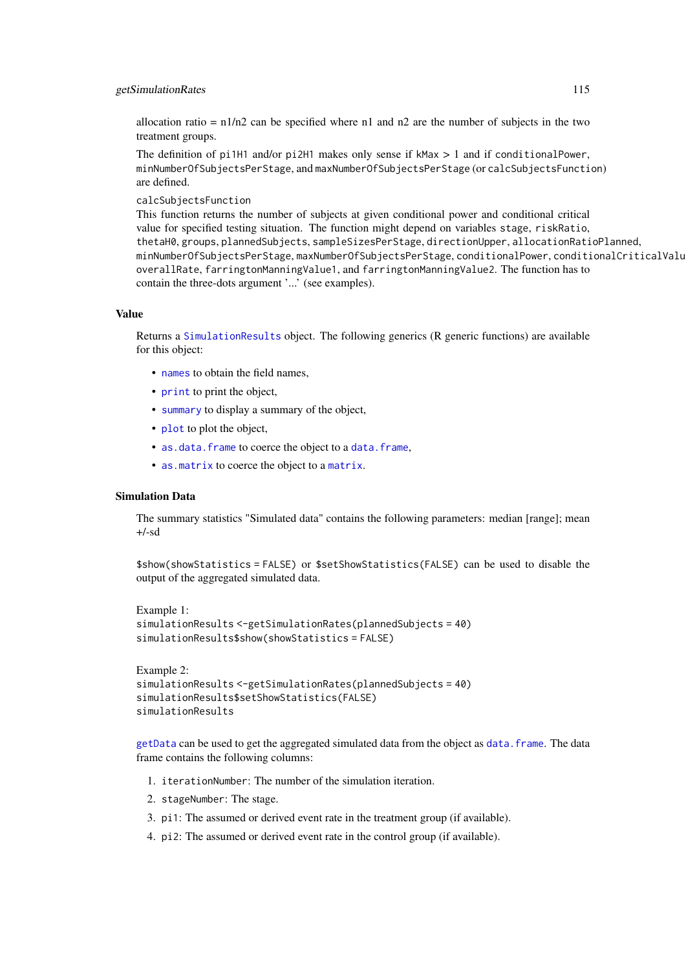#### getSimulationRates 115

allocation ratio =  $n1/n2$  can be specified where n1 and n2 are the number of subjects in the two treatment groups.

The definition of pi1H1 and/or pi2H1 makes only sense if kMax > 1 and if conditionalPower, minNumberOfSubjectsPerStage, and maxNumberOfSubjectsPerStage (or calcSubjectsFunction) are defined.

calcSubjectsFunction

This function returns the number of subjects at given conditional power and conditional critical value for specified testing situation. The function might depend on variables stage, riskRatio, thetaH0, groups, plannedSubjects, sampleSizesPerStage, directionUpper, allocationRatioPlanned, minNumberOfSubjectsPerStage, maxNumberOfSubjectsPerStage, conditionalPower, conditionalCriticalValue, overallRate, farringtonManningValue1, and farringtonManningValue2. The function has to contain the three-dots argument '...' (see examples).

#### Value

Returns a [SimulationResults](#page-0-0) object. The following generics (R generic functions) are available for this object:

- [names](#page-0-0) to obtain the field names,
- [print](#page-0-0) to print the object,
- [summary](#page-0-0) to display a summary of the object,
- [plot](#page-138-0) to plot the object,
- [as.data.frame](#page-0-0) to coerce the object to a [data.frame](#page-0-0),
- [as.matrix](#page-0-0) to coerce the object to a [matrix](#page-0-0).

# Simulation Data

The summary statistics "Simulated data" contains the following parameters: median [range]; mean  $+/-sd$ 

\$show(showStatistics = FALSE) or \$setShowStatistics(FALSE) can be used to disable the output of the aggregated simulated data.

```
Example 1:
simulationResults <-getSimulationRates(plannedSubjects = 40)
simulationResults$show(showStatistics = FALSE)
```

```
Example 2:
simulationResults <-getSimulationRates(plannedSubjects = 40)
simulationResults$setShowStatistics(FALSE)
simulationResults
```
[getData](#page-21-0) can be used to get the aggregated simulated data from the object as [data.frame](#page-0-0). The data frame contains the following columns:

- 1. iterationNumber: The number of the simulation iteration.
- 2. stageNumber: The stage.
- 3. pi1: The assumed or derived event rate in the treatment group (if available).
- 4. pi2: The assumed or derived event rate in the control group (if available).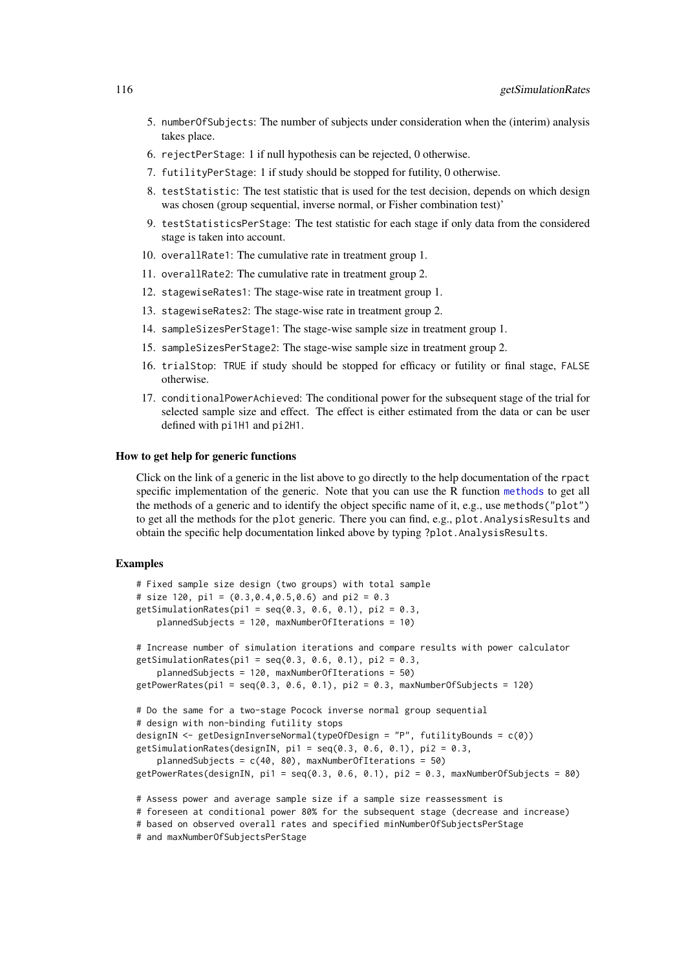- 5. numberOfSubjects: The number of subjects under consideration when the (interim) analysis takes place.
- 6. rejectPerStage: 1 if null hypothesis can be rejected, 0 otherwise.
- 7. futilityPerStage: 1 if study should be stopped for futility, 0 otherwise.
- 8. testStatistic: The test statistic that is used for the test decision, depends on which design was chosen (group sequential, inverse normal, or Fisher combination test)'
- 9. testStatisticsPerStage: The test statistic for each stage if only data from the considered stage is taken into account.
- 10. overallRate1: The cumulative rate in treatment group 1.
- 11. overallRate2: The cumulative rate in treatment group 2.
- 12. stagewiseRates1: The stage-wise rate in treatment group 1.
- 13. stagewiseRates2: The stage-wise rate in treatment group 2.
- 14. sampleSizesPerStage1: The stage-wise sample size in treatment group 1.
- 15. sampleSizesPerStage2: The stage-wise sample size in treatment group 2.
- 16. trialStop: TRUE if study should be stopped for efficacy or futility or final stage, FALSE otherwise.
- 17. conditionalPowerAchieved: The conditional power for the subsequent stage of the trial for selected sample size and effect. The effect is either estimated from the data or can be user defined with pi1H1 and pi2H1.

#### How to get help for generic functions

Click on the link of a generic in the list above to go directly to the help documentation of the rpact specific implementation of the generic. Note that you can use the R function [methods](#page-0-0) to get all the methods of a generic and to identify the object specific name of it, e.g., use methods("plot") to get all the methods for the plot generic. There you can find, e.g., plot. AnalysisResults and obtain the specific help documentation linked above by typing ?plot.AnalysisResults.

#### Examples

```
# Fixed sample size design (two groups) with total sample
# size 120, pi1 = (0.3, 0.4, 0.5, 0.6) and pi2 = 0.3
getSimulationRates(pi1 = seq(0.3, 0.6, 0.1), pi2 = 0.3,
    plannedSubjects = 120, maxNumberOfIterations = 10)
# Increase number of simulation iterations and compare results with power calculator
getSimulationRates(pi1 = seq(0.3, 0.6, 0.1), pi2 = 0.3,
    plannedSubjects = 120, maxNumberOfIterations = 50)
getPower Rates(pi1 = seq(0.3, 0.6, 0.1), pi2 = 0.3, maxNumberOfSubjects = 120)# Do the same for a two-stage Pocock inverse normal group sequential
# design with non-binding futility stops
designIN <- getDesignInverseNormal(typeOfDesign = "P", futilityBounds = c(0))
getSimulationRates(designIN, pi1 = seq(0.3, 0.6, 0.1), pi2 = 0.3,
    plannedSubjects = c(40, 80), maxNumberOfIterations = 50)
getPowerRates(designIN, pi1 = seq(0.3, 0.6, 0.1), pi2 = 0.3, maxNumberOfSubjects = 80)
# Assess power and average sample size if a sample size reassessment is
# foreseen at conditional power 80% for the subsequent stage (decrease and increase)
# based on observed overall rates and specified minNumberOfSubjectsPerStage
# and maxNumberOfSubjectsPerStage
```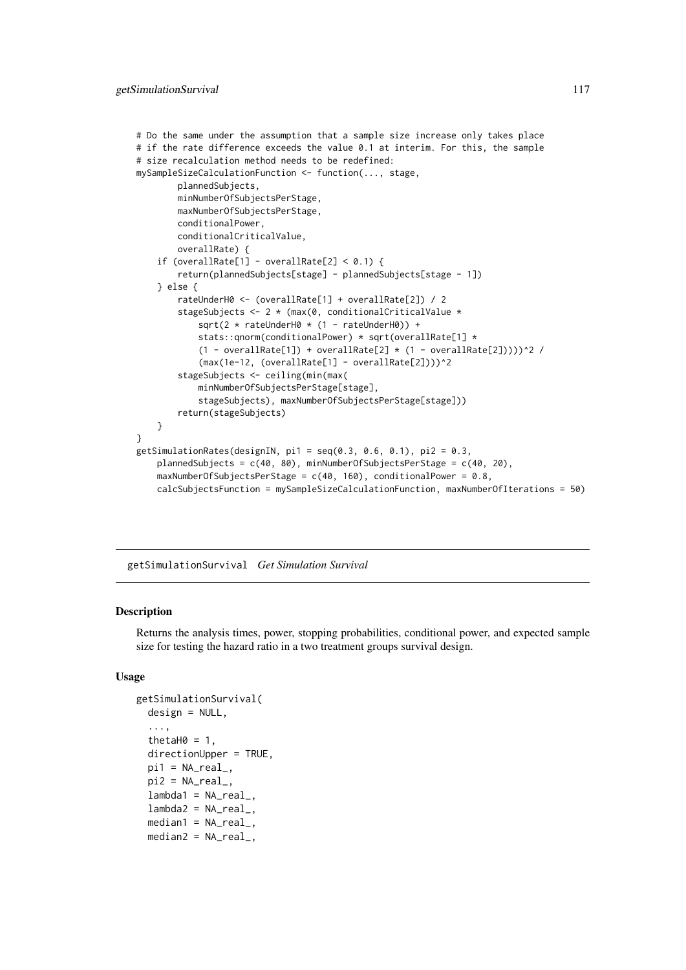```
# Do the same under the assumption that a sample size increase only takes place
# if the rate difference exceeds the value 0.1 at interim. For this, the sample
# size recalculation method needs to be redefined:
mySampleSizeCalculationFunction <- function(..., stage,
        plannedSubjects,
        minNumberOfSubjectsPerStage,
        maxNumberOfSubjectsPerStage,
        conditionalPower,
        conditionalCriticalValue,
        overallRate) {
    if (overallRate[1] - overallRate[2] < 0.1) {
        return(plannedSubjects[stage] - plannedSubjects[stage - 1])
    } else {
        rateUnderH0 <- (overallRate[1] + overallRate[2]) / 2
        stageSubjects <- 2 * (max(0, conditionalCriticalValue *
            sqrt(2 * rateUnderH0 * (1 - rateUnderH0)) +stats::qnorm(conditionalPower) * sqrt(overallRate[1] *
            (1 - overallRate[1]) + overallRate[2] * (1 - overallRate[2]))<sup>2</sup>/
            (max(1e-12, (overallRate[1] - overallRate[2])))^2
        stageSubjects <- ceiling(min(max(
            minNumberOfSubjectsPerStage[stage],
            stageSubjects), maxNumberOfSubjectsPerStage[stage]))
        return(stageSubjects)
    }
}
getSimulationRates(designIN, pi1 = seq(0.3, 0.6, 0.1), pi2 = 0.3,
    plannedSubjects = c(40, 80), minNumberOfSubjectsPerStage = c(40, 20),
    maxNumberOfSubjectsPerStage = c(40, 160), conditionalPower = 0.8,
    calcSubjectsFunction = mySampleSizeCalculationFunction, maxNumberOfIterations = 50)
```
<span id="page-116-0"></span>getSimulationSurvival *Get Simulation Survival*

#### Description

Returns the analysis times, power, stopping probabilities, conditional power, and expected sample size for testing the hazard ratio in a two treatment groups survival design.

```
getSimulationSurvival(
 design = NULL,
  ...,
 thetaH0 = 1,
 directionUpper = TRUE,
 pi1 = NA\_real_pi2 = NA\_real_lambda = NA_{real_lambda2 = NA_{real_-,median1 = NA\_real_median2 = NA\_real_
```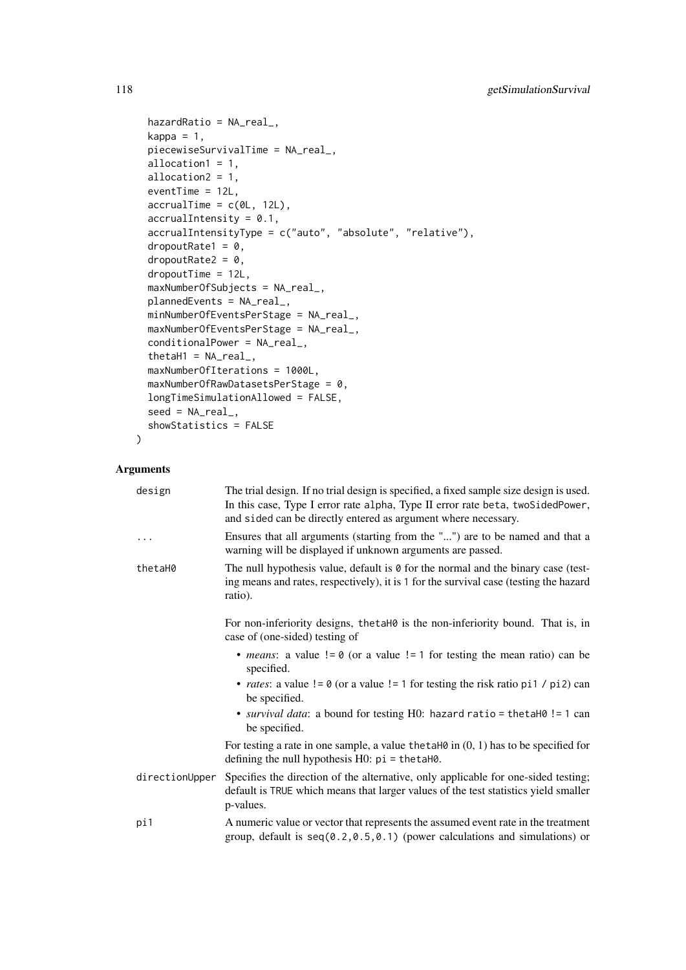```
hazardRatio = NA_real_,
kappa = 1,
piecewiseSurvivalTime = NA_real_,
allocation1 = 1,
allocation2 = 1,
eventTime = 12L,
accrualTime = c(0L, 12L),accrualIntensity = 0.1,accrualIntensityType = c("auto", "absolute", "relative"),
dropoutRate1 = 0,
droputRate2 = 0,dropoutTime = 12L,
maxNumberOfSubjects = NA_real_,
plannedEvents = NA_real_,
minNumberOfEventsPerStage = NA_real_,
maxNumberOfEventsPerStage = NA_real_,
conditionalPower = NA_real_,
thetaH1 = NA_{real_maxNumberOfIterations = 1000L,
maxNumberOfRawDatasetsPerStage = 0,longTimeSimulationAllowed = FALSE,
seed = NA_real_,
showStatistics = FALSE
```
# Arguments

)

| design         | The trial design. If no trial design is specified, a fixed sample size design is used.<br>In this case, Type I error rate alpha, Type II error rate beta, twoSidedPower,<br>and sided can be directly entered as argument where necessary. |
|----------------|--------------------------------------------------------------------------------------------------------------------------------------------------------------------------------------------------------------------------------------------|
| $\cdots$       | Ensures that all arguments (starting from the "") are to be named and that a<br>warning will be displayed if unknown arguments are passed.                                                                                                 |
| thetaH0        | The null hypothesis value, default is $\theta$ for the normal and the binary case (test-<br>ing means and rates, respectively), it is 1 for the survival case (testing the hazard<br>ratio).                                               |
|                | For non-inferiority designs, the taho is the non-inferiority bound. That is, in<br>case of (one-sided) testing of                                                                                                                          |
|                | • <i>means</i> : a value $!= 0$ (or a value $!= 1$ for testing the mean ratio) can be<br>specified.                                                                                                                                        |
|                | • <i>rates</i> : a value $!= 0$ (or a value $!= 1$ for testing the risk ratio pi1 / pi2) can<br>be specified.                                                                                                                              |
|                | • survival data: a bound for testing H0: hazard ratio = the ta H0! = 1 can<br>be specified.                                                                                                                                                |
|                | For testing a rate in one sample, a value the taller in $(0, 1)$ has to be specified for<br>defining the null hypothesis $H0$ : $pi = \text{thetaH0}$ .                                                                                    |
| directionUpper | Specifies the direction of the alternative, only applicable for one-sided testing;<br>default is TRUE which means that larger values of the test statistics yield smaller<br>p-values.                                                     |
| pi1            | A numeric value or vector that represents the assumed event rate in the treatment<br>group, default is $seq(0.2, 0.5, 0.1)$ (power calculations and simulations) or                                                                        |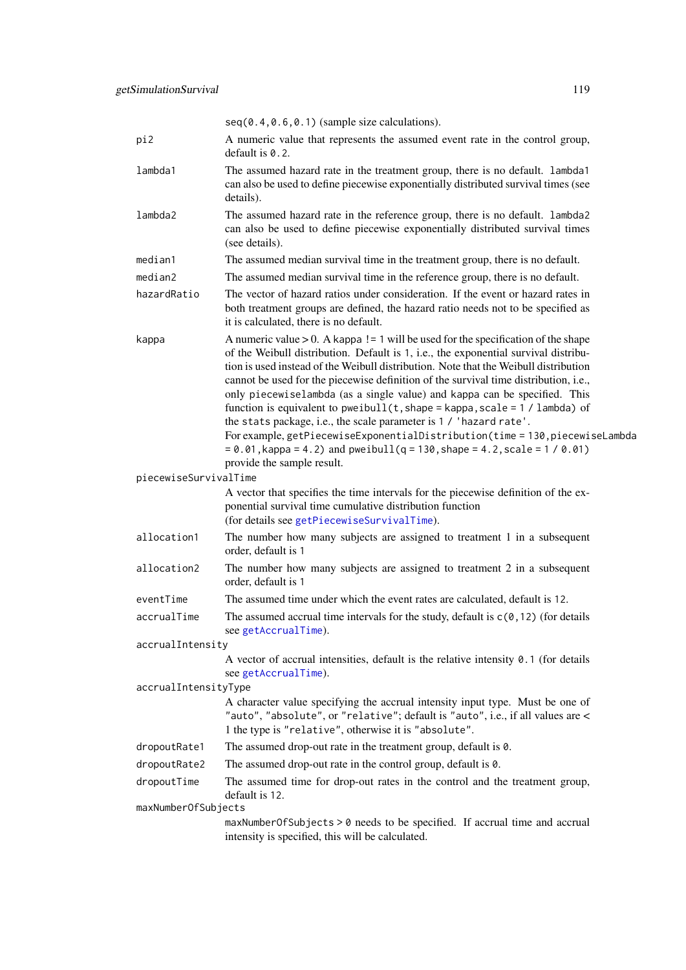|                       | $seq(0.4, 0.6, 0.1)$ (sample size calculations).                                                                                                                                                                                                                                                                                                                                                                                                                                                                                                                                                                                                                                                                                                                                               |
|-----------------------|------------------------------------------------------------------------------------------------------------------------------------------------------------------------------------------------------------------------------------------------------------------------------------------------------------------------------------------------------------------------------------------------------------------------------------------------------------------------------------------------------------------------------------------------------------------------------------------------------------------------------------------------------------------------------------------------------------------------------------------------------------------------------------------------|
| pi2                   | A numeric value that represents the assumed event rate in the control group,<br>default is $0.2$ .                                                                                                                                                                                                                                                                                                                                                                                                                                                                                                                                                                                                                                                                                             |
| lambda1               | The assumed hazard rate in the treatment group, there is no default. lambda1<br>can also be used to define piecewise exponentially distributed survival times (see<br>details).                                                                                                                                                                                                                                                                                                                                                                                                                                                                                                                                                                                                                |
| lambda2               | The assumed hazard rate in the reference group, there is no default. lambda2<br>can also be used to define piecewise exponentially distributed survival times<br>(see details).                                                                                                                                                                                                                                                                                                                                                                                                                                                                                                                                                                                                                |
| median1               | The assumed median survival time in the treatment group, there is no default.                                                                                                                                                                                                                                                                                                                                                                                                                                                                                                                                                                                                                                                                                                                  |
| median2               | The assumed median survival time in the reference group, there is no default.                                                                                                                                                                                                                                                                                                                                                                                                                                                                                                                                                                                                                                                                                                                  |
| hazardRatio           | The vector of hazard ratios under consideration. If the event or hazard rates in<br>both treatment groups are defined, the hazard ratio needs not to be specified as<br>it is calculated, there is no default.                                                                                                                                                                                                                                                                                                                                                                                                                                                                                                                                                                                 |
| kappa                 | A numeric value $> 0$ . A kappa ! = 1 will be used for the specification of the shape<br>of the Weibull distribution. Default is 1, i.e., the exponential survival distribu-<br>tion is used instead of the Weibull distribution. Note that the Weibull distribution<br>cannot be used for the piecewise definition of the survival time distribution, i.e.,<br>only piecewiselambda (as a single value) and kappa can be specified. This<br>function is equivalent to pweibull(t, shape = kappa, scale = $1 /$ lambda) of<br>the stats package, i.e., the scale parameter is 1 / 'hazard rate'.<br>For example, getPiecewiseExponentialDistribution(time = 130, piecewiseLambda<br>$= 0.01$ , kappa = 4.2) and pweibull(q = 130, shape = 4.2, scale = 1 / 0.01)<br>provide the sample result. |
| piecewiseSurvivalTime |                                                                                                                                                                                                                                                                                                                                                                                                                                                                                                                                                                                                                                                                                                                                                                                                |
|                       | A vector that specifies the time intervals for the piecewise definition of the ex-<br>ponential survival time cumulative distribution function<br>(for details see getPiecewiseSurvivalTime).                                                                                                                                                                                                                                                                                                                                                                                                                                                                                                                                                                                                  |
| allocation1           | The number how many subjects are assigned to treatment 1 in a subsequent<br>order, default is 1                                                                                                                                                                                                                                                                                                                                                                                                                                                                                                                                                                                                                                                                                                |
| allocation2           | The number how many subjects are assigned to treatment 2 in a subsequent<br>order, default is 1                                                                                                                                                                                                                                                                                                                                                                                                                                                                                                                                                                                                                                                                                                |
| eventTime             | The assumed time under which the event rates are calculated, default is 12.                                                                                                                                                                                                                                                                                                                                                                                                                                                                                                                                                                                                                                                                                                                    |
| accrualTime           | The assumed accrual time intervals for the study, default is $c(0, 12)$ (for details<br>see getAccrualTime).                                                                                                                                                                                                                                                                                                                                                                                                                                                                                                                                                                                                                                                                                   |
| accrualIntensity      |                                                                                                                                                                                                                                                                                                                                                                                                                                                                                                                                                                                                                                                                                                                                                                                                |
|                       | A vector of accrual intensities, default is the relative intensity $0.1$ (for details                                                                                                                                                                                                                                                                                                                                                                                                                                                                                                                                                                                                                                                                                                          |
| accrualIntensityType  | see getAccrualTime).                                                                                                                                                                                                                                                                                                                                                                                                                                                                                                                                                                                                                                                                                                                                                                           |
|                       | A character value specifying the accrual intensity input type. Must be one of<br>"auto", "absolute", or "relative"; default is "auto", i.e., if all values are <<br>1 the type is "relative", otherwise it is "absolute".                                                                                                                                                                                                                                                                                                                                                                                                                                                                                                                                                                      |
| dropoutRate1          | The assumed drop-out rate in the treatment group, default is 0.                                                                                                                                                                                                                                                                                                                                                                                                                                                                                                                                                                                                                                                                                                                                |
| dropoutRate2          | The assumed drop-out rate in the control group, default is $\theta$ .                                                                                                                                                                                                                                                                                                                                                                                                                                                                                                                                                                                                                                                                                                                          |
| dropoutTime           | The assumed time for drop-out rates in the control and the treatment group,<br>default is 12.                                                                                                                                                                                                                                                                                                                                                                                                                                                                                                                                                                                                                                                                                                  |
| maxNumberOfSubjects   |                                                                                                                                                                                                                                                                                                                                                                                                                                                                                                                                                                                                                                                                                                                                                                                                |
|                       | maxNumberOfSubjects > 0 needs to be specified. If accrual time and accrual<br>intensity is specified, this will be calculated.                                                                                                                                                                                                                                                                                                                                                                                                                                                                                                                                                                                                                                                                 |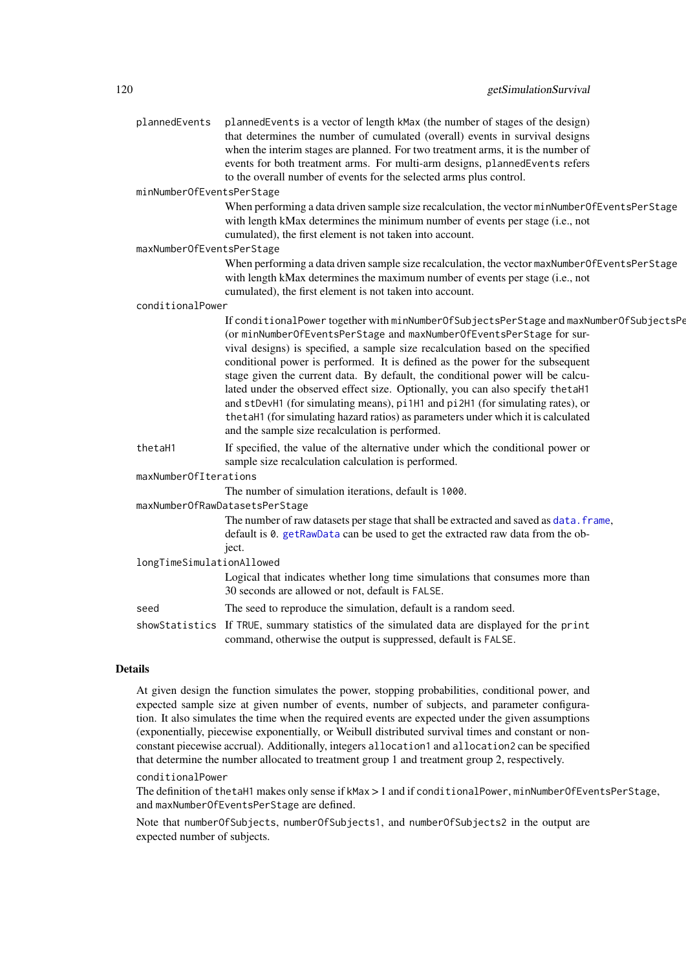plannedEvents plannedEvents is a vector of length kMax (the number of stages of the design) that determines the number of cumulated (overall) events in survival designs when the interim stages are planned. For two treatment arms, it is the number of events for both treatment arms. For multi-arm designs, plannedEvents refers to the overall number of events for the selected arms plus control.

minNumberOfEventsPerStage

When performing a data driven sample size recalculation, the vector minNumberOfEventsPerStage with length kMax determines the minimum number of events per stage (i.e., not cumulated), the first element is not taken into account.

maxNumberOfEventsPerStage

When performing a data driven sample size recalculation, the vector maxNumberOfEventsPerStage with length kMax determines the maximum number of events per stage (i.e., not cumulated), the first element is not taken into account.

conditionalPower

If conditionalPower together with minNumberOfSubjectsPerStage and maxNumberOfSubjectsPe (or minNumberOfEventsPerStage and maxNumberOfEventsPerStage for survival designs) is specified, a sample size recalculation based on the specified conditional power is performed. It is defined as the power for the subsequent stage given the current data. By default, the conditional power will be calculated under the observed effect size. Optionally, you can also specify thetaH1 and stDevH1 (for simulating means), pi1H1 and pi2H1 (for simulating rates), or thetaH1 (for simulating hazard ratios) as parameters under which it is calculated and the sample size recalculation is performed.

thetaH1 If specified, the value of the alternative under which the conditional power or sample size recalculation calculation is performed.

maxNumberOfIterations

The number of simulation iterations, default is 1000.

#### maxNumberOfRawDatasetsPerStage

The number of raw datasets per stage that shall be extracted and saved as data. frame, default is 0. [getRawData](#page-65-0) can be used to get the extracted raw data from the object.

longTimeSimulationAllowed

Logical that indicates whether long time simulations that consumes more than 30 seconds are allowed or not, default is FALSE.

seed The seed to reproduce the simulation, default is a random seed.

showStatistics If TRUE, summary statistics of the simulated data are displayed for the print command, otherwise the output is suppressed, default is FALSE.

### Details

At given design the function simulates the power, stopping probabilities, conditional power, and expected sample size at given number of events, number of subjects, and parameter configuration. It also simulates the time when the required events are expected under the given assumptions (exponentially, piecewise exponentially, or Weibull distributed survival times and constant or nonconstant piecewise accrual). Additionally, integers allocation1 and allocation2 can be specified that determine the number allocated to treatment group 1 and treatment group 2, respectively.

#### conditionalPower

The definition of thetaH1 makes only sense if kMax > 1 and if conditionalPower, minNumberOfEventsPerStage, and maxNumberOfEventsPerStage are defined.

Note that numberOfSubjects, numberOfSubjects1, and numberOfSubjects2 in the output are expected number of subjects.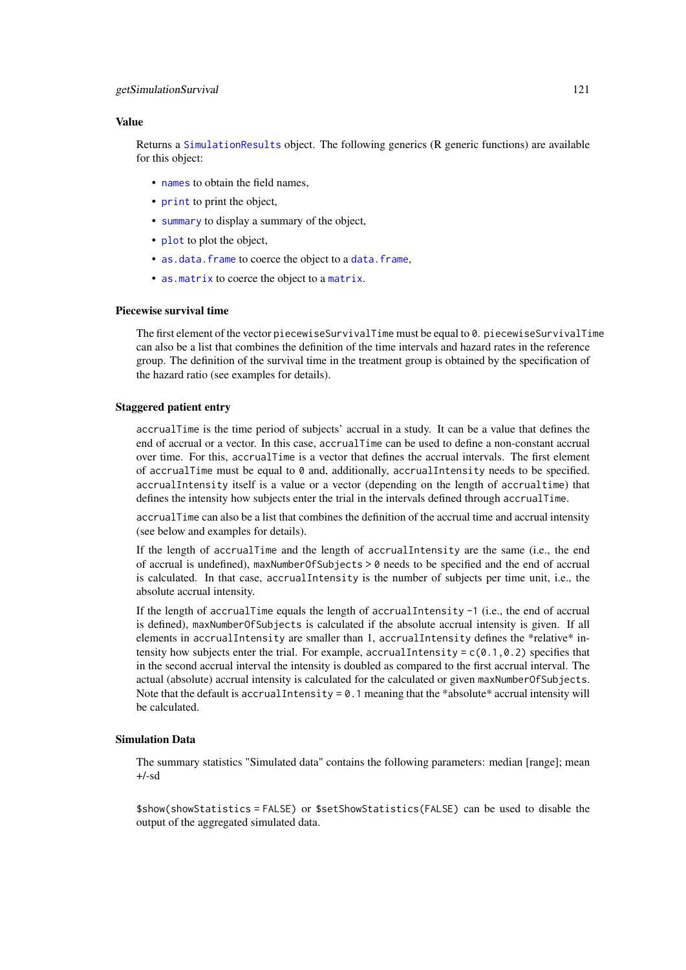#### getSimulationSurvival 121

#### Value

Returns a [SimulationResults](#page-0-0) object. The following generics (R generic functions) are available for this object:

- [names](#page-0-0) to obtain the field names,
- [print](#page-0-0) to print the object,
- [summary](#page-0-0) to display a summary of the object,
- [plot](#page-138-0) to plot the object,
- [as.data.frame](#page-0-0) to coerce the object to a [data.frame](#page-0-0),
- [as.matrix](#page-0-0) to coerce the object to a [matrix](#page-0-0).

### Piecewise survival time

The first element of the vector piecewiseSurvivalTime must be equal to 0. piecewiseSurvivalTime can also be a list that combines the definition of the time intervals and hazard rates in the reference group. The definition of the survival time in the treatment group is obtained by the specification of the hazard ratio (see examples for details).

#### Staggered patient entry

accrualTime is the time period of subjects' accrual in a study. It can be a value that defines the end of accrual or a vector. In this case, accrualTime can be used to define a non-constant accrual over time. For this, accrualTime is a vector that defines the accrual intervals. The first element of accrualTime must be equal to 0 and, additionally, accrualIntensity needs to be specified. accrualIntensity itself is a value or a vector (depending on the length of accrualtime) that defines the intensity how subjects enter the trial in the intervals defined through accrualTime.

accrualTime can also be a list that combines the definition of the accrual time and accrual intensity (see below and examples for details).

If the length of accrualTime and the length of accrualIntensity are the same (i.e., the end of accrual is undefined), maxNumberOfSubjects > 0 needs to be specified and the end of accrual is calculated. In that case, accrualIntensity is the number of subjects per time unit, i.e., the absolute accrual intensity.

If the length of accrualTime equals the length of accrualIntensity -1 (i.e., the end of accrual is defined), maxNumberOfSubjects is calculated if the absolute accrual intensity is given. If all elements in accrualIntensity are smaller than 1, accrualIntensity defines the \*relative\* intensity how subjects enter the trial. For example, accrualIntensity =  $c(0.1, 0.2)$  specifies that in the second accrual interval the intensity is doubled as compared to the first accrual interval. The actual (absolute) accrual intensity is calculated for the calculated or given maxNumberOfSubjects. Note that the default is accrualIntensity = 0.1 meaning that the \*absolute\* accrual intensity will be calculated.

#### Simulation Data

The summary statistics "Simulated data" contains the following parameters: median [range]; mean +/-sd

\$show(showStatistics = FALSE) or \$setShowStatistics(FALSE) can be used to disable the output of the aggregated simulated data.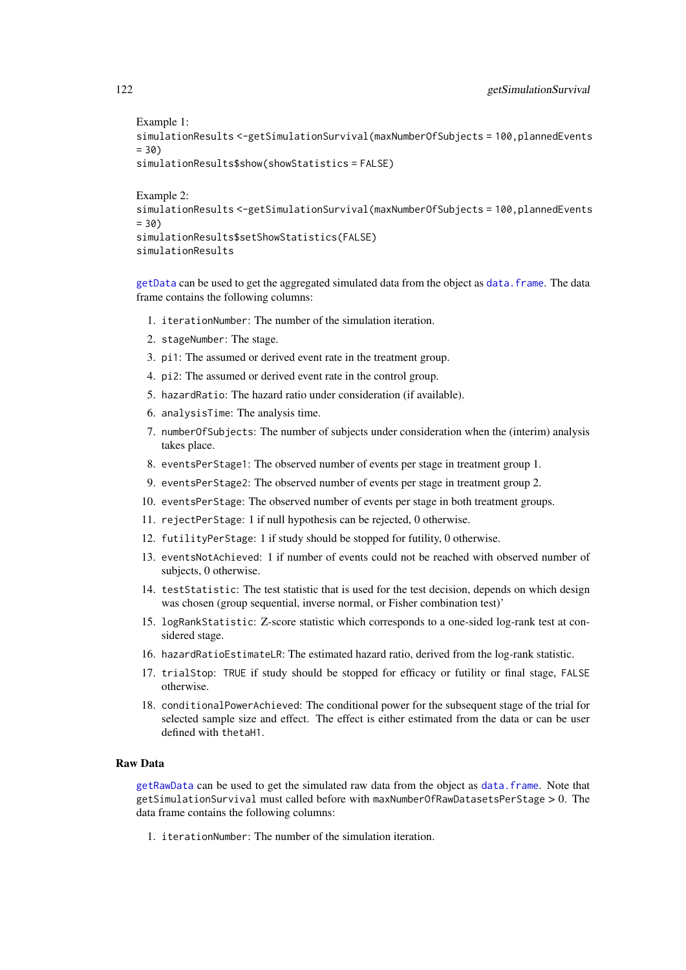```
Example 1:
simulationResults <-getSimulationSurvival(maxNumberOfSubjects = 100, plannedEvents
= 30simulationResults$show(showStatistics = FALSE)
Example 2:
simulationResults <-getSimulationSurvival(maxNumberOfSubjects = 100, plannedEvents
= 30simulationResults$setShowStatistics(FALSE)
simulationResults
```
[getData](#page-21-0) can be used to get the aggregated simulated data from the object as [data.frame](#page-0-0). The data frame contains the following columns:

- 1. iterationNumber: The number of the simulation iteration.
- 2. stageNumber: The stage.
- 3. pi1: The assumed or derived event rate in the treatment group.
- 4. pi2: The assumed or derived event rate in the control group.
- 5. hazardRatio: The hazard ratio under consideration (if available).
- 6. analysisTime: The analysis time.
- 7. numberOfSubjects: The number of subjects under consideration when the (interim) analysis takes place.
- 8. eventsPerStage1: The observed number of events per stage in treatment group 1.
- 9. eventsPerStage2: The observed number of events per stage in treatment group 2.
- 10. eventsPerStage: The observed number of events per stage in both treatment groups.
- 11. rejectPerStage: 1 if null hypothesis can be rejected, 0 otherwise.
- 12. futilityPerStage: 1 if study should be stopped for futility, 0 otherwise.
- 13. eventsNotAchieved: 1 if number of events could not be reached with observed number of subjects, 0 otherwise.
- 14. testStatistic: The test statistic that is used for the test decision, depends on which design was chosen (group sequential, inverse normal, or Fisher combination test)'
- 15. logRankStatistic: Z-score statistic which corresponds to a one-sided log-rank test at considered stage.
- 16. hazardRatioEstimateLR: The estimated hazard ratio, derived from the log-rank statistic.
- 17. trialStop: TRUE if study should be stopped for efficacy or futility or final stage, FALSE otherwise.
- 18. conditionalPowerAchieved: The conditional power for the subsequent stage of the trial for selected sample size and effect. The effect is either estimated from the data or can be user defined with thetaH1.

# Raw Data

[getRawData](#page-65-0) can be used to get the simulated raw data from the object as [data.frame](#page-0-0). Note that getSimulationSurvival must called before with maxNumberOfRawDatasetsPerStage > 0. The data frame contains the following columns:

1. iterationNumber: The number of the simulation iteration.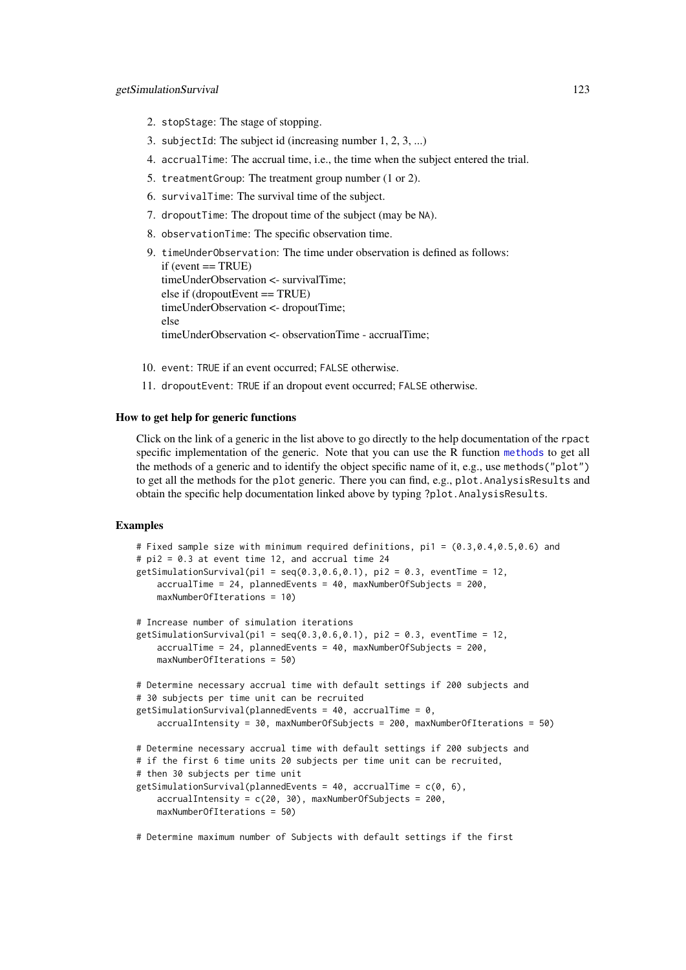- 2. stopStage: The stage of stopping.
- 3. subjectId: The subject id (increasing number 1, 2, 3, ...)
- 4. accrualTime: The accrual time, i.e., the time when the subject entered the trial.
- 5. treatmentGroup: The treatment group number (1 or 2).
- 6. survivalTime: The survival time of the subject.
- 7. dropoutTime: The dropout time of the subject (may be NA).
- 8. observationTime: The specific observation time.

```
9. timeUnderObservation: The time under observation is defined as follows:
  if (event == TRUE)timeUnderObservation <- survivalTime;
  else if (dropoutEvent == TRUE)
  timeUnderObservation <- dropoutTime;
  else
  timeUnderObservation <- observationTime - accrualTime;
```
- 10. event: TRUE if an event occurred; FALSE otherwise.
- 11. dropoutEvent: TRUE if an dropout event occurred; FALSE otherwise.

#### How to get help for generic functions

Click on the link of a generic in the list above to go directly to the help documentation of the rpact specific implementation of the generic. Note that you can use the R function [methods](#page-0-0) to get all the methods of a generic and to identify the object specific name of it, e.g., use methods("plot") to get all the methods for the plot generic. There you can find, e.g., plot.AnalysisResults and obtain the specific help documentation linked above by typing ?plot.AnalysisResults.

# Examples

```
# Fixed sample size with minimum required definitions, pi1 = (0.3,0.4,0.5,0.6) and
# pi2 = 0.3 at event time 12, and accrual time 24
getSimulationSurvival(pi1 = seq(0.3, 0.6, 0.1), pi2 = 0.3, eventTime = 12,
    accrualTime = 24, plannedEvents = 40, maxNumberOfSubjects = 200,
    maxNumberOfIterations = 10)
# Increase number of simulation iterations
getSimulationSurvival(pi1 = seq(0.3, 0.6, 0.1), pi2 = 0.3, eventTime = 12,
    accrualTime = 24, plannedEvents = 40, maxNumberOfSubjects = 200,
    maxNumberOfIterations = 50)
# Determine necessary accrual time with default settings if 200 subjects and
# 30 subjects per time unit can be recruited
getSimulationSurvival(plannedEvents = 40, accrualTime = 0,
    accrualIntensity = 30, maxNumberOfSubjects = 200, maxNumberOfIterations = 50)
# Determine necessary accrual time with default settings if 200 subjects and
# if the first 6 time units 20 subjects per time unit can be recruited,
# then 30 subjects per time unit
getSimulationSurvival(plannedEvents = 40, accrualTime = c(0, 6),
    accrualIntensity = c(20, 30), maxNumberOfSubjects = 200,maxNumberOfIterations = 50)
```
# Determine maximum number of Subjects with default settings if the first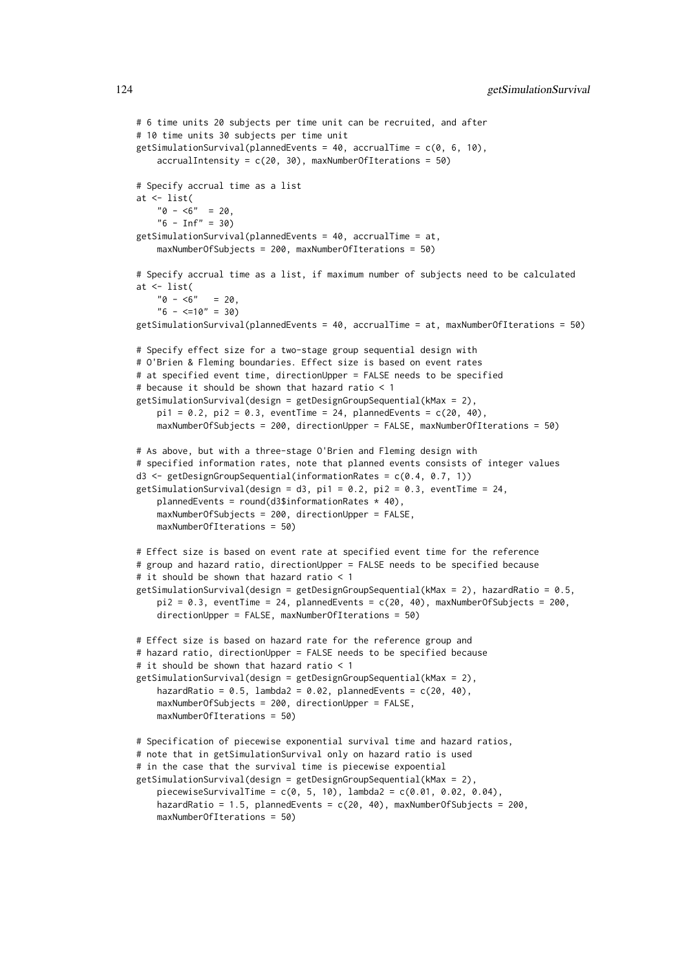```
# 6 time units 20 subjects per time unit can be recruited, and after
# 10 time units 30 subjects per time unit
getSimulationSurvival(plannedEvents = 40, accrualTime = c(0, 6, 10),
    accrualIntensity = c(20, 30), maxNumberOfIterations = 50)
# Specify accrual time as a list
at <- list(
    "0 - 5" = 20."6 - Inf" = 30getSimulationSurvival(plannedEvents = 40, accrualTime = at,
   maxNumberOfSubjects = 200, maxNumberOfIterations = 50)
# Specify accrual time as a list, if maximum number of subjects need to be calculated
at <- list(
   "0 - 5" = 20"6 - \leq 10" = 30getSimulationSurvival(plannedEvents = 40, accrualTime = at, maxNumberOfIterations = 50)
# Specify effect size for a two-stage group sequential design with
# O'Brien & Fleming boundaries. Effect size is based on event rates
# at specified event time, directionUpper = FALSE needs to be specified
# because it should be shown that hazard ratio < 1
getSimulationSurvival(design = getDesignGroupSequential(kMax = 2),
    pi1 = 0.2, pi2 = 0.3, eventTime = 24, plannedEvents = c(20, 40),
   maxNumberOfSubjects = 200, directionUpper = FALSE, maxNumberOfIterations = 50)
# As above, but with a three-stage O'Brien and Fleming design with
# specified information rates, note that planned events consists of integer values
d3 <- getDesignGroupSequential(informationRates = c(0.4, 0.7, 1))
getSimulationSurvival(design = d3, pi1 = 0.2, pi2 = 0.3, eventTime = 24,
   plannedEvents = round(d3$information Rates * 40).
   maxNumberOfSubjects = 200, directionUpper = FALSE,
   maxNumberOfIterations = 50)
# Effect size is based on event rate at specified event time for the reference
# group and hazard ratio, directionUpper = FALSE needs to be specified because
# it should be shown that hazard ratio < 1
getSimulationSurvival(design = getDesignGroupSequential(kMax = 2), hazardRatio = 0.5,
   pi2 = 0.3, eventTime = 24, plannedEvents = c(20, 40), maxNumberOfSubjects = 200,
   directionUpper = FALSE, maxNumberOfIterations = 50)
# Effect size is based on hazard rate for the reference group and
# hazard ratio, directionUpper = FALSE needs to be specified because
# it should be shown that hazard ratio < 1
getSimulationSurvival(design = getDesignGroupSequential(kMax = 2),
    hazardRatio = 0.5, lambda2 = 0.02, plannedEvents = c(20, 40),
   maxNumberOfSubjects = 200, directionUpper = FALSE,
   maxNumberOfIterations = 50)
# Specification of piecewise exponential survival time and hazard ratios,
# note that in getSimulationSurvival only on hazard ratio is used
# in the case that the survival time is piecewise expoential
getSimulationSurvival(design = getDesignGroupSequential(kMax = 2),
   piecewiseSurvivalTime = c(0, 5, 10), lambda2 = c(0.01, 0.02, 0.04),
    hazardRatio = 1.5, plannedEvents = c(20, 40), maxNumberOfSubjects = 200,
   maxNumberOfIterations = 50)
```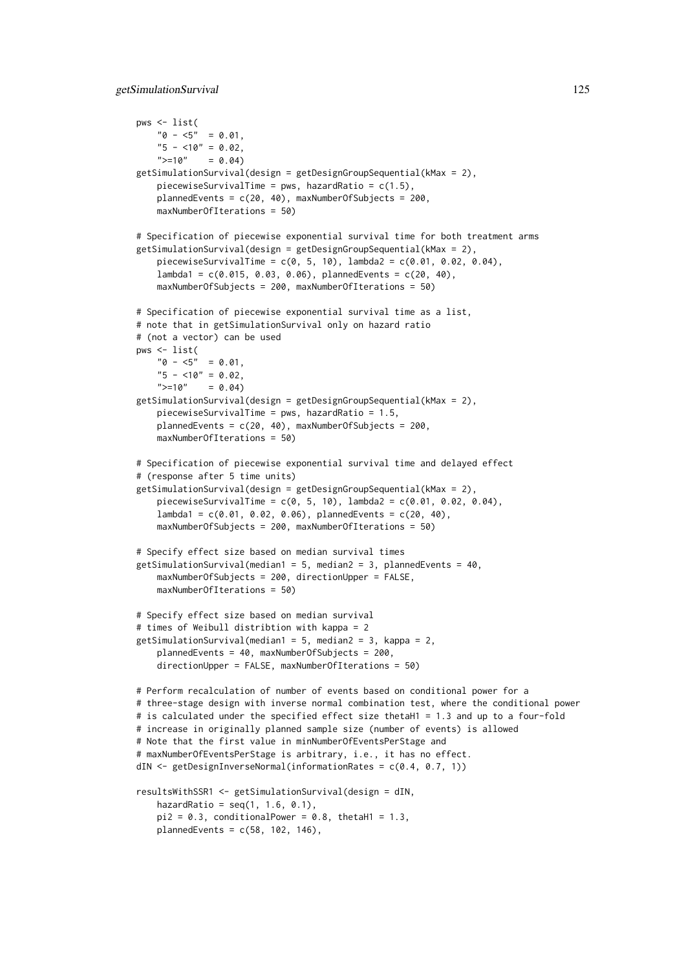```
pws <- list(
    "0 - 5" = 0.01,"5 - 10" = 0.02,">=10" = 0.04getSimulationSurvival(design = getDesignGroupSequential(kMax = 2),
    piecewiseSurvivalTime = pws, hazardRatio = c(1.5),
    plannedEvents = c(20, 40), maxNumberOfSubjects = 200,
    maxNumberOfIterations = 50)
# Specification of piecewise exponential survival time for both treatment arms
getSimulationSurvival(design = getDesignGroupSequential(kMax = 2),
    piecewiseSurvivalTime = c(0, 5, 10), lambda2 = c(0.01, 0.02, 0.04),
    lambda1 = c(0.015, 0.03, 0.06), plannedEvents = c(20, 40),
    maxNumberOfSubjects = 200, maxNumberOfIterations = 50)
# Specification of piecewise exponential survival time as a list,
# note that in getSimulationSurvival only on hazard ratio
# (not a vector) can be used
pws <- list(
    "0 - 5" = 0.01"5 - 10" = 0.02">=10" = 0.04getSimulationSurvival(design = getDesignGroupSequential(kMax = 2),
    piecewiseSurvivalTime = pws, hazardRatio = 1.5,
    plannedEvents = c(20, 40), maxNumberOfSubjects = 200,
    maxNumberOfIterations = 50)
# Specification of piecewise exponential survival time and delayed effect
# (response after 5 time units)
getSimulationSurvival(design = getDesignGroupSequential(kMax = 2),
    piecewiseSurvivalTime = c(0, 5, 10), lambda2 = c(0.01, 0.02, 0.04).
    lambda1 = c(0.01, 0.02, 0.06), plannedEvents = c(20, 40),
    maxNumberOfSubjects = 200, maxNumberOfIterations = 50)
# Specify effect size based on median survival times
getSimulationSurvival(median1 = 5, median2 = 3, plannedEvents = 40,
    maxNumberOfSubjects = 200, directionUpper = FALSE,
    maxNumberOfIterations = 50)
# Specify effect size based on median survival
# times of Weibull distribtion with kappa = 2
getSimulationSurvival(median1 = 5, median2 = 3, kappa = 2,
    plannedEvents = 40, maxNumberOfSubjects = 200,
    directionUpper = FALSE, maxNumberOfIterations = 50)
# Perform recalculation of number of events based on conditional power for a
# three-stage design with inverse normal combination test, where the conditional power
# is calculated under the specified effect size thetaH1 = 1.3 and up to a four-fold
# increase in originally planned sample size (number of events) is allowed
# Note that the first value in minNumberOfEventsPerStage and
# maxNumberOfEventsPerStage is arbitrary, i.e., it has no effect.
dIN <- getDesignInverseNormal(informationRates = c(0.4, 0.7, 1))
resultsWithSSR1 <- getSimulationSurvival(design = dIN,
    hazardRatio = seq(1, 1.6, 0.1),
    pi2 = 0.3, conditionalPower = 0.8, thetaH1 = 1.3,
    plannedEvents = c(58, 102, 146),
```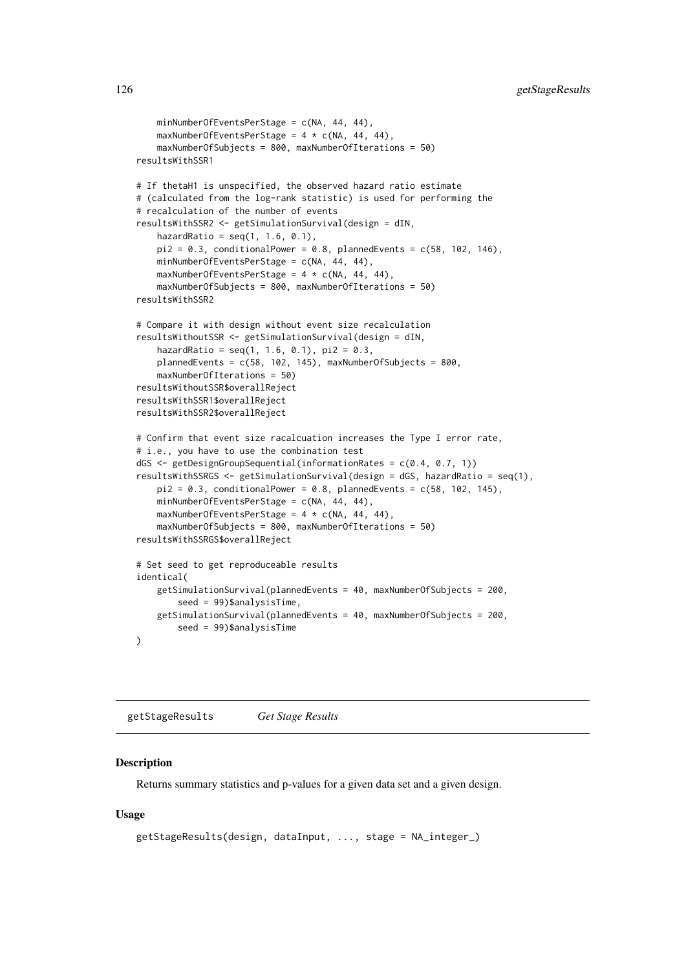```
minNumberOfEventsPerStage = c(NA, 44, 44),
    maxNumberOfEventsPerStage = 4 \times c(NA, 44, 44),
    maxNumberOfSubjects = 800, maxNumberOfIterations = 50)
resultsWithSSR1
# If thetaH1 is unspecified, the observed hazard ratio estimate
# (calculated from the log-rank statistic) is used for performing the
# recalculation of the number of events
resultsWithSSR2 <- getSimulationSurvival(design = dIN,
    hazardRatio = seq(1, 1.6, 0.1),
    pi2 = 0.3, conditionalPower = 0.8, plannedEvents = c(58, 102, 146),
    minNumberOfEventsPerStage = c(NA, 44, 44),
    maxNumberOfEventsPerStage = 4 * c(NA, 44, 44),
    maxNumberOfSubjects = 800, maxNumberOfIterations = 50)
resultsWithSSR2
# Compare it with design without event size recalculation
resultsWithoutSSR <- getSimulationSurvival(design = dIN,
    hazardRatio = seq(1, 1.6, 0.1), pi2 = 0.3,plannedEvents = c(58, 102, 145), maxNumberOfSubjects = 800,
    maxNumberOfIterations = 50)
resultsWithoutSSR$overallReject
resultsWithSSR1$overallReject
resultsWithSSR2$overallReject
# Confirm that event size racalcuation increases the Type I error rate,
# i.e., you have to use the combination test
dGS <- getDesignGroupSequential(informationRates = c(0.4, 0.7, 1))
resultsWithSSRGS <- getSimulationSurvival(design = dGS, hazardRatio = seq(1),
    pi2 = 0.3, conditionalPower = 0.8, plannedEvents = c(58, 102, 145),
    minNumberOfEventsPerStage = c(NA, 44, 44),
    maxNumberOfEventsPerStage = 4 * c(NA, 44, 44),
    maxNumberOfSubjects = 800, maxNumberOfIterations = 50)
resultsWithSSRGS$overallReject
# Set seed to get reproduceable results
identical(
    getSimulationSurvival(plannedEvents = 40, maxNumberOfSubjects = 200,
        seed = 99)$analysisTime,
    getSimulationSurvival(plannedEvents = 40, maxNumberOfSubjects = 200,
        seed = 99)$analysisTime
\lambda
```
<span id="page-125-0"></span>getStageResults *Get Stage Results*

#### Description

Returns summary statistics and p-values for a given data set and a given design.

```
getStageResults(design, dataInput, ..., stage = NA_integer_)
```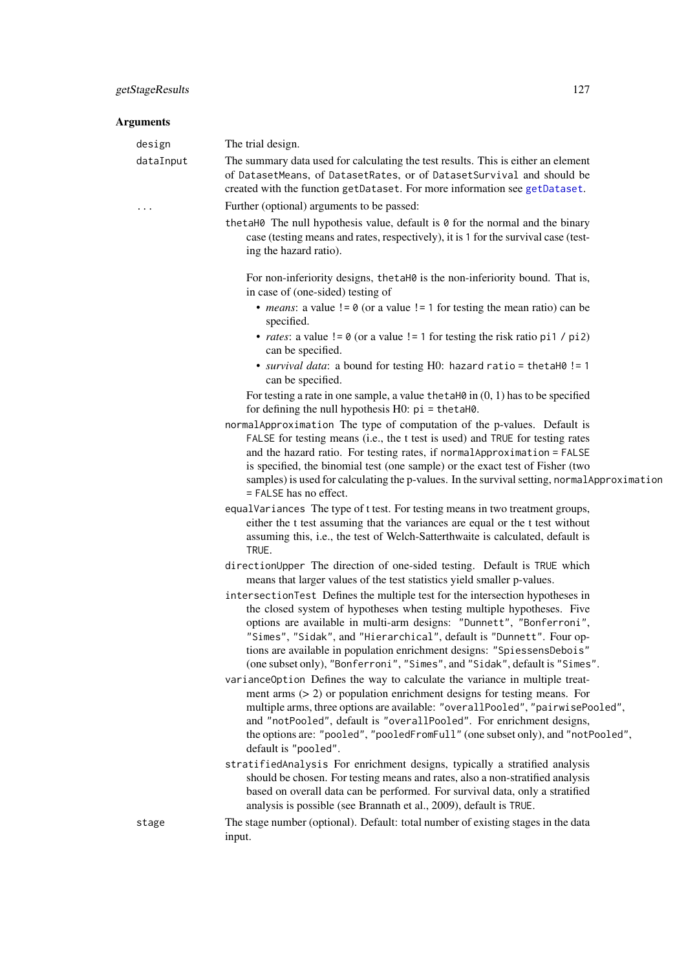#### Arguments

| design | The trial design. |
|--------|-------------------|

dataInput The summary data used for calculating the test results. This is either an element of DatasetMeans, of DatasetRates, or of DatasetSurvival and should be created with the function getDataset. For more information see [getDataset](#page-22-0).

- ... Further (optional) arguments to be passed:
	- thetaH0 The null hypothesis value, default is 0 for the normal and the binary case (testing means and rates, respectively), it is 1 for the survival case (testing the hazard ratio).

For non-inferiority designs, thetaH0 is the non-inferiority bound. That is, in case of (one-sided) testing of

- *means*: a value  $!= 0$  (or a value  $!= 1$  for testing the mean ratio) can be specified.
- *rates*: a value  $!= 0$  (or a value  $!= 1$  for testing the risk ratio pi1 / pi2) can be specified.
- *survival data*: a bound for testing H0: hazard ratio = thetaH0 != 1 can be specified.

For testing a rate in one sample, a value thetaH $\theta$  in  $(0, 1)$  has to be specified for defining the null hypothesis  $H0$ :  $pi =$  the ta $H0$ .

- normalApproximation The type of computation of the p-values. Default is FALSE for testing means (i.e., the t test is used) and TRUE for testing rates and the hazard ratio. For testing rates, if normalApproximation = FALSE is specified, the binomial test (one sample) or the exact test of Fisher (two samples) is used for calculating the p-values. In the survival setting, normal Approximation = FALSE has no effect.
- equalVariances The type of t test. For testing means in two treatment groups, either the t test assuming that the variances are equal or the t test without assuming this, i.e., the test of Welch-Satterthwaite is calculated, default is TRUE.
- directionUpper The direction of one-sided testing. Default is TRUE which means that larger values of the test statistics yield smaller p-values.
- intersectionTest Defines the multiple test for the intersection hypotheses in the closed system of hypotheses when testing multiple hypotheses. Five options are available in multi-arm designs: "Dunnett", "Bonferroni", "Simes", "Sidak", and "Hierarchical", default is "Dunnett". Four options are available in population enrichment designs: "SpiessensDebois" (one subset only), "Bonferroni", "Simes", and "Sidak", default is "Simes".
- varianceOption Defines the way to calculate the variance in multiple treatment arms (> 2) or population enrichment designs for testing means. For multiple arms, three options are available: "overallPooled", "pairwisePooled", and "notPooled", default is "overallPooled". For enrichment designs, the options are: "pooled", "pooledFromFull" (one subset only), and "notPooled", default is "pooled".
- stratifiedAnalysis For enrichment designs, typically a stratified analysis should be chosen. For testing means and rates, also a non-stratified analysis based on overall data can be performed. For survival data, only a stratified analysis is possible (see Brannath et al., 2009), default is TRUE.
- stage The stage number (optional). Default: total number of existing stages in the data input.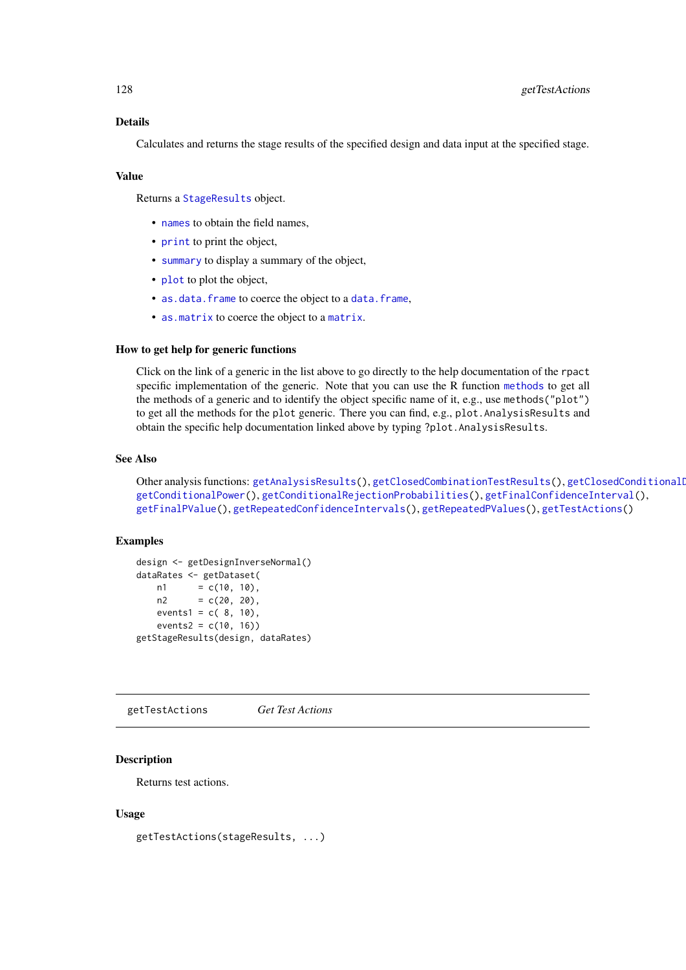Calculates and returns the stage results of the specified design and data input at the specified stage.

#### Value

Returns a [StageResults](#page-0-0) object.

- [names](#page-0-0) to obtain the field names,
- [print](#page-0-0) to print the object,
- [summary](#page-0-0) to display a summary of the object,
- [plot](#page-140-0) to plot the object,
- [as.data.frame](#page-0-0) to coerce the object to a [data.frame](#page-0-0),
- [as.matrix](#page-0-0) to coerce the object to a [matrix](#page-0-0).

# How to get help for generic functions

Click on the link of a generic in the list above to go directly to the help documentation of the rpact specific implementation of the generic. Note that you can use the R function [methods](#page-0-0) to get all the methods of a generic and to identify the object specific name of it, e.g., use methods("plot") to get all the methods for the plot generic. There you can find, e.g., plot.AnalysisResults and obtain the specific help documentation linked above by typing ?plot.AnalysisResults.

### See Also

Other analysis functions: [getAnalysisResults\(](#page-10-0)), [getClosedCombinationTestResults\(](#page-15-0)), getClosedConditionalI [getConditionalPower\(](#page-18-0)), [getConditionalRejectionProbabilities\(](#page-20-0)), [getFinalConfidenceInterval\(](#page-42-0)), [getFinalPValue\(](#page-44-0)), [getRepeatedConfidenceIntervals\(](#page-66-0)), [getRepeatedPValues\(](#page-68-0)), [getTestActions\(](#page-127-0))

#### Examples

```
design <- getDesignInverseNormal()
dataRates <- getDataset(
   n1 = c(10, 10),n2 = c(20, 20),events1 = c(8, 10),
   events2 = c(10, 16)getStageResults(design, dataRates)
```
<span id="page-127-0"></span>getTestActions *Get Test Actions*

### Description

Returns test actions.

```
getTestActions(stageResults, ...)
```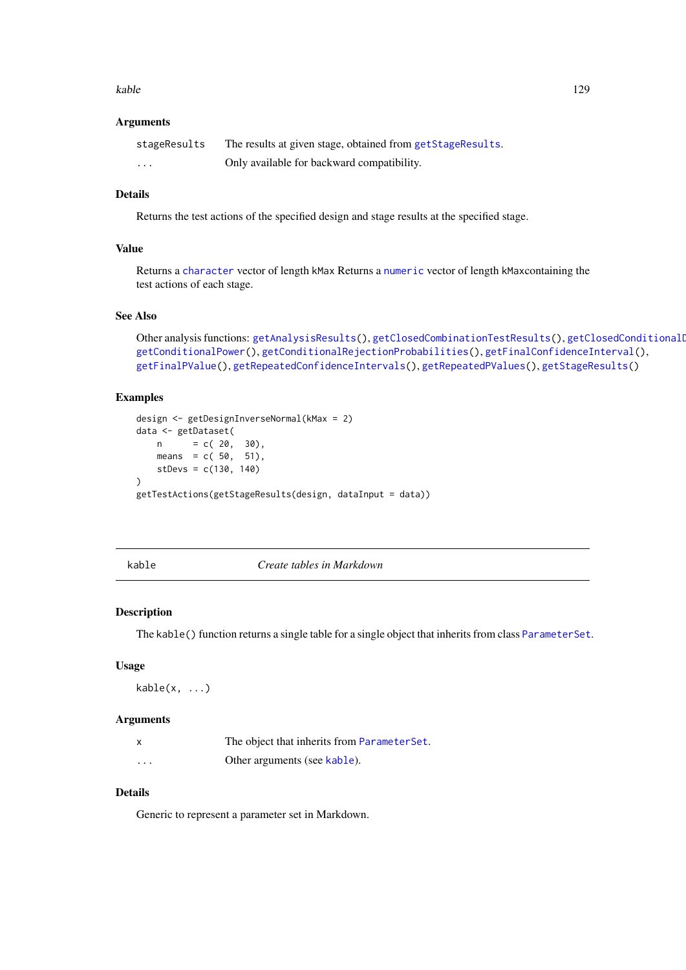#### kable the state of the state of the state of the state of the state of the state of the state of the state of the state of the state of the state of the state of the state of the state of the state of the state of the stat

#### Arguments

| stageResults | The results at given stage, obtained from getStageResults. |
|--------------|------------------------------------------------------------|
| $\cdots$     | Only available for backward compatibility.                 |

# Details

Returns the test actions of the specified design and stage results at the specified stage.

# Value

Returns a [character](#page-0-0) vector of length kMax Returns a [numeric](#page-0-0) vector of length kMaxcontaining the test actions of each stage.

# See Also

```
getAnalysisResults(getClosedCombinationTestResults(), getClosedConditionalI
getConditionalPower(), getConditionalRejectionProbabilities(), getFinalConfidenceInterval(),
getFinalPValue(), getRepeatedConfidenceIntervals(), getRepeatedPValues(), getStageResults()
```
# Examples

```
design <- getDesignInverseNormal(kMax = 2)
data <- getDataset(
   n = c(20, 30),means = c(50, 51),
   stDevs = c(130, 140)
\lambdagetTestActions(getStageResults(design, dataInput = data))
```
<span id="page-128-0"></span>

kable *Create tables in Markdown*

### Description

The kable() function returns a single table for a single object that inherits from class [ParameterSet](#page-0-0).

#### Usage

 $kable(x, \ldots)$ 

#### Arguments

| X        | The object that inherits from ParameterSet. |
|----------|---------------------------------------------|
| $\cdots$ | Other arguments (see kable).                |

# Details

Generic to represent a parameter set in Markdown.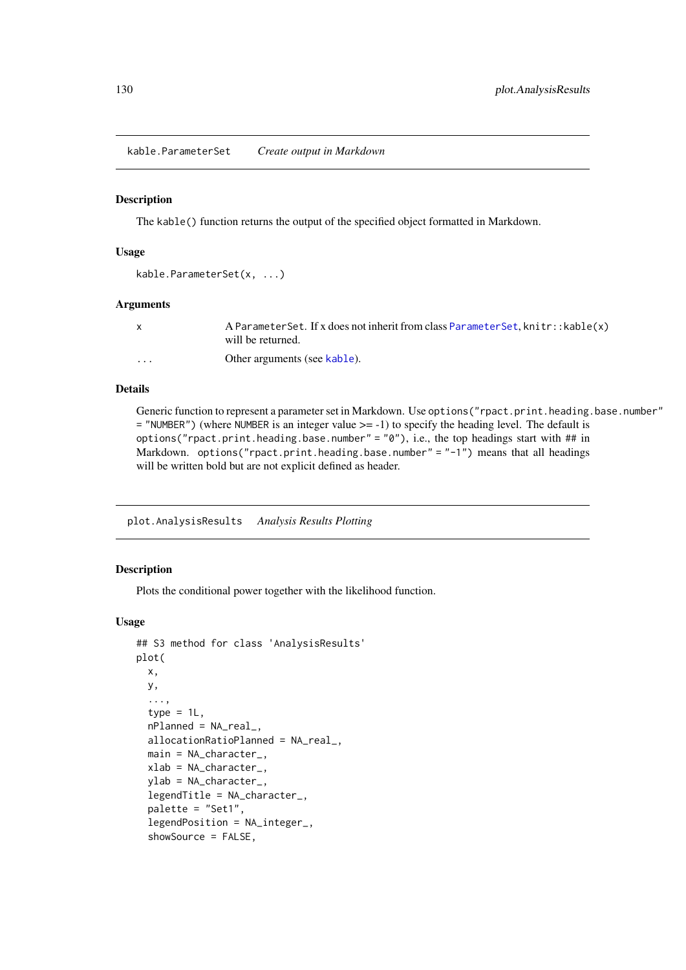kable.ParameterSet *Create output in Markdown*

#### Description

The kable() function returns the output of the specified object formatted in Markdown.

#### Usage

```
kable.ParameterSet(x, ...)
```
#### Arguments

|          | A ParameterSet. If x does not inherit from class ParameterSet, knitr:: kable(x) |
|----------|---------------------------------------------------------------------------------|
|          | will be returned.                                                               |
| $\cdots$ | Other arguments (see kable).                                                    |

# Details

Generic function to represent a parameter set in Markdown. Use options ("rpact.print.heading.base.number"  $=$  "NUMBER") (where NUMBER is an integer value  $>= -1$ ) to specify the heading level. The default is options("rpact.print.heading.base.number" = "0"), i.e., the top headings start with ## in Markdown. options("rpact.print.heading.base.number" = "-1") means that all headings will be written bold but are not explicit defined as header.

plot.AnalysisResults *Analysis Results Plotting*

#### Description

Plots the conditional power together with the likelihood function.

```
## S3 method for class 'AnalysisResults'
plot(
  x,
  y,
  ...,
  type = 1L,
  nPlanned = NA_real_,
  allocationRatioPlanned = NA_real_,
  main = NA_character_,
  xlab = NA_character_,
  ylab = NA_character_,
  legendTitle = NA_character_,
  palette = "Set1",
  legendPosition = NA_integer_,
  showSource = FALSE,
```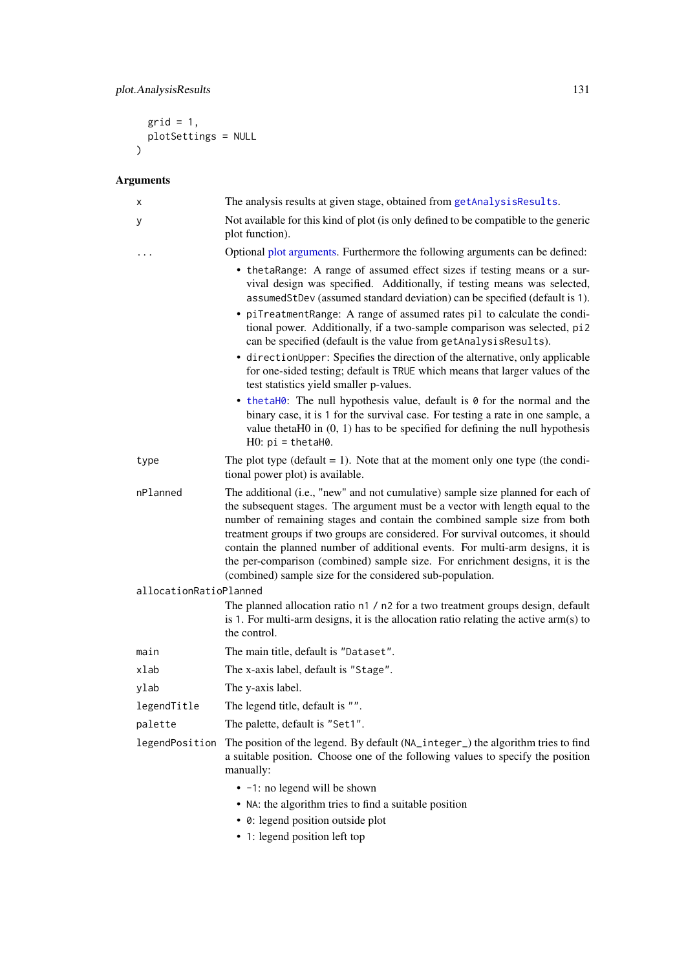```
grid = 1,plotSettings = NULL
)
```
# Arguments

| х                      | The analysis results at given stage, obtained from getAnalysisResults.                                                                                                                                                                                                                                                                                                                                                                                                                                                                                                                                                                                                                                                                                                                                                                                                                                                                                   |
|------------------------|----------------------------------------------------------------------------------------------------------------------------------------------------------------------------------------------------------------------------------------------------------------------------------------------------------------------------------------------------------------------------------------------------------------------------------------------------------------------------------------------------------------------------------------------------------------------------------------------------------------------------------------------------------------------------------------------------------------------------------------------------------------------------------------------------------------------------------------------------------------------------------------------------------------------------------------------------------|
| у                      | Not available for this kind of plot (is only defined to be compatible to the generic<br>plot function).                                                                                                                                                                                                                                                                                                                                                                                                                                                                                                                                                                                                                                                                                                                                                                                                                                                  |
|                        | Optional plot arguments. Furthermore the following arguments can be defined:                                                                                                                                                                                                                                                                                                                                                                                                                                                                                                                                                                                                                                                                                                                                                                                                                                                                             |
|                        | • the taRange: A range of assumed effect sizes if testing means or a sur-<br>vival design was specified. Additionally, if testing means was selected,<br>assumedStDev (assumed standard deviation) can be specified (default is 1).<br>• piTreatmentRange: A range of assumed rates pi1 to calculate the condi-<br>tional power. Additionally, if a two-sample comparison was selected, pi2<br>can be specified (default is the value from getAnalysisResults).<br>• directionUpper: Specifies the direction of the alternative, only applicable<br>for one-sided testing; default is TRUE which means that larger values of the<br>test statistics yield smaller p-values.<br>• thetaH0: The null hypothesis value, default is 0 for the normal and the<br>binary case, it is 1 for the survival case. For testing a rate in one sample, a<br>value thetaH $0$ in $(0, 1)$ has to be specified for defining the null hypothesis<br>$H0: pi = thetah0$ . |
| type                   | The plot type (default $= 1$ ). Note that at the moment only one type (the condi-<br>tional power plot) is available.                                                                                                                                                                                                                                                                                                                                                                                                                                                                                                                                                                                                                                                                                                                                                                                                                                    |
| nPlanned               | The additional (i.e., "new" and not cumulative) sample size planned for each of<br>the subsequent stages. The argument must be a vector with length equal to the<br>number of remaining stages and contain the combined sample size from both<br>treatment groups if two groups are considered. For survival outcomes, it should<br>contain the planned number of additional events. For multi-arm designs, it is<br>the per-comparison (combined) sample size. For enrichment designs, it is the<br>(combined) sample size for the considered sub-population.                                                                                                                                                                                                                                                                                                                                                                                           |
| allocationRatioPlanned |                                                                                                                                                                                                                                                                                                                                                                                                                                                                                                                                                                                                                                                                                                                                                                                                                                                                                                                                                          |
|                        | The planned allocation ratio n1 / n2 for a two treatment groups design, default<br>is 1. For multi-arm designs, it is the allocation ratio relating the active arm(s) to<br>the control.                                                                                                                                                                                                                                                                                                                                                                                                                                                                                                                                                                                                                                                                                                                                                                 |
| main                   | The main title, default is "Dataset".                                                                                                                                                                                                                                                                                                                                                                                                                                                                                                                                                                                                                                                                                                                                                                                                                                                                                                                    |
| xlab                   | The x-axis label, default is "Stage".                                                                                                                                                                                                                                                                                                                                                                                                                                                                                                                                                                                                                                                                                                                                                                                                                                                                                                                    |
| ylab                   | The y-axis label.                                                                                                                                                                                                                                                                                                                                                                                                                                                                                                                                                                                                                                                                                                                                                                                                                                                                                                                                        |
| legendTitle            | The legend title, default is ""                                                                                                                                                                                                                                                                                                                                                                                                                                                                                                                                                                                                                                                                                                                                                                                                                                                                                                                          |
| palette                | The palette, default is "Set1".                                                                                                                                                                                                                                                                                                                                                                                                                                                                                                                                                                                                                                                                                                                                                                                                                                                                                                                          |
|                        | legendPosition The position of the legend. By default (NA_integer_) the algorithm tries to find<br>a suitable position. Choose one of the following values to specify the position<br>manually:                                                                                                                                                                                                                                                                                                                                                                                                                                                                                                                                                                                                                                                                                                                                                          |
|                        | • -1: no legend will be shown<br>• NA: the algorithm tries to find a suitable position                                                                                                                                                                                                                                                                                                                                                                                                                                                                                                                                                                                                                                                                                                                                                                                                                                                                   |
|                        | • 0: legend position outside plot                                                                                                                                                                                                                                                                                                                                                                                                                                                                                                                                                                                                                                                                                                                                                                                                                                                                                                                        |
|                        |                                                                                                                                                                                                                                                                                                                                                                                                                                                                                                                                                                                                                                                                                                                                                                                                                                                                                                                                                          |

• 1: legend position left top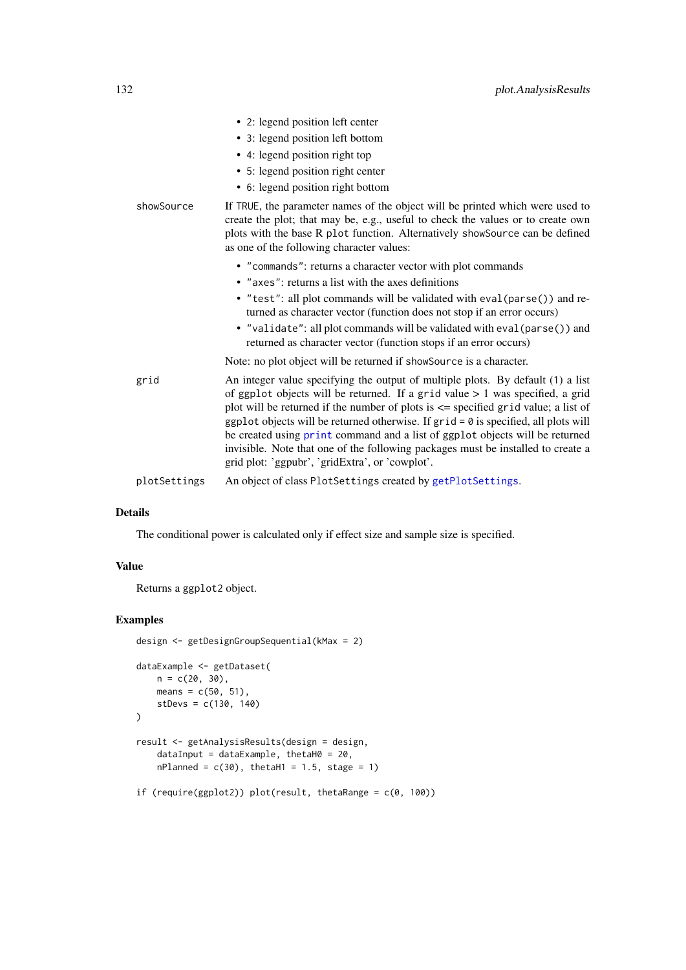|              | • 2: legend position left center                                                                                                                                                                                                                                                                                                                                                                                                                                                                                                                                             |
|--------------|------------------------------------------------------------------------------------------------------------------------------------------------------------------------------------------------------------------------------------------------------------------------------------------------------------------------------------------------------------------------------------------------------------------------------------------------------------------------------------------------------------------------------------------------------------------------------|
|              | • 3: legend position left bottom                                                                                                                                                                                                                                                                                                                                                                                                                                                                                                                                             |
|              | • 4: legend position right top                                                                                                                                                                                                                                                                                                                                                                                                                                                                                                                                               |
|              | • 5: legend position right center                                                                                                                                                                                                                                                                                                                                                                                                                                                                                                                                            |
|              | • 6: legend position right bottom                                                                                                                                                                                                                                                                                                                                                                                                                                                                                                                                            |
| showSource   | If TRUE, the parameter names of the object will be printed which were used to<br>create the plot; that may be, e.g., useful to check the values or to create own<br>plots with the base R plot function. Alternatively showSource can be defined<br>as one of the following character values:                                                                                                                                                                                                                                                                                |
|              | • "commands": returns a character vector with plot commands                                                                                                                                                                                                                                                                                                                                                                                                                                                                                                                  |
|              | • "axes": returns a list with the axes definitions                                                                                                                                                                                                                                                                                                                                                                                                                                                                                                                           |
|              | • "test": all plot commands will be validated with eval (parse()) and re-<br>turned as character vector (function does not stop if an error occurs)                                                                                                                                                                                                                                                                                                                                                                                                                          |
|              | • "validate": all plot commands will be validated with eval (parse()) and<br>returned as character vector (function stops if an error occurs)                                                                                                                                                                                                                                                                                                                                                                                                                                |
|              | Note: no plot object will be returned if showSource is a character.                                                                                                                                                                                                                                                                                                                                                                                                                                                                                                          |
| grid         | An integer value specifying the output of multiple plots. By default (1) a list<br>of ggplot objects will be returned. If a grid value $> 1$ was specified, a grid<br>plot will be returned if the number of plots is $\leq$ specified grid value; a list of<br>ggplot objects will be returned otherwise. If $grid = 0$ is specified, all plots will<br>be created using print command and a list of ggplot objects will be returned<br>invisible. Note that one of the following packages must be installed to create a<br>grid plot: 'ggpubr', 'gridExtra', or 'cowplot'. |
| plotSettings | An object of class PlotSettings created by getPlotSettings.                                                                                                                                                                                                                                                                                                                                                                                                                                                                                                                  |

The conditional power is calculated only if effect size and sample size is specified.

# Value

Returns a ggplot2 object.

#### Examples

```
design <- getDesignGroupSequential(kMax = 2)
dataExample <- getDataset(
    n = c(20, 30),
    means = c(50, 51),stDevs = c(130, 140)
\lambdaresult <- getAnalysisResults(design = design,
    dataInput = dataExample, thetaH0 = 20,nPlanned = c(30), thetaH1 = 1.5, stage = 1)
if (require(ggplot2)) plot(result, thetaRange = c(0, 100))
```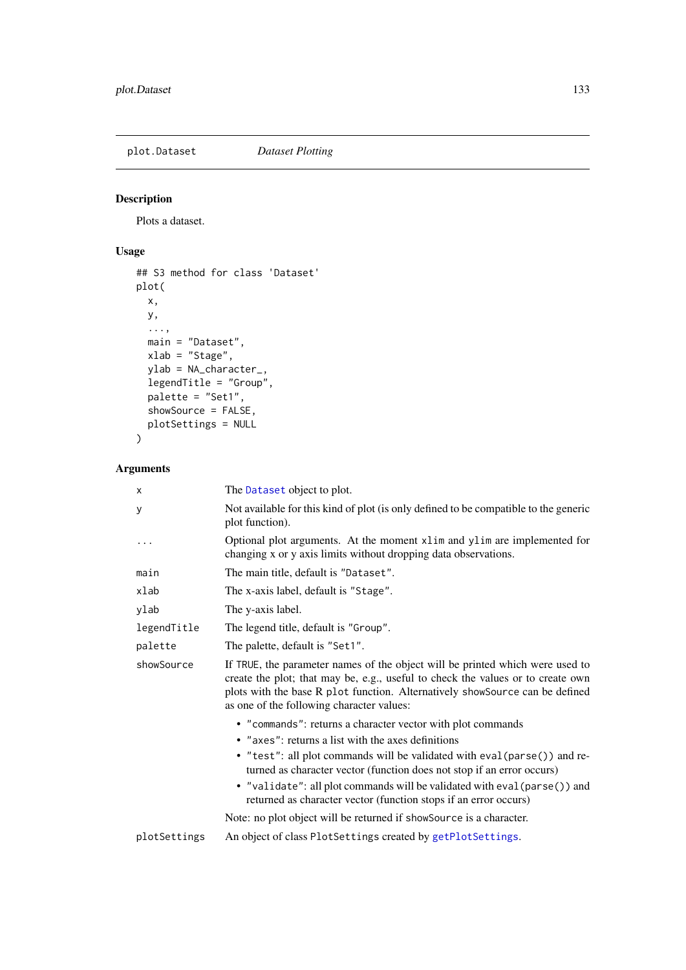plot.Dataset *Dataset Plotting*

# Description

Plots a dataset.

# Usage

```
## S3 method for class 'Dataset'
plot(
  x,
  y,
  ...,
  main = "Dataset",
  xlab = "Stage",
  ylab = NA_character_,
  legendTitle = "Group",
  palette = "Set1",
  showSource = FALSE,
  plotSettings = NULL
\lambda
```
# Arguments

| Χ            | The Dataset object to plot.                                                                                                                                                                                                                                                                   |
|--------------|-----------------------------------------------------------------------------------------------------------------------------------------------------------------------------------------------------------------------------------------------------------------------------------------------|
| у            | Not available for this kind of plot (is only defined to be compatible to the generic<br>plot function).                                                                                                                                                                                       |
|              | Optional plot arguments. At the moment xlim and ylim are implemented for<br>changing x or y axis limits without dropping data observations.                                                                                                                                                   |
| main         | The main title, default is "Dataset".                                                                                                                                                                                                                                                         |
| xlab         | The x-axis label, default is "Stage".                                                                                                                                                                                                                                                         |
| ylab         | The y-axis label.                                                                                                                                                                                                                                                                             |
| legendTitle  | The legend title, default is "Group".                                                                                                                                                                                                                                                         |
| palette      | The palette, default is "Set1".                                                                                                                                                                                                                                                               |
| showSource   | If TRUE, the parameter names of the object will be printed which were used to<br>create the plot; that may be, e.g., useful to check the values or to create own<br>plots with the base R plot function. Alternatively showSource can be defined<br>as one of the following character values: |
|              | • "commands": returns a character vector with plot commands                                                                                                                                                                                                                                   |
|              | • "axes": returns a list with the axes definitions                                                                                                                                                                                                                                            |
|              | • "test": all plot commands will be validated with eval (parse()) and re-<br>turned as character vector (function does not stop if an error occurs)<br>• "validate": all plot commands will be validated with eval (parse()) and                                                              |
|              | returned as character vector (function stops if an error occurs)                                                                                                                                                                                                                              |
|              | Note: no plot object will be returned if showSource is a character.                                                                                                                                                                                                                           |
| plotSettings | An object of class PlotSettings created by getPlotSettings.                                                                                                                                                                                                                                   |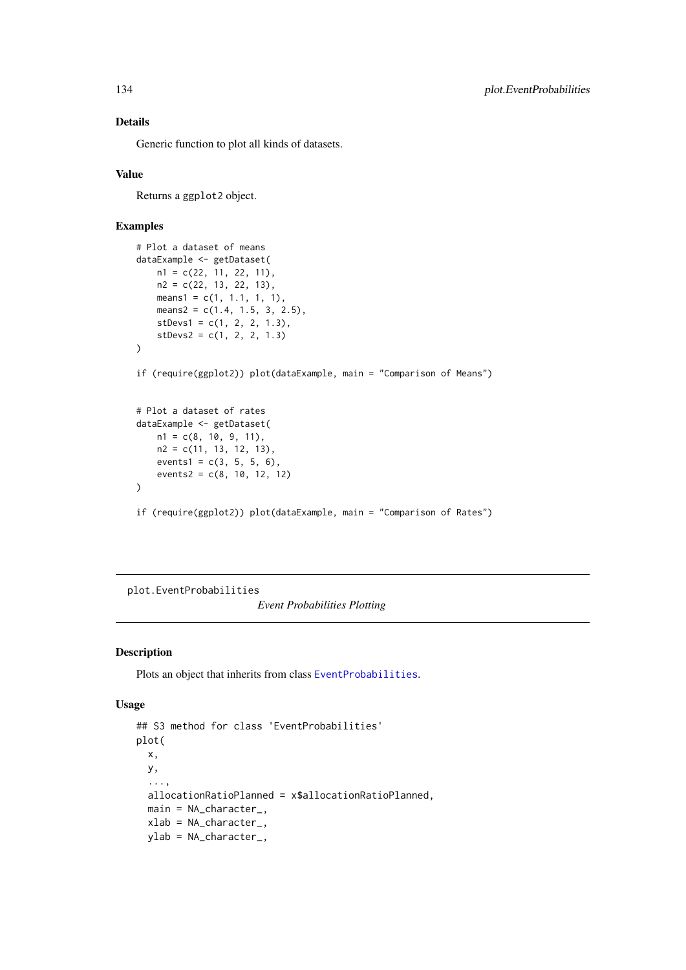Generic function to plot all kinds of datasets.

# Value

Returns a ggplot2 object.

# Examples

```
# Plot a dataset of means
dataExample <- getDataset(
   n1 = c(22, 11, 22, 11),n2 = c(22, 13, 22, 13),
   means1 = c(1, 1.1, 1, 1),
   means2 = c(1.4, 1.5, 3, 2.5),
    stDevs1 = c(1, 2, 2, 1.3),stDevs2 = c(1, 2, 2, 1.3)\lambdaif (require(ggplot2)) plot(dataExample, main = "Comparison of Means")
# Plot a dataset of rates
dataExample <- getDataset(
   n1 = c(8, 10, 9, 11),
   n2 = c(11, 13, 12, 13),
    events1 = c(3, 5, 5, 6),
    events2 = c(8, 10, 12, 12))
if (require(ggplot2)) plot(dataExample, main = "Comparison of Rates")
```
plot.EventProbabilities

*Event Probabilities Plotting*

### Description

Plots an object that inherits from class [EventProbabilities](#page-0-0).

```
## S3 method for class 'EventProbabilities'
plot(
  x,
  y,
  ...,
  allocationRatioPlanned = x$allocationRatioPlanned,
  main = NA_character_,
  xlab = NA_character_,
  ylab = NA_character_,
```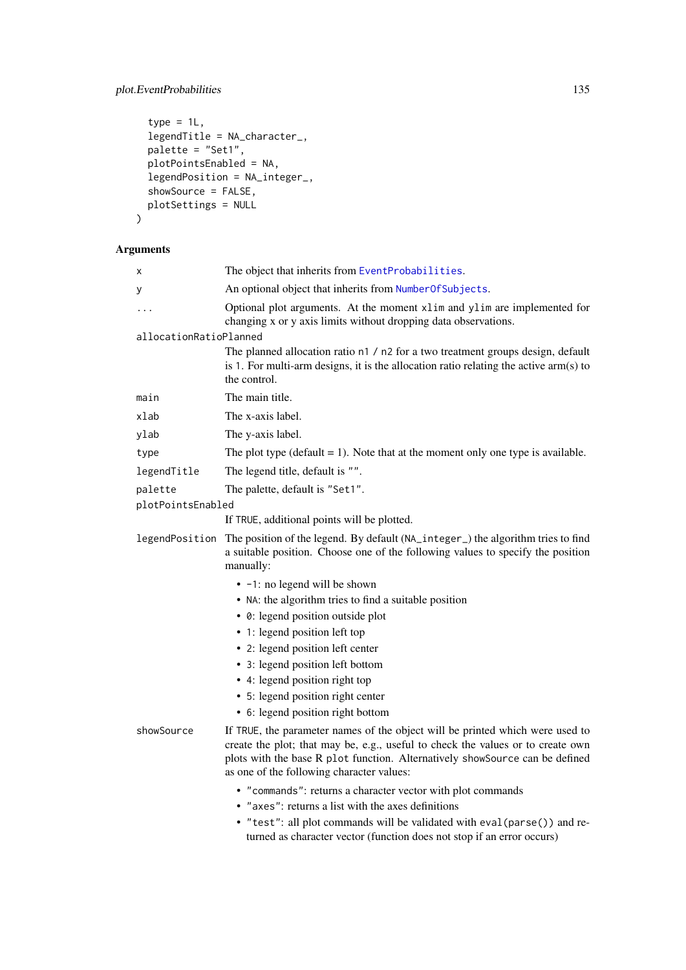# plot.EventProbabilities 135

```
type = 1L,
legendTitle = NA_character_,
palette = "Set1",
plotPointsEnabled = NA,
legendPosition = NA_integer_,
showSource = FALSE,
plotSettings = NULL
```

```
\lambda
```
# Arguments

| Χ                      | The object that inherits from EventProbabilities.                                                                                                                                                                                                                                             |
|------------------------|-----------------------------------------------------------------------------------------------------------------------------------------------------------------------------------------------------------------------------------------------------------------------------------------------|
| у                      | An optional object that inherits from NumberOfSubjects.                                                                                                                                                                                                                                       |
|                        | Optional plot arguments. At the moment xlim and ylim are implemented for<br>changing x or y axis limits without dropping data observations.                                                                                                                                                   |
| allocationRatioPlanned |                                                                                                                                                                                                                                                                                               |
|                        | The planned allocation ratio n1 / n2 for a two treatment groups design, default<br>is 1. For multi-arm designs, it is the allocation ratio relating the active $arm(s)$ to<br>the control.                                                                                                    |
| main                   | The main title.                                                                                                                                                                                                                                                                               |
| xlab                   | The x-axis label.                                                                                                                                                                                                                                                                             |
| ylab                   | The y-axis label.                                                                                                                                                                                                                                                                             |
| type                   | The plot type (default $= 1$ ). Note that at the moment only one type is available.                                                                                                                                                                                                           |
| legendTitle            | The legend title, default is "".                                                                                                                                                                                                                                                              |
| palette                | The palette, default is "Set1".                                                                                                                                                                                                                                                               |
| plotPointsEnabled      |                                                                                                                                                                                                                                                                                               |
|                        | If TRUE, additional points will be plotted.                                                                                                                                                                                                                                                   |
| legendPosition         | The position of the legend. By default (NA_integer_) the algorithm tries to find<br>a suitable position. Choose one of the following values to specify the position<br>manually:                                                                                                              |
|                        | • -1: no legend will be shown                                                                                                                                                                                                                                                                 |
|                        | • NA: the algorithm tries to find a suitable position                                                                                                                                                                                                                                         |
|                        | • 0: legend position outside plot                                                                                                                                                                                                                                                             |
|                        | • 1: legend position left top                                                                                                                                                                                                                                                                 |
|                        | • 2: legend position left center                                                                                                                                                                                                                                                              |
|                        | • 3: legend position left bottom                                                                                                                                                                                                                                                              |
|                        | • 4: legend position right top                                                                                                                                                                                                                                                                |
|                        | • 5: legend position right center                                                                                                                                                                                                                                                             |
|                        | • 6: legend position right bottom                                                                                                                                                                                                                                                             |
| showSource             | If TRUE, the parameter names of the object will be printed which were used to<br>create the plot; that may be, e.g., useful to check the values or to create own<br>plots with the base R plot function. Alternatively showSource can be defined<br>as one of the following character values: |
|                        | • "commands": returns a character vector with plot commands                                                                                                                                                                                                                                   |
|                        | • "axes": returns a list with the axes definitions                                                                                                                                                                                                                                            |
|                        | • "test": all plot commands will be validated with eval (parse()) and re-<br>turned as character vector (function does not stop if an error occurs)                                                                                                                                           |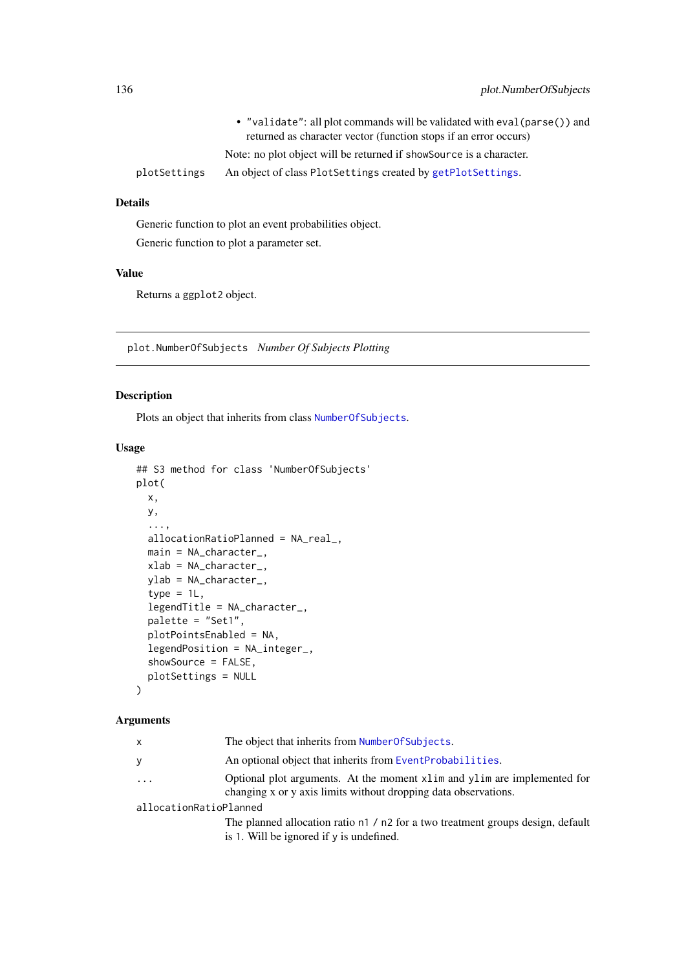|              | • "validate": all plot commands will be validated with eval (parse()) and |
|--------------|---------------------------------------------------------------------------|
|              | returned as character vector (function stops if an error occurs)          |
|              | Note: no plot object will be returned if showsource is a character.       |
| plotSettings | An object of class PlotSettings created by getPlotSettings.               |

Generic function to plot an event probabilities object. Generic function to plot a parameter set.

#### Value

Returns a ggplot2 object.

plot.NumberOfSubjects *Number Of Subjects Plotting*

# Description

Plots an object that inherits from class [NumberOfSubjects](#page-0-0).

### Usage

```
## S3 method for class 'NumberOfSubjects'
plot(
  x,
  y,
  ...,
  allocationRatioPlanned = NA_real_,
  main = NA_character_,
  xlab = NA character.
  ylab = NA_character_,
  type = 1L,
  legendTitle = NA_character_,
  palette = "Set1",
  plotPointsEnabled = NA,
  legendPosition = NA_integer_,
  showSource = FALSE,
  plotSettings = NULL
)
```
#### Arguments

| The object that inherits from Number Of Subjects. |
|---------------------------------------------------|
|                                                   |

- y An optional object that inherits from [EventProbabilities](#page-0-0).
- ... Optional plot arguments. At the moment xlim and ylim are implemented for changing x or y axis limits without dropping data observations.

allocationRatioPlanned

The planned allocation ratio n1 / n2 for a two treatment groups design, default is 1. Will be ignored if y is undefined.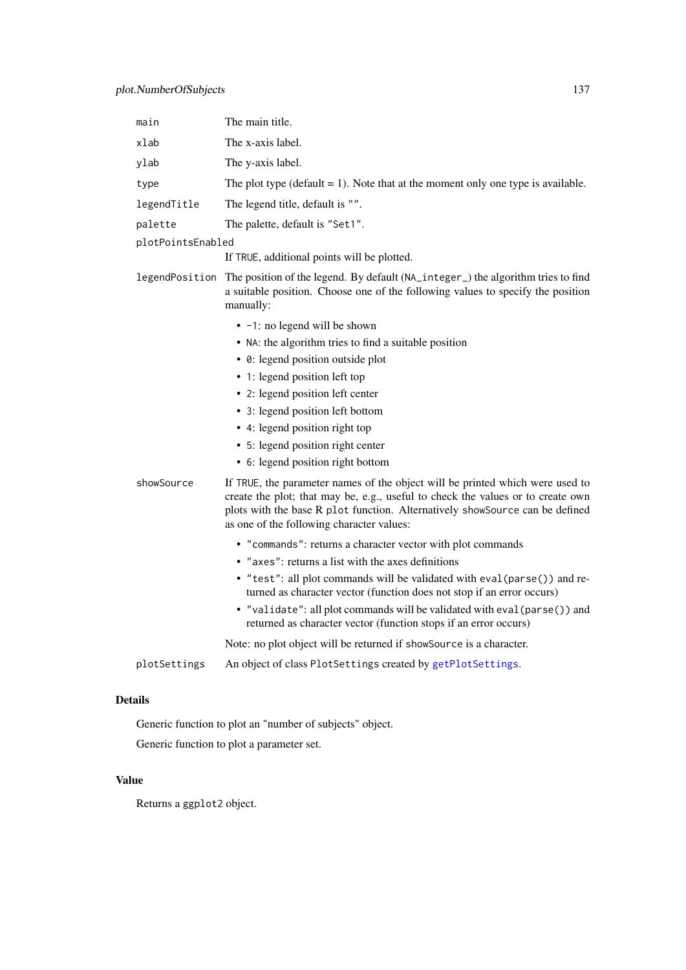| main              | The main title.                                                                                                                                                                                                                                                                               |
|-------------------|-----------------------------------------------------------------------------------------------------------------------------------------------------------------------------------------------------------------------------------------------------------------------------------------------|
| xlab              | The x-axis label.                                                                                                                                                                                                                                                                             |
| ylab              | The y-axis label.                                                                                                                                                                                                                                                                             |
| type              | The plot type (default $= 1$ ). Note that at the moment only one type is available.                                                                                                                                                                                                           |
| legendTitle       | The legend title, default is "".                                                                                                                                                                                                                                                              |
| palette           | The palette, default is "Set1".                                                                                                                                                                                                                                                               |
| plotPointsEnabled |                                                                                                                                                                                                                                                                                               |
|                   | If TRUE, additional points will be plotted.                                                                                                                                                                                                                                                   |
| legendPosition    | The position of the legend. By default (NA_integer_) the algorithm tries to find<br>a suitable position. Choose one of the following values to specify the position<br>manually:                                                                                                              |
|                   | • -1: no legend will be shown                                                                                                                                                                                                                                                                 |
|                   | • NA: the algorithm tries to find a suitable position                                                                                                                                                                                                                                         |
|                   | • 0: legend position outside plot                                                                                                                                                                                                                                                             |
|                   | • 1: legend position left top                                                                                                                                                                                                                                                                 |
|                   | • 2: legend position left center                                                                                                                                                                                                                                                              |
|                   | • 3: legend position left bottom                                                                                                                                                                                                                                                              |
|                   | • 4: legend position right top                                                                                                                                                                                                                                                                |
|                   | • 5: legend position right center                                                                                                                                                                                                                                                             |
|                   | • 6: legend position right bottom                                                                                                                                                                                                                                                             |
| showSource        | If TRUE, the parameter names of the object will be printed which were used to<br>create the plot; that may be, e.g., useful to check the values or to create own<br>plots with the base R plot function. Alternatively showSource can be defined<br>as one of the following character values: |
|                   | • "commands": returns a character vector with plot commands                                                                                                                                                                                                                                   |
|                   | • "axes": returns a list with the axes definitions                                                                                                                                                                                                                                            |
|                   | • "test": all plot commands will be validated with eval (parse()) and re-<br>turned as character vector (function does not stop if an error occurs)                                                                                                                                           |
|                   | • "validate": all plot commands will be validated with eval (parse()) and<br>returned as character vector (function stops if an error occurs)                                                                                                                                                 |
|                   | Note: no plot object will be returned if showSource is a character.                                                                                                                                                                                                                           |
| plotSettings      | An object of class PlotSettings created by getPlotSettings.                                                                                                                                                                                                                                   |

Generic function to plot an "number of subjects" object.

Generic function to plot a parameter set.

# Value

Returns a ggplot2 object.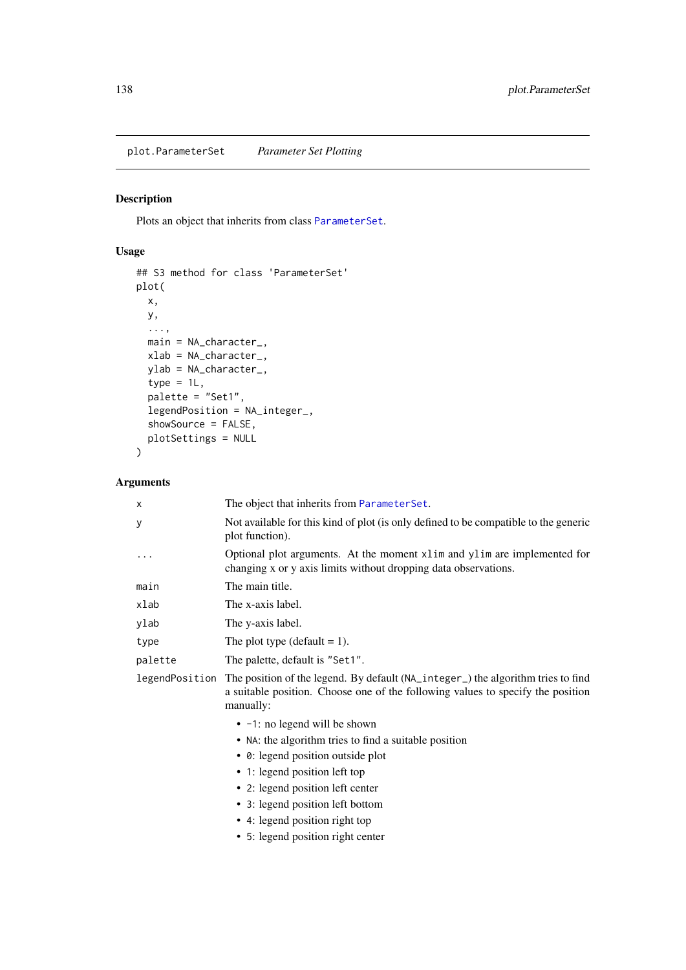plot.ParameterSet *Parameter Set Plotting*

# Description

Plots an object that inherits from class [ParameterSet](#page-0-0).

# Usage

```
## S3 method for class 'ParameterSet'
plot(
  x,
  y,
  ...,
  main = NA_character_,
  xlab = NA_character_,
  ylab = NA_character_,
  type = 1L,
  palette = "Set1",
  legendPosition = NA_integer_,
  showSource = FALSE,
  plotSettings = NULL
\lambda
```
# Arguments

| х       | The object that inherits from ParameterSet.                                                                                                                                                     |
|---------|-------------------------------------------------------------------------------------------------------------------------------------------------------------------------------------------------|
| У       | Not available for this kind of plot (is only defined to be compatible to the generic<br>plot function).                                                                                         |
|         | Optional plot arguments. At the moment x1im and y1im are implemented for<br>changing x or y axis limits without dropping data observations.                                                     |
| main    | The main title.                                                                                                                                                                                 |
| xlab    | The x-axis label.                                                                                                                                                                               |
| ylab    | The y-axis label.                                                                                                                                                                               |
| type    | The plot type (default $= 1$ ).                                                                                                                                                                 |
| palette | The palette, default is "Set1".                                                                                                                                                                 |
|         | legendPosition The position of the legend. By default (NA_integer_) the algorithm tries to find<br>a suitable position. Choose one of the following values to specify the position<br>manually: |
|         | • -1: no legend will be shown                                                                                                                                                                   |
|         | • NA: the algorithm tries to find a suitable position                                                                                                                                           |
|         | • 0: legend position outside plot                                                                                                                                                               |
|         | • 1: legend position left top                                                                                                                                                                   |
|         | • 2: legend position left center                                                                                                                                                                |
|         | • 3: legend position left bottom                                                                                                                                                                |
|         | • 4: legend position right top                                                                                                                                                                  |
|         | • 5: legend position right center                                                                                                                                                               |
|         |                                                                                                                                                                                                 |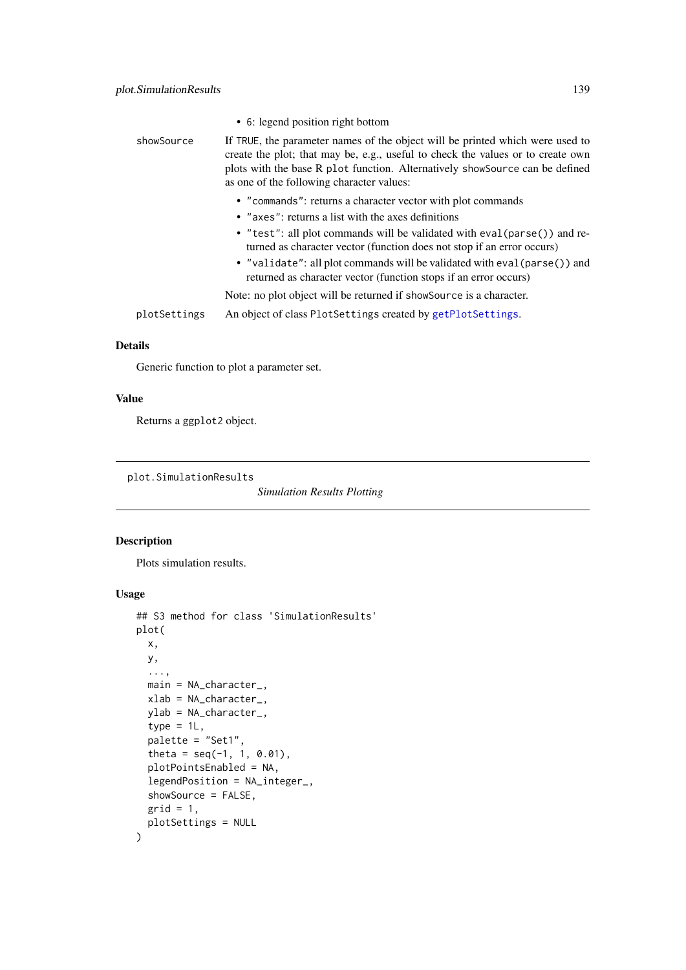|              | • 6: legend position right bottom                                                                                                                                                                                                                                                             |
|--------------|-----------------------------------------------------------------------------------------------------------------------------------------------------------------------------------------------------------------------------------------------------------------------------------------------|
| showSource   | If TRUE, the parameter names of the object will be printed which were used to<br>create the plot; that may be, e.g., useful to check the values or to create own<br>plots with the base R plot function. Alternatively showSource can be defined<br>as one of the following character values: |
|              | • "commands": returns a character vector with plot commands<br>• "axes": returns a list with the axes definitions                                                                                                                                                                             |
|              | • "test": all plot commands will be validated with eval (parse()) and re-<br>turned as character vector (function does not stop if an error occurs)                                                                                                                                           |
|              | • "validate": all plot commands will be validated with eval (parse()) and<br>returned as character vector (function stops if an error occurs)                                                                                                                                                 |
|              | Note: no plot object will be returned if showSource is a character.                                                                                                                                                                                                                           |
| plotSettings | An object of class PlotSettings created by getPlotSettings.                                                                                                                                                                                                                                   |

Generic function to plot a parameter set.

# Value

Returns a ggplot2 object.

<span id="page-138-0"></span>plot.SimulationResults

*Simulation Results Plotting*

# Description

Plots simulation results.

```
## S3 method for class 'SimulationResults'
plot(
  x,
  y,
  ...,
  main = NA_character_,
  xlab = NA_character_,
  ylab = NA_character_,
  type = 1L,
  palette = "Set1",
  theta = seq(-1, 1, 0.01),
  plotPointsEnabled = NA,
  legendPosition = NA_integer_,
  showSource = FALSE,
  grid = 1,plotSettings = NULL
)
```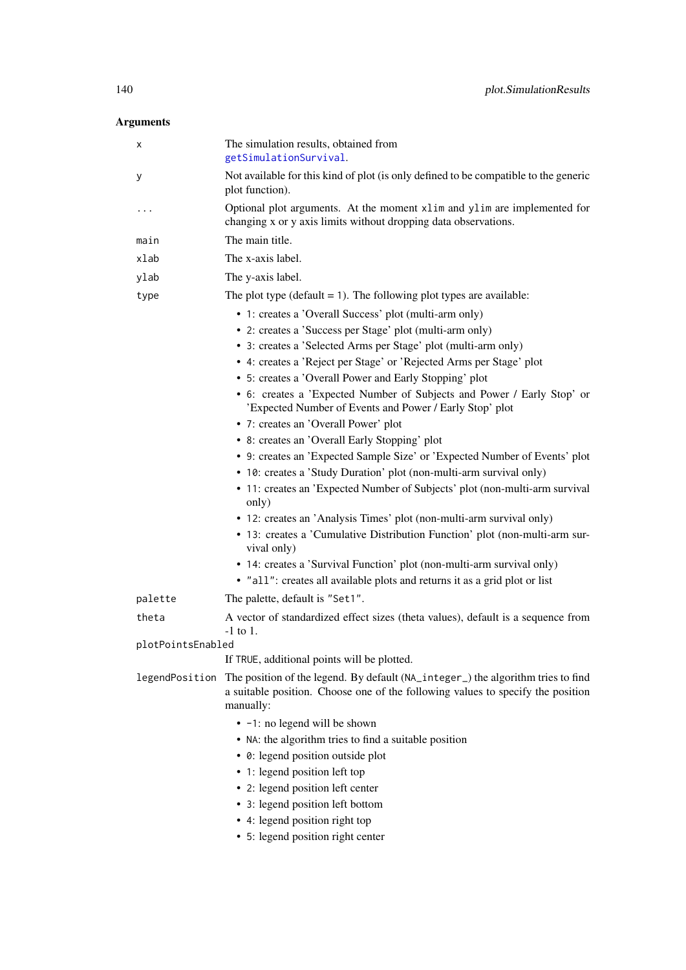# Arguments

| х                 | The simulation results, obtained from<br>getSimulationSurvival.                                                                                                                  |
|-------------------|----------------------------------------------------------------------------------------------------------------------------------------------------------------------------------|
| у                 | Not available for this kind of plot (is only defined to be compatible to the generic<br>plot function).                                                                          |
|                   | Optional plot arguments. At the moment xlim and ylim are implemented for<br>changing x or y axis limits without dropping data observations.                                      |
| main              | The main title.                                                                                                                                                                  |
| xlab              | The x-axis label.                                                                                                                                                                |
| ylab              | The y-axis label.                                                                                                                                                                |
| type              | The plot type ( $default = 1$ ). The following plot types are available:                                                                                                         |
|                   | • 1: creates a 'Overall Success' plot (multi-arm only)                                                                                                                           |
|                   | • 2: creates a 'Success per Stage' plot (multi-arm only)                                                                                                                         |
|                   | • 3: creates a 'Selected Arms per Stage' plot (multi-arm only)                                                                                                                   |
|                   | • 4: creates a 'Reject per Stage' or 'Rejected Arms per Stage' plot                                                                                                              |
|                   | • 5: creates a 'Overall Power and Early Stopping' plot                                                                                                                           |
|                   | • 6: creates a 'Expected Number of Subjects and Power / Early Stop' or<br>'Expected Number of Events and Power / Early Stop' plot                                                |
|                   | • 7: creates an 'Overall Power' plot                                                                                                                                             |
|                   | • 8: creates an 'Overall Early Stopping' plot                                                                                                                                    |
|                   | • 9: creates an 'Expected Sample Size' or 'Expected Number of Events' plot                                                                                                       |
|                   | • 10: creates a 'Study Duration' plot (non-multi-arm survival only)                                                                                                              |
|                   | • 11: creates an 'Expected Number of Subjects' plot (non-multi-arm survival<br>only)                                                                                             |
|                   | • 12: creates an 'Analysis Times' plot (non-multi-arm survival only)                                                                                                             |
|                   | • 13: creates a 'Cumulative Distribution Function' plot (non-multi-arm sur-<br>vival only)                                                                                       |
|                   | • 14: creates a 'Survival Function' plot (non-multi-arm survival only)                                                                                                           |
|                   | · "all": creates all available plots and returns it as a grid plot or list                                                                                                       |
| palette           | The palette, default is "Set1".                                                                                                                                                  |
| theta             | A vector of standardized effect sizes (theta values), default is a sequence from<br>$-1$ to 1.                                                                                   |
| plotPointsEnabled |                                                                                                                                                                                  |
|                   | If TRUE, additional points will be plotted.                                                                                                                                      |
| legendPosition    | The position of the legend. By default (NA_integer_) the algorithm tries to find<br>a suitable position. Choose one of the following values to specify the position<br>manually: |
|                   | • -1: no legend will be shown                                                                                                                                                    |
|                   | • NA: the algorithm tries to find a suitable position                                                                                                                            |
|                   | • 0: legend position outside plot                                                                                                                                                |
|                   | • 1: legend position left top                                                                                                                                                    |
|                   | • 2: legend position left center                                                                                                                                                 |
|                   | • 3: legend position left bottom                                                                                                                                                 |
|                   | • 4: legend position right top                                                                                                                                                   |
|                   | • 5: legend position right center                                                                                                                                                |
|                   |                                                                                                                                                                                  |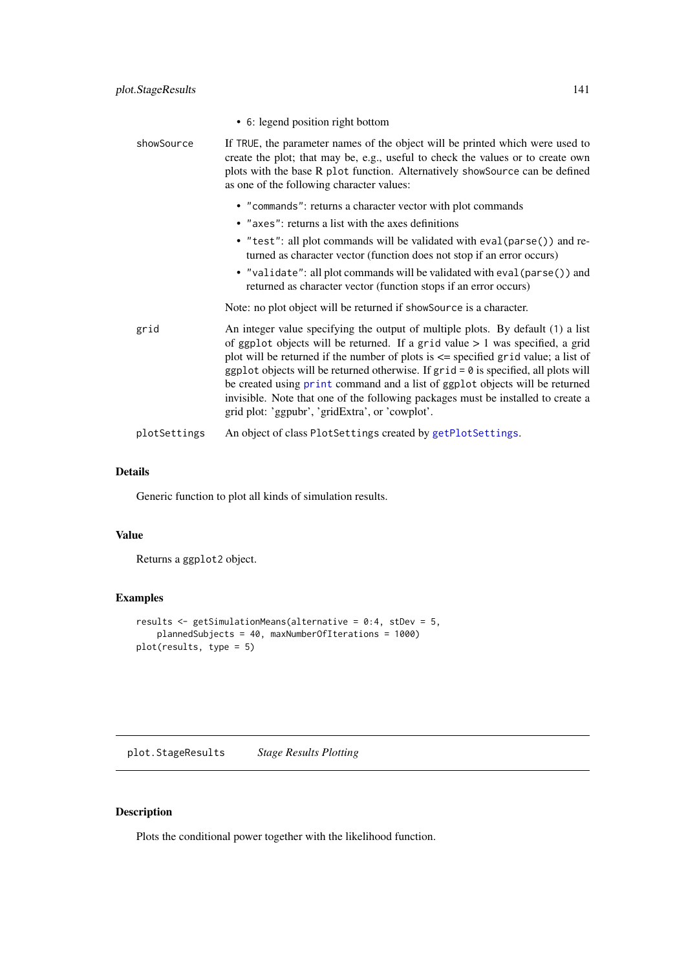|              | • 6: legend position right bottom                                                                                                                                                                                                                                                                                                                                                                                                                                                                                                                                            |
|--------------|------------------------------------------------------------------------------------------------------------------------------------------------------------------------------------------------------------------------------------------------------------------------------------------------------------------------------------------------------------------------------------------------------------------------------------------------------------------------------------------------------------------------------------------------------------------------------|
| showSource   | If TRUE, the parameter names of the object will be printed which were used to<br>create the plot; that may be, e.g., useful to check the values or to create own<br>plots with the base R plot function. Alternatively showSource can be defined<br>as one of the following character values:                                                                                                                                                                                                                                                                                |
|              | • "commands": returns a character vector with plot commands                                                                                                                                                                                                                                                                                                                                                                                                                                                                                                                  |
|              | • "axes": returns a list with the axes definitions                                                                                                                                                                                                                                                                                                                                                                                                                                                                                                                           |
|              | • "test": all plot commands will be validated with eval (parse()) and re-<br>turned as character vector (function does not stop if an error occurs)                                                                                                                                                                                                                                                                                                                                                                                                                          |
|              | • "validate": all plot commands will be validated with eval (parse()) and<br>returned as character vector (function stops if an error occurs)                                                                                                                                                                                                                                                                                                                                                                                                                                |
|              | Note: no plot object will be returned if showSource is a character.                                                                                                                                                                                                                                                                                                                                                                                                                                                                                                          |
| grid         | An integer value specifying the output of multiple plots. By default (1) a list<br>of ggplot objects will be returned. If a grid value $> 1$ was specified, a grid<br>plot will be returned if the number of plots is $\leq$ specified grid value; a list of<br>ggplot objects will be returned otherwise. If $grid = 0$ is specified, all plots will<br>be created using print command and a list of ggplot objects will be returned<br>invisible. Note that one of the following packages must be installed to create a<br>grid plot: 'ggpubr', 'gridExtra', or 'cowplot'. |
| plotSettings | An object of class PlotSettings created by getPlotSettings.                                                                                                                                                                                                                                                                                                                                                                                                                                                                                                                  |

Generic function to plot all kinds of simulation results.

# Value

Returns a ggplot2 object.

# Examples

```
results <- getSimulationMeans(alternative = 0:4, stDev = 5,
    plannedSubjects = 40, maxNumberOfIterations = 1000)
plot(results, type = 5)
```
<span id="page-140-0"></span>plot.StageResults *Stage Results Plotting*

# Description

Plots the conditional power together with the likelihood function.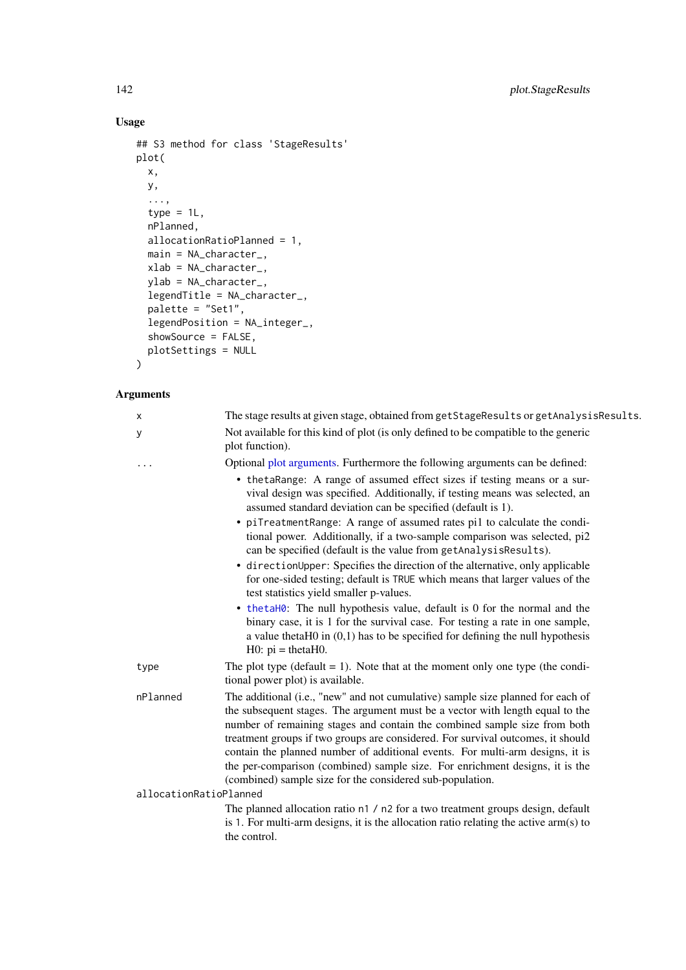# Usage

```
## S3 method for class 'StageResults'
plot(
  x,
  y,
  ...,
  type = 1L,
  nPlanned,
  allocationRatioPlanned = 1,
  main = NA_character_,
  xlab = NA_character_,
  ylab = NA_character_,
  legentThe = NA_{character_{-}},
  palette = "Set1",
  legendPosition = NA_integer_,
  showSource = FALSE,
  plotSettings = NULL
)
```
# Arguments

| х                      | The stage results at given stage, obtained from getStageResults or getAnalysisResults.                                                                                                                                                                                                                                                                                                                                                                                                                                                                         |
|------------------------|----------------------------------------------------------------------------------------------------------------------------------------------------------------------------------------------------------------------------------------------------------------------------------------------------------------------------------------------------------------------------------------------------------------------------------------------------------------------------------------------------------------------------------------------------------------|
| У                      | Not available for this kind of plot (is only defined to be compatible to the generic<br>plot function).                                                                                                                                                                                                                                                                                                                                                                                                                                                        |
|                        | Optional plot arguments. Furthermore the following arguments can be defined:                                                                                                                                                                                                                                                                                                                                                                                                                                                                                   |
|                        | • thetaRange: A range of assumed effect sizes if testing means or a sur-<br>vival design was specified. Additionally, if testing means was selected, an<br>assumed standard deviation can be specified (default is 1).<br>• piTreatmentRange: A range of assumed rates pi1 to calculate the condi-                                                                                                                                                                                                                                                             |
|                        | tional power. Additionally, if a two-sample comparison was selected, pi2<br>can be specified (default is the value from getAnalysisResults).                                                                                                                                                                                                                                                                                                                                                                                                                   |
|                        | • directionUpper: Specifies the direction of the alternative, only applicable<br>for one-sided testing; default is TRUE which means that larger values of the<br>test statistics yield smaller p-values.                                                                                                                                                                                                                                                                                                                                                       |
|                        | • thetaH0: The null hypothesis value, default is 0 for the normal and the<br>binary case, it is 1 for the survival case. For testing a rate in one sample,<br>a value theta $H0$ in $(0,1)$ has to be specified for defining the null hypothesis<br>$H0: pi = thetaH0.$                                                                                                                                                                                                                                                                                        |
| type                   | The plot type (default $= 1$ ). Note that at the moment only one type (the condi-<br>tional power plot) is available.                                                                                                                                                                                                                                                                                                                                                                                                                                          |
| nPlanned               | The additional (i.e., "new" and not cumulative) sample size planned for each of<br>the subsequent stages. The argument must be a vector with length equal to the<br>number of remaining stages and contain the combined sample size from both<br>treatment groups if two groups are considered. For survival outcomes, it should<br>contain the planned number of additional events. For multi-arm designs, it is<br>the per-comparison (combined) sample size. For enrichment designs, it is the<br>(combined) sample size for the considered sub-population. |
| allocationRatioPlanned |                                                                                                                                                                                                                                                                                                                                                                                                                                                                                                                                                                |
|                        | The planned allocation ratio n1 / n2 for a two treatment groups design, default<br>is 1. For multi-arm designs, it is the allocation ratio relating the active $arm(s)$ to<br>the control.                                                                                                                                                                                                                                                                                                                                                                     |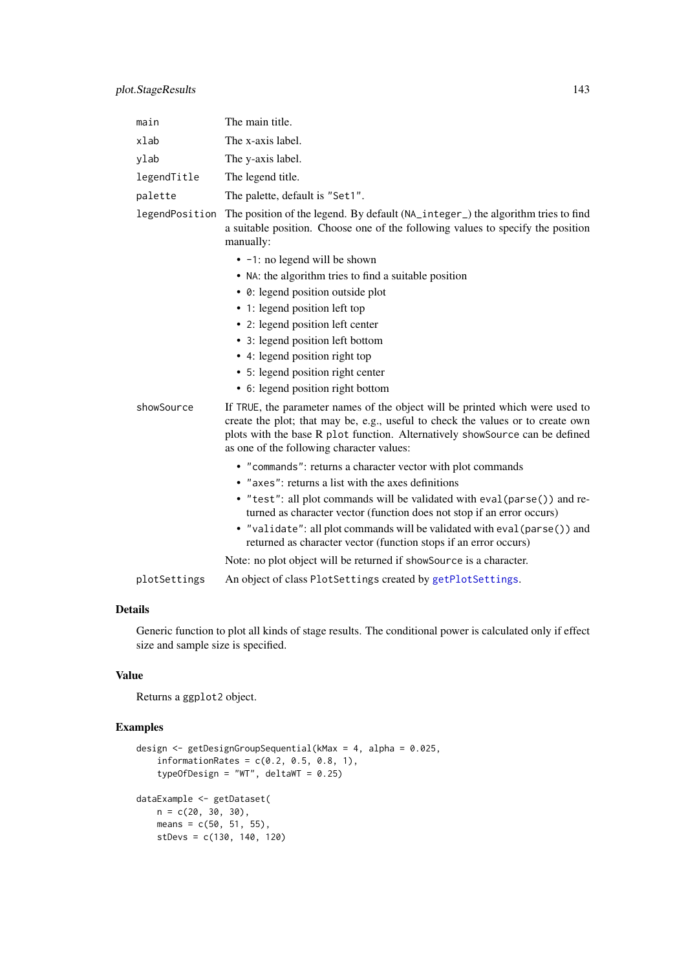| main           | The main title.                                                                                                                                                                                                                                                                               |
|----------------|-----------------------------------------------------------------------------------------------------------------------------------------------------------------------------------------------------------------------------------------------------------------------------------------------|
| xlab           | The x-axis label.                                                                                                                                                                                                                                                                             |
| ylab           | The y-axis label.                                                                                                                                                                                                                                                                             |
| legendTitle    | The legend title.                                                                                                                                                                                                                                                                             |
| palette        | The palette, default is "Set1".                                                                                                                                                                                                                                                               |
| legendPosition | The position of the legend. By default (NA_integer_) the algorithm tries to find<br>a suitable position. Choose one of the following values to specify the position<br>manually:                                                                                                              |
|                | • -1: no legend will be shown                                                                                                                                                                                                                                                                 |
|                | • NA: the algorithm tries to find a suitable position                                                                                                                                                                                                                                         |
|                | • 0: legend position outside plot                                                                                                                                                                                                                                                             |
|                | • 1: legend position left top                                                                                                                                                                                                                                                                 |
|                | • 2: legend position left center                                                                                                                                                                                                                                                              |
|                | • 3: legend position left bottom                                                                                                                                                                                                                                                              |
|                | • 4: legend position right top                                                                                                                                                                                                                                                                |
|                | • 5: legend position right center                                                                                                                                                                                                                                                             |
|                | • 6: legend position right bottom                                                                                                                                                                                                                                                             |
| showSource     | If TRUE, the parameter names of the object will be printed which were used to<br>create the plot; that may be, e.g., useful to check the values or to create own<br>plots with the base R plot function. Alternatively showSource can be defined<br>as one of the following character values: |
|                | • "commands": returns a character vector with plot commands                                                                                                                                                                                                                                   |
|                | • "axes": returns a list with the axes definitions                                                                                                                                                                                                                                            |
|                | • "test": all plot commands will be validated with eval (parse()) and re-<br>turned as character vector (function does not stop if an error occurs)                                                                                                                                           |
|                | • "validate": all plot commands will be validated with eval (parse()) and<br>returned as character vector (function stops if an error occurs)                                                                                                                                                 |
|                | Note: no plot object will be returned if showSource is a character.                                                                                                                                                                                                                           |
| plotSettings   | An object of class PlotSettings created by getPlotSettings.                                                                                                                                                                                                                                   |

Generic function to plot all kinds of stage results. The conditional power is calculated only if effect size and sample size is specified.

# Value

Returns a ggplot2 object.

# Examples

```
design <- getDesignGroupSequential(kMax = 4, alpha = 0.025,
    information Rates = c(0.2, 0.5, 0.8, 1),typeOfDesign = "WT", deltaWT = 0.25)
dataExample <- getDataset(
   n = c(20, 30, 30),
    means = c(50, 51, 55),
    stDevs = c(130, 140, 120)
```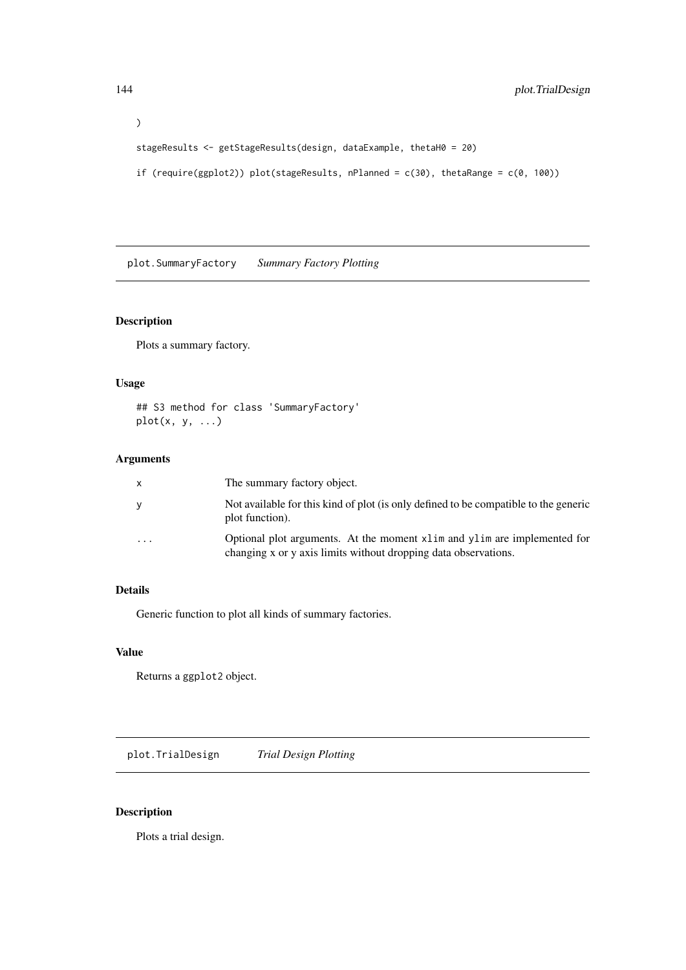```
)
stageResults <- getStageResults(design, dataExample, thetaH0 = 20)
if (require(ggplot2)) plot(stageResults, nPlanned = c(30), thetaRange = c(0, 100))
```
plot.SummaryFactory *Summary Factory Plotting*

# Description

Plots a summary factory.

# Usage

## S3 method for class 'SummaryFactory'  $plot(x, y, ...)$ 

# Arguments

| x                       | The summary factory object.                                                                                                                   |
|-------------------------|-----------------------------------------------------------------------------------------------------------------------------------------------|
| v                       | Not available for this kind of plot (is only defined to be compatible to the generic<br>plot function).                                       |
| $\cdot$ $\cdot$ $\cdot$ | Optional plot arguments. At the moment x1 im and y1 im are implemented for<br>changing x or y axis limits without dropping data observations. |

# Details

Generic function to plot all kinds of summary factories.

# Value

Returns a ggplot2 object.

plot.TrialDesign *Trial Design Plotting*

# Description

Plots a trial design.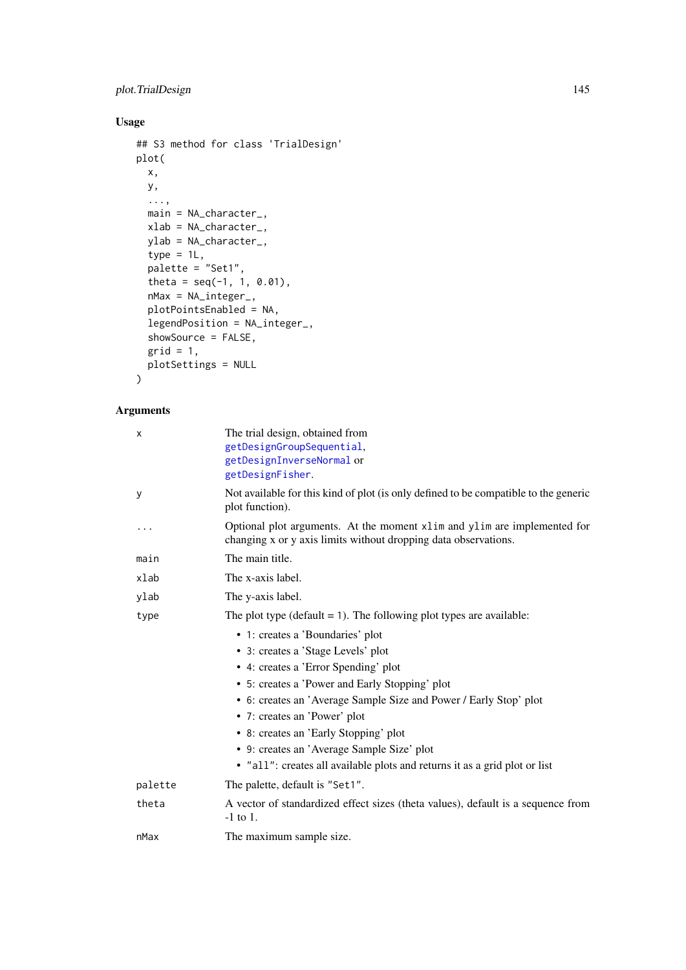### <span id="page-144-0"></span>plot.TrialDesign 145

### Usage

```
## S3 method for class 'TrialDesign'
plot(
  x,
  y,
  ...,
 main = NA_character_,
  xlab = NA_character_,
 ylab = NA_character_,
  type = 1L,
  palette = "Set1",
  theta = seq(-1, 1, 0.01),
  nMax = NA_integer_,
  plotPointsEnabled = NA,
  legendPosition = NA_integer_,
  showSource = FALSE,
  grid = 1,plotSettings = NULL
)
```

| The trial design, obtained from<br>getDesignGroupSequential,<br>getDesignInverseNormal or<br>getDesignFisher.                               |
|---------------------------------------------------------------------------------------------------------------------------------------------|
| Not available for this kind of plot (is only defined to be compatible to the generic<br>plot function).                                     |
| Optional plot arguments. At the moment xlim and ylim are implemented for<br>changing x or y axis limits without dropping data observations. |
| The main title.                                                                                                                             |
| The x-axis label.                                                                                                                           |
| The y-axis label.                                                                                                                           |
| The plot type (default $= 1$ ). The following plot types are available:                                                                     |
| • 1: creates a 'Boundaries' plot                                                                                                            |
| • 3: creates a 'Stage Levels' plot                                                                                                          |
| • 4: creates a 'Error Spending' plot                                                                                                        |
| • 5: creates a 'Power and Early Stopping' plot                                                                                              |
| • 6: creates an 'Average Sample Size and Power / Early Stop' plot                                                                           |
| • 7: creates an 'Power' plot                                                                                                                |
| • 8: creates an 'Early Stopping' plot                                                                                                       |
| • 9: creates an 'Average Sample Size' plot                                                                                                  |
| · "all": creates all available plots and returns it as a grid plot or list                                                                  |
| The palette, default is "Set1".                                                                                                             |
| A vector of standardized effect sizes (theta values), default is a sequence from<br>$-1$ to 1.                                              |
| The maximum sample size.                                                                                                                    |
|                                                                                                                                             |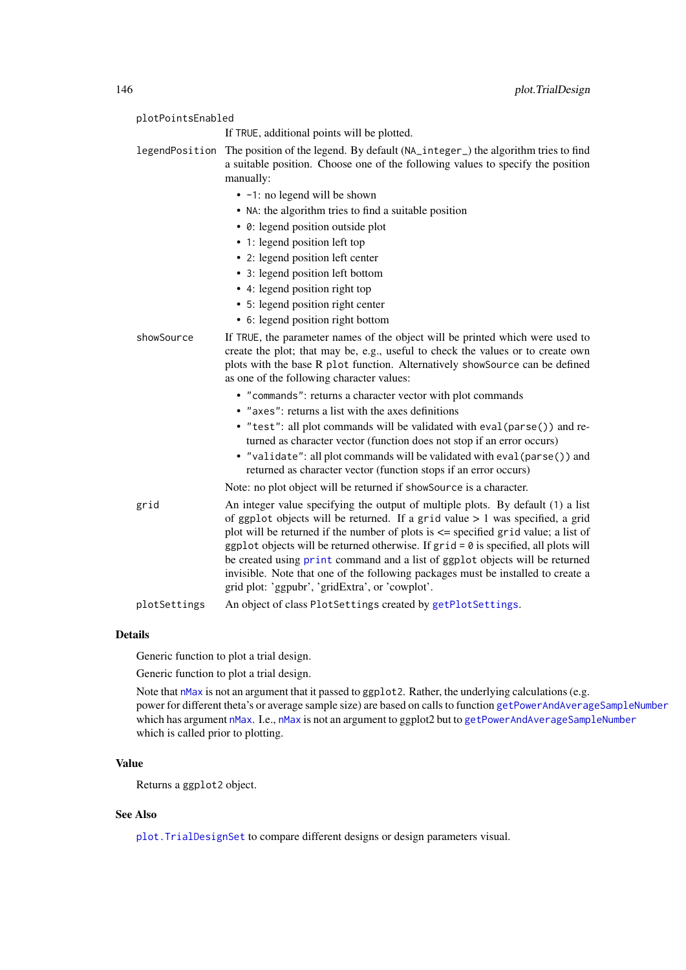<span id="page-145-0"></span>

| plotPointsEnabled |                                                                                                                                                                                                                                                                                                                                                                                                                                                                                                                                                                              |  |
|-------------------|------------------------------------------------------------------------------------------------------------------------------------------------------------------------------------------------------------------------------------------------------------------------------------------------------------------------------------------------------------------------------------------------------------------------------------------------------------------------------------------------------------------------------------------------------------------------------|--|
|                   | If TRUE, additional points will be plotted.                                                                                                                                                                                                                                                                                                                                                                                                                                                                                                                                  |  |
| legendPosition    | The position of the legend. By default (NA_integer_) the algorithm tries to find<br>a suitable position. Choose one of the following values to specify the position<br>manually:                                                                                                                                                                                                                                                                                                                                                                                             |  |
|                   | • -1: no legend will be shown<br>• NA: the algorithm tries to find a suitable position<br>• 0: legend position outside plot<br>• 1: legend position left top<br>• 2: legend position left center<br>• 3: legend position left bottom<br>• 4: legend position right top<br>• 5: legend position right center                                                                                                                                                                                                                                                                  |  |
| showSource        | • 6: legend position right bottom<br>If TRUE, the parameter names of the object will be printed which were used to<br>create the plot; that may be, e.g., useful to check the values or to create own<br>plots with the base R plot function. Alternatively showSource can be defined<br>as one of the following character values:                                                                                                                                                                                                                                           |  |
|                   | • "commands": returns a character vector with plot commands<br>• "axes": returns a list with the axes definitions<br>• "test": all plot commands will be validated with eval (parse()) and re-<br>turned as character vector (function does not stop if an error occurs)<br>• "validate": all plot commands will be validated with eval (parse()) and<br>returned as character vector (function stops if an error occurs)<br>Note: no plot object will be returned if showSource is a character.                                                                             |  |
| grid              | An integer value specifying the output of multiple plots. By default (1) a list<br>of ggplot objects will be returned. If a grid value $> 1$ was specified, a grid<br>plot will be returned if the number of plots is $\leq$ specified grid value; a list of<br>ggplot objects will be returned otherwise. If $grid = 0$ is specified, all plots will<br>be created using print command and a list of ggplot objects will be returned<br>invisible. Note that one of the following packages must be installed to create a<br>grid plot: 'ggpubr', 'gridExtra', or 'cowplot'. |  |
| plotSettings      | An object of class PlotSettings created by getPlotSettings.                                                                                                                                                                                                                                                                                                                                                                                                                                                                                                                  |  |

Generic function to plot a trial design.

Generic function to plot a trial design.

Note that [nMax](#page-0-0) is not an argument that it passed to ggplot 2. Rather, the underlying calculations (e.g. power for different theta's or average sample size) are based on calls to function [getPowerAndAverageSampleNumber](#page-54-0) which has argument [nMax](#page-0-0). I.e., nMax is not an argument to ggplot2 but to [getPowerAndAverageSampleNumber](#page-54-0) which is called prior to plotting.

#### Value

Returns a ggplot2 object.

#### See Also

[plot.TrialDesignSet](#page-148-0) to compare different designs or design parameters visual.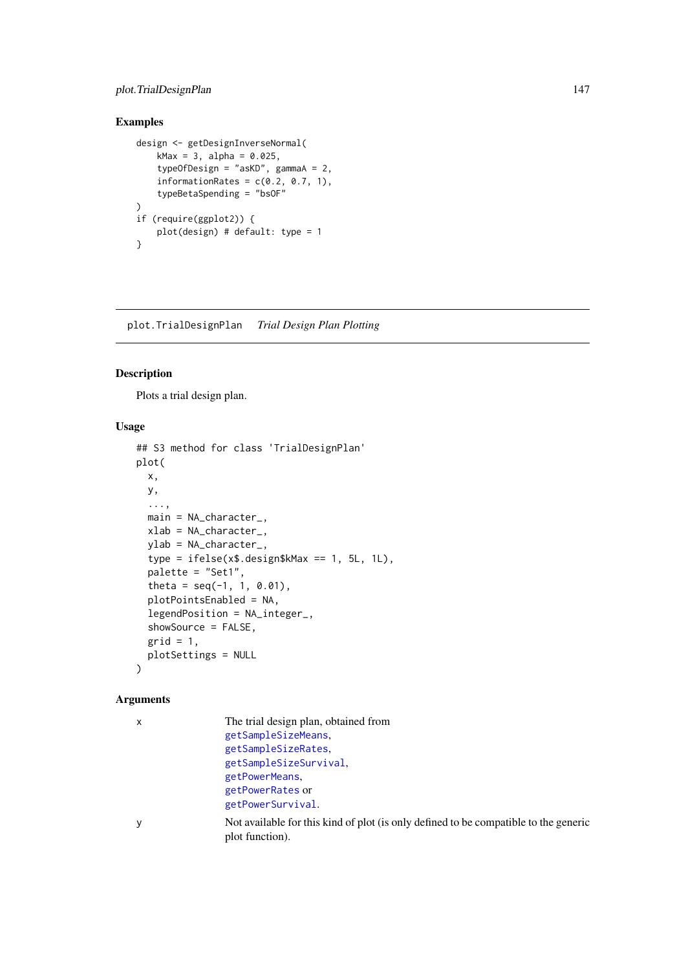#### <span id="page-146-0"></span>plot.TrialDesignPlan 147

### Examples

```
design <- getDesignInverseNormal(
   kMax = 3, alpha = 0.025,
    typeOfDesign = "asKD", gammaA = 2,
    informationRates = c(0.2, 0.7, 1),
    typeBetaSpending = "bsOF"
)
if (require(ggplot2)) {
   plot(design) # default: type = 1
}
```
plot.TrialDesignPlan *Trial Design Plan Plotting*

### Description

Plots a trial design plan.

### Usage

```
## S3 method for class 'TrialDesignPlan'
plot(
  x,
  y,
  ...,
  main = NA_character_,
  xlab = NA_character_,
  ylab = NA_character_,
  type = ifelse(x$.design$kMax == 1, 5L, 1L),
  palette = "Set1",
  theta = seq(-1, 1, 0.01),
  plotPointsEnabled = NA,
  legendPosition = NA_integer_,
  showSource = FALSE,
  grid = 1,
  plotSettings = NULL
)
```

| $\boldsymbol{\mathsf{x}}$ | The trial design plan, obtained from                                                                    |
|---------------------------|---------------------------------------------------------------------------------------------------------|
|                           | getSampleSizeMeans,                                                                                     |
|                           | getSampleSizeRates.                                                                                     |
|                           | getSampleSizeSurvival,                                                                                  |
|                           | getPowerMeans.                                                                                          |
|                           | getPowerRates or                                                                                        |
|                           | getPowerSurvival.                                                                                       |
| y                         | Not available for this kind of plot (is only defined to be compatible to the generic<br>plot function). |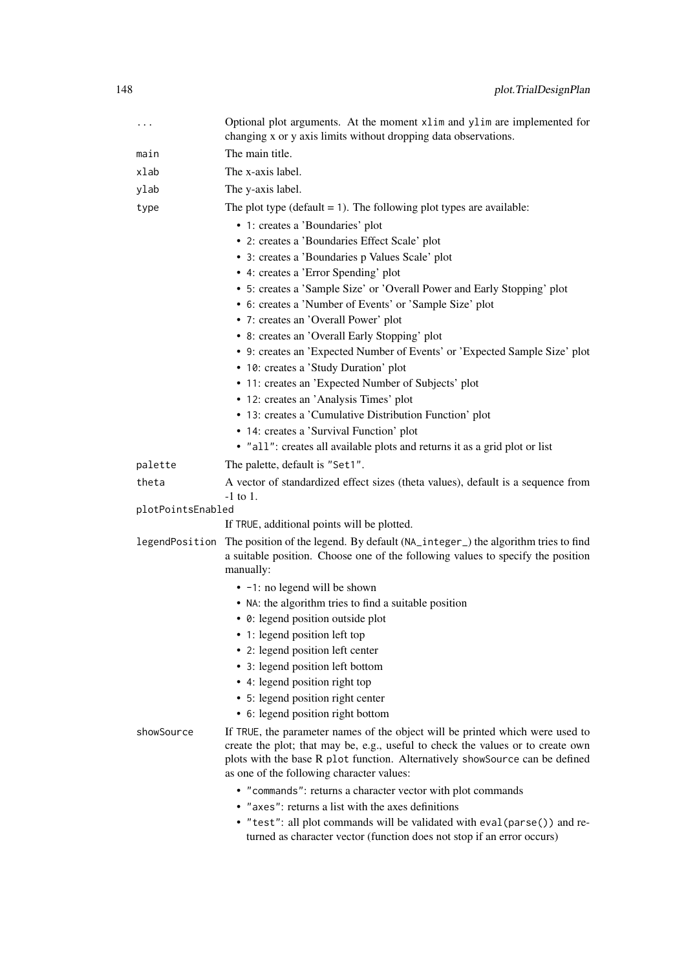| $\cdots$          | Optional plot arguments. At the moment xlim and ylim are implemented for<br>changing x or y axis limits without dropping data observations.                                                                                                                                                                                                                                                                                                                                                                                                                                                                                                                                                                                                |
|-------------------|--------------------------------------------------------------------------------------------------------------------------------------------------------------------------------------------------------------------------------------------------------------------------------------------------------------------------------------------------------------------------------------------------------------------------------------------------------------------------------------------------------------------------------------------------------------------------------------------------------------------------------------------------------------------------------------------------------------------------------------------|
| main              | The main title.                                                                                                                                                                                                                                                                                                                                                                                                                                                                                                                                                                                                                                                                                                                            |
| xlab              | The x-axis label.                                                                                                                                                                                                                                                                                                                                                                                                                                                                                                                                                                                                                                                                                                                          |
| ylab              | The y-axis label.                                                                                                                                                                                                                                                                                                                                                                                                                                                                                                                                                                                                                                                                                                                          |
| type              | The plot type ( $default = 1$ ). The following plot types are available:                                                                                                                                                                                                                                                                                                                                                                                                                                                                                                                                                                                                                                                                   |
|                   | • 1: creates a 'Boundaries' plot<br>• 2: creates a 'Boundaries Effect Scale' plot<br>· 3: creates a 'Boundaries p Values Scale' plot<br>• 4: creates a 'Error Spending' plot<br>• 5: creates a 'Sample Size' or 'Overall Power and Early Stopping' plot<br>• 6: creates a 'Number of Events' or 'Sample Size' plot<br>• 7: creates an 'Overall Power' plot<br>• 8: creates an 'Overall Early Stopping' plot<br>• 9: creates an 'Expected Number of Events' or 'Expected Sample Size' plot<br>• 10: creates a 'Study Duration' plot<br>• 11: creates an 'Expected Number of Subjects' plot<br>• 12: creates an 'Analysis Times' plot<br>• 13: creates a 'Cumulative Distribution Function' plot<br>• 14: creates a 'Survival Function' plot |
|                   | • "all": creates all available plots and returns it as a grid plot or list                                                                                                                                                                                                                                                                                                                                                                                                                                                                                                                                                                                                                                                                 |
| palette           | The palette, default is "Set1".                                                                                                                                                                                                                                                                                                                                                                                                                                                                                                                                                                                                                                                                                                            |
| theta             | A vector of standardized effect sizes (theta values), default is a sequence from                                                                                                                                                                                                                                                                                                                                                                                                                                                                                                                                                                                                                                                           |
| plotPointsEnabled | $-1$ to 1.                                                                                                                                                                                                                                                                                                                                                                                                                                                                                                                                                                                                                                                                                                                                 |
|                   | If TRUE, additional points will be plotted.                                                                                                                                                                                                                                                                                                                                                                                                                                                                                                                                                                                                                                                                                                |
|                   | legendPosition The position of the legend. By default (NA_integer_) the algorithm tries to find<br>a suitable position. Choose one of the following values to specify the position<br>manually:                                                                                                                                                                                                                                                                                                                                                                                                                                                                                                                                            |
|                   | • -1: no legend will be shown                                                                                                                                                                                                                                                                                                                                                                                                                                                                                                                                                                                                                                                                                                              |
|                   | • NA: the algorithm tries to find a suitable position                                                                                                                                                                                                                                                                                                                                                                                                                                                                                                                                                                                                                                                                                      |
|                   | • 0: legend position outside plot                                                                                                                                                                                                                                                                                                                                                                                                                                                                                                                                                                                                                                                                                                          |
|                   | • 1: legend position left top                                                                                                                                                                                                                                                                                                                                                                                                                                                                                                                                                                                                                                                                                                              |
|                   | • 2: legend position left center                                                                                                                                                                                                                                                                                                                                                                                                                                                                                                                                                                                                                                                                                                           |
|                   | • 3: legend position left bottom<br>• 4: legend position right top                                                                                                                                                                                                                                                                                                                                                                                                                                                                                                                                                                                                                                                                         |
|                   | • 5: legend position right center                                                                                                                                                                                                                                                                                                                                                                                                                                                                                                                                                                                                                                                                                                          |
|                   | • 6: legend position right bottom                                                                                                                                                                                                                                                                                                                                                                                                                                                                                                                                                                                                                                                                                                          |
| showSource        | If TRUE, the parameter names of the object will be printed which were used to<br>create the plot; that may be, e.g., useful to check the values or to create own<br>plots with the base R plot function. Alternatively showSource can be defined<br>as one of the following character values:                                                                                                                                                                                                                                                                                                                                                                                                                                              |
|                   | • "commands": returns a character vector with plot commands                                                                                                                                                                                                                                                                                                                                                                                                                                                                                                                                                                                                                                                                                |
|                   | • "axes": returns a list with the axes definitions                                                                                                                                                                                                                                                                                                                                                                                                                                                                                                                                                                                                                                                                                         |
|                   | • "test": all plot commands will be validated with eval (parse()) and re-<br>turned as character vector (function does not stop if an error occurs)                                                                                                                                                                                                                                                                                                                                                                                                                                                                                                                                                                                        |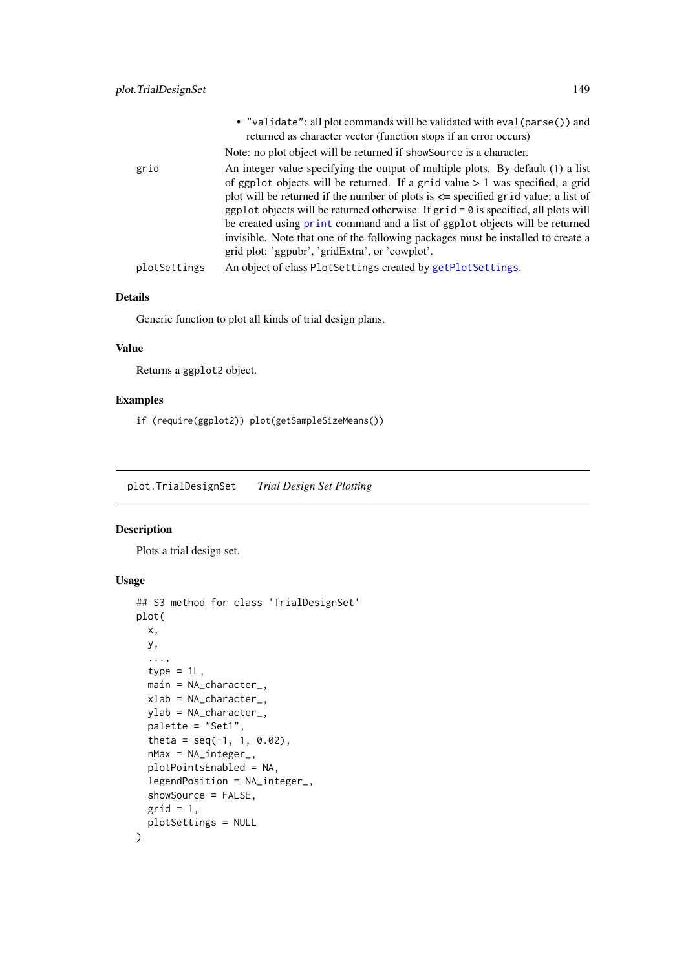<span id="page-148-1"></span>

| Note: no plot object will be returned if showsource is a character.<br>grid<br>grid plot: 'ggpubr', 'gridExtra', or 'cowplot'.<br>An object of class PlotSettings created by getPlotSettings.<br>plotSettings |  | • "validate": all plot commands will be validated with eval (parse()) and<br>returned as character vector (function stops if an error occurs)                                                                                                                                                                                                                                                                                                                                                                             |
|---------------------------------------------------------------------------------------------------------------------------------------------------------------------------------------------------------------|--|---------------------------------------------------------------------------------------------------------------------------------------------------------------------------------------------------------------------------------------------------------------------------------------------------------------------------------------------------------------------------------------------------------------------------------------------------------------------------------------------------------------------------|
|                                                                                                                                                                                                               |  |                                                                                                                                                                                                                                                                                                                                                                                                                                                                                                                           |
|                                                                                                                                                                                                               |  | An integer value specifying the output of multiple plots. By default (1) a list<br>of ggplot objects will be returned. If a grid value $> 1$ was specified, a grid<br>plot will be returned if the number of plots is $\leq$ specified grid value; a list of<br>ggplot objects will be returned otherwise. If $grid = 0$ is specified, all plots will<br>be created using print command and a list of ggplot objects will be returned<br>invisible. Note that one of the following packages must be installed to create a |
|                                                                                                                                                                                                               |  |                                                                                                                                                                                                                                                                                                                                                                                                                                                                                                                           |

Generic function to plot all kinds of trial design plans.

#### Value

Returns a ggplot2 object.

### Examples

if (require(ggplot2)) plot(getSampleSizeMeans())

<span id="page-148-0"></span>plot.TrialDesignSet *Trial Design Set Plotting*

#### Description

Plots a trial design set.

### Usage

```
## S3 method for class 'TrialDesignSet'
plot(
  x,
  y,
  ...,
  type = 1L,
  main = NA_character_,
  xlab = NA_character_,
  ylab = NA_character_,
  palette = "Set1",
  theta = seq(-1, 1, 0.02),
  nMax = NA_integer_,
  plotPointsEnabled = NA,
  legendPosition = NA_integer_,
  showSource = FALSE,
  grid = 1,plotSettings = NULL
)
```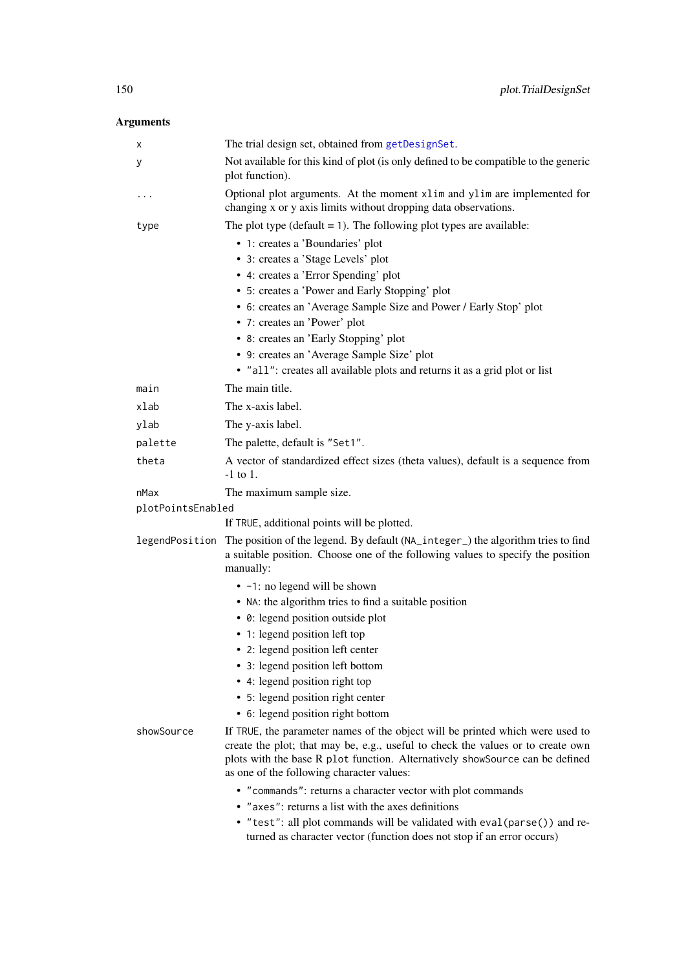<span id="page-149-0"></span>

| х                 | The trial design set, obtained from getDesignSet.                                                                                                                                                                                                                                             |
|-------------------|-----------------------------------------------------------------------------------------------------------------------------------------------------------------------------------------------------------------------------------------------------------------------------------------------|
| у                 | Not available for this kind of plot (is only defined to be compatible to the generic<br>plot function).                                                                                                                                                                                       |
| .                 | Optional plot arguments. At the moment xlim and ylim are implemented for<br>changing x or y axis limits without dropping data observations.                                                                                                                                                   |
| type              | The plot type (default $= 1$ ). The following plot types are available:                                                                                                                                                                                                                       |
|                   | • 1: creates a 'Boundaries' plot                                                                                                                                                                                                                                                              |
|                   | • 3: creates a 'Stage Levels' plot                                                                                                                                                                                                                                                            |
|                   | • 4: creates a 'Error Spending' plot                                                                                                                                                                                                                                                          |
|                   | • 5: creates a 'Power and Early Stopping' plot                                                                                                                                                                                                                                                |
|                   | • 6: creates an 'Average Sample Size and Power / Early Stop' plot                                                                                                                                                                                                                             |
|                   | • 7: creates an 'Power' plot                                                                                                                                                                                                                                                                  |
|                   | • 8: creates an 'Early Stopping' plot                                                                                                                                                                                                                                                         |
|                   | • 9: creates an 'Average Sample Size' plot                                                                                                                                                                                                                                                    |
|                   | • "all": creates all available plots and returns it as a grid plot or list                                                                                                                                                                                                                    |
| main              | The main title.                                                                                                                                                                                                                                                                               |
| xlab              | The x-axis label.                                                                                                                                                                                                                                                                             |
| ylab              | The y-axis label.                                                                                                                                                                                                                                                                             |
| palette           | The palette, default is "Set1".                                                                                                                                                                                                                                                               |
| theta             | A vector of standardized effect sizes (theta values), default is a sequence from<br>$-1$ to 1.                                                                                                                                                                                                |
| nMax              | The maximum sample size.                                                                                                                                                                                                                                                                      |
| plotPointsEnabled |                                                                                                                                                                                                                                                                                               |
|                   | If TRUE, additional points will be plotted.                                                                                                                                                                                                                                                   |
|                   | legendPosition The position of the legend. By default (NA_integer_) the algorithm tries to find<br>a suitable position. Choose one of the following values to specify the position<br>manually:                                                                                               |
|                   | • -1: no legend will be shown                                                                                                                                                                                                                                                                 |
|                   | • NA: the algorithm tries to find a suitable position                                                                                                                                                                                                                                         |
|                   | • 0: legend position outside plot                                                                                                                                                                                                                                                             |
|                   | • 1: legend position left top                                                                                                                                                                                                                                                                 |
|                   | • 2: legend position left center                                                                                                                                                                                                                                                              |
|                   | • 3: legend position left bottom                                                                                                                                                                                                                                                              |
|                   | • 4: legend position right top                                                                                                                                                                                                                                                                |
|                   | • 5: legend position right center                                                                                                                                                                                                                                                             |
|                   | • 6: legend position right bottom                                                                                                                                                                                                                                                             |
| showSource        | If TRUE, the parameter names of the object will be printed which were used to<br>create the plot; that may be, e.g., useful to check the values or to create own<br>plots with the base R plot function. Alternatively showSource can be defined<br>as one of the following character values: |
|                   | • "commands": returns a character vector with plot commands                                                                                                                                                                                                                                   |
|                   | • "axes": returns a list with the axes definitions                                                                                                                                                                                                                                            |
|                   | • "test": all plot commands will be validated with eval (parse()) and re-<br>turned as character vector (function does not stop if an error occurs)                                                                                                                                           |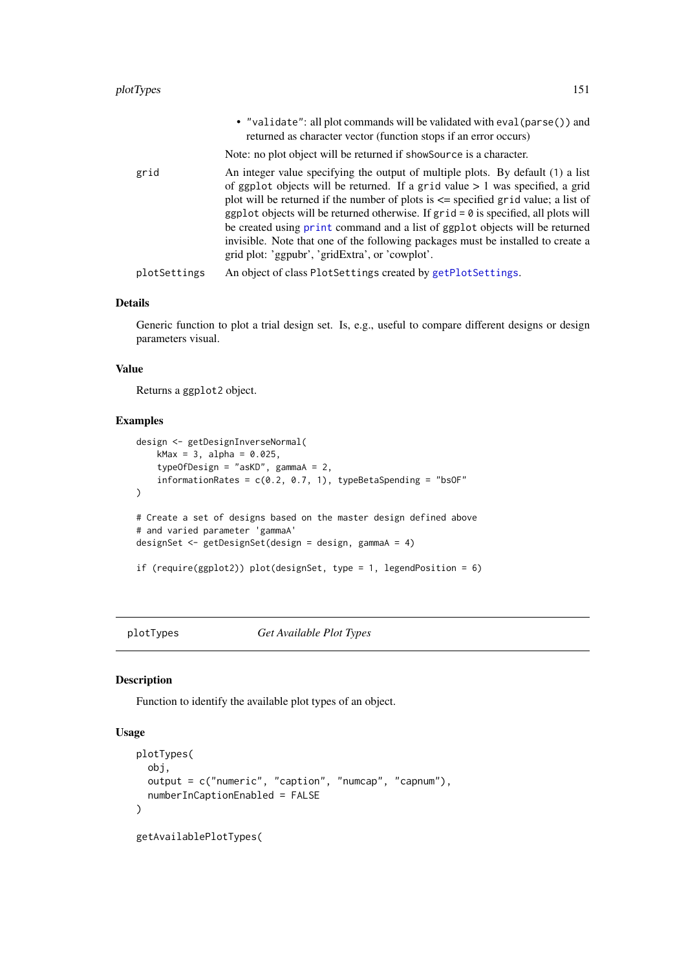<span id="page-150-0"></span>

|              | • "validate": all plot commands will be validated with eval (parse()) and<br>returned as character vector (function stops if an error occurs)                                                                                                                                                                                                                                                                                                                                                                                                                                |
|--------------|------------------------------------------------------------------------------------------------------------------------------------------------------------------------------------------------------------------------------------------------------------------------------------------------------------------------------------------------------------------------------------------------------------------------------------------------------------------------------------------------------------------------------------------------------------------------------|
|              | Note: no plot object will be returned if showsource is a character.                                                                                                                                                                                                                                                                                                                                                                                                                                                                                                          |
| grid         | An integer value specifying the output of multiple plots. By default (1) a list<br>of ggplot objects will be returned. If a grid value $> 1$ was specified, a grid<br>plot will be returned if the number of plots is $\leq$ specified grid value; a list of<br>ggplot objects will be returned otherwise. If $grid = 0$ is specified, all plots will<br>be created using print command and a list of ggplot objects will be returned<br>invisible. Note that one of the following packages must be installed to create a<br>grid plot: 'ggpubr', 'gridExtra', or 'cowplot'. |
| plotSettings | An object of class PlotSettings created by getPlotSettings.                                                                                                                                                                                                                                                                                                                                                                                                                                                                                                                  |
|              |                                                                                                                                                                                                                                                                                                                                                                                                                                                                                                                                                                              |

Generic function to plot a trial design set. Is, e.g., useful to compare different designs or design parameters visual.

#### Value

Returns a ggplot2 object.

#### Examples

```
design <- getDesignInverseNormal(
    kMax = 3, alpha = 0.025,
    typeOfDesign = "asKD", gammaA = 2,
    informationRates = c(0.2, 0.7, 1), typeBetaSpending = "bsOF"
)
# Create a set of designs based on the master design defined above
# and varied parameter 'gammaA'
designSet <- getDesignSet(design = design, gammaA = 4)
if (require(ggplot2)) plot(designSet, type = 1, legendPosition = 6)
```
plotTypes *Get Available Plot Types*

#### Description

Function to identify the available plot types of an object.

### Usage

```
plotTypes(
  obj,
  output = c("numeric", "caption", "numcap", "capnum"),
  numberInCaptionEnabled = FALSE
)
getAvailablePlotTypes(
```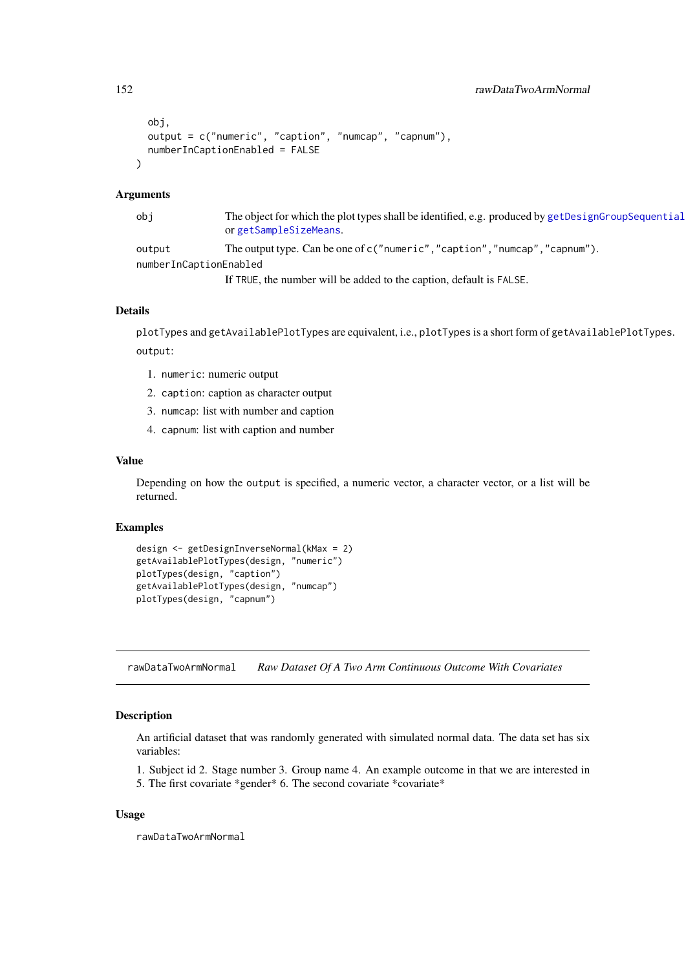```
obj,
 output = c("numeric", "caption", "numcap", "capnum"),
 numberInCaptionEnabled = FALSE
)
```
#### Arguments

| obi                    | The object for which the plot types shall be identified, e.g. produced by getDesignGroupSequential<br>or getSampleSizeMeans. |
|------------------------|------------------------------------------------------------------------------------------------------------------------------|
| output                 | The output type. Can be one of $c$ ("numeric", "caption", "numcap", "capnum").                                               |
| numberInCaptionEnabled |                                                                                                                              |
|                        | If TRUE, the number will be added to the caption, default is FALSE.                                                          |

#### Details

plotTypes and getAvailablePlotTypes are equivalent, i.e., plotTypes is a short form of getAvailablePlotTypes. output:

- 1. numeric: numeric output
- 2. caption: caption as character output
- 3. numcap: list with number and caption
- 4. capnum: list with caption and number

#### Value

Depending on how the output is specified, a numeric vector, a character vector, or a list will be returned.

#### Examples

```
design <- getDesignInverseNormal(kMax = 2)
getAvailablePlotTypes(design, "numeric")
plotTypes(design, "caption")
getAvailablePlotTypes(design, "numcap")
plotTypes(design, "capnum")
```
rawDataTwoArmNormal *Raw Dataset Of A Two Arm Continuous Outcome With Covariates*

### Description

An artificial dataset that was randomly generated with simulated normal data. The data set has six variables:

1. Subject id 2. Stage number 3. Group name 4. An example outcome in that we are interested in

5. The first covariate \*gender\* 6. The second covariate \*covariate\*

#### Usage

rawDataTwoArmNormal

<span id="page-151-0"></span>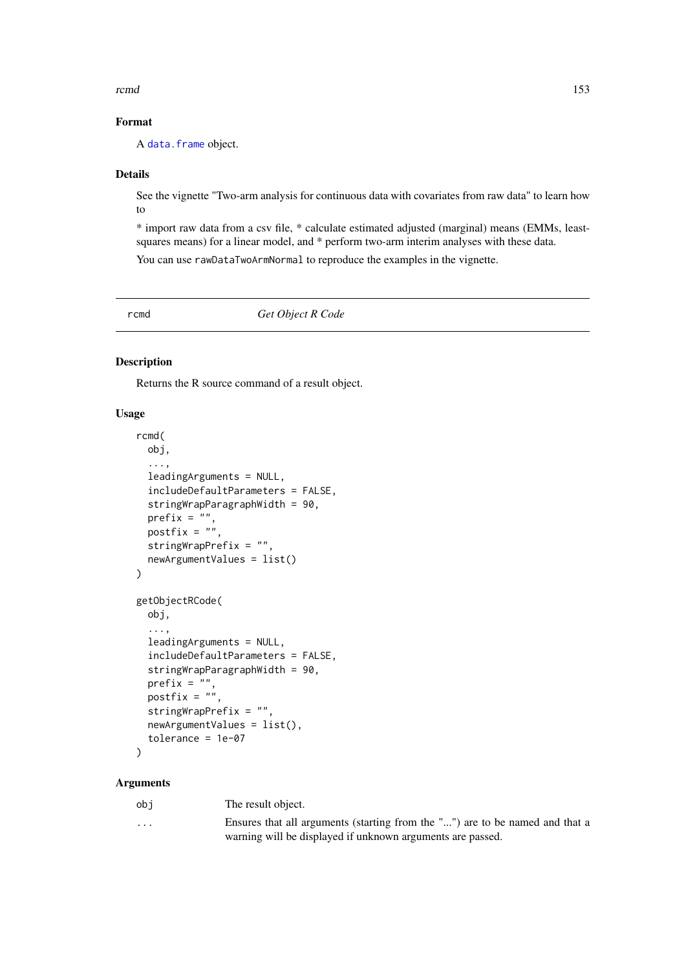<span id="page-152-2"></span>rcmd and the state of the state of the state of the state of the state of the state of the state of the state of the state of the state of the state of the state of the state of the state of the state of the state of the s

#### Format

A [data.frame](#page-0-0) object.

#### Details

See the vignette "Two-arm analysis for continuous data with covariates from raw data" to learn how to

\* import raw data from a csv file, \* calculate estimated adjusted (marginal) means (EMMs, leastsquares means) for a linear model, and \* perform two-arm interim analyses with these data. You can use rawDataTwoArmNormal to reproduce the examples in the vignette.

<span id="page-152-1"></span>rcmd *Get Object R Code*

#### <span id="page-152-0"></span>Description

Returns the R source command of a result object.

#### Usage

```
rcmd(
  obj,
  ...,
  leadingArguments = NULL,
  includeDefaultParameters = FALSE,
  stringWrapParagraphWidth = 90,
  prefix = "",postfix = ",
  stringWrapPrefix = "",
  newArgumentValues = list()
)
getObjectRCode(
  obj,
  ...,
  leadingArguments = NULL,
  includeDefaultParameters = FALSE,
  stringWrapParagraphWidth = 90,
  prefix = ".
  postfix = ""stringWrapPrefix = "",
  newArgumentValues = list(),
  tolerance = 1e-07
)
```
#### Arguments

obj The result object.

| . | Ensures that all arguments (starting from the "") are to be named and that a |
|---|------------------------------------------------------------------------------|
|   | warning will be displayed if unknown arguments are passed.                   |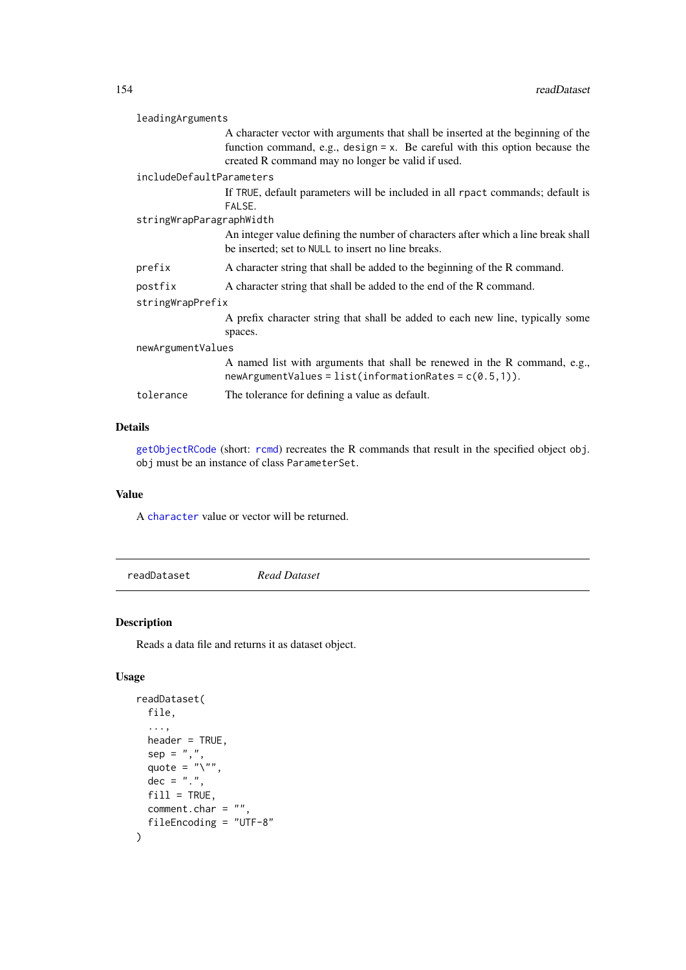<span id="page-153-1"></span>

| leadingArguments         |                                                                                                                                                                                                                         |  |
|--------------------------|-------------------------------------------------------------------------------------------------------------------------------------------------------------------------------------------------------------------------|--|
|                          | A character vector with arguments that shall be inserted at the beginning of the<br>function command, e.g., $design = x$ . Be careful with this option because the<br>created R command may no longer be valid if used. |  |
| includeDefaultParameters |                                                                                                                                                                                                                         |  |
|                          | If TRUE, default parameters will be included in all rpact commands; default is<br>FALSE.                                                                                                                                |  |
| stringWrapParagraphWidth |                                                                                                                                                                                                                         |  |
|                          | An integer value defining the number of characters after which a line break shall<br>be inserted; set to NULL to insert no line breaks.                                                                                 |  |
| prefix                   | A character string that shall be added to the beginning of the R command.                                                                                                                                               |  |
| postfix                  | A character string that shall be added to the end of the R command.                                                                                                                                                     |  |
| stringWrapPrefix         |                                                                                                                                                                                                                         |  |
|                          | A prefix character string that shall be added to each new line, typically some<br>spaces.                                                                                                                               |  |
| newArgumentValues        |                                                                                                                                                                                                                         |  |
|                          | A named list with arguments that shall be renewed in the R command, e.g.,<br>$newArgumentValues = list(information Rates = c(0.5,1)).$                                                                                  |  |
| tolerance                | The tolerance for defining a value as default.                                                                                                                                                                          |  |
|                          |                                                                                                                                                                                                                         |  |

[getObjectRCode](#page-152-0) (short: [rcmd](#page-152-1)) recreates the R commands that result in the specified object obj. obj must be an instance of class ParameterSet.

#### Value

A [character](#page-0-0) value or vector will be returned.

<span id="page-153-0"></span>readDataset *Read Dataset*

#### Description

Reads a data file and returns it as dataset object.

### Usage

```
readDataset(
  file,
  ...,
  header = TRUE,
  sep = ","quote = "\n\\",
  dec = "."fill = TRUE,comment.char = ",
  fileEncoding = "UTF-8"
)
```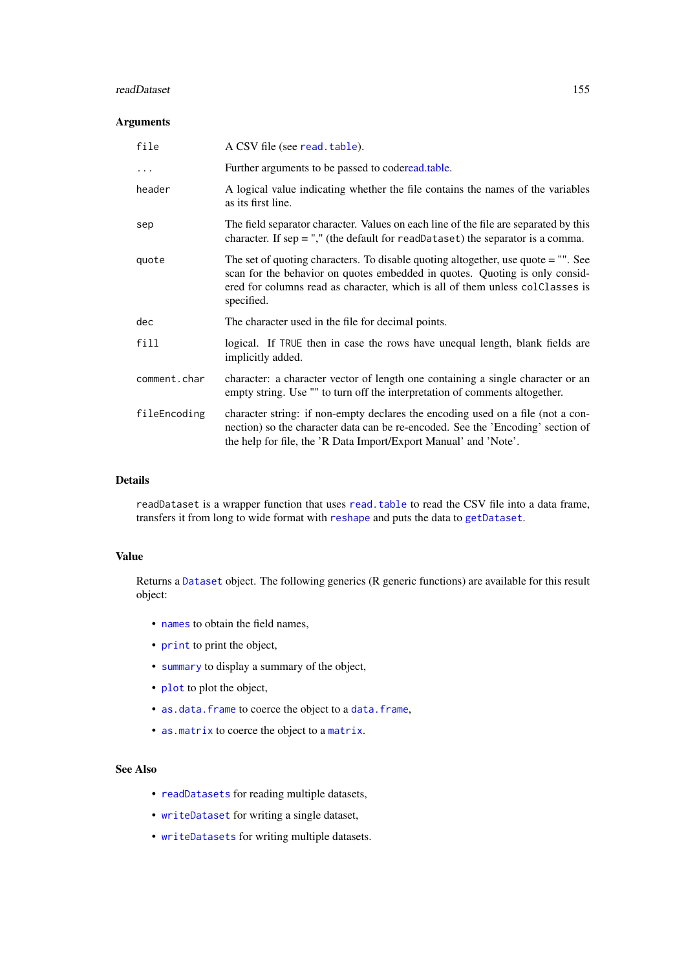#### <span id="page-154-0"></span>readDataset 155

#### Arguments

| file         | A CSV file (see read.table).                                                                                                                                                                                                                                      |
|--------------|-------------------------------------------------------------------------------------------------------------------------------------------------------------------------------------------------------------------------------------------------------------------|
| $\cdots$     | Further arguments to be passed to coderead.table.                                                                                                                                                                                                                 |
| header       | A logical value indicating whether the file contains the names of the variables<br>as its first line.                                                                                                                                                             |
| sep          | The field separator character. Values on each line of the file are separated by this<br>character. If $sep =$ "," (the default for readDataset) the separator is a comma.                                                                                         |
| quote        | The set of quoting characters. To disable quoting altogether, use quote $=$ "". See<br>scan for the behavior on quotes embedded in quotes. Quoting is only consid-<br>ered for columns read as character, which is all of them unless colClasses is<br>specified. |
| dec          | The character used in the file for decimal points.                                                                                                                                                                                                                |
| fill         | logical. If TRUE then in case the rows have unequal length, blank fields are<br>implicitly added.                                                                                                                                                                 |
| comment.char | character: a character vector of length one containing a single character or an<br>empty string. Use "" to turn off the interpretation of comments altogether.                                                                                                    |
| fileEncoding | character string: if non-empty declares the encoding used on a file (not a con-<br>nection) so the character data can be re-encoded. See the 'Encoding' section of<br>the help for file, the 'R Data Import/Export Manual' and 'Note'.                            |

#### Details

readDataset is a wrapper function that uses [read.table](#page-0-0) to read the CSV file into a data frame, transfers it from long to wide format with [reshape](#page-0-0) and puts the data to [getDataset](#page-22-0).

#### Value

Returns a [Dataset](#page-0-0) object. The following generics (R generic functions) are available for this result object:

- [names](#page-0-0) to obtain the field names,
- [print](#page-0-0) to print the object,
- [summary](#page-0-0) to display a summary of the object,
- [plot](#page-132-0) to plot the object,
- [as.data.frame](#page-0-0) to coerce the object to a [data.frame](#page-0-0),
- [as.matrix](#page-0-0) to coerce the object to a [matrix](#page-0-0).

#### See Also

- [readDatasets](#page-155-0) for reading multiple datasets,
- [writeDataset](#page-164-0) for writing a single dataset,
- [writeDatasets](#page-165-0) for writing multiple datasets.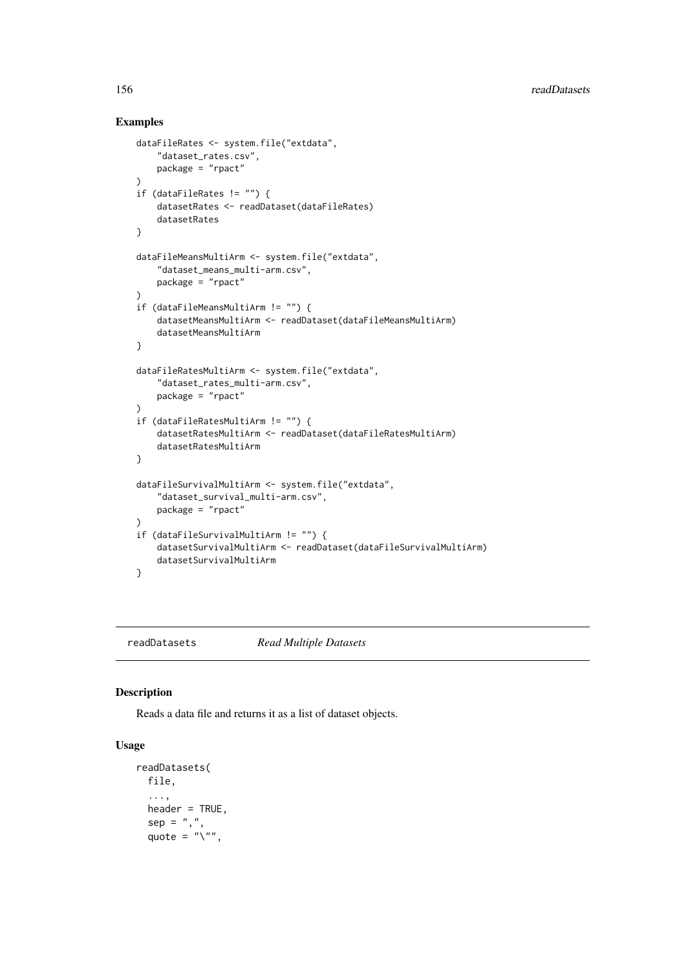#### Examples

```
dataFileRates <- system.file("extdata",
    "dataset_rates.csv",
    package = "rpact"
)
if (dataFileRates != "") {
    datasetRates <- readDataset(dataFileRates)
    datasetRates
}
dataFileMeansMultiArm <- system.file("extdata",
    "dataset_means_multi-arm.csv",
   package = "rpact"
)
if (dataFileMeansMultiArm != "") {
    datasetMeansMultiArm <- readDataset(dataFileMeansMultiArm)
    datasetMeansMultiArm
}
dataFileRatesMultiArm <- system.file("extdata",
    "dataset_rates_multi-arm.csv",
    package = "rpact"
)
if (dataFileRatesMultiArm != "") {
    datasetRatesMultiArm <- readDataset(dataFileRatesMultiArm)
    datasetRatesMultiArm
}
dataFileSurvivalMultiArm <- system.file("extdata",
    "dataset_survival_multi-arm.csv",
    package = "rpact"
\lambdaif (dataFileSurvivalMultiArm != "") {
    datasetSurvivalMultiArm <- readDataset(dataFileSurvivalMultiArm)
    datasetSurvivalMultiArm
}
```
<span id="page-155-0"></span>readDatasets *Read Multiple Datasets*

#### Description

Reads a data file and returns it as a list of dataset objects.

#### Usage

```
readDatasets(
 file,
  ...,
 header = TRUE,
  sep = ","quote = "`",
```
<span id="page-155-1"></span>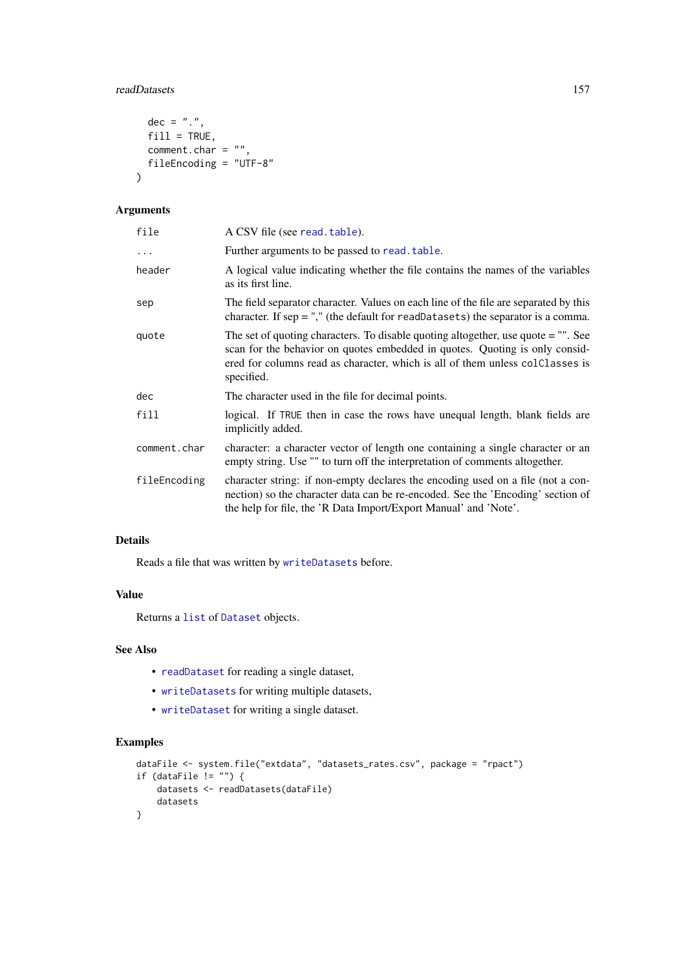#### <span id="page-156-0"></span>readDatasets 157

```
dec = "."fill = TRUE,
 comment.char = ",
 fileEncoding = "UTF-8"
)
```
#### Arguments

| file         | A CSV file (see read. table).                                                                                                                                                                                                                                     |
|--------------|-------------------------------------------------------------------------------------------------------------------------------------------------------------------------------------------------------------------------------------------------------------------|
| $\cdots$     | Further arguments to be passed to read. table.                                                                                                                                                                                                                    |
| header       | A logical value indicating whether the file contains the names of the variables<br>as its first line.                                                                                                                                                             |
| sep          | The field separator character. Values on each line of the file are separated by this<br>character. If $sep =$ "," (the default for readDatasets) the separator is a comma.                                                                                        |
| quote        | The set of quoting characters. To disable quoting altogether, use quote $=$ "". See<br>scan for the behavior on quotes embedded in quotes. Quoting is only consid-<br>ered for columns read as character, which is all of them unless colClasses is<br>specified. |
| dec          | The character used in the file for decimal points.                                                                                                                                                                                                                |
| fill         | logical. If TRUE then in case the rows have unequal length, blank fields are<br>implicitly added.                                                                                                                                                                 |
| comment.char | character: a character vector of length one containing a single character or an<br>empty string. Use "" to turn off the interpretation of comments altogether.                                                                                                    |
| fileEncoding | character string: if non-empty declares the encoding used on a file (not a con-<br>nection) so the character data can be re-encoded. See the 'Encoding' section of<br>the help for file, the 'R Data Import/Export Manual' and 'Note'.                            |

### Details

Reads a file that was written by [writeDatasets](#page-165-0) before.

#### Value

Returns a [list](#page-0-0) of [Dataset](#page-0-0) objects.

#### See Also

- [readDataset](#page-153-0) for reading a single dataset,
- [writeDatasets](#page-165-0) for writing multiple datasets,
- [writeDataset](#page-164-0) for writing a single dataset.

#### Examples

```
dataFile <- system.file("extdata", "datasets_rates.csv", package = "rpact")
if (dataFile != "") {
   datasets <- readDatasets(dataFile)
   datasets
}
```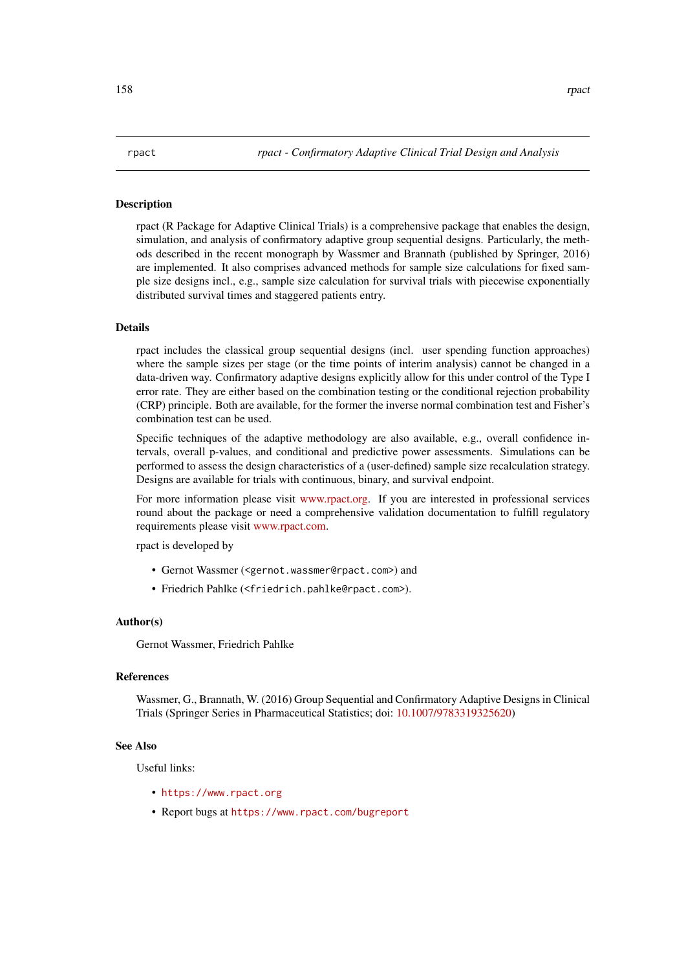#### <span id="page-157-0"></span>**Description**

rpact (R Package for Adaptive Clinical Trials) is a comprehensive package that enables the design, simulation, and analysis of confirmatory adaptive group sequential designs. Particularly, the methods described in the recent monograph by Wassmer and Brannath (published by Springer, 2016) are implemented. It also comprises advanced methods for sample size calculations for fixed sample size designs incl., e.g., sample size calculation for survival trials with piecewise exponentially distributed survival times and staggered patients entry.

#### Details

rpact includes the classical group sequential designs (incl. user spending function approaches) where the sample sizes per stage (or the time points of interim analysis) cannot be changed in a data-driven way. Confirmatory adaptive designs explicitly allow for this under control of the Type I error rate. They are either based on the combination testing or the conditional rejection probability (CRP) principle. Both are available, for the former the inverse normal combination test and Fisher's combination test can be used.

Specific techniques of the adaptive methodology are also available, e.g., overall confidence intervals, overall p-values, and conditional and predictive power assessments. Simulations can be performed to assess the design characteristics of a (user-defined) sample size recalculation strategy. Designs are available for trials with continuous, binary, and survival endpoint.

For more information please visit [www.rpact.org.](https://www.rpact.org) If you are interested in professional services round about the package or need a comprehensive validation documentation to fulfill regulatory requirements please visit [www.rpact.com.](https://www.rpact.com)

rpact is developed by

- Gernot Wassmer (<gernot.wassmer@rpact.com>) and
- Friedrich Pahlke (<friedrich.pahlke@rpact.com>).

#### Author(s)

Gernot Wassmer, Friedrich Pahlke

#### References

Wassmer, G., Brannath, W. (2016) Group Sequential and Confirmatory Adaptive Designs in Clinical Trials (Springer Series in Pharmaceutical Statistics; doi: [10.1007/9783319325620\)](https://doi.org/10.1007/978-3-319-32562-0)

#### See Also

Useful links:

- <https://www.rpact.org>
- Report bugs at <https://www.rpact.com/bugreport>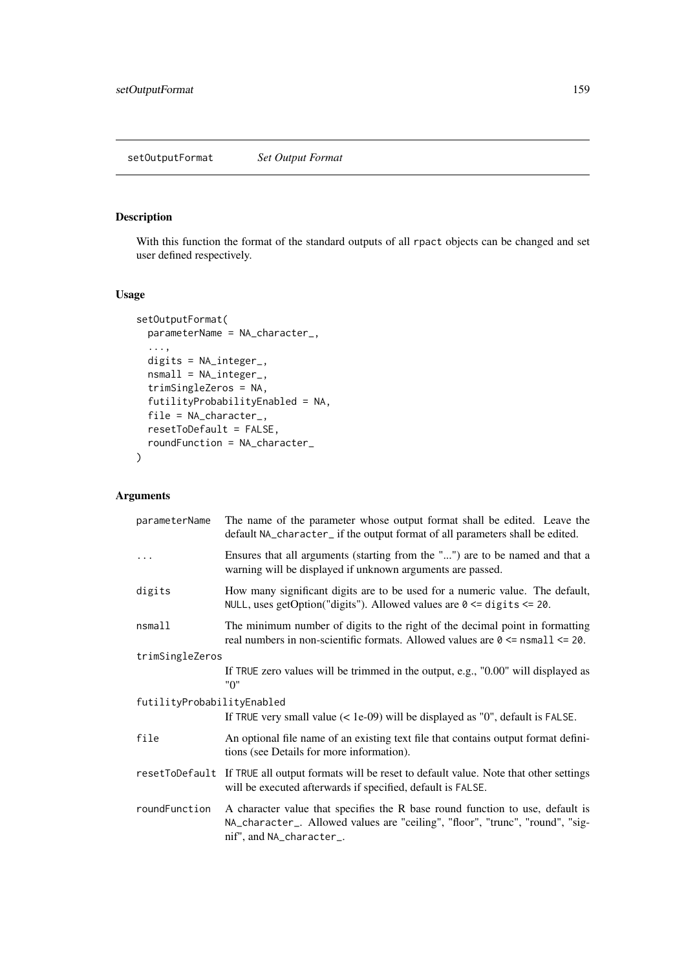<span id="page-158-0"></span>setOutputFormat *Set Output Format*

#### Description

With this function the format of the standard outputs of all rpact objects can be changed and set user defined respectively.

#### Usage

```
setOutputFormat(
  parameterName = NA_character_,
  ...,
  digits = NA_integer_,
  nsmall = NA_integer_,
  trimSingleZeros = NA,
  futilityProbabilityEnabled = NA,
  file = NA_character_,
  resetToDefault = FALSE,
  roundFunction = NA_character_
)
```

| parameterName              | The name of the parameter whose output format shall be edited. Leave the<br>default NA_character_ if the output format of all parameters shall be edited.                                  |
|----------------------------|--------------------------------------------------------------------------------------------------------------------------------------------------------------------------------------------|
| .                          | Ensures that all arguments (starting from the "") are to be named and that a<br>warning will be displayed if unknown arguments are passed.                                                 |
| digits                     | How many significant digits are to be used for a numeric value. The default,<br>NULL, uses getOption("digits"). Allowed values are $0 \leq d$ digits $\leq 20$ .                           |
| nsmall                     | The minimum number of digits to the right of the decimal point in formatting<br>real numbers in non-scientific formats. Allowed values are $0 \leq$ nsmall $\leq$ 20.                      |
| trimSingleZeros            |                                                                                                                                                                                            |
|                            | If TRUE zero values will be trimmed in the output, e.g., "0.00" will displayed as<br>"0"                                                                                                   |
| futilityProbabilityEnabled |                                                                                                                                                                                            |
|                            | If TRUE very small value $(<$ 1e-09) will be displayed as "0", default is FALSE.                                                                                                           |
| file                       | An optional file name of an existing text file that contains output format defini-<br>tions (see Details for more information).                                                            |
|                            | resetToDefault If TRUE all output formats will be reset to default value. Note that other settings<br>will be executed afterwards if specified, default is FALSE.                          |
| roundFunction              | A character value that specifies the R base round function to use, default is<br>NA_character_. Allowed values are "ceiling", "floor", "trunc", "round", "sig-<br>nif", and NA_character_. |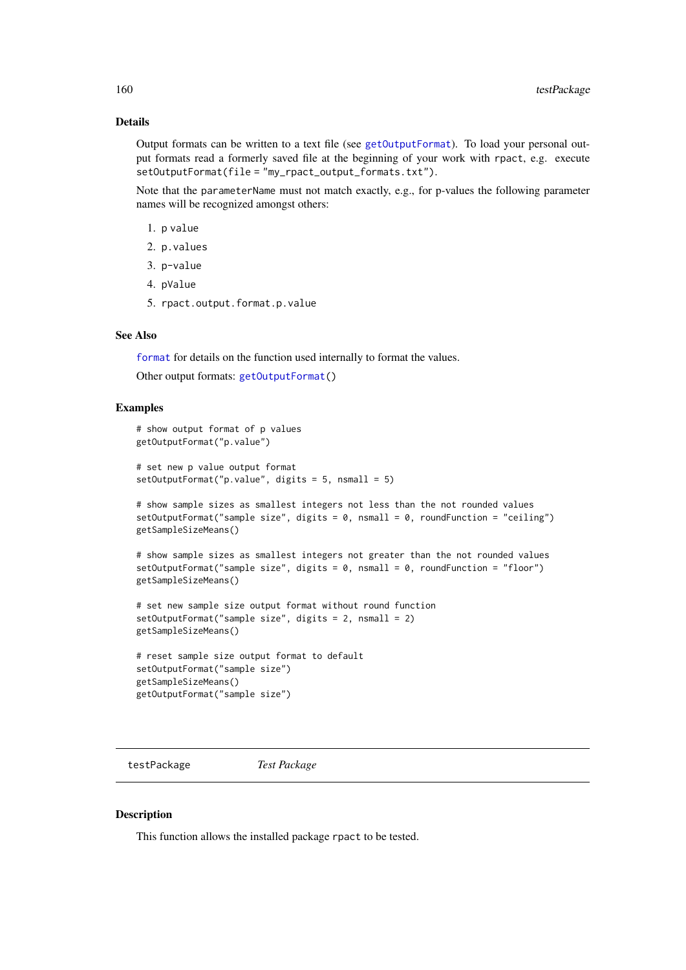Output formats can be written to a text file (see [getOutputFormat](#page-50-0)). To load your personal output formats read a formerly saved file at the beginning of your work with rpact, e.g. execute setOutputFormat(file = "my\_rpact\_output\_formats.txt").

Note that the parameterName must not match exactly, e.g., for p-values the following parameter names will be recognized amongst others:

- 1. p value
- 2. p.values
- 3. p-value
- 4. pValue
- 5. rpact.output.format.p.value

#### See Also

[format](#page-0-0) for details on the function used internally to format the values.

Other output formats: [getOutputFormat\(](#page-50-0))

#### Examples

```
# show output format of p values
getOutputFormat("p.value")
# set new p value output format
setOutputFormat("p.value", digits = 5, nsmall = 5)
# show sample sizes as smallest integers not less than the not rounded values
setOutputFormat("sample size", digits = 0, nsmall = 0, roundFunction = "ceiling")
getSampleSizeMeans()
# show sample sizes as smallest integers not greater than the not rounded values
setOutputFormat("sample size", digits = 0, nsmall = 0, roundFunction = "floor")
getSampleSizeMeans()
```

```
# set new sample size output format without round function
setOutputFormat("sample size", digits = 2, nsmall = 2)
getSampleSizeMeans()
```

```
# reset sample size output format to default
setOutputFormat("sample size")
getSampleSizeMeans()
getOutputFormat("sample size")
```
testPackage *Test Package*

#### Description

This function allows the installed package rpact to be tested.

<span id="page-159-0"></span>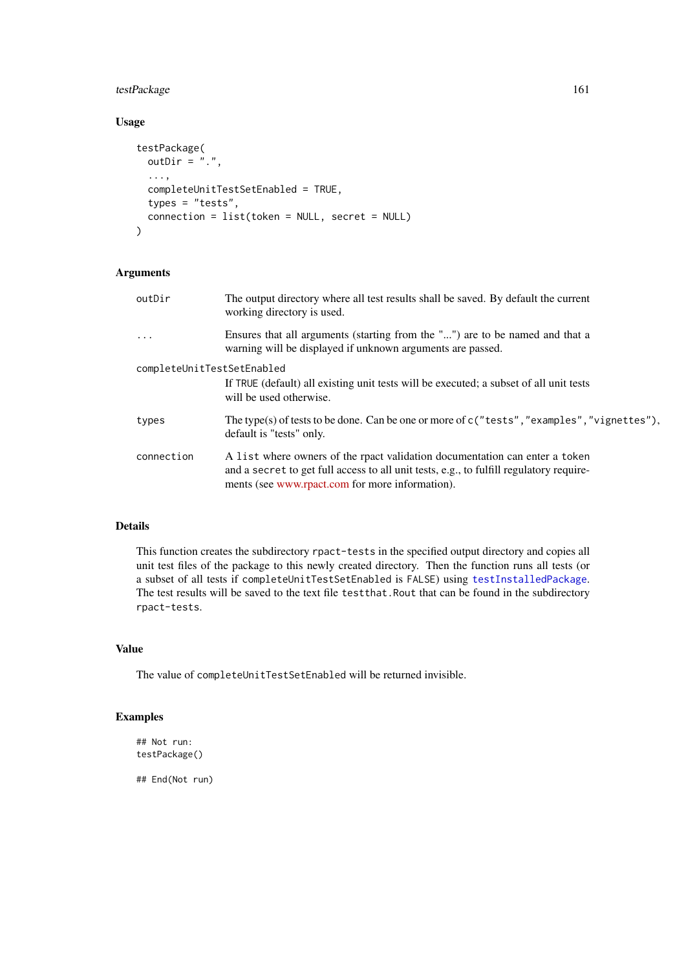#### <span id="page-160-0"></span>testPackage 161

### Usage

```
testPackage(
  outDir = "."....,
  completeUnitTestSetEnabled = TRUE,
  types = "tests",
  connection = list(token = NULL, secret = NULL)
\lambda
```
### Arguments

| outDir                     | The output directory where all test results shall be saved. By default the current<br>working directory is used.                                                                                                          |
|----------------------------|---------------------------------------------------------------------------------------------------------------------------------------------------------------------------------------------------------------------------|
| $\ddots$                   | Ensures that all arguments (starting from the "") are to be named and that a<br>warning will be displayed if unknown arguments are passed.                                                                                |
| completeUnitTestSetEnabled |                                                                                                                                                                                                                           |
|                            | If TRUE (default) all existing unit tests will be executed; a subset of all unit tests<br>will be used otherwise.                                                                                                         |
| types                      | The type(s) of tests to be done. Can be one or more of $c$ ("tests", "examples", "vignettes").<br>default is "tests" only.                                                                                                |
| connection                 | A list where owners of the rpact validation documentation can enter a token<br>and a secret to get full access to all unit tests, e.g., to fulfill regulatory require-<br>ments (see www.rpact.com for more information). |

### Details

This function creates the subdirectory rpact-tests in the specified output directory and copies all unit test files of the package to this newly created directory. Then the function runs all tests (or a subset of all tests if completeUnitTestSetEnabled is FALSE) using [testInstalledPackage](#page-0-0). The test results will be saved to the text file testthat.Rout that can be found in the subdirectory rpact-tests.

### Value

The value of completeUnitTestSetEnabled will be returned invisible.

### Examples

```
## Not run:
testPackage()
```
## End(Not run)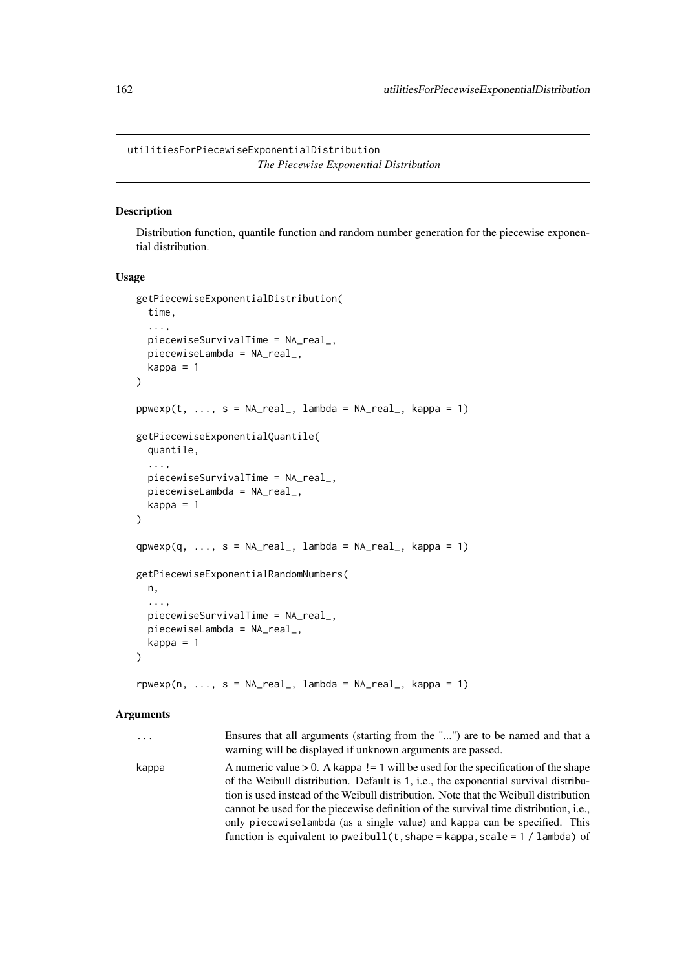#### <span id="page-161-0"></span>Description

Distribution function, quantile function and random number generation for the piecewise exponential distribution.

#### Usage

```
getPiecewiseExponentialDistribution(
  time,
  ...,
  piecewiseSurvivalTime = NA_real_,
  piecewiseLambda = NA_real_,
  kappa = 1)
ppwexp(t, ..., s = NA_{real_1, lambda = NA_{real_2, kappa = 1})getPiecewiseExponentialQuantile(
  quantile,
  ...,
  piecewiseSurvivalTime = NA_real_,
  piecewiseLambda = NA_real_,
  kappa = 1
)
qpwexp(q, ..., s = NA_real, lambda = NA_real, kappa = 1)getPiecewiseExponentialRandomNumbers(
  n,
  ...,
  piecewiseSurvivalTime = NA_real_,
  piecewiseLambda = NA_real_,
  kappa = 1\lambda
```
 $r p w exp(n, ..., s = NA_{real_1, lambda = NA_{real_2, kappa = 1})$ 

| $\cdots$ | Ensures that all arguments (starting from the "") are to be named and that a<br>warning will be displayed if unknown arguments are passed.                                                                                                                                                                                                                                                                                                                                                                                  |
|----------|-----------------------------------------------------------------------------------------------------------------------------------------------------------------------------------------------------------------------------------------------------------------------------------------------------------------------------------------------------------------------------------------------------------------------------------------------------------------------------------------------------------------------------|
| kappa    | A numeric value $> 0$ . A kappa != 1 will be used for the specification of the shape<br>of the Weibull distribution. Default is 1, i.e., the exponential survival distribu-<br>tion is used instead of the Weibull distribution. Note that the Weibull distribution<br>cannot be used for the piecewise definition of the survival time distribution, i.e.,<br>only piecewiselambda (as a single value) and kappa can be specified. This<br>function is equivalent to pweibull( $t$ , shape = kappa, scale = 1 / lambda) of |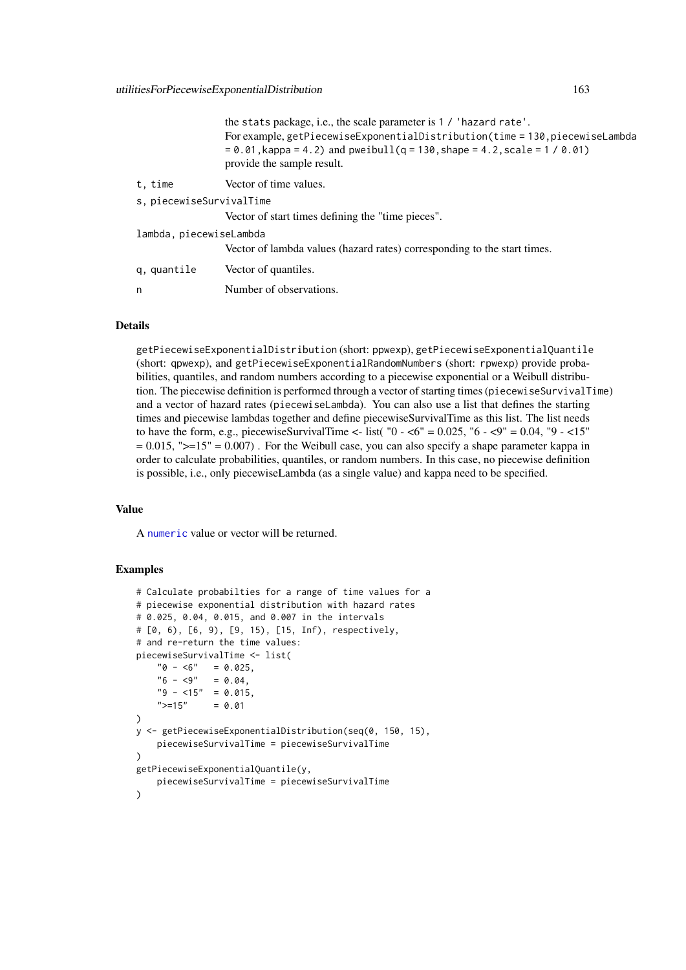<span id="page-162-0"></span>

|                          | the stats package, i.e., the scale parameter is 1 / 'hazard rate'.<br>For example, getPiecewiseExponentialDistribution(time = 130, piecewiseLambda<br>$= 0.01$ , kappa = 4.2) and pweibull(q = 130, shape = 4.2, scale = 1/0.01)<br>provide the sample result. |
|--------------------------|----------------------------------------------------------------------------------------------------------------------------------------------------------------------------------------------------------------------------------------------------------------|
| t, time                  | Vector of time values.                                                                                                                                                                                                                                         |
| s, piecewiseSurvivalTime |                                                                                                                                                                                                                                                                |
|                          | Vector of start times defining the "time pieces".                                                                                                                                                                                                              |
| lambda, piecewiseLambda  |                                                                                                                                                                                                                                                                |
|                          | Vector of lambda values (hazard rates) corresponding to the start times.                                                                                                                                                                                       |
| q, quantile              | Vector of quantiles.                                                                                                                                                                                                                                           |
| n                        | Number of observations.                                                                                                                                                                                                                                        |
|                          |                                                                                                                                                                                                                                                                |

getPiecewiseExponentialDistribution (short: ppwexp), getPiecewiseExponentialQuantile (short: qpwexp), and getPiecewiseExponentialRandomNumbers (short: rpwexp) provide probabilities, quantiles, and random numbers according to a piecewise exponential or a Weibull distribution. The piecewise definition is performed through a vector of starting times (piecewiseSurvivalTime) and a vector of hazard rates (piecewiseLambda). You can also use a list that defines the starting times and piecewise lambdas together and define piecewiseSurvivalTime as this list. The list needs to have the form, e.g., piecewiseSurvivalTime <- list( $"0 - 5$  = 0.025,  $"6 - 5$  = 0.04,  $"9 - 5$  $= 0.015$ , " $>= 15$ "  $= 0.007$ ). For the Weibull case, you can also specify a shape parameter kappa in order to calculate probabilities, quantiles, or random numbers. In this case, no piecewise definition is possible, i.e., only piecewiseLambda (as a single value) and kappa need to be specified.

#### Value

A [numeric](#page-0-0) value or vector will be returned.

#### Examples

```
# Calculate probabilties for a range of time values for a
# piecewise exponential distribution with hazard rates
# 0.025, 0.04, 0.015, and 0.007 in the intervals
# [0, 6), [6, 9), [9, 15), [15, Inf), respectively,
# and re-return the time values:
piecewiseSurvivalTime <- list(
    "0 - 6" = 0.025,"6 - <9" = 0.04,"9 - 15" = 0.015">=15" = 0.01
)
y <- getPiecewiseExponentialDistribution(seq(0, 150, 15),
    piecewiseSurvivalTime = piecewiseSurvivalTime
\lambdagetPiecewiseExponentialQuantile(y,
    piecewiseSurvivalTime = piecewiseSurvivalTime
)
```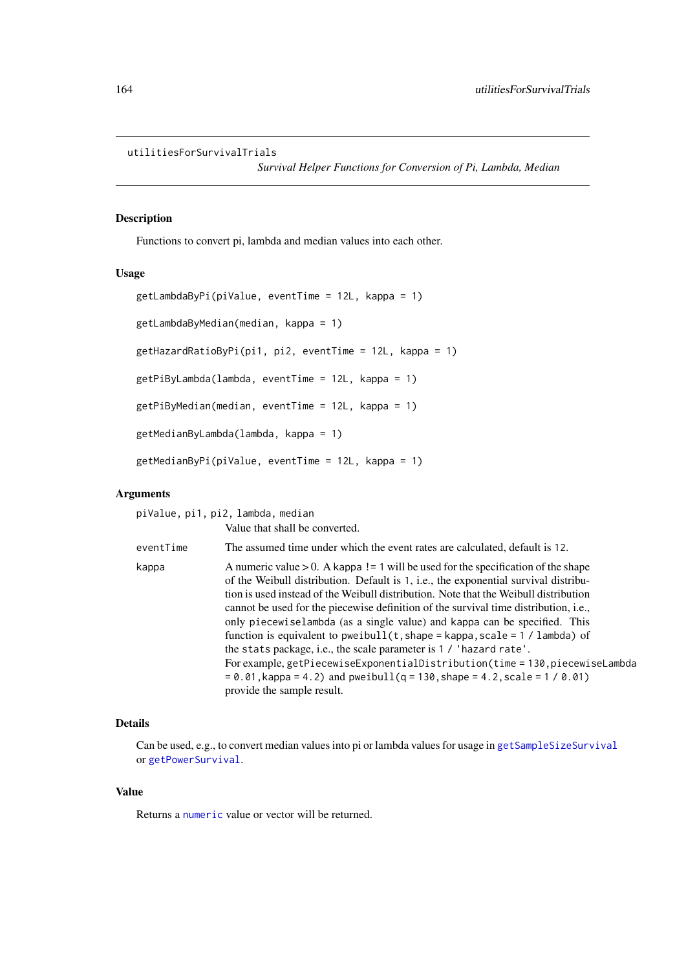#### <span id="page-163-0"></span>utilitiesForSurvivalTrials

*Survival Helper Functions for Conversion of Pi, Lambda, Median*

#### Description

Functions to convert pi, lambda and median values into each other.

#### Usage

```
getLambdaByPi(piValue, eventTime = 12L, kappa = 1)
getLambdaByMedian(median, kappa = 1)
getHazardRatioByPi(pi1, pi2, eventTime = 12L, kappa = 1)
getPiByLambda(lambda, eventTime = 12L, kappa = 1)
getPiByMedian(median, eventTime = 12L, kappa = 1)
getMedianByLambda(lambda, kappa = 1)
getMedianByPi(piValue, eventTime = 12L, kappa = 1)
```
#### Arguments

piValue, pi1, pi2, lambda, median

|           | Value that shall be converted.                                                                                                                                                                                                                                                                                                                                                                                                                                                                                                                                                                                                                                                                                                                                                                           |
|-----------|----------------------------------------------------------------------------------------------------------------------------------------------------------------------------------------------------------------------------------------------------------------------------------------------------------------------------------------------------------------------------------------------------------------------------------------------------------------------------------------------------------------------------------------------------------------------------------------------------------------------------------------------------------------------------------------------------------------------------------------------------------------------------------------------------------|
| eventTime | The assumed time under which the event rates are calculated, default is 12.                                                                                                                                                                                                                                                                                                                                                                                                                                                                                                                                                                                                                                                                                                                              |
| kappa     | A numeric value $> 0$ . A kappa ! = 1 will be used for the specification of the shape<br>of the Weibull distribution. Default is 1, i.e., the exponential survival distribu-<br>tion is used instead of the Weibull distribution. Note that the Weibull distribution<br>cannot be used for the piecewise definition of the survival time distribution, <i>i.e.</i> ,<br>only piecewiselambda (as a single value) and kappa can be specified. This<br>function is equivalent to pweibull( $t$ , shape = kappa, scale = 1 / lambda) of<br>the stats package, i.e., the scale parameter is 1 / 'hazard rate'.<br>For example, getPiecewiseExponentialDistribution(time = 130, piecewiseLambda<br>$= 0.01$ , kappa = 4.2) and pweibull(q = 130, shape = 4.2, scale = 1 / 0.01)<br>provide the sample result. |

#### Details

Can be used, e.g., to convert median values into pi or lambda values for usage in [getSampleSizeSurvival](#page-73-0) or [getPowerSurvival](#page-60-0).

#### Value

Returns a [numeric](#page-0-0) value or vector will be returned.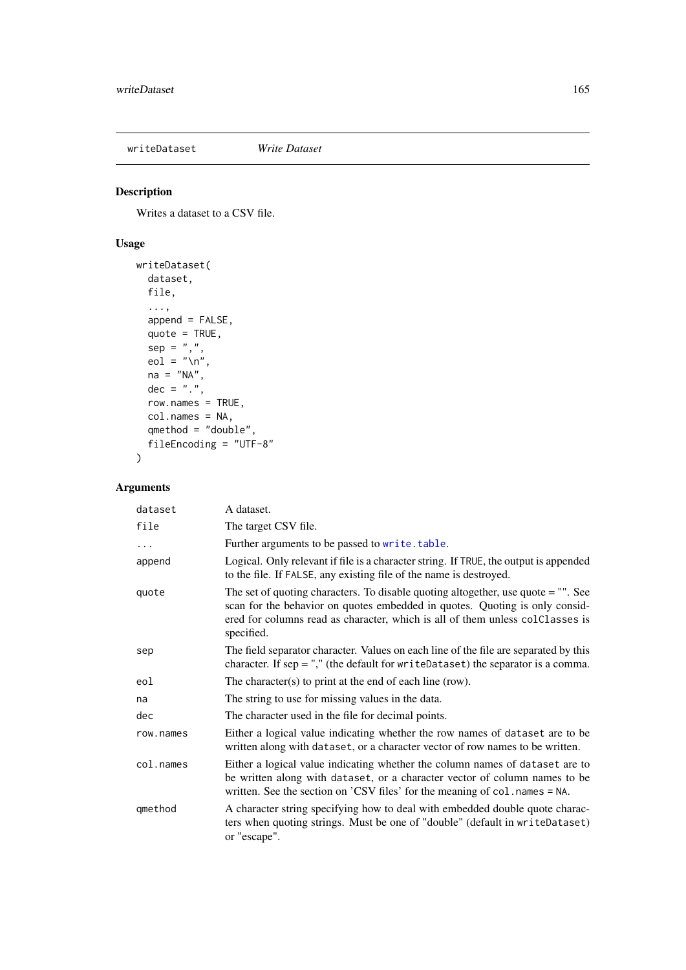<span id="page-164-1"></span><span id="page-164-0"></span>writeDataset *Write Dataset*

### Description

Writes a dataset to a CSV file.

### Usage

```
writeDataset(
  dataset,
  file,
  ...,
  append = FALSE,
  quote = TRUE,
  sep = ","eol = "n",na = "NA",
  dec = "."row.names = TRUE,
  col.names = NA,
  qmethod = "double",
  fileEncoding = "UTF-8"
\lambda
```

| dataset   | A dataset.                                                                                                                                                                                                                                                        |
|-----------|-------------------------------------------------------------------------------------------------------------------------------------------------------------------------------------------------------------------------------------------------------------------|
| file      | The target CSV file.                                                                                                                                                                                                                                              |
| .         | Further arguments to be passed to write.table.                                                                                                                                                                                                                    |
| append    | Logical. Only relevant if file is a character string. If TRUE, the output is appended<br>to the file. If FALSE, any existing file of the name is destroyed.                                                                                                       |
| quote     | The set of quoting characters. To disable quoting altogether, use quote $=$ "". See<br>scan for the behavior on quotes embedded in quotes. Quoting is only consid-<br>ered for columns read as character, which is all of them unless colClasses is<br>specified. |
| sep       | The field separator character. Values on each line of the file are separated by this<br>character. If $sep =$ "," (the default for writeDataset) the separator is a comma.                                                                                        |
| eol       | The character $(s)$ to print at the end of each line (row).                                                                                                                                                                                                       |
| na        | The string to use for missing values in the data.                                                                                                                                                                                                                 |
| dec       | The character used in the file for decimal points.                                                                                                                                                                                                                |
| row.names | Either a logical value indicating whether the row names of dataset are to be<br>written along with dataset, or a character vector of row names to be written.                                                                                                     |
| col.names | Either a logical value indicating whether the column names of dataset are to<br>be written along with dataset, or a character vector of column names to be<br>written. See the section on 'CSV files' for the meaning of col. names = NA.                         |
| qmethod   | A character string specifying how to deal with embedded double quote charac-<br>ters when quoting strings. Must be one of "double" (default in writeDataset)<br>or "escape".                                                                                      |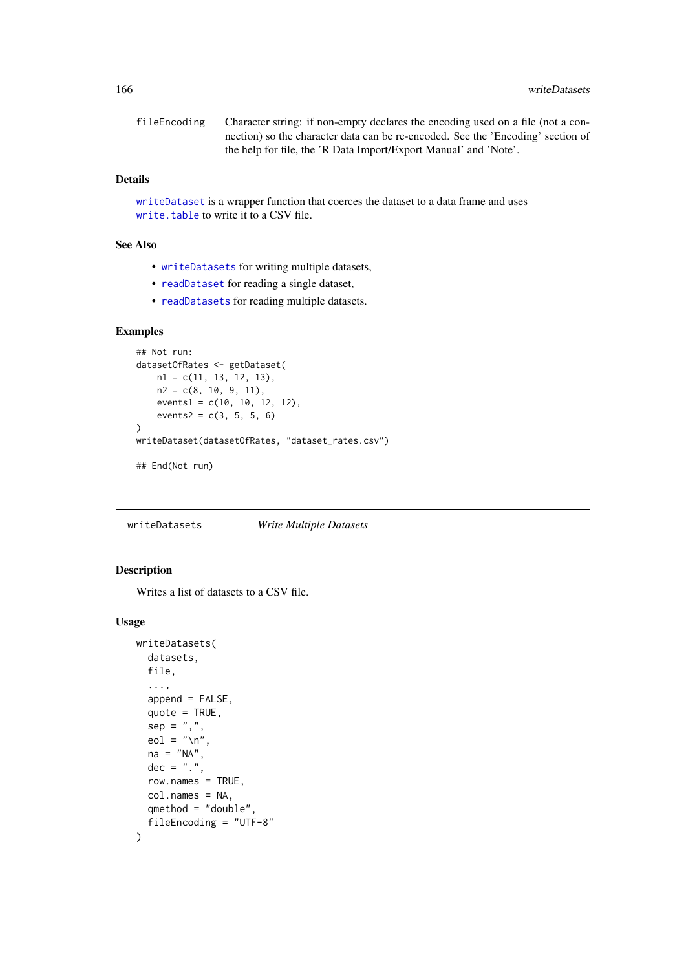<span id="page-165-1"></span>fileEncoding Character string: if non-empty declares the encoding used on a file (not a connection) so the character data can be re-encoded. See the 'Encoding' section of the help for file, the 'R Data Import/Export Manual' and 'Note'.

#### Details

[writeDataset](#page-164-0) is a wrapper function that coerces the dataset to a data frame and uses [write.table](#page-0-0) to write it to a CSV file.

#### See Also

- [writeDatasets](#page-165-0) for writing multiple datasets,
- [readDataset](#page-153-0) for reading a single dataset,
- [readDatasets](#page-155-0) for reading multiple datasets.

#### Examples

```
## Not run:
datasetOfRates <- getDataset(
   n1 = c(11, 13, 12, 13),
    n2 = c(8, 10, 9, 11),events1 = c(10, 10, 12, 12),
    events2 = c(3, 5, 5, 6)\lambdawriteDataset(datasetOfRates, "dataset_rates.csv")
## End(Not run)
```
<span id="page-165-0"></span>writeDatasets *Write Multiple Datasets*

#### Description

Writes a list of datasets to a CSV file.

#### Usage

```
writeDatasets(
  datasets,
  file,
  ...,
  append = FALSE,quote = TRUE,
  sep = ","eol = "\\ n",na = "NA",dec = "."row.names = TRUE,
  col.names = NA,
  qmethod = "double",
  fileEncoding = "UTF-8"
)
```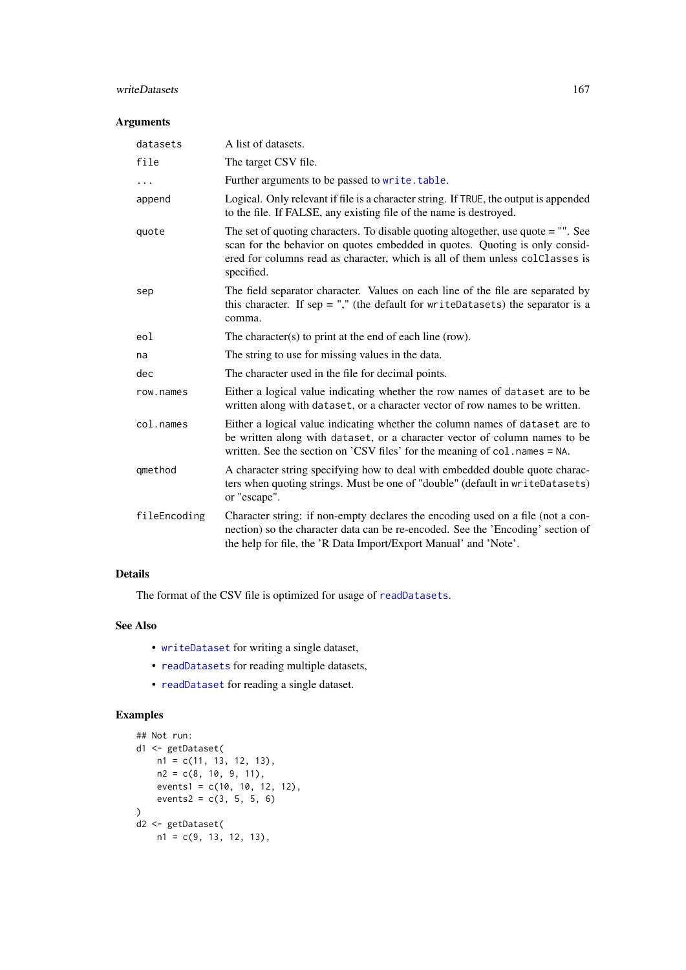#### <span id="page-166-0"></span>writeDatasets 167

#### Arguments

| datasets     | A list of datasets.                                                                                                                                                                                                                                             |
|--------------|-----------------------------------------------------------------------------------------------------------------------------------------------------------------------------------------------------------------------------------------------------------------|
| file         | The target CSV file.                                                                                                                                                                                                                                            |
| .            | Further arguments to be passed to write.table.                                                                                                                                                                                                                  |
| append       | Logical. Only relevant if file is a character string. If TRUE, the output is appended<br>to the file. If FALSE, any existing file of the name is destroyed.                                                                                                     |
| quote        | The set of quoting characters. To disable quoting altogether, use quote = "". See<br>scan for the behavior on quotes embedded in quotes. Quoting is only consid-<br>ered for columns read as character, which is all of them unless colClasses is<br>specified. |
| sep          | The field separator character. Values on each line of the file are separated by<br>this character. If sep = "," (the default for writeDatasets) the separator is a<br>comma.                                                                                    |
| eol          | The character(s) to print at the end of each line (row).                                                                                                                                                                                                        |
| na           | The string to use for missing values in the data.                                                                                                                                                                                                               |
| dec          | The character used in the file for decimal points.                                                                                                                                                                                                              |
| row.names    | Either a logical value indicating whether the row names of dataset are to be<br>written along with dataset, or a character vector of row names to be written.                                                                                                   |
| col.names    | Either a logical value indicating whether the column names of dataset are to<br>be written along with dataset, or a character vector of column names to be<br>written. See the section on 'CSV files' for the meaning of col. names = NA.                       |
| qmethod      | A character string specifying how to deal with embedded double quote charac-<br>ters when quoting strings. Must be one of "double" (default in writeDatasets)<br>or "escape".                                                                                   |
| fileEncoding | Character string: if non-empty declares the encoding used on a file (not a con-<br>nection) so the character data can be re-encoded. See the 'Encoding' section of<br>the help for file, the 'R Data Import/Export Manual' and 'Note'.                          |

### Details

The format of the CSV file is optimized for usage of [readDatasets](#page-155-0).

### See Also

- [writeDataset](#page-164-0) for writing a single dataset,
- [readDatasets](#page-155-0) for reading multiple datasets,
- [readDataset](#page-153-0) for reading a single dataset.

### Examples

```
## Not run:
d1 <- getDataset(
   n1 = c(11, 13, 12, 13),
   n2 = c(8, 10, 9, 11),events1 = c(10, 10, 12, 12),
    events2 = c(3, 5, 5, 6)\lambdad2 <- getDataset(
   n1 = c(9, 13, 12, 13),
```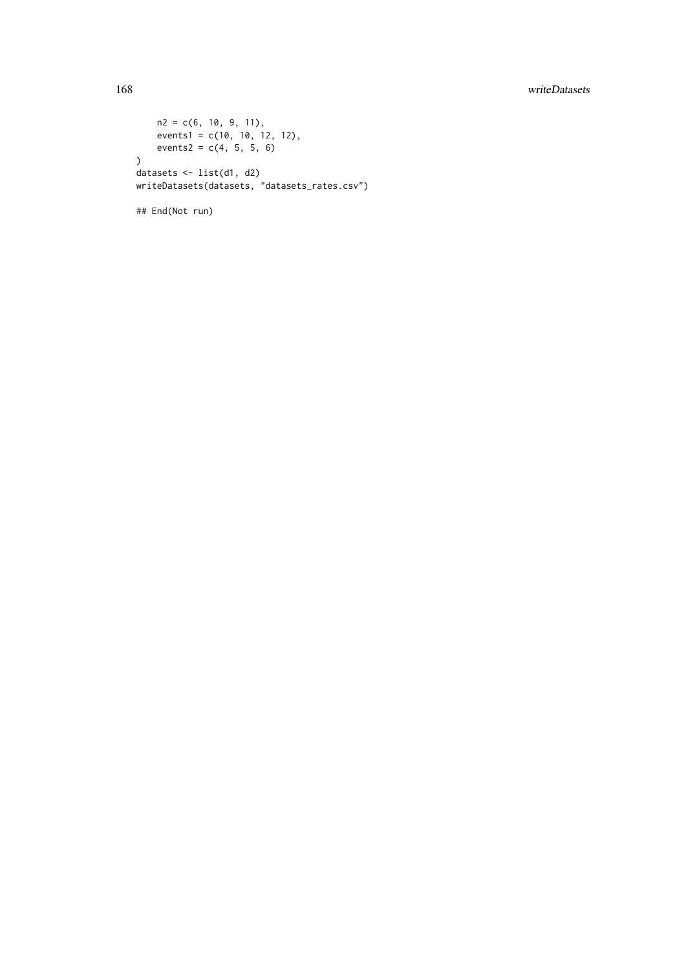### 168 writeDatasets

```
n2 = c(6, 10, 9, 11),
    events1 = c(10, 10, 12, 12),
    events2 = c(4, 5, 5, 6)\lambdadatasets <- list(d1, d2)
writeDatasets(datasets, "datasets_rates.csv")
```
## End(Not run)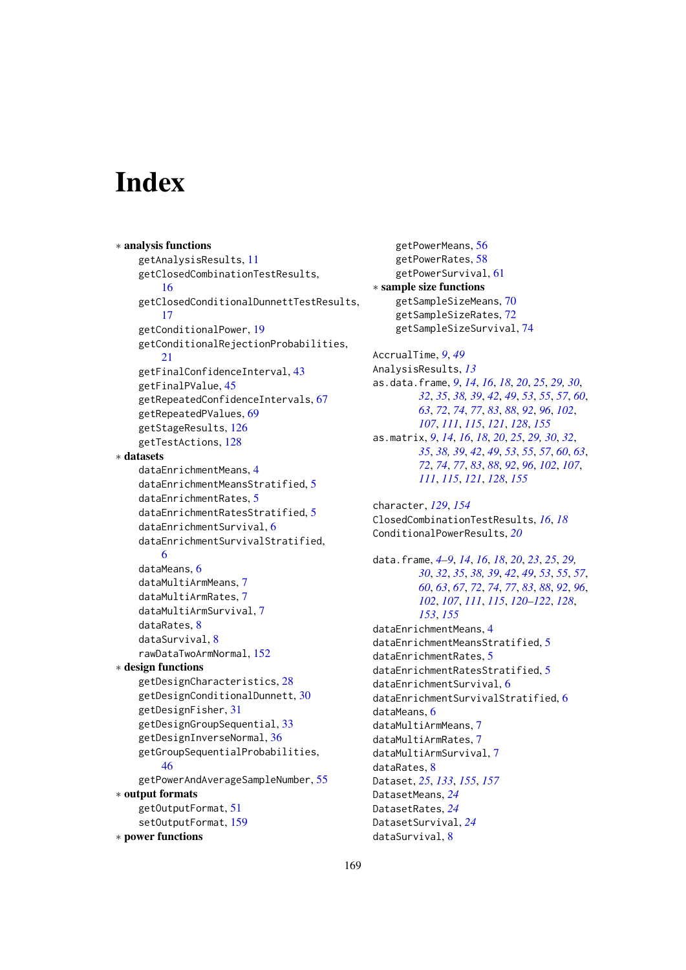# Index

```
∗ analysis functions
    getAnalysisResults, 11
    getClosedCombinationTestResults,
        16
    getClosedConditionalDunnettTestResults,
        17
    getConditionalPower, 19
    getConditionalRejectionProbabilities,
        21
    getFinalConfidenceInterval, 43
    getFinalPValue, 45
    getRepeatedConfidenceIntervals, 67
    getRepeatedPValues, 69
    getStageResults, 126
    getTestActions, 128
∗ datasets
    dataEnrichmentMeans, 4
    dataEnrichmentMeansStratified, 5
    dataEnrichmentRates, 5
    dataEnrichmentRatesStratified, 5
    dataEnrichmentSurvival, 6
    dataEnrichmentSurvivalStratified,
        6
    dataMeans, 6
    dataMultiArmMeans, 7
    dataMultiArmRates, 7
    dataMultiArmSurvival, 7
    dataRates, 8
    dataSurvival, 8
    rawDataTwoArmNormal, 152
∗ design functions
    getDesignCharacteristics, 28
    getDesignConditionalDunnett, 30
    getDesignFisher, 31
    getDesignGroupSequential, 33
    getDesignInverseNormal, 36
    getGroupSequentialProbabilities,
        46
    getPowerAndAverageSampleNumber, 55
∗ output formats
    getOutputFormat, 51
    setOutputFormat, 159
∗ power functions
```
getPowerMeans, [56](#page-55-1) getPowerRates, [58](#page-57-1) getPowerSurvival, [61](#page-60-1) ∗ sample size functions getSampleSizeMeans, [70](#page-69-1) getSampleSizeRates, [72](#page-71-1) getSampleSizeSurvival, [74](#page-73-1) AccrualTime, *[9](#page-8-0)*, *[49](#page-48-0)* AnalysisResults, *[13](#page-12-0)* as.data.frame, *[9](#page-8-0)*, *[14](#page-13-0)*, *[16](#page-15-0)*, *[18](#page-17-0)*, *[20](#page-19-0)*, *[25](#page-24-0)*, *[29,](#page-28-0) [30](#page-29-0)*, *[32](#page-31-0)*, *[35](#page-34-0)*, *[38,](#page-37-0) [39](#page-38-1)*, *[42](#page-41-0)*, *[49](#page-48-0)*, *[53](#page-52-0)*, *[55](#page-54-1)*, *[57](#page-56-0)*, *[60](#page-59-0)*, *[63](#page-62-0)*, *[72](#page-71-1)*, *[74](#page-73-1)*, *[77](#page-76-0)*, *[83](#page-82-0)*, *[88](#page-87-0)*, *[92](#page-91-0)*, *[96](#page-95-0)*, *[102](#page-101-0)*, *[107](#page-106-0)*, *[111](#page-110-0)*, *[115](#page-114-0)*, *[121](#page-120-0)*, *[128](#page-127-0)*, *[155](#page-154-0)* as.matrix, *[9](#page-8-0)*, *[14](#page-13-0)*, *[16](#page-15-0)*, *[18](#page-17-0)*, *[20](#page-19-0)*, *[25](#page-24-0)*, *[29,](#page-28-0) [30](#page-29-0)*, *[32](#page-31-0)*, *[35](#page-34-0)*, *[38,](#page-37-0) [39](#page-38-1)*, *[42](#page-41-0)*, *[49](#page-48-0)*, *[53](#page-52-0)*, *[55](#page-54-1)*, *[57](#page-56-0)*, *[60](#page-59-0)*, *[63](#page-62-0)*, *[72](#page-71-1)*, *[74](#page-73-1)*, *[77](#page-76-0)*, *[83](#page-82-0)*, *[88](#page-87-0)*, *[92](#page-91-0)*, *[96](#page-95-0)*, *[102](#page-101-0)*, *[107](#page-106-0)*, *[111](#page-110-0)*, *[115](#page-114-0)*, *[121](#page-120-0)*, *[128](#page-127-0)*, *[155](#page-154-0)* character, *[129](#page-128-0)*, *[154](#page-153-1)* ClosedCombinationTestResults, *[16](#page-15-0)*, *[18](#page-17-0)* ConditionalPowerResults, *[20](#page-19-0)* data.frame, *[4](#page-3-0)[–9](#page-8-0)*, *[14](#page-13-0)*, *[16](#page-15-0)*, *[18](#page-17-0)*, *[20](#page-19-0)*, *[23](#page-22-1)*, *[25](#page-24-0)*, *[29,](#page-28-0) [30](#page-29-0)*, *[32](#page-31-0)*, *[35](#page-34-0)*, *[38,](#page-37-0) [39](#page-38-1)*, *[42](#page-41-0)*, *[49](#page-48-0)*, *[53](#page-52-0)*, *[55](#page-54-1)*, *[57](#page-56-0)*, *[60](#page-59-0)*, *[63](#page-62-0)*, *[67](#page-66-0)*, *[72](#page-71-1)*, *[74](#page-73-1)*, *[77](#page-76-0)*, *[83](#page-82-0)*, *[88](#page-87-0)*, *[92](#page-91-0)*, *[96](#page-95-0)*, *[102](#page-101-0)*, *[107](#page-106-0)*, *[111](#page-110-0)*, *[115](#page-114-0)*, *[120](#page-119-0)[–122](#page-121-0)*, *[128](#page-127-0)*, *[153](#page-152-2)*, *[155](#page-154-0)* dataEnrichmentMeans, [4](#page-3-0) dataEnrichmentMeansStratified, [5](#page-4-0) dataEnrichmentRates, [5](#page-4-0) dataEnrichmentRatesStratified, [5](#page-4-0) dataEnrichmentSurvival, [6](#page-5-0) dataEnrichmentSurvivalStratified, [6](#page-5-0) dataMeans, [6](#page-5-0) dataMultiArmMeans, [7](#page-6-0) dataMultiArmRates, [7](#page-6-0) dataMultiArmSurvival, [7](#page-6-0) dataRates, [8](#page-7-0) Dataset, *[25](#page-24-0)*, *[133](#page-132-1)*, *[155](#page-154-0)*, *[157](#page-156-0)* DatasetMeans, *[24](#page-23-0)* DatasetRates, *[24](#page-23-0)* DatasetSurvival, *[24](#page-23-0)* dataSurvival, [8](#page-7-0)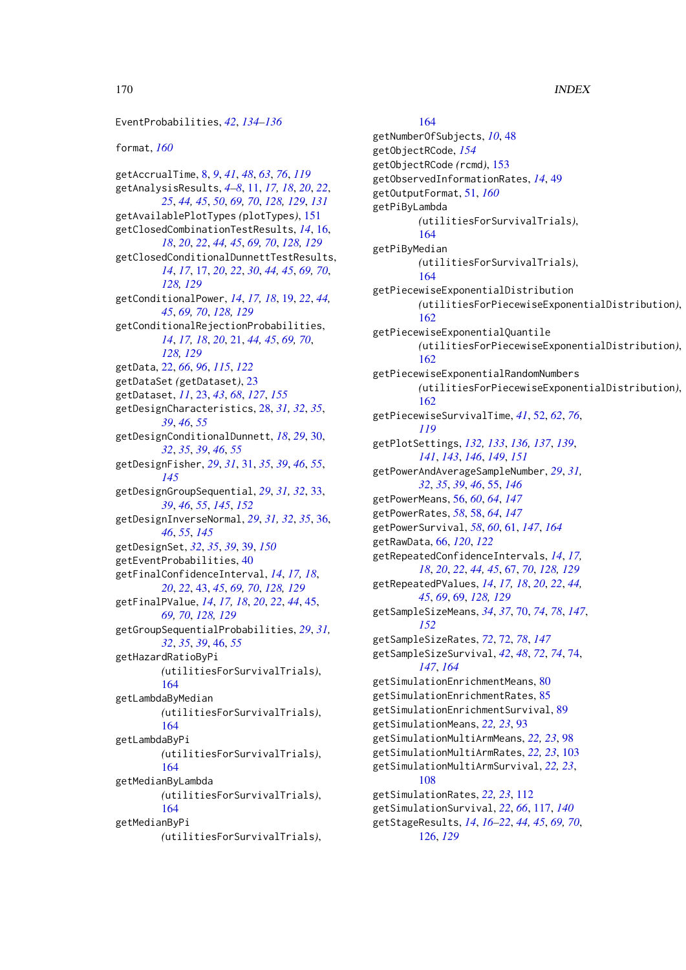170 INDEX EventProbabilities, *[42](#page-41-0)*, *[134–](#page-133-0)[136](#page-135-0)* format, *[160](#page-159-0)* getAccrualTime, [8,](#page-7-0) *[9](#page-8-0)*, *[41](#page-40-0)*, *[48](#page-47-0)*, *[63](#page-62-0)*, *[76](#page-75-0)*, *[119](#page-118-0)* getAnalysisResults, *[4–](#page-3-0)[8](#page-7-0)*, [11,](#page-10-0) *[17,](#page-16-0) [18](#page-17-0)*, *[20](#page-19-0)*, *[22](#page-21-0)*, *[25](#page-24-0)*, *[44,](#page-43-0) [45](#page-44-0)*, *[50](#page-49-0)*, *[69,](#page-68-0) [70](#page-69-1)*, *[128,](#page-127-0) [129](#page-128-0)*, *[131](#page-130-0)* getAvailablePlotTypes *(*plotTypes*)*, [151](#page-150-0) getClosedCombinationTestResults, *[14](#page-13-0)*, [16,](#page-15-0) *[18](#page-17-0)*, *[20](#page-19-0)*, *[22](#page-21-0)*, *[44,](#page-43-0) [45](#page-44-0)*, *[69,](#page-68-0) [70](#page-69-1)*, *[128,](#page-127-0) [129](#page-128-0)* getClosedConditionalDunnettTestResults, *[14](#page-13-0)*, *[17](#page-16-0)*, [17,](#page-16-0) *[20](#page-19-0)*, *[22](#page-21-0)*, *[30](#page-29-0)*, *[44,](#page-43-0) [45](#page-44-0)*, *[69,](#page-68-0) [70](#page-69-1)*, *[128,](#page-127-0) [129](#page-128-0)* getConditionalPower, *[14](#page-13-0)*, *[17,](#page-16-0) [18](#page-17-0)*, [19,](#page-18-0) *[22](#page-21-0)*, *[44,](#page-43-0) [45](#page-44-0)*, *[69,](#page-68-0) [70](#page-69-1)*, *[128,](#page-127-0) [129](#page-128-0)* getConditionalRejectionProbabilities, *[14](#page-13-0)*, *[17,](#page-16-0) [18](#page-17-0)*, *[20](#page-19-0)*, [21,](#page-20-0) *[44,](#page-43-0) [45](#page-44-0)*, *[69,](#page-68-0) [70](#page-69-1)*, *[128,](#page-127-0) [129](#page-128-0)* getData, [22,](#page-21-0) *[66](#page-65-0)*, *[96](#page-95-0)*, *[115](#page-114-0)*, *[122](#page-121-0)* getDataSet *(*getDataset*)*, [23](#page-22-1) getDataset, *[11](#page-10-0)*, [23,](#page-22-1) *[43](#page-42-0)*, *[68](#page-67-0)*, *[127](#page-126-0)*, *[155](#page-154-0)* getDesignCharacteristics, [28,](#page-27-0) *[31,](#page-30-1) [32](#page-31-0)*, *[35](#page-34-0)*, *[39](#page-38-1)*, *[46](#page-45-0)*, *[55](#page-54-1)* getDesignConditionalDunnett, *[18](#page-17-0)*, *[29](#page-28-0)*, [30,](#page-29-0) *[32](#page-31-0)*, *[35](#page-34-0)*, *[39](#page-38-1)*, *[46](#page-45-0)*, *[55](#page-54-1)* getDesignFisher, *[29](#page-28-0)*, *[31](#page-30-1)*, [31,](#page-30-1) *[35](#page-34-0)*, *[39](#page-38-1)*, *[46](#page-45-0)*, *[55](#page-54-1)*, *[145](#page-144-0)* getDesignGroupSequential, *[29](#page-28-0)*, *[31,](#page-30-1) [32](#page-31-0)*, [33,](#page-32-1) *[39](#page-38-1)*, *[46](#page-45-0)*, *[55](#page-54-1)*, *[145](#page-144-0)*, *[152](#page-151-0)* getDesignInverseNormal, *[29](#page-28-0)*, *[31,](#page-30-1) [32](#page-31-0)*, *[35](#page-34-0)*, [36,](#page-35-1) *[46](#page-45-0)*, *[55](#page-54-1)*, *[145](#page-144-0)* getDesignSet, *[32](#page-31-0)*, *[35](#page-34-0)*, *[39](#page-38-1)*, [39,](#page-38-1) *[150](#page-149-0)* getEventProbabilities, [40](#page-39-0) getFinalConfidenceInterval, *[14](#page-13-0)*, *[17,](#page-16-0) [18](#page-17-0)*, *[20](#page-19-0)*, *[22](#page-21-0)*, [43,](#page-42-0) *[45](#page-44-0)*, *[69,](#page-68-0) [70](#page-69-1)*, *[128,](#page-127-0) [129](#page-128-0)* getFinalPValue, *[14](#page-13-0)*, *[17,](#page-16-0) [18](#page-17-0)*, *[20](#page-19-0)*, *[22](#page-21-0)*, *[44](#page-43-0)*, [45,](#page-44-0) *[69,](#page-68-0) [70](#page-69-1)*, *[128,](#page-127-0) [129](#page-128-0)* getGroupSequentialProbabilities, *[29](#page-28-0)*, *[31,](#page-30-1) [32](#page-31-0)*, *[35](#page-34-0)*, *[39](#page-38-1)*, [46,](#page-45-0) *[55](#page-54-1)* getHazardRatioByPi *(*utilitiesForSurvivalTrials*)*, [164](#page-163-0) getLambdaByMedian *(*utilitiesForSurvivalTrials*)*, [164](#page-163-0) getLambdaByPi *(*utilitiesForSurvivalTrials*)*, [164](#page-163-0) getMedianByLambda *(*utilitiesForSurvivalTrials*)*,

## [164](#page-163-0)

getMedianByPi *(*utilitiesForSurvivalTrials*)*,

### [164](#page-163-0)

getNumberOfSubjects, *[10](#page-9-0)*, [48](#page-47-0) getObjectRCode, *[154](#page-153-1)* getObjectRCode *(*rcmd*)*, [153](#page-152-2) getObservedInformationRates, *[14](#page-13-0)*, [49](#page-48-0) getOutputFormat, [51,](#page-50-1) *[160](#page-159-0)* getPiByLambda *(*utilitiesForSurvivalTrials*)*, [164](#page-163-0) getPiByMedian *(*utilitiesForSurvivalTrials*)*, [164](#page-163-0) getPiecewiseExponentialDistribution *(*utilitiesForPiecewiseExponentialDistribution*)*, [162](#page-161-0) getPiecewiseExponentialQuantile *(*utilitiesForPiecewiseExponentialDistribution*)*, [162](#page-161-0) getPiecewiseExponentialRandomNumbers *(*utilitiesForPiecewiseExponentialDistribution*)*, [162](#page-161-0) getPiecewiseSurvivalTime, *[41](#page-40-0)*, [52,](#page-51-0) *[62](#page-61-0)*, *[76](#page-75-0)*, *[119](#page-118-0)* getPlotSettings, *[132,](#page-131-0) [133](#page-132-1)*, *[136,](#page-135-0) [137](#page-136-0)*, *[139](#page-138-0)*, *[141](#page-140-0)*, *[143](#page-142-0)*, *[146](#page-145-0)*, *[149](#page-148-1)*, *[151](#page-150-0)* getPowerAndAverageSampleNumber, *[29](#page-28-0)*, *[31,](#page-30-1) [32](#page-31-0)*, *[35](#page-34-0)*, *[39](#page-38-1)*, *[46](#page-45-0)*, [55,](#page-54-1) *[146](#page-145-0)* getPowerMeans, [56,](#page-55-1) *[60](#page-59-0)*, *[64](#page-63-0)*, *[147](#page-146-0)* getPowerRates, *[58](#page-57-1)*, [58,](#page-57-1) *[64](#page-63-0)*, *[147](#page-146-0)* getPowerSurvival, *[58](#page-57-1)*, *[60](#page-59-0)*, [61,](#page-60-1) *[147](#page-146-0)*, *[164](#page-163-0)* getRawData, [66,](#page-65-0) *[120](#page-119-0)*, *[122](#page-121-0)* getRepeatedConfidenceIntervals, *[14](#page-13-0)*, *[17,](#page-16-0) [18](#page-17-0)*, *[20](#page-19-0)*, *[22](#page-21-0)*, *[44,](#page-43-0) [45](#page-44-0)*, [67,](#page-66-0) *[70](#page-69-1)*, *[128,](#page-127-0) [129](#page-128-0)* getRepeatedPValues, *[14](#page-13-0)*, *[17,](#page-16-0) [18](#page-17-0)*, *[20](#page-19-0)*, *[22](#page-21-0)*, *[44,](#page-43-0) [45](#page-44-0)*, *[69](#page-68-0)*, [69,](#page-68-0) *[128,](#page-127-0) [129](#page-128-0)* getSampleSizeMeans, *[34](#page-33-0)*, *[37](#page-36-0)*, [70,](#page-69-1) *[74](#page-73-1)*, *[78](#page-77-0)*, *[147](#page-146-0)*, *[152](#page-151-0)* getSampleSizeRates, *[72](#page-71-1)*, [72,](#page-71-1) *[78](#page-77-0)*, *[147](#page-146-0)* getSampleSizeSurvival, *[42](#page-41-0)*, *[48](#page-47-0)*, *[72](#page-71-1)*, *[74](#page-73-1)*, [74,](#page-73-1) *[147](#page-146-0)*, *[164](#page-163-0)* getSimulationEnrichmentMeans, [80](#page-79-0) getSimulationEnrichmentRates, [85](#page-84-0) getSimulationEnrichmentSurvival, [89](#page-88-0) getSimulationMeans, *[22,](#page-21-0) [23](#page-22-1)*, [93](#page-92-0) getSimulationMultiArmMeans, *[22,](#page-21-0) [23](#page-22-1)*, [98](#page-97-0) getSimulationMultiArmRates, *[22,](#page-21-0) [23](#page-22-1)*, [103](#page-102-0) getSimulationMultiArmSurvival, *[22,](#page-21-0) [23](#page-22-1)*, [108](#page-107-0) getSimulationRates, *[22,](#page-21-0) [23](#page-22-1)*, [112](#page-111-0) getSimulationSurvival, *[22](#page-21-0)*, *[66](#page-65-0)*, [117,](#page-116-0) *[140](#page-139-0)* getStageResults, *[14](#page-13-0)*, *[16](#page-15-0)[–22](#page-21-0)*, *[44,](#page-43-0) [45](#page-44-0)*, *[69,](#page-68-0) [70](#page-69-1)*, [126,](#page-125-0) *[129](#page-128-0)*